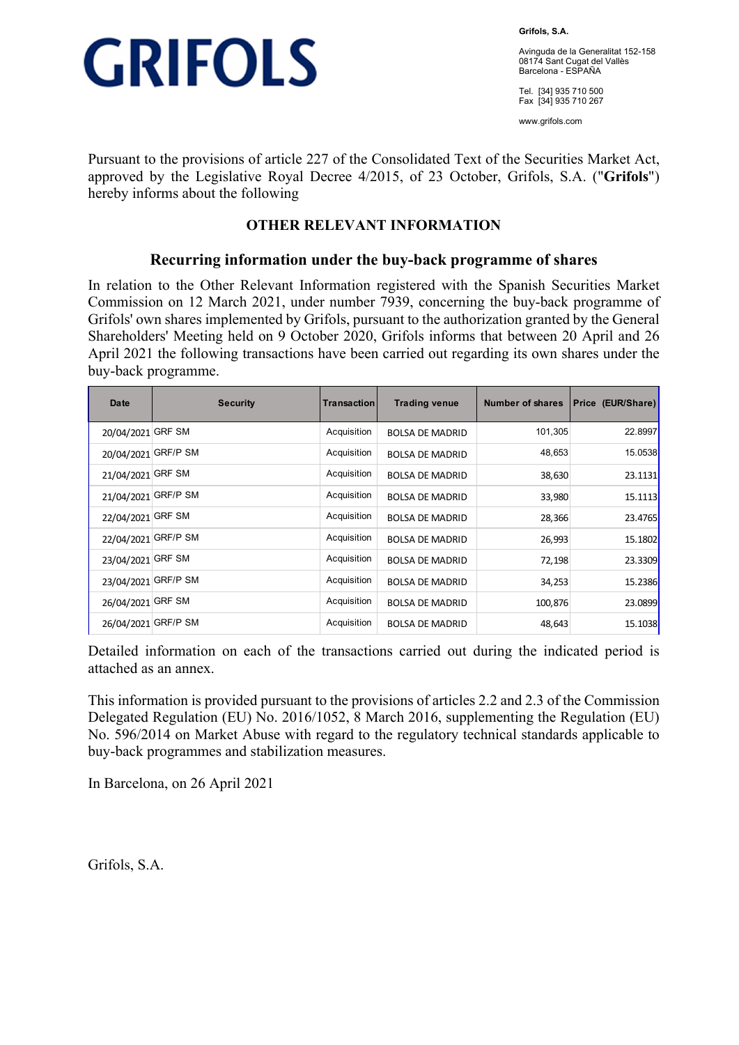

**Grifols, S.A.** 

Avinguda de la Generalitat 152-158 08174 Sant Cugat del Vallès Barcelona - ESPAÑA

Tel. [34] 935 710 500 Fax [34] 935 710 267

www.grifols.com

Pursuant to the provisions of article 227 of the Consolidated Text of the Securities Market Act, approved by the Legislative Royal Decree 4/2015, of 23 October, Grifols, S.A. ("**Grifols**") hereby informs about the following

## **OTHER RELEVANT INFORMATION**

### **Recurring information under the buy-back programme of shares**

In relation to the Other Relevant Information registered with the Spanish Securities Market Commission on 12 March 2021, under number 7939, concerning the buy-back programme of Grifols' own shares implemented by Grifols, pursuant to the authorization granted by the General Shareholders' Meeting held on 9 October 2020, Grifols informs that between 20 April and 26 April 2021 the following transactions have been carried out regarding its own shares under the buy-back programme.

| Date                | <b>Security</b> | Transaction | <b>Trading venue</b>   | Number of shares | Price (EUR/Share) |
|---------------------|-----------------|-------------|------------------------|------------------|-------------------|
| 20/04/2021          | <b>GRF SM</b>   | Acquisition | <b>BOLSA DE MADRID</b> | 101,305          | 22.8997           |
| 20/04/2021          | <b>GRF/P SM</b> | Acquisition | <b>BOLSA DE MADRID</b> | 48,653           | 15.0538           |
| 21/04/2021          | <b>GRF SM</b>   | Acquisition | <b>BOLSA DE MADRID</b> | 38,630           | 23.1131           |
| 21/04/2021 GRF/P SM |                 | Acquisition | <b>BOLSA DE MADRID</b> | 33,980           | 15.1113           |
| 22/04/2021          | <b>GRF SM</b>   | Acquisition | <b>BOLSA DE MADRID</b> | 28,366           | 23.4765           |
| 22/04/2021          | <b>GRF/P SM</b> | Acquisition | <b>BOLSA DE MADRID</b> | 26,993           | 15.1802           |
| 23/04/2021 GRF SM   |                 | Acquisition | <b>BOLSA DE MADRID</b> | 72,198           | 23.3309           |
| 23/04/2021          | <b>GRF/P SM</b> | Acquisition | <b>BOLSA DE MADRID</b> | 34,253           | 15.2386           |
| 26/04/2021          | <b>GRF SM</b>   | Acquisition | <b>BOLSA DE MADRID</b> | 100,876          | 23.0899           |
| 26/04/2021          | <b>GRF/P SM</b> | Acquisition | <b>BOLSA DE MADRID</b> | 48,643           | 15.1038           |

Detailed information on each of the transactions carried out during the indicated period is attached as an annex.

This information is provided pursuant to the provisions of articles 2.2 and 2.3 of the Commission Delegated Regulation (EU) No. 2016/1052, 8 March 2016, supplementing the Regulation (EU) No. 596/2014 on Market Abuse with regard to the regulatory technical standards applicable to buy-back programmes and stabilization measures.

In Barcelona, on 26 April 2021

Grifols, S.A.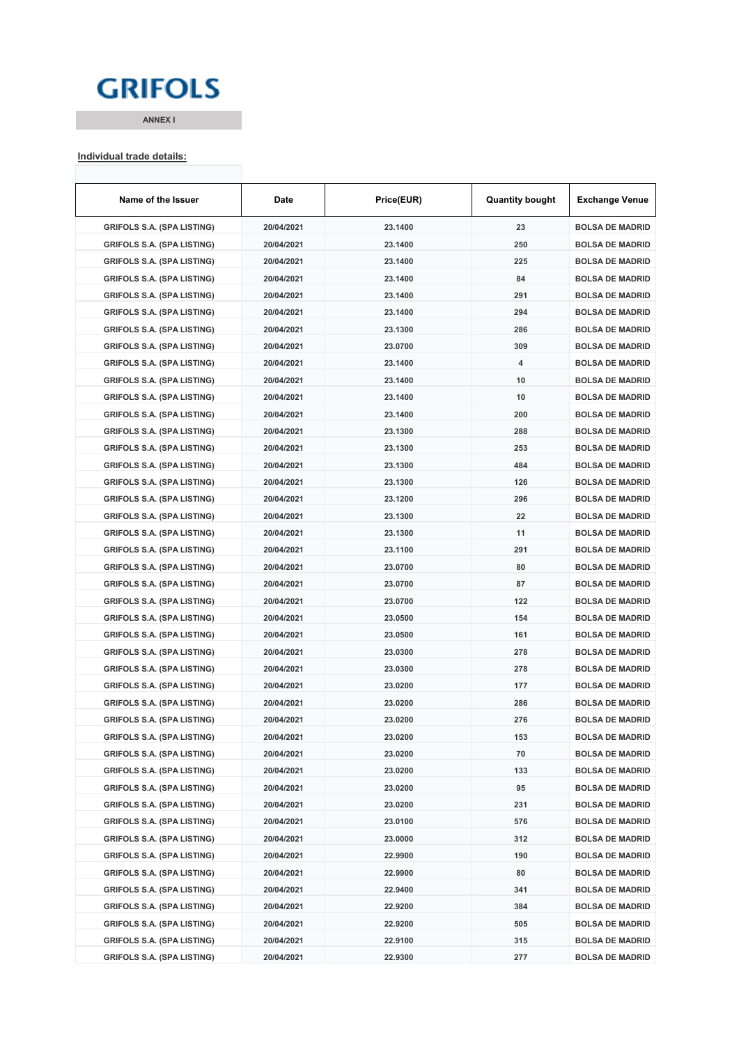## **GRIFOLS**

**ANNEX I**

#### **Individual trade details:**

| Name of the Issuer                | Date       | Price(EUR) | <b>Quantity bought</b> | <b>Exchange Venue</b>  |
|-----------------------------------|------------|------------|------------------------|------------------------|
| <b>GRIFOLS S.A. (SPA LISTING)</b> | 20/04/2021 | 23.1400    | 23                     | <b>BOLSA DE MADRID</b> |
| <b>GRIFOLS S.A. (SPA LISTING)</b> | 20/04/2021 | 23.1400    | 250                    | <b>BOLSA DE MADRID</b> |
| <b>GRIFOLS S.A. (SPA LISTING)</b> | 20/04/2021 | 23.1400    | 225                    | <b>BOLSA DE MADRID</b> |
| <b>GRIFOLS S.A. (SPA LISTING)</b> | 20/04/2021 | 23.1400    | 84                     | <b>BOLSA DE MADRID</b> |
| <b>GRIFOLS S.A. (SPA LISTING)</b> | 20/04/2021 | 23.1400    | 291                    | <b>BOLSA DE MADRID</b> |
| <b>GRIFOLS S.A. (SPA LISTING)</b> | 20/04/2021 | 23.1400    | 294                    | <b>BOLSA DE MADRID</b> |
| <b>GRIFOLS S.A. (SPA LISTING)</b> | 20/04/2021 | 23.1300    | 286                    | <b>BOLSA DE MADRID</b> |
| <b>GRIFOLS S.A. (SPA LISTING)</b> | 20/04/2021 | 23.0700    | 309                    | <b>BOLSA DE MADRID</b> |
| <b>GRIFOLS S.A. (SPA LISTING)</b> | 20/04/2021 | 23.1400    | 4                      | <b>BOLSA DE MADRID</b> |
| <b>GRIFOLS S.A. (SPA LISTING)</b> | 20/04/2021 | 23.1400    | 10                     | <b>BOLSA DE MADRID</b> |
| <b>GRIFOLS S.A. (SPA LISTING)</b> | 20/04/2021 | 23.1400    | 10                     | <b>BOLSA DE MADRID</b> |
| <b>GRIFOLS S.A. (SPA LISTING)</b> | 20/04/2021 | 23.1400    | 200                    | <b>BOLSA DE MADRID</b> |
| <b>GRIFOLS S.A. (SPA LISTING)</b> | 20/04/2021 | 23.1300    | 288                    | <b>BOLSA DE MADRID</b> |
| <b>GRIFOLS S.A. (SPA LISTING)</b> | 20/04/2021 | 23.1300    | 253                    | <b>BOLSA DE MADRID</b> |
| <b>GRIFOLS S.A. (SPA LISTING)</b> | 20/04/2021 | 23.1300    | 484                    | <b>BOLSA DE MADRID</b> |
| <b>GRIFOLS S.A. (SPA LISTING)</b> | 20/04/2021 | 23.1300    | 126                    | <b>BOLSA DE MADRID</b> |
| <b>GRIFOLS S.A. (SPA LISTING)</b> | 20/04/2021 | 23.1200    | 296                    | <b>BOLSA DE MADRID</b> |
| <b>GRIFOLS S.A. (SPA LISTING)</b> | 20/04/2021 | 23.1300    | 22                     | <b>BOLSA DE MADRID</b> |
| <b>GRIFOLS S.A. (SPA LISTING)</b> | 20/04/2021 | 23.1300    | 11                     | <b>BOLSA DE MADRID</b> |
| <b>GRIFOLS S.A. (SPA LISTING)</b> | 20/04/2021 | 23.1100    | 291                    | <b>BOLSA DE MADRID</b> |
| <b>GRIFOLS S.A. (SPA LISTING)</b> | 20/04/2021 | 23.0700    | 80                     | <b>BOLSA DE MADRID</b> |
| <b>GRIFOLS S.A. (SPA LISTING)</b> | 20/04/2021 | 23.0700    | 87                     | <b>BOLSA DE MADRID</b> |
| <b>GRIFOLS S.A. (SPA LISTING)</b> | 20/04/2021 | 23.0700    | 122                    | <b>BOLSA DE MADRID</b> |
| <b>GRIFOLS S.A. (SPA LISTING)</b> | 20/04/2021 | 23.0500    | 154                    | <b>BOLSA DE MADRID</b> |
| <b>GRIFOLS S.A. (SPA LISTING)</b> | 20/04/2021 | 23.0500    | 161                    | <b>BOLSA DE MADRID</b> |
| <b>GRIFOLS S.A. (SPA LISTING)</b> | 20/04/2021 | 23.0300    | 278                    | <b>BOLSA DE MADRID</b> |
| <b>GRIFOLS S.A. (SPA LISTING)</b> | 20/04/2021 | 23.0300    | 278                    | <b>BOLSA DE MADRID</b> |
| <b>GRIFOLS S.A. (SPA LISTING)</b> | 20/04/2021 | 23.0200    | 177                    | <b>BOLSA DE MADRID</b> |
| <b>GRIFOLS S.A. (SPA LISTING)</b> | 20/04/2021 | 23.0200    | 286                    | <b>BOLSA DE MADRID</b> |
| <b>GRIFOLS S.A. (SPA LISTING)</b> | 20/04/2021 | 23.0200    | 276                    | <b>BOLSA DE MADRID</b> |
| <b>GRIFOLS S.A. (SPA LISTING)</b> | 20/04/2021 | 23.0200    | 153                    | <b>BOLSA DE MADRID</b> |
| <b>GRIFOLS S.A. (SPA LISTING)</b> | 20/04/2021 | 23.0200    | 70                     | <b>BOLSA DE MADRID</b> |
| <b>GRIFOLS S.A. (SPA LISTING)</b> | 20/04/2021 | 23.0200    | 133                    | <b>BOLSA DE MADRID</b> |
| <b>GRIFOLS S.A. (SPA LISTING)</b> |            |            |                        |                        |
|                                   | 20/04/2021 | 23.0200    | 95                     | <b>BOLSA DE MADRID</b> |
| <b>GRIFOLS S.A. (SPA LISTING)</b> | 20/04/2021 | 23.0200    | 231                    | <b>BOLSA DE MADRID</b> |
| <b>GRIFOLS S.A. (SPA LISTING)</b> | 20/04/2021 | 23.0100    | 576                    | <b>BOLSA DE MADRID</b> |
| <b>GRIFOLS S.A. (SPA LISTING)</b> | 20/04/2021 | 23.0000    | 312                    | <b>BOLSA DE MADRID</b> |
| <b>GRIFOLS S.A. (SPA LISTING)</b> | 20/04/2021 | 22.9900    | 190                    | <b>BOLSA DE MADRID</b> |
| <b>GRIFOLS S.A. (SPA LISTING)</b> | 20/04/2021 | 22.9900    | 80                     | <b>BOLSA DE MADRID</b> |
| <b>GRIFOLS S.A. (SPA LISTING)</b> | 20/04/2021 | 22.9400    | 341                    | <b>BOLSA DE MADRID</b> |
| <b>GRIFOLS S.A. (SPA LISTING)</b> | 20/04/2021 | 22.9200    | 384                    | <b>BOLSA DE MADRID</b> |
| <b>GRIFOLS S.A. (SPA LISTING)</b> | 20/04/2021 | 22.9200    | 505                    | <b>BOLSA DE MADRID</b> |
| <b>GRIFOLS S.A. (SPA LISTING)</b> | 20/04/2021 | 22.9100    | 315                    | <b>BOLSA DE MADRID</b> |
| <b>GRIFOLS S.A. (SPA LISTING)</b> | 20/04/2021 | 22.9300    | 277                    | <b>BOLSA DE MADRID</b> |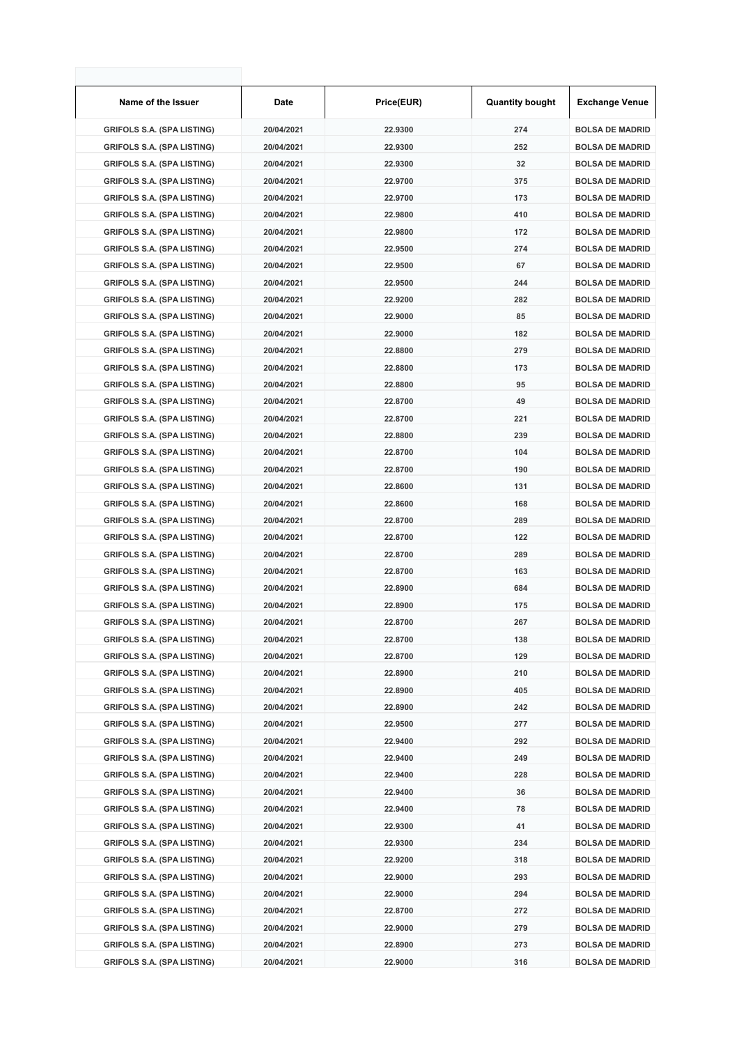| Name of the Issuer                | Date       | Price(EUR) | <b>Quantity bought</b> | <b>Exchange Venue</b>  |
|-----------------------------------|------------|------------|------------------------|------------------------|
| <b>GRIFOLS S.A. (SPA LISTING)</b> | 20/04/2021 | 22.9300    | 274                    | <b>BOLSA DE MADRID</b> |
| <b>GRIFOLS S.A. (SPA LISTING)</b> | 20/04/2021 | 22.9300    | 252                    | <b>BOLSA DE MADRID</b> |
| <b>GRIFOLS S.A. (SPA LISTING)</b> | 20/04/2021 | 22.9300    | 32                     | <b>BOLSA DE MADRID</b> |
| <b>GRIFOLS S.A. (SPA LISTING)</b> | 20/04/2021 | 22.9700    | 375                    | <b>BOLSA DE MADRID</b> |
| <b>GRIFOLS S.A. (SPA LISTING)</b> | 20/04/2021 | 22.9700    | 173                    | <b>BOLSA DE MADRID</b> |
| <b>GRIFOLS S.A. (SPA LISTING)</b> | 20/04/2021 | 22.9800    | 410                    | <b>BOLSA DE MADRID</b> |
| <b>GRIFOLS S.A. (SPA LISTING)</b> | 20/04/2021 | 22.9800    | 172                    | <b>BOLSA DE MADRID</b> |
| <b>GRIFOLS S.A. (SPA LISTING)</b> | 20/04/2021 | 22.9500    | 274                    | <b>BOLSA DE MADRID</b> |
| <b>GRIFOLS S.A. (SPA LISTING)</b> | 20/04/2021 | 22.9500    | 67                     | <b>BOLSA DE MADRID</b> |
| <b>GRIFOLS S.A. (SPA LISTING)</b> | 20/04/2021 | 22.9500    | 244                    | <b>BOLSA DE MADRID</b> |
| <b>GRIFOLS S.A. (SPA LISTING)</b> | 20/04/2021 | 22.9200    | 282                    | <b>BOLSA DE MADRID</b> |
| <b>GRIFOLS S.A. (SPA LISTING)</b> | 20/04/2021 | 22.9000    | 85                     | <b>BOLSA DE MADRID</b> |
| <b>GRIFOLS S.A. (SPA LISTING)</b> | 20/04/2021 | 22.9000    | 182                    | <b>BOLSA DE MADRID</b> |
| <b>GRIFOLS S.A. (SPA LISTING)</b> | 20/04/2021 | 22.8800    | 279                    | <b>BOLSA DE MADRID</b> |
| <b>GRIFOLS S.A. (SPA LISTING)</b> | 20/04/2021 | 22.8800    | 173                    | <b>BOLSA DE MADRID</b> |
| <b>GRIFOLS S.A. (SPA LISTING)</b> | 20/04/2021 | 22.8800    | 95                     | <b>BOLSA DE MADRID</b> |
| <b>GRIFOLS S.A. (SPA LISTING)</b> | 20/04/2021 | 22.8700    | 49                     | <b>BOLSA DE MADRID</b> |
| <b>GRIFOLS S.A. (SPA LISTING)</b> | 20/04/2021 | 22.8700    | 221                    | <b>BOLSA DE MADRID</b> |
| <b>GRIFOLS S.A. (SPA LISTING)</b> | 20/04/2021 | 22.8800    | 239                    | <b>BOLSA DE MADRID</b> |
| <b>GRIFOLS S.A. (SPA LISTING)</b> | 20/04/2021 | 22.8700    | 104                    | <b>BOLSA DE MADRID</b> |
| <b>GRIFOLS S.A. (SPA LISTING)</b> | 20/04/2021 | 22.8700    | 190                    | <b>BOLSA DE MADRID</b> |
| <b>GRIFOLS S.A. (SPA LISTING)</b> | 20/04/2021 | 22.8600    | 131                    | <b>BOLSA DE MADRID</b> |
| <b>GRIFOLS S.A. (SPA LISTING)</b> | 20/04/2021 | 22.8600    | 168                    | <b>BOLSA DE MADRID</b> |
| <b>GRIFOLS S.A. (SPA LISTING)</b> | 20/04/2021 | 22.8700    | 289                    | <b>BOLSA DE MADRID</b> |
| <b>GRIFOLS S.A. (SPA LISTING)</b> | 20/04/2021 | 22.8700    | 122                    | <b>BOLSA DE MADRID</b> |
| <b>GRIFOLS S.A. (SPA LISTING)</b> | 20/04/2021 | 22.8700    | 289                    | <b>BOLSA DE MADRID</b> |
| <b>GRIFOLS S.A. (SPA LISTING)</b> | 20/04/2021 | 22.8700    | 163                    | <b>BOLSA DE MADRID</b> |
| <b>GRIFOLS S.A. (SPA LISTING)</b> | 20/04/2021 | 22.8900    | 684                    | <b>BOLSA DE MADRID</b> |
| <b>GRIFOLS S.A. (SPA LISTING)</b> | 20/04/2021 | 22.8900    | 175                    | <b>BOLSA DE MADRID</b> |
| <b>GRIFOLS S.A. (SPA LISTING)</b> | 20/04/2021 | 22.8700    | 267                    | <b>BOLSA DE MADRID</b> |
| <b>GRIFOLS S.A. (SPA LISTING)</b> | 20/04/2021 | 22.8700    | 138                    | <b>BOLSA DE MADRID</b> |
| <b>GRIFOLS S.A. (SPA LISTING)</b> | 20/04/2021 | 22.8700    | 129                    | <b>BOLSA DE MADRID</b> |
| <b>GRIFOLS S.A. (SPA LISTING)</b> | 20/04/2021 | 22.8900    | 210                    | <b>BOLSA DE MADRID</b> |
| <b>GRIFOLS S.A. (SPA LISTING)</b> | 20/04/2021 | 22.8900    | 405                    | <b>BOLSA DE MADRID</b> |
| <b>GRIFOLS S.A. (SPA LISTING)</b> | 20/04/2021 | 22.8900    | 242                    | <b>BOLSA DE MADRID</b> |
| <b>GRIFOLS S.A. (SPA LISTING)</b> | 20/04/2021 | 22.9500    | 277                    | <b>BOLSA DE MADRID</b> |
| <b>GRIFOLS S.A. (SPA LISTING)</b> | 20/04/2021 | 22.9400    | 292                    | <b>BOLSA DE MADRID</b> |
| <b>GRIFOLS S.A. (SPA LISTING)</b> | 20/04/2021 | 22.9400    | 249                    | <b>BOLSA DE MADRID</b> |
| <b>GRIFOLS S.A. (SPA LISTING)</b> | 20/04/2021 | 22.9400    | 228                    | <b>BOLSA DE MADRID</b> |
| <b>GRIFOLS S.A. (SPA LISTING)</b> | 20/04/2021 | 22.9400    | 36                     | <b>BOLSA DE MADRID</b> |
| <b>GRIFOLS S.A. (SPA LISTING)</b> | 20/04/2021 | 22.9400    | 78                     | <b>BOLSA DE MADRID</b> |
| <b>GRIFOLS S.A. (SPA LISTING)</b> | 20/04/2021 | 22.9300    | 41                     | <b>BOLSA DE MADRID</b> |
| <b>GRIFOLS S.A. (SPA LISTING)</b> | 20/04/2021 | 22.9300    | 234                    | <b>BOLSA DE MADRID</b> |
| <b>GRIFOLS S.A. (SPA LISTING)</b> | 20/04/2021 | 22.9200    | 318                    | <b>BOLSA DE MADRID</b> |
| <b>GRIFOLS S.A. (SPA LISTING)</b> | 20/04/2021 | 22.9000    | 293                    | <b>BOLSA DE MADRID</b> |
| <b>GRIFOLS S.A. (SPA LISTING)</b> | 20/04/2021 | 22.9000    | 294                    | <b>BOLSA DE MADRID</b> |
| <b>GRIFOLS S.A. (SPA LISTING)</b> | 20/04/2021 | 22.8700    | 272                    | <b>BOLSA DE MADRID</b> |
| <b>GRIFOLS S.A. (SPA LISTING)</b> | 20/04/2021 | 22.9000    | 279                    | <b>BOLSA DE MADRID</b> |
| <b>GRIFOLS S.A. (SPA LISTING)</b> | 20/04/2021 | 22.8900    | 273                    | <b>BOLSA DE MADRID</b> |
| <b>GRIFOLS S.A. (SPA LISTING)</b> | 20/04/2021 | 22.9000    | 316                    | <b>BOLSA DE MADRID</b> |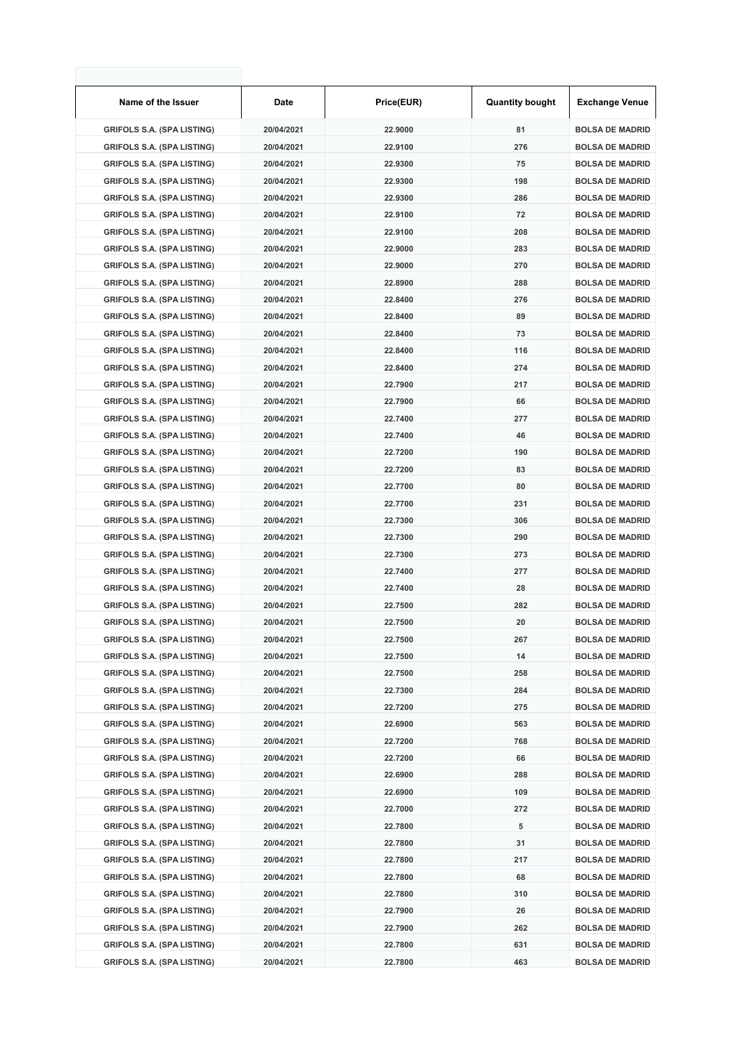| Name of the Issuer                | Date       | Price(EUR) | <b>Quantity bought</b> | <b>Exchange Venue</b>  |
|-----------------------------------|------------|------------|------------------------|------------------------|
| <b>GRIFOLS S.A. (SPA LISTING)</b> | 20/04/2021 | 22.9000    | 81                     | <b>BOLSA DE MADRID</b> |
| <b>GRIFOLS S.A. (SPA LISTING)</b> | 20/04/2021 | 22.9100    | 276                    | <b>BOLSA DE MADRID</b> |
| <b>GRIFOLS S.A. (SPA LISTING)</b> | 20/04/2021 | 22.9300    | 75                     | <b>BOLSA DE MADRID</b> |
| <b>GRIFOLS S.A. (SPA LISTING)</b> | 20/04/2021 | 22.9300    | 198                    | <b>BOLSA DE MADRID</b> |
| <b>GRIFOLS S.A. (SPA LISTING)</b> | 20/04/2021 | 22.9300    | 286                    | <b>BOLSA DE MADRID</b> |
| <b>GRIFOLS S.A. (SPA LISTING)</b> | 20/04/2021 | 22.9100    | 72                     | <b>BOLSA DE MADRID</b> |
| <b>GRIFOLS S.A. (SPA LISTING)</b> | 20/04/2021 | 22.9100    | 208                    | <b>BOLSA DE MADRID</b> |
| <b>GRIFOLS S.A. (SPA LISTING)</b> | 20/04/2021 | 22.9000    | 283                    | <b>BOLSA DE MADRID</b> |
| <b>GRIFOLS S.A. (SPA LISTING)</b> | 20/04/2021 | 22.9000    | 270                    | <b>BOLSA DE MADRID</b> |
| <b>GRIFOLS S.A. (SPA LISTING)</b> | 20/04/2021 | 22.8900    | 288                    | <b>BOLSA DE MADRID</b> |
| <b>GRIFOLS S.A. (SPA LISTING)</b> | 20/04/2021 | 22.8400    | 276                    | <b>BOLSA DE MADRID</b> |
| <b>GRIFOLS S.A. (SPA LISTING)</b> | 20/04/2021 | 22.8400    | 89                     | <b>BOLSA DE MADRID</b> |
| <b>GRIFOLS S.A. (SPA LISTING)</b> | 20/04/2021 | 22.8400    | 73                     | <b>BOLSA DE MADRID</b> |
| <b>GRIFOLS S.A. (SPA LISTING)</b> | 20/04/2021 | 22.8400    | 116                    | <b>BOLSA DE MADRID</b> |
| <b>GRIFOLS S.A. (SPA LISTING)</b> | 20/04/2021 | 22.8400    | 274                    | <b>BOLSA DE MADRID</b> |
| <b>GRIFOLS S.A. (SPA LISTING)</b> | 20/04/2021 | 22.7900    | 217                    | <b>BOLSA DE MADRID</b> |
| <b>GRIFOLS S.A. (SPA LISTING)</b> | 20/04/2021 | 22.7900    | 66                     | <b>BOLSA DE MADRID</b> |
| <b>GRIFOLS S.A. (SPA LISTING)</b> | 20/04/2021 | 22.7400    | 277                    | <b>BOLSA DE MADRID</b> |
| <b>GRIFOLS S.A. (SPA LISTING)</b> | 20/04/2021 | 22.7400    | 46                     | <b>BOLSA DE MADRID</b> |
| <b>GRIFOLS S.A. (SPA LISTING)</b> | 20/04/2021 | 22.7200    | 190                    | <b>BOLSA DE MADRID</b> |
| <b>GRIFOLS S.A. (SPA LISTING)</b> | 20/04/2021 | 22.7200    | 83                     | <b>BOLSA DE MADRID</b> |
| <b>GRIFOLS S.A. (SPA LISTING)</b> | 20/04/2021 | 22.7700    | 80                     | <b>BOLSA DE MADRID</b> |
| <b>GRIFOLS S.A. (SPA LISTING)</b> | 20/04/2021 | 22.7700    | 231                    | <b>BOLSA DE MADRID</b> |
| <b>GRIFOLS S.A. (SPA LISTING)</b> | 20/04/2021 | 22.7300    | 306                    | <b>BOLSA DE MADRID</b> |
| <b>GRIFOLS S.A. (SPA LISTING)</b> | 20/04/2021 | 22.7300    | 290                    | <b>BOLSA DE MADRID</b> |
| <b>GRIFOLS S.A. (SPA LISTING)</b> | 20/04/2021 | 22.7300    | 273                    | <b>BOLSA DE MADRID</b> |
| <b>GRIFOLS S.A. (SPA LISTING)</b> | 20/04/2021 | 22.7400    | 277                    | <b>BOLSA DE MADRID</b> |
| <b>GRIFOLS S.A. (SPA LISTING)</b> | 20/04/2021 | 22.7400    | 28                     | <b>BOLSA DE MADRID</b> |
| <b>GRIFOLS S.A. (SPA LISTING)</b> | 20/04/2021 | 22.7500    | 282                    | <b>BOLSA DE MADRID</b> |
| <b>GRIFOLS S.A. (SPA LISTING)</b> | 20/04/2021 | 22.7500    | 20                     | <b>BOLSA DE MADRID</b> |
| <b>GRIFOLS S.A. (SPA LISTING)</b> | 20/04/2021 | 22.7500    | 267                    | <b>BOLSA DE MADRID</b> |
| <b>GRIFOLS S.A. (SPA LISTING)</b> | 20/04/2021 | 22.7500    | 14                     | <b>BOLSA DE MADRID</b> |
| <b>GRIFOLS S.A. (SPA LISTING)</b> | 20/04/2021 | 22.7500    | 258                    | <b>BOLSA DE MADRID</b> |
| <b>GRIFOLS S.A. (SPA LISTING)</b> | 20/04/2021 | 22.7300    | 284                    | <b>BOLSA DE MADRID</b> |
| <b>GRIFOLS S.A. (SPA LISTING)</b> | 20/04/2021 | 22.7200    | 275                    | <b>BOLSA DE MADRID</b> |
| <b>GRIFOLS S.A. (SPA LISTING)</b> | 20/04/2021 | 22.6900    | 563                    | <b>BOLSA DE MADRID</b> |
| <b>GRIFOLS S.A. (SPA LISTING)</b> | 20/04/2021 | 22.7200    | 768                    | <b>BOLSA DE MADRID</b> |
| <b>GRIFOLS S.A. (SPA LISTING)</b> | 20/04/2021 | 22.7200    | 66                     | <b>BOLSA DE MADRID</b> |
| <b>GRIFOLS S.A. (SPA LISTING)</b> | 20/04/2021 | 22.6900    | 288                    | <b>BOLSA DE MADRID</b> |
| <b>GRIFOLS S.A. (SPA LISTING)</b> | 20/04/2021 | 22.6900    | 109                    | <b>BOLSA DE MADRID</b> |
| <b>GRIFOLS S.A. (SPA LISTING)</b> | 20/04/2021 | 22.7000    | 272                    | <b>BOLSA DE MADRID</b> |
| <b>GRIFOLS S.A. (SPA LISTING)</b> | 20/04/2021 | 22.7800    | 5                      | <b>BOLSA DE MADRID</b> |
| <b>GRIFOLS S.A. (SPA LISTING)</b> | 20/04/2021 | 22.7800    | 31                     | <b>BOLSA DE MADRID</b> |
| <b>GRIFOLS S.A. (SPA LISTING)</b> | 20/04/2021 | 22.7800    | 217                    | <b>BOLSA DE MADRID</b> |
| <b>GRIFOLS S.A. (SPA LISTING)</b> | 20/04/2021 | 22.7800    | 68                     | <b>BOLSA DE MADRID</b> |
| <b>GRIFOLS S.A. (SPA LISTING)</b> | 20/04/2021 | 22.7800    | 310                    | <b>BOLSA DE MADRID</b> |
| <b>GRIFOLS S.A. (SPA LISTING)</b> | 20/04/2021 | 22.7900    | 26                     | <b>BOLSA DE MADRID</b> |
| <b>GRIFOLS S.A. (SPA LISTING)</b> | 20/04/2021 | 22.7900    | 262                    | <b>BOLSA DE MADRID</b> |
| <b>GRIFOLS S.A. (SPA LISTING)</b> | 20/04/2021 | 22.7800    | 631                    | <b>BOLSA DE MADRID</b> |
| <b>GRIFOLS S.A. (SPA LISTING)</b> | 20/04/2021 | 22.7800    | 463                    | <b>BOLSA DE MADRID</b> |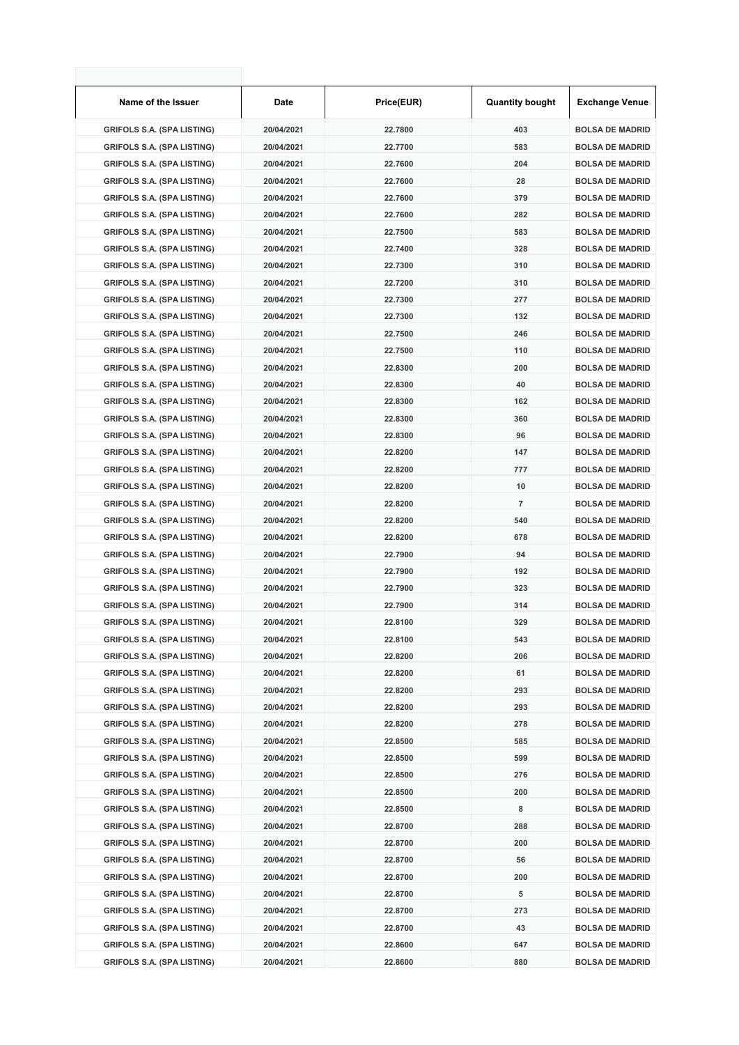| Name of the Issuer                | <b>Date</b> | Price(EUR) | <b>Quantity bought</b> | <b>Exchange Venue</b>  |
|-----------------------------------|-------------|------------|------------------------|------------------------|
| <b>GRIFOLS S.A. (SPA LISTING)</b> | 20/04/2021  | 22.7800    | 403                    | <b>BOLSA DE MADRID</b> |
| <b>GRIFOLS S.A. (SPA LISTING)</b> | 20/04/2021  | 22.7700    | 583                    | <b>BOLSA DE MADRID</b> |
| <b>GRIFOLS S.A. (SPA LISTING)</b> | 20/04/2021  | 22.7600    | 204                    | <b>BOLSA DE MADRID</b> |
| <b>GRIFOLS S.A. (SPA LISTING)</b> | 20/04/2021  | 22.7600    | 28                     | <b>BOLSA DE MADRID</b> |
| <b>GRIFOLS S.A. (SPA LISTING)</b> | 20/04/2021  | 22.7600    | 379                    | <b>BOLSA DE MADRID</b> |
| <b>GRIFOLS S.A. (SPA LISTING)</b> | 20/04/2021  | 22.7600    | 282                    | <b>BOLSA DE MADRID</b> |
| <b>GRIFOLS S.A. (SPA LISTING)</b> | 20/04/2021  | 22.7500    | 583                    | <b>BOLSA DE MADRID</b> |
| <b>GRIFOLS S.A. (SPA LISTING)</b> | 20/04/2021  | 22.7400    | 328                    | <b>BOLSA DE MADRID</b> |
| <b>GRIFOLS S.A. (SPA LISTING)</b> | 20/04/2021  | 22.7300    | 310                    | <b>BOLSA DE MADRID</b> |
| <b>GRIFOLS S.A. (SPA LISTING)</b> | 20/04/2021  | 22.7200    | 310                    | <b>BOLSA DE MADRID</b> |
| <b>GRIFOLS S.A. (SPA LISTING)</b> | 20/04/2021  | 22.7300    | 277                    | <b>BOLSA DE MADRID</b> |
| <b>GRIFOLS S.A. (SPA LISTING)</b> | 20/04/2021  | 22.7300    | 132                    | <b>BOLSA DE MADRID</b> |
| <b>GRIFOLS S.A. (SPA LISTING)</b> | 20/04/2021  | 22.7500    | 246                    | <b>BOLSA DE MADRID</b> |
| <b>GRIFOLS S.A. (SPA LISTING)</b> | 20/04/2021  | 22.7500    | 110                    | <b>BOLSA DE MADRID</b> |
| <b>GRIFOLS S.A. (SPA LISTING)</b> | 20/04/2021  | 22.8300    | 200                    | <b>BOLSA DE MADRID</b> |
| <b>GRIFOLS S.A. (SPA LISTING)</b> | 20/04/2021  | 22.8300    | 40                     | <b>BOLSA DE MADRID</b> |
| <b>GRIFOLS S.A. (SPA LISTING)</b> | 20/04/2021  | 22.8300    | 162                    | <b>BOLSA DE MADRID</b> |
| <b>GRIFOLS S.A. (SPA LISTING)</b> | 20/04/2021  | 22.8300    | 360                    | <b>BOLSA DE MADRID</b> |
| <b>GRIFOLS S.A. (SPA LISTING)</b> | 20/04/2021  | 22.8300    | 96                     | <b>BOLSA DE MADRID</b> |
| <b>GRIFOLS S.A. (SPA LISTING)</b> | 20/04/2021  | 22.8200    | 147                    | <b>BOLSA DE MADRID</b> |
| <b>GRIFOLS S.A. (SPA LISTING)</b> | 20/04/2021  | 22.8200    | 777                    | <b>BOLSA DE MADRID</b> |
| <b>GRIFOLS S.A. (SPA LISTING)</b> | 20/04/2021  | 22.8200    | 10                     | <b>BOLSA DE MADRID</b> |
| <b>GRIFOLS S.A. (SPA LISTING)</b> | 20/04/2021  | 22.8200    | $\overline{7}$         | <b>BOLSA DE MADRID</b> |
| <b>GRIFOLS S.A. (SPA LISTING)</b> | 20/04/2021  | 22.8200    | 540                    | <b>BOLSA DE MADRID</b> |
| <b>GRIFOLS S.A. (SPA LISTING)</b> | 20/04/2021  | 22.8200    | 678                    | <b>BOLSA DE MADRID</b> |
| <b>GRIFOLS S.A. (SPA LISTING)</b> | 20/04/2021  | 22.7900    | 94                     | <b>BOLSA DE MADRID</b> |
| <b>GRIFOLS S.A. (SPA LISTING)</b> | 20/04/2021  | 22.7900    | 192                    | <b>BOLSA DE MADRID</b> |
| <b>GRIFOLS S.A. (SPA LISTING)</b> | 20/04/2021  | 22.7900    | 323                    | <b>BOLSA DE MADRID</b> |
| <b>GRIFOLS S.A. (SPA LISTING)</b> | 20/04/2021  | 22.7900    | 314                    | <b>BOLSA DE MADRID</b> |
| <b>GRIFOLS S.A. (SPA LISTING)</b> | 20/04/2021  | 22.8100    | 329                    | <b>BOLSA DE MADRID</b> |
| <b>GRIFOLS S.A. (SPA LISTING)</b> | 20/04/2021  | 22.8100    | 543                    | <b>BOLSA DE MADRID</b> |
| <b>GRIFOLS S.A. (SPA LISTING)</b> | 20/04/2021  | 22.8200    | 206                    | <b>BOLSA DE MADRID</b> |
| <b>GRIFOLS S.A. (SPA LISTING)</b> | 20/04/2021  | 22.8200    | 61                     | <b>BOLSA DE MADRID</b> |
| <b>GRIFOLS S.A. (SPA LISTING)</b> | 20/04/2021  | 22.8200    | 293                    | <b>BOLSA DE MADRID</b> |
| <b>GRIFOLS S.A. (SPA LISTING)</b> | 20/04/2021  | 22.8200    | 293                    | <b>BOLSA DE MADRID</b> |
| <b>GRIFOLS S.A. (SPA LISTING)</b> | 20/04/2021  | 22.8200    | 278                    | <b>BOLSA DE MADRID</b> |
| <b>GRIFOLS S.A. (SPA LISTING)</b> | 20/04/2021  | 22.8500    | 585                    | <b>BOLSA DE MADRID</b> |
| <b>GRIFOLS S.A. (SPA LISTING)</b> | 20/04/2021  | 22.8500    | 599                    | <b>BOLSA DE MADRID</b> |
| <b>GRIFOLS S.A. (SPA LISTING)</b> | 20/04/2021  | 22.8500    | 276                    | <b>BOLSA DE MADRID</b> |
| <b>GRIFOLS S.A. (SPA LISTING)</b> | 20/04/2021  | 22.8500    | 200                    | <b>BOLSA DE MADRID</b> |
| <b>GRIFOLS S.A. (SPA LISTING)</b> | 20/04/2021  | 22.8500    | 8                      | <b>BOLSA DE MADRID</b> |
| <b>GRIFOLS S.A. (SPA LISTING)</b> | 20/04/2021  | 22.8700    | 288                    | <b>BOLSA DE MADRID</b> |
| <b>GRIFOLS S.A. (SPA LISTING)</b> | 20/04/2021  | 22.8700    | 200                    | <b>BOLSA DE MADRID</b> |
| <b>GRIFOLS S.A. (SPA LISTING)</b> | 20/04/2021  | 22.8700    | 56                     | <b>BOLSA DE MADRID</b> |
| <b>GRIFOLS S.A. (SPA LISTING)</b> | 20/04/2021  | 22.8700    | 200                    | <b>BOLSA DE MADRID</b> |
| <b>GRIFOLS S.A. (SPA LISTING)</b> | 20/04/2021  | 22.8700    | 5                      | <b>BOLSA DE MADRID</b> |
| <b>GRIFOLS S.A. (SPA LISTING)</b> | 20/04/2021  | 22.8700    | 273                    | <b>BOLSA DE MADRID</b> |
| <b>GRIFOLS S.A. (SPA LISTING)</b> | 20/04/2021  | 22.8700    | 43                     | <b>BOLSA DE MADRID</b> |
| <b>GRIFOLS S.A. (SPA LISTING)</b> | 20/04/2021  | 22.8600    | 647                    | <b>BOLSA DE MADRID</b> |
| <b>GRIFOLS S.A. (SPA LISTING)</b> | 20/04/2021  | 22.8600    | 880                    | <b>BOLSA DE MADRID</b> |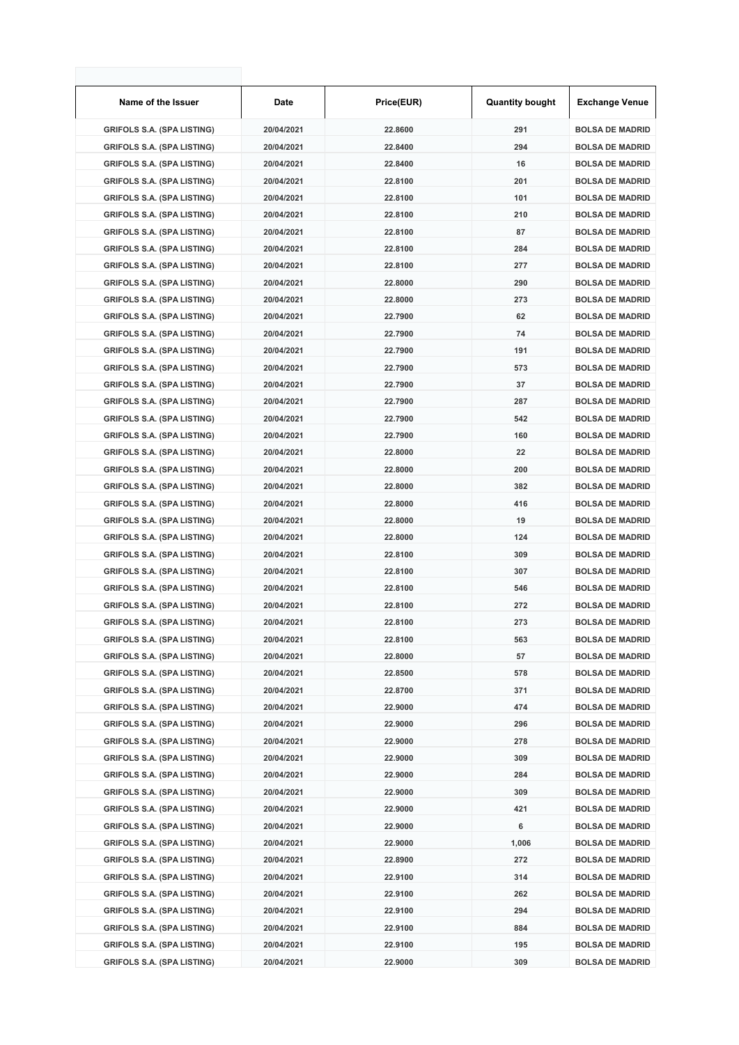| Name of the Issuer                | Date       | Price(EUR) | <b>Quantity bought</b> | <b>Exchange Venue</b>  |
|-----------------------------------|------------|------------|------------------------|------------------------|
| <b>GRIFOLS S.A. (SPA LISTING)</b> | 20/04/2021 | 22.8600    | 291                    | <b>BOLSA DE MADRID</b> |
| <b>GRIFOLS S.A. (SPA LISTING)</b> | 20/04/2021 | 22.8400    | 294                    | <b>BOLSA DE MADRID</b> |
| <b>GRIFOLS S.A. (SPA LISTING)</b> | 20/04/2021 | 22.8400    | 16                     | <b>BOLSA DE MADRID</b> |
| <b>GRIFOLS S.A. (SPA LISTING)</b> | 20/04/2021 | 22.8100    | 201                    | <b>BOLSA DE MADRID</b> |
| <b>GRIFOLS S.A. (SPA LISTING)</b> | 20/04/2021 | 22.8100    | 101                    | <b>BOLSA DE MADRID</b> |
| <b>GRIFOLS S.A. (SPA LISTING)</b> | 20/04/2021 | 22.8100    | 210                    | <b>BOLSA DE MADRID</b> |
| <b>GRIFOLS S.A. (SPA LISTING)</b> | 20/04/2021 | 22.8100    | 87                     | <b>BOLSA DE MADRID</b> |
| <b>GRIFOLS S.A. (SPA LISTING)</b> | 20/04/2021 | 22.8100    | 284                    | <b>BOLSA DE MADRID</b> |
| <b>GRIFOLS S.A. (SPA LISTING)</b> | 20/04/2021 | 22.8100    | 277                    | <b>BOLSA DE MADRID</b> |
| <b>GRIFOLS S.A. (SPA LISTING)</b> | 20/04/2021 | 22.8000    | 290                    | <b>BOLSA DE MADRID</b> |
| <b>GRIFOLS S.A. (SPA LISTING)</b> | 20/04/2021 | 22.8000    | 273                    | <b>BOLSA DE MADRID</b> |
| <b>GRIFOLS S.A. (SPA LISTING)</b> | 20/04/2021 | 22.7900    | 62                     | <b>BOLSA DE MADRID</b> |
| <b>GRIFOLS S.A. (SPA LISTING)</b> | 20/04/2021 | 22.7900    | 74                     | <b>BOLSA DE MADRID</b> |
| <b>GRIFOLS S.A. (SPA LISTING)</b> | 20/04/2021 | 22.7900    | 191                    | <b>BOLSA DE MADRID</b> |
| <b>GRIFOLS S.A. (SPA LISTING)</b> | 20/04/2021 | 22.7900    | 573                    | <b>BOLSA DE MADRID</b> |
| <b>GRIFOLS S.A. (SPA LISTING)</b> | 20/04/2021 | 22.7900    | 37                     | <b>BOLSA DE MADRID</b> |
| <b>GRIFOLS S.A. (SPA LISTING)</b> | 20/04/2021 | 22.7900    | 287                    | <b>BOLSA DE MADRID</b> |
| <b>GRIFOLS S.A. (SPA LISTING)</b> | 20/04/2021 | 22.7900    | 542                    | <b>BOLSA DE MADRID</b> |
| <b>GRIFOLS S.A. (SPA LISTING)</b> | 20/04/2021 | 22.7900    | 160                    | <b>BOLSA DE MADRID</b> |
| <b>GRIFOLS S.A. (SPA LISTING)</b> | 20/04/2021 | 22.8000    | 22                     | <b>BOLSA DE MADRID</b> |
| <b>GRIFOLS S.A. (SPA LISTING)</b> | 20/04/2021 | 22.8000    | 200                    | <b>BOLSA DE MADRID</b> |
| <b>GRIFOLS S.A. (SPA LISTING)</b> | 20/04/2021 | 22.8000    | 382                    | <b>BOLSA DE MADRID</b> |
| <b>GRIFOLS S.A. (SPA LISTING)</b> | 20/04/2021 | 22.8000    | 416                    | <b>BOLSA DE MADRID</b> |
| <b>GRIFOLS S.A. (SPA LISTING)</b> | 20/04/2021 | 22.8000    | 19                     | <b>BOLSA DE MADRID</b> |
| <b>GRIFOLS S.A. (SPA LISTING)</b> | 20/04/2021 | 22.8000    | 124                    | <b>BOLSA DE MADRID</b> |
| <b>GRIFOLS S.A. (SPA LISTING)</b> | 20/04/2021 | 22.8100    | 309                    | <b>BOLSA DE MADRID</b> |
| <b>GRIFOLS S.A. (SPA LISTING)</b> | 20/04/2021 | 22.8100    | 307                    | <b>BOLSA DE MADRID</b> |
| <b>GRIFOLS S.A. (SPA LISTING)</b> | 20/04/2021 | 22.8100    | 546                    | <b>BOLSA DE MADRID</b> |
| <b>GRIFOLS S.A. (SPA LISTING)</b> | 20/04/2021 | 22.8100    | 272                    | <b>BOLSA DE MADRID</b> |
| <b>GRIFOLS S.A. (SPA LISTING)</b> | 20/04/2021 | 22.8100    | 273                    | <b>BOLSA DE MADRID</b> |
| <b>GRIFOLS S.A. (SPA LISTING)</b> | 20/04/2021 | 22.8100    | 563                    | <b>BOLSA DE MADRID</b> |
| <b>GRIFOLS S.A. (SPA LISTING)</b> | 20/04/2021 | 22.8000    | 57                     | <b>BOLSA DE MADRID</b> |
| <b>GRIFOLS S.A. (SPA LISTING)</b> | 20/04/2021 | 22.8500    | 578                    | <b>BOLSA DE MADRID</b> |
| <b>GRIFOLS S.A. (SPA LISTING)</b> | 20/04/2021 | 22.8700    | 371                    | <b>BOLSA DE MADRID</b> |
| <b>GRIFOLS S.A. (SPA LISTING)</b> | 20/04/2021 | 22.9000    | 474                    | <b>BOLSA DE MADRID</b> |
| <b>GRIFOLS S.A. (SPA LISTING)</b> | 20/04/2021 | 22.9000    | 296                    | <b>BOLSA DE MADRID</b> |
| <b>GRIFOLS S.A. (SPA LISTING)</b> | 20/04/2021 | 22.9000    | 278                    | <b>BOLSA DE MADRID</b> |
| <b>GRIFOLS S.A. (SPA LISTING)</b> | 20/04/2021 | 22.9000    | 309                    | <b>BOLSA DE MADRID</b> |
| <b>GRIFOLS S.A. (SPA LISTING)</b> | 20/04/2021 | 22.9000    | 284                    | <b>BOLSA DE MADRID</b> |
| <b>GRIFOLS S.A. (SPA LISTING)</b> | 20/04/2021 | 22.9000    | 309                    | <b>BOLSA DE MADRID</b> |
| <b>GRIFOLS S.A. (SPA LISTING)</b> | 20/04/2021 | 22.9000    | 421                    | <b>BOLSA DE MADRID</b> |
| <b>GRIFOLS S.A. (SPA LISTING)</b> | 20/04/2021 | 22.9000    | 6                      | <b>BOLSA DE MADRID</b> |
| <b>GRIFOLS S.A. (SPA LISTING)</b> | 20/04/2021 | 22.9000    | 1,006                  | <b>BOLSA DE MADRID</b> |
| <b>GRIFOLS S.A. (SPA LISTING)</b> | 20/04/2021 | 22.8900    | 272                    | <b>BOLSA DE MADRID</b> |
| <b>GRIFOLS S.A. (SPA LISTING)</b> | 20/04/2021 | 22.9100    | 314                    | <b>BOLSA DE MADRID</b> |
| <b>GRIFOLS S.A. (SPA LISTING)</b> | 20/04/2021 | 22.9100    | 262                    | <b>BOLSA DE MADRID</b> |
| <b>GRIFOLS S.A. (SPA LISTING)</b> | 20/04/2021 | 22.9100    | 294                    | <b>BOLSA DE MADRID</b> |
| <b>GRIFOLS S.A. (SPA LISTING)</b> | 20/04/2021 | 22.9100    | 884                    | <b>BOLSA DE MADRID</b> |
| <b>GRIFOLS S.A. (SPA LISTING)</b> | 20/04/2021 | 22.9100    | 195                    | <b>BOLSA DE MADRID</b> |
| <b>GRIFOLS S.A. (SPA LISTING)</b> | 20/04/2021 | 22.9000    | 309                    | <b>BOLSA DE MADRID</b> |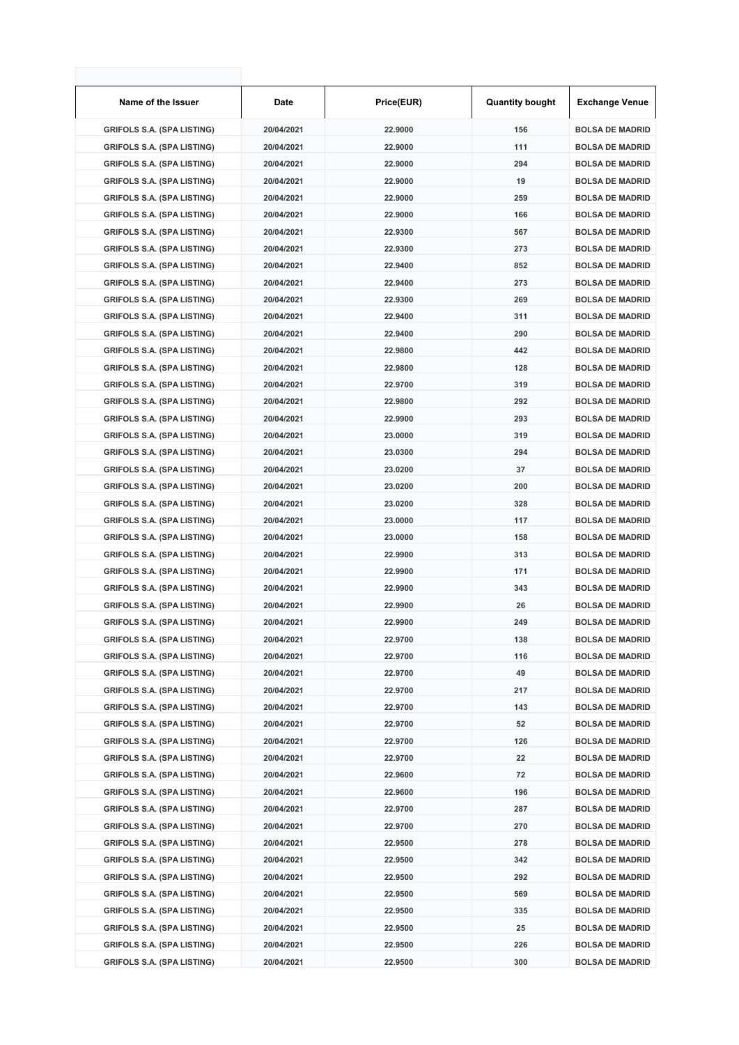| Name of the Issuer                | Date       | Price(EUR) | <b>Quantity bought</b> | <b>Exchange Venue</b>  |
|-----------------------------------|------------|------------|------------------------|------------------------|
| <b>GRIFOLS S.A. (SPA LISTING)</b> | 20/04/2021 | 22.9000    | 156                    | <b>BOLSA DE MADRID</b> |
| <b>GRIFOLS S.A. (SPA LISTING)</b> | 20/04/2021 | 22.9000    | 111                    | <b>BOLSA DE MADRID</b> |
| <b>GRIFOLS S.A. (SPA LISTING)</b> | 20/04/2021 | 22.9000    | 294                    | <b>BOLSA DE MADRID</b> |
| <b>GRIFOLS S.A. (SPA LISTING)</b> | 20/04/2021 | 22.9000    | 19                     | <b>BOLSA DE MADRID</b> |
| <b>GRIFOLS S.A. (SPA LISTING)</b> | 20/04/2021 | 22.9000    | 259                    | <b>BOLSA DE MADRID</b> |
| <b>GRIFOLS S.A. (SPA LISTING)</b> | 20/04/2021 | 22.9000    | 166                    | <b>BOLSA DE MADRID</b> |
| <b>GRIFOLS S.A. (SPA LISTING)</b> | 20/04/2021 | 22.9300    | 567                    | <b>BOLSA DE MADRID</b> |
| <b>GRIFOLS S.A. (SPA LISTING)</b> | 20/04/2021 | 22.9300    | 273                    | <b>BOLSA DE MADRID</b> |
| <b>GRIFOLS S.A. (SPA LISTING)</b> | 20/04/2021 | 22.9400    | 852                    | <b>BOLSA DE MADRID</b> |
| <b>GRIFOLS S.A. (SPA LISTING)</b> | 20/04/2021 | 22.9400    | 273                    | <b>BOLSA DE MADRID</b> |
| <b>GRIFOLS S.A. (SPA LISTING)</b> | 20/04/2021 | 22.9300    | 269                    | <b>BOLSA DE MADRID</b> |
| <b>GRIFOLS S.A. (SPA LISTING)</b> | 20/04/2021 | 22.9400    | 311                    | <b>BOLSA DE MADRID</b> |
| <b>GRIFOLS S.A. (SPA LISTING)</b> | 20/04/2021 | 22.9400    | 290                    | <b>BOLSA DE MADRID</b> |
| <b>GRIFOLS S.A. (SPA LISTING)</b> | 20/04/2021 | 22.9800    | 442                    | <b>BOLSA DE MADRID</b> |
| <b>GRIFOLS S.A. (SPA LISTING)</b> | 20/04/2021 | 22.9800    | 128                    | <b>BOLSA DE MADRID</b> |
| <b>GRIFOLS S.A. (SPA LISTING)</b> | 20/04/2021 | 22.9700    | 319                    | <b>BOLSA DE MADRID</b> |
| <b>GRIFOLS S.A. (SPA LISTING)</b> | 20/04/2021 | 22.9800    | 292                    | <b>BOLSA DE MADRID</b> |
| <b>GRIFOLS S.A. (SPA LISTING)</b> | 20/04/2021 | 22.9900    | 293                    | <b>BOLSA DE MADRID</b> |
| <b>GRIFOLS S.A. (SPA LISTING)</b> | 20/04/2021 | 23.0000    | 319                    | <b>BOLSA DE MADRID</b> |
| <b>GRIFOLS S.A. (SPA LISTING)</b> | 20/04/2021 | 23.0300    | 294                    | <b>BOLSA DE MADRID</b> |
| <b>GRIFOLS S.A. (SPA LISTING)</b> | 20/04/2021 | 23.0200    | 37                     | <b>BOLSA DE MADRID</b> |
| <b>GRIFOLS S.A. (SPA LISTING)</b> | 20/04/2021 | 23.0200    | 200                    | <b>BOLSA DE MADRID</b> |
| <b>GRIFOLS S.A. (SPA LISTING)</b> | 20/04/2021 | 23.0200    | 328                    | <b>BOLSA DE MADRID</b> |
| <b>GRIFOLS S.A. (SPA LISTING)</b> | 20/04/2021 | 23.0000    | 117                    | <b>BOLSA DE MADRID</b> |
| <b>GRIFOLS S.A. (SPA LISTING)</b> | 20/04/2021 | 23.0000    | 158                    | <b>BOLSA DE MADRID</b> |
| <b>GRIFOLS S.A. (SPA LISTING)</b> | 20/04/2021 | 22.9900    | 313                    | <b>BOLSA DE MADRID</b> |
| <b>GRIFOLS S.A. (SPA LISTING)</b> | 20/04/2021 | 22.9900    | 171                    | <b>BOLSA DE MADRID</b> |
| <b>GRIFOLS S.A. (SPA LISTING)</b> | 20/04/2021 | 22.9900    | 343                    | <b>BOLSA DE MADRID</b> |
| <b>GRIFOLS S.A. (SPA LISTING)</b> | 20/04/2021 | 22.9900    | 26                     | <b>BOLSA DE MADRID</b> |
| <b>GRIFOLS S.A. (SPA LISTING)</b> | 20/04/2021 | 22.9900    | 249                    | <b>BOLSA DE MADRID</b> |
| <b>GRIFOLS S.A. (SPA LISTING)</b> | 20/04/2021 | 22.9700    | 138                    | <b>BOLSA DE MADRID</b> |
| <b>GRIFOLS S.A. (SPA LISTING)</b> | 20/04/2021 | 22.9700    | 116                    | <b>BOLSA DE MADRID</b> |
| <b>GRIFOLS S.A. (SPA LISTING)</b> | 20/04/2021 | 22.9700    | 49                     | <b>BOLSA DE MADRID</b> |
| <b>GRIFOLS S.A. (SPA LISTING)</b> | 20/04/2021 | 22.9700    | 217                    | <b>BOLSA DE MADRID</b> |
| <b>GRIFOLS S.A. (SPA LISTING)</b> | 20/04/2021 | 22.9700    | 143                    | <b>BOLSA DE MADRID</b> |
| <b>GRIFOLS S.A. (SPA LISTING)</b> | 20/04/2021 | 22.9700    | 52                     | <b>BOLSA DE MADRID</b> |
| <b>GRIFOLS S.A. (SPA LISTING)</b> | 20/04/2021 | 22.9700    | 126                    | <b>BOLSA DE MADRID</b> |
| <b>GRIFOLS S.A. (SPA LISTING)</b> | 20/04/2021 | 22.9700    | 22                     | <b>BOLSA DE MADRID</b> |
| <b>GRIFOLS S.A. (SPA LISTING)</b> | 20/04/2021 | 22.9600    | 72                     | <b>BOLSA DE MADRID</b> |
| <b>GRIFOLS S.A. (SPA LISTING)</b> | 20/04/2021 | 22.9600    | 196                    | <b>BOLSA DE MADRID</b> |
| <b>GRIFOLS S.A. (SPA LISTING)</b> | 20/04/2021 | 22.9700    | 287                    | <b>BOLSA DE MADRID</b> |
| <b>GRIFOLS S.A. (SPA LISTING)</b> | 20/04/2021 | 22.9700    | 270                    | <b>BOLSA DE MADRID</b> |
| <b>GRIFOLS S.A. (SPA LISTING)</b> | 20/04/2021 | 22.9500    | 278                    | <b>BOLSA DE MADRID</b> |
| <b>GRIFOLS S.A. (SPA LISTING)</b> | 20/04/2021 | 22.9500    | 342                    | <b>BOLSA DE MADRID</b> |
| <b>GRIFOLS S.A. (SPA LISTING)</b> | 20/04/2021 | 22.9500    | 292                    | <b>BOLSA DE MADRID</b> |
| <b>GRIFOLS S.A. (SPA LISTING)</b> | 20/04/2021 | 22.9500    | 569                    | <b>BOLSA DE MADRID</b> |
| <b>GRIFOLS S.A. (SPA LISTING)</b> | 20/04/2021 | 22.9500    | 335                    | <b>BOLSA DE MADRID</b> |
| <b>GRIFOLS S.A. (SPA LISTING)</b> | 20/04/2021 | 22.9500    | 25                     | <b>BOLSA DE MADRID</b> |
| <b>GRIFOLS S.A. (SPA LISTING)</b> | 20/04/2021 | 22.9500    | 226                    | <b>BOLSA DE MADRID</b> |
| <b>GRIFOLS S.A. (SPA LISTING)</b> | 20/04/2021 | 22.9500    | 300                    | <b>BOLSA DE MADRID</b> |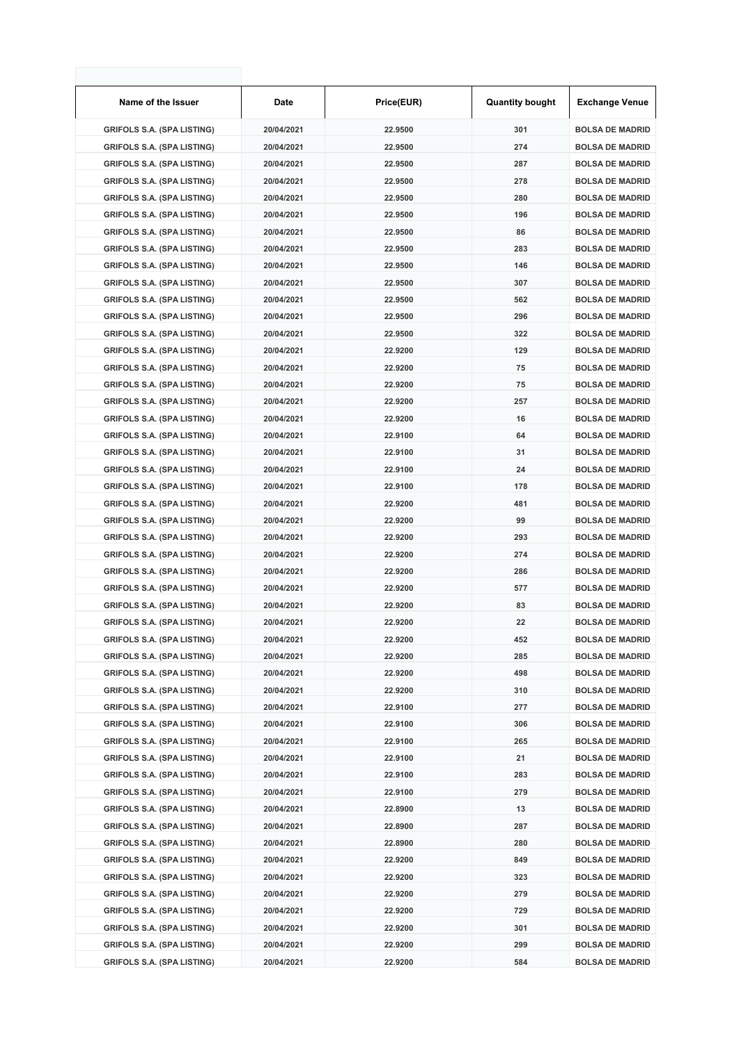| Name of the Issuer                | Date       | Price(EUR) | <b>Quantity bought</b> | <b>Exchange Venue</b>  |
|-----------------------------------|------------|------------|------------------------|------------------------|
| <b>GRIFOLS S.A. (SPA LISTING)</b> | 20/04/2021 | 22.9500    | 301                    | <b>BOLSA DE MADRID</b> |
| <b>GRIFOLS S.A. (SPA LISTING)</b> | 20/04/2021 | 22.9500    | 274                    | <b>BOLSA DE MADRID</b> |
| <b>GRIFOLS S.A. (SPA LISTING)</b> | 20/04/2021 | 22.9500    | 287                    | <b>BOLSA DE MADRID</b> |
| <b>GRIFOLS S.A. (SPA LISTING)</b> | 20/04/2021 | 22.9500    | 278                    | <b>BOLSA DE MADRID</b> |
| <b>GRIFOLS S.A. (SPA LISTING)</b> | 20/04/2021 | 22.9500    | 280                    | <b>BOLSA DE MADRID</b> |
| <b>GRIFOLS S.A. (SPA LISTING)</b> | 20/04/2021 | 22.9500    | 196                    | <b>BOLSA DE MADRID</b> |
| <b>GRIFOLS S.A. (SPA LISTING)</b> | 20/04/2021 | 22.9500    | 86                     | <b>BOLSA DE MADRID</b> |
| <b>GRIFOLS S.A. (SPA LISTING)</b> | 20/04/2021 | 22.9500    | 283                    | <b>BOLSA DE MADRID</b> |
| <b>GRIFOLS S.A. (SPA LISTING)</b> | 20/04/2021 | 22.9500    | 146                    | <b>BOLSA DE MADRID</b> |
| <b>GRIFOLS S.A. (SPA LISTING)</b> | 20/04/2021 | 22.9500    | 307                    | <b>BOLSA DE MADRID</b> |
| <b>GRIFOLS S.A. (SPA LISTING)</b> | 20/04/2021 | 22.9500    | 562                    | <b>BOLSA DE MADRID</b> |
| <b>GRIFOLS S.A. (SPA LISTING)</b> | 20/04/2021 | 22.9500    | 296                    | <b>BOLSA DE MADRID</b> |
| <b>GRIFOLS S.A. (SPA LISTING)</b> | 20/04/2021 | 22.9500    | 322                    | <b>BOLSA DE MADRID</b> |
| <b>GRIFOLS S.A. (SPA LISTING)</b> | 20/04/2021 | 22.9200    | 129                    | <b>BOLSA DE MADRID</b> |
| <b>GRIFOLS S.A. (SPA LISTING)</b> | 20/04/2021 | 22.9200    | 75                     | <b>BOLSA DE MADRID</b> |
| <b>GRIFOLS S.A. (SPA LISTING)</b> | 20/04/2021 | 22.9200    | 75                     | <b>BOLSA DE MADRID</b> |
| <b>GRIFOLS S.A. (SPA LISTING)</b> | 20/04/2021 | 22.9200    | 257                    | <b>BOLSA DE MADRID</b> |
| <b>GRIFOLS S.A. (SPA LISTING)</b> | 20/04/2021 | 22.9200    | 16                     | <b>BOLSA DE MADRID</b> |
| <b>GRIFOLS S.A. (SPA LISTING)</b> | 20/04/2021 | 22.9100    | 64                     | <b>BOLSA DE MADRID</b> |
| <b>GRIFOLS S.A. (SPA LISTING)</b> | 20/04/2021 | 22.9100    | 31                     | <b>BOLSA DE MADRID</b> |
| <b>GRIFOLS S.A. (SPA LISTING)</b> | 20/04/2021 | 22.9100    | 24                     | <b>BOLSA DE MADRID</b> |
| <b>GRIFOLS S.A. (SPA LISTING)</b> | 20/04/2021 | 22.9100    | 178                    | <b>BOLSA DE MADRID</b> |
| <b>GRIFOLS S.A. (SPA LISTING)</b> | 20/04/2021 | 22.9200    | 481                    | <b>BOLSA DE MADRID</b> |
| <b>GRIFOLS S.A. (SPA LISTING)</b> | 20/04/2021 | 22.9200    | 99                     | <b>BOLSA DE MADRID</b> |
| <b>GRIFOLS S.A. (SPA LISTING)</b> | 20/04/2021 | 22.9200    | 293                    | <b>BOLSA DE MADRID</b> |
| <b>GRIFOLS S.A. (SPA LISTING)</b> | 20/04/2021 | 22.9200    | 274                    | <b>BOLSA DE MADRID</b> |
| <b>GRIFOLS S.A. (SPA LISTING)</b> | 20/04/2021 | 22.9200    | 286                    | <b>BOLSA DE MADRID</b> |
| <b>GRIFOLS S.A. (SPA LISTING)</b> | 20/04/2021 | 22.9200    | 577                    | <b>BOLSA DE MADRID</b> |
| <b>GRIFOLS S.A. (SPA LISTING)</b> | 20/04/2021 | 22.9200    | 83                     | <b>BOLSA DE MADRID</b> |
| <b>GRIFOLS S.A. (SPA LISTING)</b> | 20/04/2021 | 22.9200    | 22                     | <b>BOLSA DE MADRID</b> |
| <b>GRIFOLS S.A. (SPA LISTING)</b> | 20/04/2021 | 22.9200    | 452                    | <b>BOLSA DE MADRID</b> |
| <b>GRIFOLS S.A. (SPA LISTING)</b> | 20/04/2021 | 22.9200    | 285                    | <b>BOLSA DE MADRID</b> |
| <b>GRIFOLS S.A. (SPA LISTING)</b> | 20/04/2021 | 22.9200    | 498                    | <b>BOLSA DE MADRID</b> |
| <b>GRIFOLS S.A. (SPA LISTING)</b> | 20/04/2021 | 22.9200    | 310                    | <b>BOLSA DE MADRID</b> |
| <b>GRIFOLS S.A. (SPA LISTING)</b> | 20/04/2021 | 22.9100    | 277                    | <b>BOLSA DE MADRID</b> |
| <b>GRIFOLS S.A. (SPA LISTING)</b> | 20/04/2021 | 22.9100    | 306                    | <b>BOLSA DE MADRID</b> |
| <b>GRIFOLS S.A. (SPA LISTING)</b> | 20/04/2021 | 22.9100    | 265                    | <b>BOLSA DE MADRID</b> |
| <b>GRIFOLS S.A. (SPA LISTING)</b> | 20/04/2021 | 22.9100    | 21                     | <b>BOLSA DE MADRID</b> |
| <b>GRIFOLS S.A. (SPA LISTING)</b> | 20/04/2021 | 22.9100    | 283                    | <b>BOLSA DE MADRID</b> |
| <b>GRIFOLS S.A. (SPA LISTING)</b> | 20/04/2021 | 22.9100    | 279                    | <b>BOLSA DE MADRID</b> |
| <b>GRIFOLS S.A. (SPA LISTING)</b> | 20/04/2021 | 22.8900    | 13                     | <b>BOLSA DE MADRID</b> |
| <b>GRIFOLS S.A. (SPA LISTING)</b> | 20/04/2021 | 22.8900    | 287                    | <b>BOLSA DE MADRID</b> |
| <b>GRIFOLS S.A. (SPA LISTING)</b> | 20/04/2021 | 22.8900    | 280                    | <b>BOLSA DE MADRID</b> |
| <b>GRIFOLS S.A. (SPA LISTING)</b> | 20/04/2021 | 22.9200    | 849                    | <b>BOLSA DE MADRID</b> |
| <b>GRIFOLS S.A. (SPA LISTING)</b> | 20/04/2021 | 22.9200    | 323                    | <b>BOLSA DE MADRID</b> |
| <b>GRIFOLS S.A. (SPA LISTING)</b> | 20/04/2021 | 22.9200    | 279                    | <b>BOLSA DE MADRID</b> |
| <b>GRIFOLS S.A. (SPA LISTING)</b> | 20/04/2021 | 22.9200    | 729                    | <b>BOLSA DE MADRID</b> |
| <b>GRIFOLS S.A. (SPA LISTING)</b> | 20/04/2021 | 22.9200    | 301                    | <b>BOLSA DE MADRID</b> |
| <b>GRIFOLS S.A. (SPA LISTING)</b> | 20/04/2021 | 22.9200    | 299                    | <b>BOLSA DE MADRID</b> |
| <b>GRIFOLS S.A. (SPA LISTING)</b> | 20/04/2021 | 22.9200    | 584                    | <b>BOLSA DE MADRID</b> |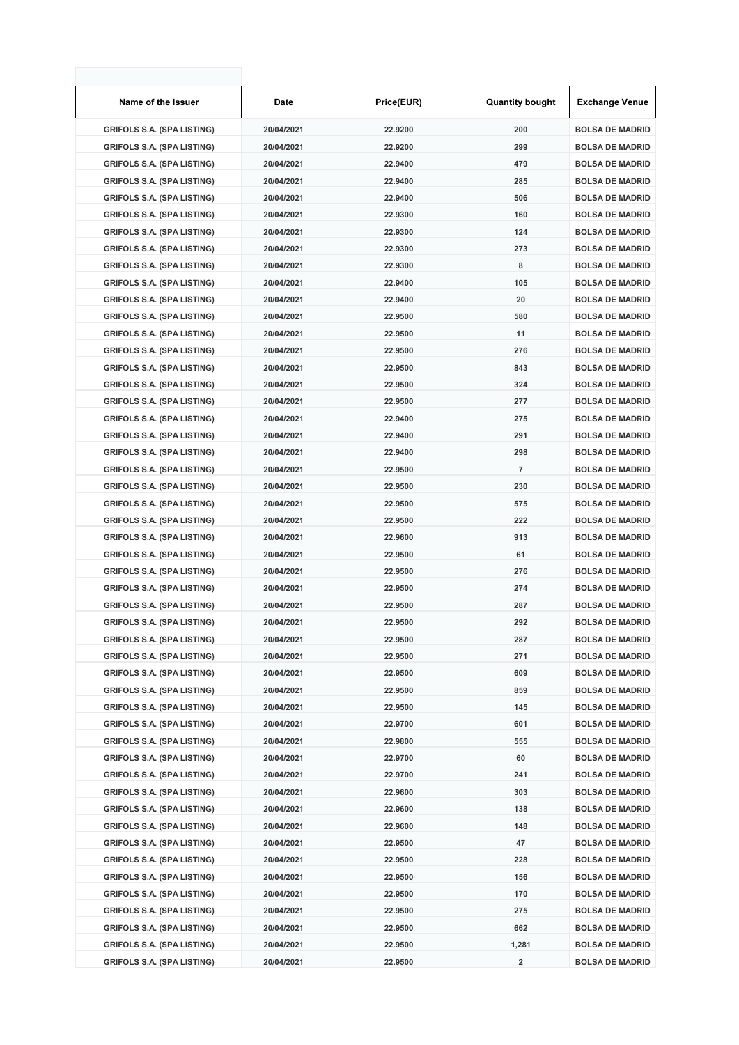| Name of the Issuer                | Date       | Price(EUR) | <b>Quantity bought</b>  | <b>Exchange Venue</b>  |
|-----------------------------------|------------|------------|-------------------------|------------------------|
| <b>GRIFOLS S.A. (SPA LISTING)</b> | 20/04/2021 | 22.9200    | 200                     | <b>BOLSA DE MADRID</b> |
| <b>GRIFOLS S.A. (SPA LISTING)</b> | 20/04/2021 | 22.9200    | 299                     | <b>BOLSA DE MADRID</b> |
| <b>GRIFOLS S.A. (SPA LISTING)</b> | 20/04/2021 | 22.9400    | 479                     | <b>BOLSA DE MADRID</b> |
| <b>GRIFOLS S.A. (SPA LISTING)</b> | 20/04/2021 | 22.9400    | 285                     | <b>BOLSA DE MADRID</b> |
| <b>GRIFOLS S.A. (SPA LISTING)</b> | 20/04/2021 | 22.9400    | 506                     | <b>BOLSA DE MADRID</b> |
| <b>GRIFOLS S.A. (SPA LISTING)</b> | 20/04/2021 | 22.9300    | 160                     | <b>BOLSA DE MADRID</b> |
| <b>GRIFOLS S.A. (SPA LISTING)</b> | 20/04/2021 | 22.9300    | 124                     | <b>BOLSA DE MADRID</b> |
| <b>GRIFOLS S.A. (SPA LISTING)</b> | 20/04/2021 | 22.9300    | 273                     | <b>BOLSA DE MADRID</b> |
| <b>GRIFOLS S.A. (SPA LISTING)</b> | 20/04/2021 | 22.9300    | 8                       | <b>BOLSA DE MADRID</b> |
| <b>GRIFOLS S.A. (SPA LISTING)</b> | 20/04/2021 | 22.9400    | 105                     | <b>BOLSA DE MADRID</b> |
| <b>GRIFOLS S.A. (SPA LISTING)</b> | 20/04/2021 | 22.9400    | 20                      | <b>BOLSA DE MADRID</b> |
| <b>GRIFOLS S.A. (SPA LISTING)</b> | 20/04/2021 | 22.9500    | 580                     | <b>BOLSA DE MADRID</b> |
| <b>GRIFOLS S.A. (SPA LISTING)</b> | 20/04/2021 | 22.9500    | 11                      | <b>BOLSA DE MADRID</b> |
| <b>GRIFOLS S.A. (SPA LISTING)</b> | 20/04/2021 | 22.9500    | 276                     | <b>BOLSA DE MADRID</b> |
| <b>GRIFOLS S.A. (SPA LISTING)</b> | 20/04/2021 | 22.9500    | 843                     | <b>BOLSA DE MADRID</b> |
| <b>GRIFOLS S.A. (SPA LISTING)</b> | 20/04/2021 | 22.9500    | 324                     | <b>BOLSA DE MADRID</b> |
| <b>GRIFOLS S.A. (SPA LISTING)</b> | 20/04/2021 | 22.9500    | 277                     | <b>BOLSA DE MADRID</b> |
| <b>GRIFOLS S.A. (SPA LISTING)</b> | 20/04/2021 | 22.9400    | 275                     | <b>BOLSA DE MADRID</b> |
| <b>GRIFOLS S.A. (SPA LISTING)</b> | 20/04/2021 | 22.9400    | 291                     | <b>BOLSA DE MADRID</b> |
| <b>GRIFOLS S.A. (SPA LISTING)</b> | 20/04/2021 | 22.9400    | 298                     | <b>BOLSA DE MADRID</b> |
| <b>GRIFOLS S.A. (SPA LISTING)</b> | 20/04/2021 | 22.9500    | $\overline{7}$          | <b>BOLSA DE MADRID</b> |
| <b>GRIFOLS S.A. (SPA LISTING)</b> | 20/04/2021 | 22.9500    | 230                     | <b>BOLSA DE MADRID</b> |
| <b>GRIFOLS S.A. (SPA LISTING)</b> | 20/04/2021 | 22.9500    | 575                     | <b>BOLSA DE MADRID</b> |
| <b>GRIFOLS S.A. (SPA LISTING)</b> | 20/04/2021 | 22.9500    | 222                     | <b>BOLSA DE MADRID</b> |
| <b>GRIFOLS S.A. (SPA LISTING)</b> | 20/04/2021 | 22.9600    | 913                     | <b>BOLSA DE MADRID</b> |
| <b>GRIFOLS S.A. (SPA LISTING)</b> | 20/04/2021 | 22.9500    | 61                      | <b>BOLSA DE MADRID</b> |
| <b>GRIFOLS S.A. (SPA LISTING)</b> | 20/04/2021 | 22.9500    | 276                     | <b>BOLSA DE MADRID</b> |
| <b>GRIFOLS S.A. (SPA LISTING)</b> | 20/04/2021 | 22.9500    | 274                     | <b>BOLSA DE MADRID</b> |
| <b>GRIFOLS S.A. (SPA LISTING)</b> | 20/04/2021 | 22.9500    | 287                     | <b>BOLSA DE MADRID</b> |
| <b>GRIFOLS S.A. (SPA LISTING)</b> | 20/04/2021 | 22.9500    | 292                     | <b>BOLSA DE MADRID</b> |
| <b>GRIFOLS S.A. (SPA LISTING)</b> | 20/04/2021 | 22.9500    | 287                     | <b>BOLSA DE MADRID</b> |
| <b>GRIFOLS S.A. (SPA LISTING)</b> | 20/04/2021 | 22.9500    | 271                     | <b>BOLSA DE MADRID</b> |
| <b>GRIFOLS S.A. (SPA LISTING)</b> | 20/04/2021 | 22.9500    | 609                     | <b>BOLSA DE MADRID</b> |
| <b>GRIFOLS S.A. (SPA LISTING)</b> | 20/04/2021 | 22.9500    | 859                     | <b>BOLSA DE MADRID</b> |
| <b>GRIFOLS S.A. (SPA LISTING)</b> | 20/04/2021 | 22.9500    | 145                     | <b>BOLSA DE MADRID</b> |
| <b>GRIFOLS S.A. (SPA LISTING)</b> | 20/04/2021 | 22.9700    | 601                     | <b>BOLSA DE MADRID</b> |
| <b>GRIFOLS S.A. (SPA LISTING)</b> | 20/04/2021 | 22.9800    | 555                     | <b>BOLSA DE MADRID</b> |
| <b>GRIFOLS S.A. (SPA LISTING)</b> | 20/04/2021 | 22.9700    | 60                      | <b>BOLSA DE MADRID</b> |
| <b>GRIFOLS S.A. (SPA LISTING)</b> | 20/04/2021 | 22.9700    | 241                     | <b>BOLSA DE MADRID</b> |
| <b>GRIFOLS S.A. (SPA LISTING)</b> | 20/04/2021 | 22.9600    | 303                     | <b>BOLSA DE MADRID</b> |
| <b>GRIFOLS S.A. (SPA LISTING)</b> | 20/04/2021 | 22.9600    | 138                     | <b>BOLSA DE MADRID</b> |
| <b>GRIFOLS S.A. (SPA LISTING)</b> | 20/04/2021 | 22.9600    | 148                     | <b>BOLSA DE MADRID</b> |
| <b>GRIFOLS S.A. (SPA LISTING)</b> | 20/04/2021 | 22.9500    | 47                      | <b>BOLSA DE MADRID</b> |
| <b>GRIFOLS S.A. (SPA LISTING)</b> | 20/04/2021 | 22.9500    | 228                     | <b>BOLSA DE MADRID</b> |
| <b>GRIFOLS S.A. (SPA LISTING)</b> | 20/04/2021 | 22.9500    | 156                     | <b>BOLSA DE MADRID</b> |
| <b>GRIFOLS S.A. (SPA LISTING)</b> | 20/04/2021 | 22.9500    | 170                     | <b>BOLSA DE MADRID</b> |
| <b>GRIFOLS S.A. (SPA LISTING)</b> | 20/04/2021 | 22.9500    | 275                     | <b>BOLSA DE MADRID</b> |
| <b>GRIFOLS S.A. (SPA LISTING)</b> | 20/04/2021 | 22.9500    | 662                     | <b>BOLSA DE MADRID</b> |
| <b>GRIFOLS S.A. (SPA LISTING)</b> | 20/04/2021 | 22.9500    | 1,281                   | <b>BOLSA DE MADRID</b> |
| <b>GRIFOLS S.A. (SPA LISTING)</b> | 20/04/2021 | 22.9500    | $\overline{\mathbf{2}}$ | <b>BOLSA DE MADRID</b> |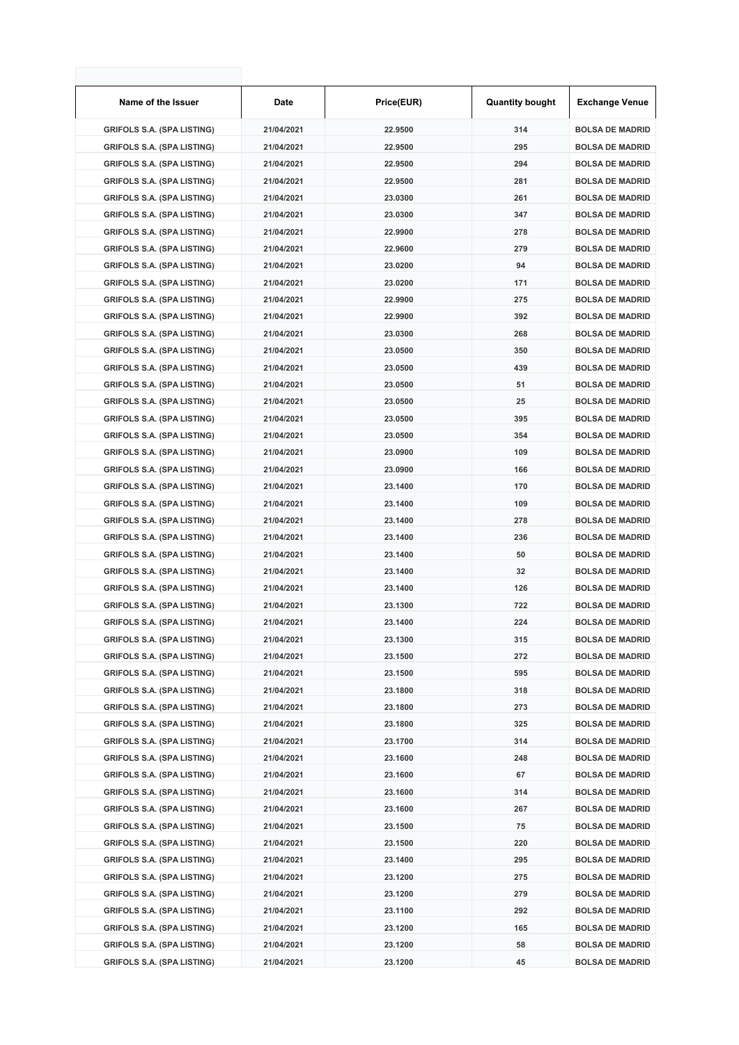| Name of the Issuer                | Date       | Price(EUR) | <b>Quantity bought</b> | <b>Exchange Venue</b>  |
|-----------------------------------|------------|------------|------------------------|------------------------|
| <b>GRIFOLS S.A. (SPA LISTING)</b> | 21/04/2021 | 22.9500    | 314                    | <b>BOLSA DE MADRID</b> |
| <b>GRIFOLS S.A. (SPA LISTING)</b> | 21/04/2021 | 22.9500    | 295                    | <b>BOLSA DE MADRID</b> |
| <b>GRIFOLS S.A. (SPA LISTING)</b> | 21/04/2021 | 22.9500    | 294                    | <b>BOLSA DE MADRID</b> |
| <b>GRIFOLS S.A. (SPA LISTING)</b> | 21/04/2021 | 22.9500    | 281                    | <b>BOLSA DE MADRID</b> |
| <b>GRIFOLS S.A. (SPA LISTING)</b> | 21/04/2021 | 23.0300    | 261                    | <b>BOLSA DE MADRID</b> |
| <b>GRIFOLS S.A. (SPA LISTING)</b> | 21/04/2021 | 23.0300    | 347                    | <b>BOLSA DE MADRID</b> |
| <b>GRIFOLS S.A. (SPA LISTING)</b> | 21/04/2021 | 22.9900    | 278                    | <b>BOLSA DE MADRID</b> |
| <b>GRIFOLS S.A. (SPA LISTING)</b> | 21/04/2021 | 22.9600    | 279                    | <b>BOLSA DE MADRID</b> |
| <b>GRIFOLS S.A. (SPA LISTING)</b> | 21/04/2021 | 23.0200    | 94                     | <b>BOLSA DE MADRID</b> |
| <b>GRIFOLS S.A. (SPA LISTING)</b> | 21/04/2021 | 23.0200    | 171                    | <b>BOLSA DE MADRID</b> |
| <b>GRIFOLS S.A. (SPA LISTING)</b> | 21/04/2021 | 22.9900    | 275                    | <b>BOLSA DE MADRID</b> |
| <b>GRIFOLS S.A. (SPA LISTING)</b> | 21/04/2021 | 22.9900    | 392                    | <b>BOLSA DE MADRID</b> |
| <b>GRIFOLS S.A. (SPA LISTING)</b> | 21/04/2021 | 23.0300    | 268                    | <b>BOLSA DE MADRID</b> |
| <b>GRIFOLS S.A. (SPA LISTING)</b> | 21/04/2021 | 23.0500    | 350                    | <b>BOLSA DE MADRID</b> |
| <b>GRIFOLS S.A. (SPA LISTING)</b> | 21/04/2021 | 23.0500    | 439                    | <b>BOLSA DE MADRID</b> |
| <b>GRIFOLS S.A. (SPA LISTING)</b> | 21/04/2021 | 23.0500    | 51                     | <b>BOLSA DE MADRID</b> |
| <b>GRIFOLS S.A. (SPA LISTING)</b> | 21/04/2021 | 23.0500    | 25                     | <b>BOLSA DE MADRID</b> |
| <b>GRIFOLS S.A. (SPA LISTING)</b> | 21/04/2021 | 23.0500    | 395                    | <b>BOLSA DE MADRID</b> |
| <b>GRIFOLS S.A. (SPA LISTING)</b> | 21/04/2021 | 23.0500    | 354                    | <b>BOLSA DE MADRID</b> |
| <b>GRIFOLS S.A. (SPA LISTING)</b> | 21/04/2021 | 23.0900    | 109                    | <b>BOLSA DE MADRID</b> |
| <b>GRIFOLS S.A. (SPA LISTING)</b> | 21/04/2021 | 23.0900    | 166                    | <b>BOLSA DE MADRID</b> |
| <b>GRIFOLS S.A. (SPA LISTING)</b> | 21/04/2021 | 23.1400    | 170                    | <b>BOLSA DE MADRID</b> |
| <b>GRIFOLS S.A. (SPA LISTING)</b> | 21/04/2021 | 23.1400    | 109                    | <b>BOLSA DE MADRID</b> |
| <b>GRIFOLS S.A. (SPA LISTING)</b> | 21/04/2021 | 23.1400    | 278                    | <b>BOLSA DE MADRID</b> |
| <b>GRIFOLS S.A. (SPA LISTING)</b> | 21/04/2021 | 23.1400    | 236                    | <b>BOLSA DE MADRID</b> |
| <b>GRIFOLS S.A. (SPA LISTING)</b> | 21/04/2021 | 23.1400    | 50                     | <b>BOLSA DE MADRID</b> |
| <b>GRIFOLS S.A. (SPA LISTING)</b> | 21/04/2021 | 23.1400    | 32                     | <b>BOLSA DE MADRID</b> |
| <b>GRIFOLS S.A. (SPA LISTING)</b> | 21/04/2021 | 23.1400    | 126                    | <b>BOLSA DE MADRID</b> |
| <b>GRIFOLS S.A. (SPA LISTING)</b> | 21/04/2021 | 23.1300    | 722                    | <b>BOLSA DE MADRID</b> |
| <b>GRIFOLS S.A. (SPA LISTING)</b> | 21/04/2021 | 23.1400    | 224                    | <b>BOLSA DE MADRID</b> |
| <b>GRIFOLS S.A. (SPA LISTING)</b> | 21/04/2021 | 23.1300    | 315                    | <b>BOLSA DE MADRID</b> |
| <b>GRIFOLS S.A. (SPA LISTING)</b> | 21/04/2021 | 23.1500    | 272                    | <b>BOLSA DE MADRID</b> |
| <b>GRIFOLS S.A. (SPA LISTING)</b> | 21/04/2021 | 23.1500    | 595                    | <b>BOLSA DE MADRID</b> |
| <b>GRIFOLS S.A. (SPA LISTING)</b> | 21/04/2021 | 23.1800    | 318                    | <b>BOLSA DE MADRID</b> |
| <b>GRIFOLS S.A. (SPA LISTING)</b> | 21/04/2021 | 23.1800    | 273                    | <b>BOLSA DE MADRID</b> |
| <b>GRIFOLS S.A. (SPA LISTING)</b> | 21/04/2021 | 23.1800    | 325                    | <b>BOLSA DE MADRID</b> |
| <b>GRIFOLS S.A. (SPA LISTING)</b> | 21/04/2021 | 23.1700    | 314                    | <b>BOLSA DE MADRID</b> |
| <b>GRIFOLS S.A. (SPA LISTING)</b> | 21/04/2021 | 23.1600    | 248                    | <b>BOLSA DE MADRID</b> |
| <b>GRIFOLS S.A. (SPA LISTING)</b> | 21/04/2021 | 23.1600    | 67                     | <b>BOLSA DE MADRID</b> |
| <b>GRIFOLS S.A. (SPA LISTING)</b> | 21/04/2021 | 23.1600    | 314                    | <b>BOLSA DE MADRID</b> |
| <b>GRIFOLS S.A. (SPA LISTING)</b> | 21/04/2021 | 23.1600    | 267                    | <b>BOLSA DE MADRID</b> |
| <b>GRIFOLS S.A. (SPA LISTING)</b> | 21/04/2021 | 23.1500    | 75                     | <b>BOLSA DE MADRID</b> |
| <b>GRIFOLS S.A. (SPA LISTING)</b> | 21/04/2021 | 23.1500    | 220                    | <b>BOLSA DE MADRID</b> |
| <b>GRIFOLS S.A. (SPA LISTING)</b> | 21/04/2021 | 23.1400    | 295                    | <b>BOLSA DE MADRID</b> |
| <b>GRIFOLS S.A. (SPA LISTING)</b> | 21/04/2021 | 23.1200    | 275                    | <b>BOLSA DE MADRID</b> |
| <b>GRIFOLS S.A. (SPA LISTING)</b> | 21/04/2021 | 23.1200    | 279                    | <b>BOLSA DE MADRID</b> |
| <b>GRIFOLS S.A. (SPA LISTING)</b> | 21/04/2021 | 23.1100    | 292                    | <b>BOLSA DE MADRID</b> |
| <b>GRIFOLS S.A. (SPA LISTING)</b> | 21/04/2021 | 23.1200    | 165                    | <b>BOLSA DE MADRID</b> |
| <b>GRIFOLS S.A. (SPA LISTING)</b> | 21/04/2021 | 23.1200    | 58                     | <b>BOLSA DE MADRID</b> |
| <b>GRIFOLS S.A. (SPA LISTING)</b> | 21/04/2021 | 23.1200    | 45                     | <b>BOLSA DE MADRID</b> |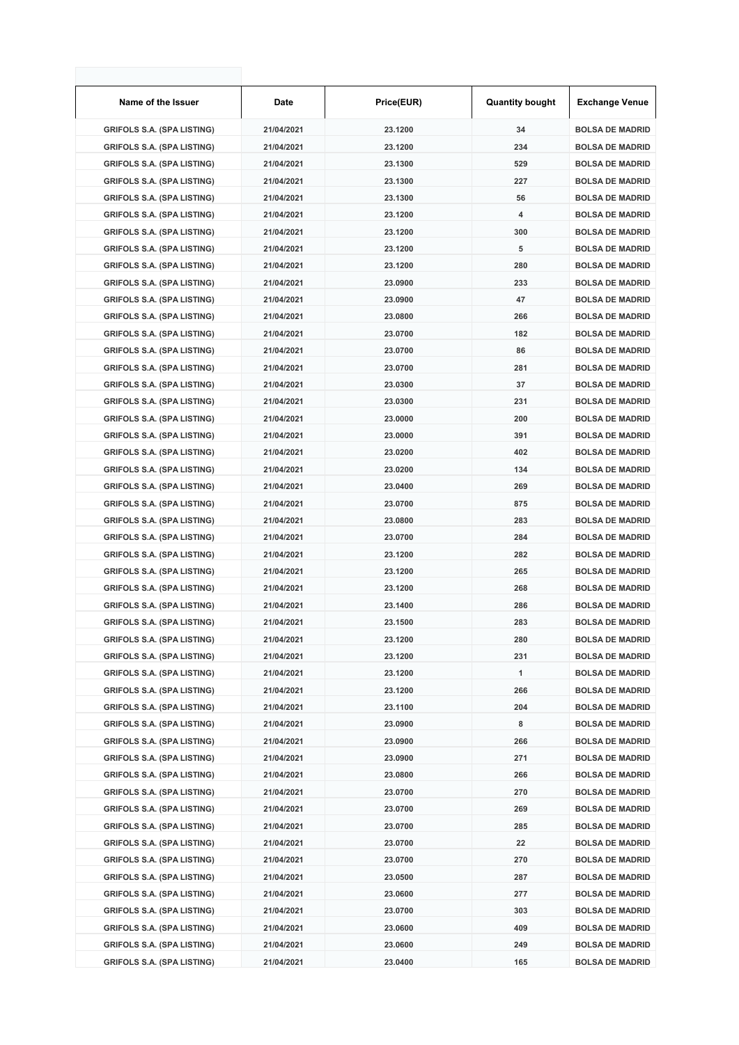| Name of the Issuer                | Date       | Price(EUR) | <b>Quantity bought</b> | <b>Exchange Venue</b>  |
|-----------------------------------|------------|------------|------------------------|------------------------|
| <b>GRIFOLS S.A. (SPA LISTING)</b> | 21/04/2021 | 23.1200    | 34                     | <b>BOLSA DE MADRID</b> |
| <b>GRIFOLS S.A. (SPA LISTING)</b> | 21/04/2021 | 23.1200    | 234                    | <b>BOLSA DE MADRID</b> |
| <b>GRIFOLS S.A. (SPA LISTING)</b> | 21/04/2021 | 23.1300    | 529                    | <b>BOLSA DE MADRID</b> |
| <b>GRIFOLS S.A. (SPA LISTING)</b> | 21/04/2021 | 23.1300    | 227                    | <b>BOLSA DE MADRID</b> |
| <b>GRIFOLS S.A. (SPA LISTING)</b> | 21/04/2021 | 23.1300    | 56                     | <b>BOLSA DE MADRID</b> |
| <b>GRIFOLS S.A. (SPA LISTING)</b> | 21/04/2021 | 23.1200    | 4                      | <b>BOLSA DE MADRID</b> |
| <b>GRIFOLS S.A. (SPA LISTING)</b> | 21/04/2021 | 23.1200    | 300                    | <b>BOLSA DE MADRID</b> |
| <b>GRIFOLS S.A. (SPA LISTING)</b> | 21/04/2021 | 23.1200    | 5                      | <b>BOLSA DE MADRID</b> |
| <b>GRIFOLS S.A. (SPA LISTING)</b> | 21/04/2021 | 23.1200    | 280                    | <b>BOLSA DE MADRID</b> |
| <b>GRIFOLS S.A. (SPA LISTING)</b> | 21/04/2021 | 23.0900    | 233                    | <b>BOLSA DE MADRID</b> |
| <b>GRIFOLS S.A. (SPA LISTING)</b> | 21/04/2021 | 23.0900    | 47                     | <b>BOLSA DE MADRID</b> |
| <b>GRIFOLS S.A. (SPA LISTING)</b> | 21/04/2021 | 23.0800    | 266                    | <b>BOLSA DE MADRID</b> |
| <b>GRIFOLS S.A. (SPA LISTING)</b> | 21/04/2021 | 23.0700    | 182                    | <b>BOLSA DE MADRID</b> |
| <b>GRIFOLS S.A. (SPA LISTING)</b> | 21/04/2021 | 23.0700    | 86                     | <b>BOLSA DE MADRID</b> |
| <b>GRIFOLS S.A. (SPA LISTING)</b> | 21/04/2021 | 23.0700    | 281                    | <b>BOLSA DE MADRID</b> |
| <b>GRIFOLS S.A. (SPA LISTING)</b> | 21/04/2021 | 23.0300    | 37                     | <b>BOLSA DE MADRID</b> |
| <b>GRIFOLS S.A. (SPA LISTING)</b> | 21/04/2021 | 23.0300    | 231                    | <b>BOLSA DE MADRID</b> |
| <b>GRIFOLS S.A. (SPA LISTING)</b> | 21/04/2021 | 23.0000    | 200                    | <b>BOLSA DE MADRID</b> |
| <b>GRIFOLS S.A. (SPA LISTING)</b> | 21/04/2021 | 23.0000    | 391                    | <b>BOLSA DE MADRID</b> |
| <b>GRIFOLS S.A. (SPA LISTING)</b> | 21/04/2021 | 23.0200    | 402                    | <b>BOLSA DE MADRID</b> |
| <b>GRIFOLS S.A. (SPA LISTING)</b> | 21/04/2021 | 23.0200    | 134                    | <b>BOLSA DE MADRID</b> |
| <b>GRIFOLS S.A. (SPA LISTING)</b> | 21/04/2021 | 23.0400    | 269                    | <b>BOLSA DE MADRID</b> |
| <b>GRIFOLS S.A. (SPA LISTING)</b> | 21/04/2021 | 23.0700    | 875                    | <b>BOLSA DE MADRID</b> |
| <b>GRIFOLS S.A. (SPA LISTING)</b> | 21/04/2021 | 23.0800    | 283                    | <b>BOLSA DE MADRID</b> |
| <b>GRIFOLS S.A. (SPA LISTING)</b> | 21/04/2021 | 23.0700    | 284                    | <b>BOLSA DE MADRID</b> |
| <b>GRIFOLS S.A. (SPA LISTING)</b> | 21/04/2021 | 23.1200    | 282                    | <b>BOLSA DE MADRID</b> |
| <b>GRIFOLS S.A. (SPA LISTING)</b> | 21/04/2021 | 23.1200    | 265                    | <b>BOLSA DE MADRID</b> |
| <b>GRIFOLS S.A. (SPA LISTING)</b> | 21/04/2021 | 23.1200    | 268                    | <b>BOLSA DE MADRID</b> |
| <b>GRIFOLS S.A. (SPA LISTING)</b> | 21/04/2021 | 23.1400    | 286                    | <b>BOLSA DE MADRID</b> |
| <b>GRIFOLS S.A. (SPA LISTING)</b> | 21/04/2021 | 23.1500    | 283                    | <b>BOLSA DE MADRID</b> |
| <b>GRIFOLS S.A. (SPA LISTING)</b> | 21/04/2021 | 23.1200    | 280                    | <b>BOLSA DE MADRID</b> |
| <b>GRIFOLS S.A. (SPA LISTING)</b> | 21/04/2021 | 23.1200    | 231                    | <b>BOLSA DE MADRID</b> |
| <b>GRIFOLS S.A. (SPA LISTING)</b> | 21/04/2021 | 23.1200    | 1                      | <b>BOLSA DE MADRID</b> |
| <b>GRIFOLS S.A. (SPA LISTING)</b> | 21/04/2021 | 23.1200    | 266                    | <b>BOLSA DE MADRID</b> |
| <b>GRIFOLS S.A. (SPA LISTING)</b> | 21/04/2021 | 23.1100    | 204                    | <b>BOLSA DE MADRID</b> |
| <b>GRIFOLS S.A. (SPA LISTING)</b> | 21/04/2021 | 23.0900    | 8                      | <b>BOLSA DE MADRID</b> |
| <b>GRIFOLS S.A. (SPA LISTING)</b> | 21/04/2021 | 23.0900    | 266                    | <b>BOLSA DE MADRID</b> |
| <b>GRIFOLS S.A. (SPA LISTING)</b> | 21/04/2021 | 23.0900    | 271                    | <b>BOLSA DE MADRID</b> |
| <b>GRIFOLS S.A. (SPA LISTING)</b> | 21/04/2021 | 23.0800    | 266                    | <b>BOLSA DE MADRID</b> |
| <b>GRIFOLS S.A. (SPA LISTING)</b> | 21/04/2021 | 23.0700    | 270                    | <b>BOLSA DE MADRID</b> |
| <b>GRIFOLS S.A. (SPA LISTING)</b> | 21/04/2021 | 23.0700    | 269                    | <b>BOLSA DE MADRID</b> |
| <b>GRIFOLS S.A. (SPA LISTING)</b> | 21/04/2021 | 23.0700    | 285                    | <b>BOLSA DE MADRID</b> |
| <b>GRIFOLS S.A. (SPA LISTING)</b> | 21/04/2021 | 23.0700    | 22                     | <b>BOLSA DE MADRID</b> |
| <b>GRIFOLS S.A. (SPA LISTING)</b> | 21/04/2021 | 23.0700    | 270                    | <b>BOLSA DE MADRID</b> |
| <b>GRIFOLS S.A. (SPA LISTING)</b> | 21/04/2021 | 23.0500    | 287                    | <b>BOLSA DE MADRID</b> |
| <b>GRIFOLS S.A. (SPA LISTING)</b> | 21/04/2021 | 23.0600    | 277                    | <b>BOLSA DE MADRID</b> |
| <b>GRIFOLS S.A. (SPA LISTING)</b> | 21/04/2021 | 23.0700    | 303                    | <b>BOLSA DE MADRID</b> |
| <b>GRIFOLS S.A. (SPA LISTING)</b> | 21/04/2021 | 23.0600    | 409                    | <b>BOLSA DE MADRID</b> |
| <b>GRIFOLS S.A. (SPA LISTING)</b> | 21/04/2021 | 23.0600    | 249                    | <b>BOLSA DE MADRID</b> |
| <b>GRIFOLS S.A. (SPA LISTING)</b> | 21/04/2021 | 23.0400    | 165                    | <b>BOLSA DE MADRID</b> |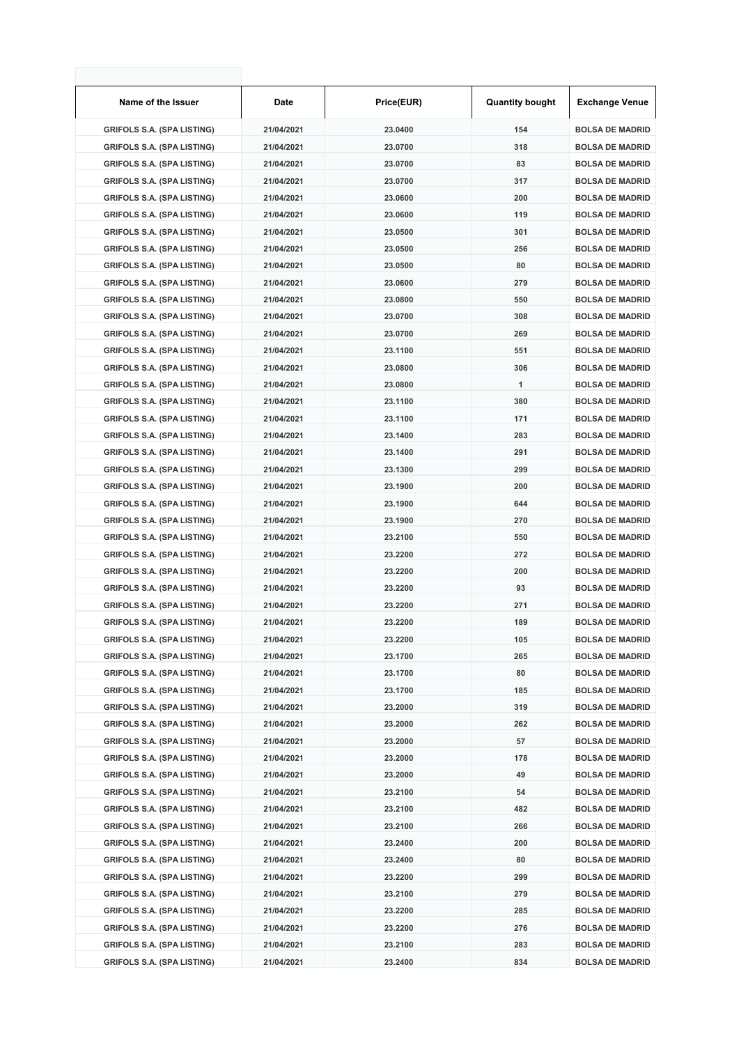| Name of the Issuer                | Date       | Price(EUR) | <b>Quantity bought</b> | <b>Exchange Venue</b>  |
|-----------------------------------|------------|------------|------------------------|------------------------|
| <b>GRIFOLS S.A. (SPA LISTING)</b> | 21/04/2021 | 23.0400    | 154                    | <b>BOLSA DE MADRID</b> |
| <b>GRIFOLS S.A. (SPA LISTING)</b> | 21/04/2021 | 23.0700    | 318                    | <b>BOLSA DE MADRID</b> |
| <b>GRIFOLS S.A. (SPA LISTING)</b> | 21/04/2021 | 23.0700    | 83                     | <b>BOLSA DE MADRID</b> |
| <b>GRIFOLS S.A. (SPA LISTING)</b> | 21/04/2021 | 23.0700    | 317                    | <b>BOLSA DE MADRID</b> |
| <b>GRIFOLS S.A. (SPA LISTING)</b> | 21/04/2021 | 23.0600    | 200                    | <b>BOLSA DE MADRID</b> |
| <b>GRIFOLS S.A. (SPA LISTING)</b> | 21/04/2021 | 23.0600    | 119                    | <b>BOLSA DE MADRID</b> |
| <b>GRIFOLS S.A. (SPA LISTING)</b> | 21/04/2021 | 23.0500    | 301                    | <b>BOLSA DE MADRID</b> |
| <b>GRIFOLS S.A. (SPA LISTING)</b> | 21/04/2021 | 23.0500    | 256                    | <b>BOLSA DE MADRID</b> |
| <b>GRIFOLS S.A. (SPA LISTING)</b> | 21/04/2021 | 23.0500    | 80                     | <b>BOLSA DE MADRID</b> |
| <b>GRIFOLS S.A. (SPA LISTING)</b> | 21/04/2021 | 23.0600    | 279                    | <b>BOLSA DE MADRID</b> |
| <b>GRIFOLS S.A. (SPA LISTING)</b> | 21/04/2021 | 23.0800    | 550                    | <b>BOLSA DE MADRID</b> |
| <b>GRIFOLS S.A. (SPA LISTING)</b> | 21/04/2021 | 23.0700    | 308                    | <b>BOLSA DE MADRID</b> |
| <b>GRIFOLS S.A. (SPA LISTING)</b> | 21/04/2021 | 23.0700    | 269                    | <b>BOLSA DE MADRID</b> |
| <b>GRIFOLS S.A. (SPA LISTING)</b> | 21/04/2021 | 23.1100    | 551                    | <b>BOLSA DE MADRID</b> |
| <b>GRIFOLS S.A. (SPA LISTING)</b> | 21/04/2021 | 23.0800    | 306                    | <b>BOLSA DE MADRID</b> |
| <b>GRIFOLS S.A. (SPA LISTING)</b> | 21/04/2021 | 23.0800    | 1                      | <b>BOLSA DE MADRID</b> |
| <b>GRIFOLS S.A. (SPA LISTING)</b> | 21/04/2021 | 23.1100    | 380                    | <b>BOLSA DE MADRID</b> |
| <b>GRIFOLS S.A. (SPA LISTING)</b> | 21/04/2021 | 23.1100    | 171                    | <b>BOLSA DE MADRID</b> |
| <b>GRIFOLS S.A. (SPA LISTING)</b> | 21/04/2021 | 23.1400    | 283                    | <b>BOLSA DE MADRID</b> |
| <b>GRIFOLS S.A. (SPA LISTING)</b> | 21/04/2021 | 23.1400    | 291                    | <b>BOLSA DE MADRID</b> |
| <b>GRIFOLS S.A. (SPA LISTING)</b> | 21/04/2021 | 23.1300    | 299                    | <b>BOLSA DE MADRID</b> |
| <b>GRIFOLS S.A. (SPA LISTING)</b> | 21/04/2021 | 23.1900    | 200                    | <b>BOLSA DE MADRID</b> |
| <b>GRIFOLS S.A. (SPA LISTING)</b> | 21/04/2021 | 23.1900    | 644                    | <b>BOLSA DE MADRID</b> |
| <b>GRIFOLS S.A. (SPA LISTING)</b> | 21/04/2021 | 23.1900    | 270                    | <b>BOLSA DE MADRID</b> |
| <b>GRIFOLS S.A. (SPA LISTING)</b> | 21/04/2021 | 23.2100    | 550                    | <b>BOLSA DE MADRID</b> |
| <b>GRIFOLS S.A. (SPA LISTING)</b> | 21/04/2021 | 23.2200    | 272                    | <b>BOLSA DE MADRID</b> |
| <b>GRIFOLS S.A. (SPA LISTING)</b> | 21/04/2021 | 23.2200    | 200                    | <b>BOLSA DE MADRID</b> |
| <b>GRIFOLS S.A. (SPA LISTING)</b> | 21/04/2021 | 23.2200    | 93                     | <b>BOLSA DE MADRID</b> |
| <b>GRIFOLS S.A. (SPA LISTING)</b> | 21/04/2021 | 23.2200    | 271                    | <b>BOLSA DE MADRID</b> |
| <b>GRIFOLS S.A. (SPA LISTING)</b> | 21/04/2021 | 23.2200    | 189                    | <b>BOLSA DE MADRID</b> |
| <b>GRIFOLS S.A. (SPA LISTING)</b> | 21/04/2021 | 23.2200    | 105                    | <b>BOLSA DE MADRID</b> |
| <b>GRIFOLS S.A. (SPA LISTING)</b> | 21/04/2021 | 23.1700    | 265                    | <b>BOLSA DE MADRID</b> |
| <b>GRIFOLS S.A. (SPA LISTING)</b> | 21/04/2021 | 23.1700    | 80                     | <b>BOLSA DE MADRID</b> |
| <b>GRIFOLS S.A. (SPA LISTING)</b> | 21/04/2021 | 23.1700    | 185                    | <b>BOLSA DE MADRID</b> |
| <b>GRIFOLS S.A. (SPA LISTING)</b> | 21/04/2021 | 23.2000    | 319                    | <b>BOLSA DE MADRID</b> |
| <b>GRIFOLS S.A. (SPA LISTING)</b> | 21/04/2021 | 23.2000    | 262                    | <b>BOLSA DE MADRID</b> |
| <b>GRIFOLS S.A. (SPA LISTING)</b> | 21/04/2021 | 23.2000    | 57                     | <b>BOLSA DE MADRID</b> |
| <b>GRIFOLS S.A. (SPA LISTING)</b> | 21/04/2021 | 23.2000    | 178                    | <b>BOLSA DE MADRID</b> |
| <b>GRIFOLS S.A. (SPA LISTING)</b> | 21/04/2021 | 23.2000    | 49                     | <b>BOLSA DE MADRID</b> |
| <b>GRIFOLS S.A. (SPA LISTING)</b> | 21/04/2021 | 23.2100    | 54                     | <b>BOLSA DE MADRID</b> |
| <b>GRIFOLS S.A. (SPA LISTING)</b> | 21/04/2021 | 23.2100    | 482                    | <b>BOLSA DE MADRID</b> |
| <b>GRIFOLS S.A. (SPA LISTING)</b> | 21/04/2021 | 23.2100    | 266                    | <b>BOLSA DE MADRID</b> |
| <b>GRIFOLS S.A. (SPA LISTING)</b> | 21/04/2021 | 23.2400    | 200                    | <b>BOLSA DE MADRID</b> |
| <b>GRIFOLS S.A. (SPA LISTING)</b> | 21/04/2021 | 23.2400    | 80                     | <b>BOLSA DE MADRID</b> |
| <b>GRIFOLS S.A. (SPA LISTING)</b> | 21/04/2021 | 23.2200    | 299                    | <b>BOLSA DE MADRID</b> |
| <b>GRIFOLS S.A. (SPA LISTING)</b> | 21/04/2021 | 23.2100    | 279                    | <b>BOLSA DE MADRID</b> |
| <b>GRIFOLS S.A. (SPA LISTING)</b> | 21/04/2021 | 23.2200    | 285                    | <b>BOLSA DE MADRID</b> |
| <b>GRIFOLS S.A. (SPA LISTING)</b> | 21/04/2021 | 23.2200    | 276                    | <b>BOLSA DE MADRID</b> |
| <b>GRIFOLS S.A. (SPA LISTING)</b> | 21/04/2021 | 23.2100    | 283                    | <b>BOLSA DE MADRID</b> |
| <b>GRIFOLS S.A. (SPA LISTING)</b> | 21/04/2021 | 23.2400    | 834                    | <b>BOLSA DE MADRID</b> |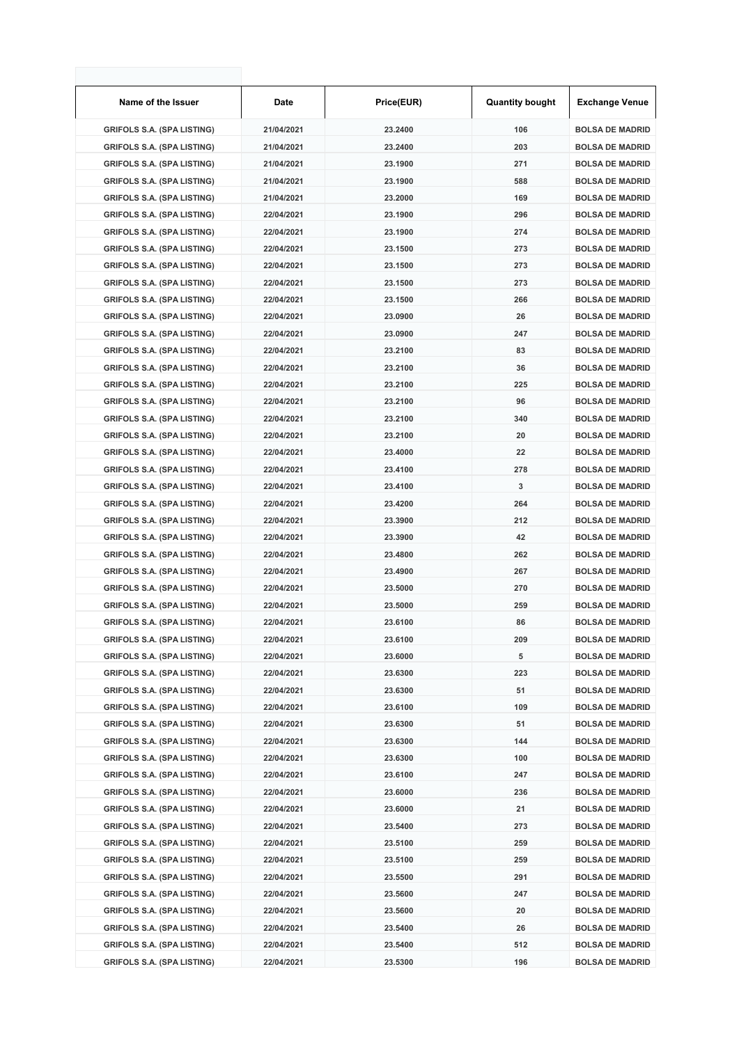| Name of the Issuer                | Date       | Price(EUR) | <b>Quantity bought</b> | <b>Exchange Venue</b>  |
|-----------------------------------|------------|------------|------------------------|------------------------|
| <b>GRIFOLS S.A. (SPA LISTING)</b> | 21/04/2021 | 23.2400    | 106                    | <b>BOLSA DE MADRID</b> |
| <b>GRIFOLS S.A. (SPA LISTING)</b> | 21/04/2021 | 23.2400    | 203                    | <b>BOLSA DE MADRID</b> |
| <b>GRIFOLS S.A. (SPA LISTING)</b> | 21/04/2021 | 23.1900    | 271                    | <b>BOLSA DE MADRID</b> |
| <b>GRIFOLS S.A. (SPA LISTING)</b> | 21/04/2021 | 23.1900    | 588                    | <b>BOLSA DE MADRID</b> |
| <b>GRIFOLS S.A. (SPA LISTING)</b> | 21/04/2021 | 23.2000    | 169                    | <b>BOLSA DE MADRID</b> |
| <b>GRIFOLS S.A. (SPA LISTING)</b> | 22/04/2021 | 23.1900    | 296                    | <b>BOLSA DE MADRID</b> |
| <b>GRIFOLS S.A. (SPA LISTING)</b> | 22/04/2021 | 23.1900    | 274                    | <b>BOLSA DE MADRID</b> |
| <b>GRIFOLS S.A. (SPA LISTING)</b> | 22/04/2021 | 23.1500    | 273                    | <b>BOLSA DE MADRID</b> |
| <b>GRIFOLS S.A. (SPA LISTING)</b> | 22/04/2021 | 23.1500    | 273                    | <b>BOLSA DE MADRID</b> |
| <b>GRIFOLS S.A. (SPA LISTING)</b> | 22/04/2021 | 23.1500    | 273                    | <b>BOLSA DE MADRID</b> |
| <b>GRIFOLS S.A. (SPA LISTING)</b> | 22/04/2021 | 23.1500    | 266                    | <b>BOLSA DE MADRID</b> |
| <b>GRIFOLS S.A. (SPA LISTING)</b> | 22/04/2021 | 23.0900    | 26                     | <b>BOLSA DE MADRID</b> |
| <b>GRIFOLS S.A. (SPA LISTING)</b> | 22/04/2021 | 23.0900    | 247                    | <b>BOLSA DE MADRID</b> |
| <b>GRIFOLS S.A. (SPA LISTING)</b> | 22/04/2021 | 23.2100    | 83                     | <b>BOLSA DE MADRID</b> |
| <b>GRIFOLS S.A. (SPA LISTING)</b> | 22/04/2021 | 23.2100    | 36                     | <b>BOLSA DE MADRID</b> |
| <b>GRIFOLS S.A. (SPA LISTING)</b> | 22/04/2021 | 23.2100    | 225                    | <b>BOLSA DE MADRID</b> |
| <b>GRIFOLS S.A. (SPA LISTING)</b> | 22/04/2021 | 23.2100    | 96                     | <b>BOLSA DE MADRID</b> |
| <b>GRIFOLS S.A. (SPA LISTING)</b> | 22/04/2021 | 23.2100    | 340                    | <b>BOLSA DE MADRID</b> |
| <b>GRIFOLS S.A. (SPA LISTING)</b> | 22/04/2021 | 23.2100    | 20                     | <b>BOLSA DE MADRID</b> |
| <b>GRIFOLS S.A. (SPA LISTING)</b> | 22/04/2021 | 23.4000    | 22                     | <b>BOLSA DE MADRID</b> |
| <b>GRIFOLS S.A. (SPA LISTING)</b> | 22/04/2021 | 23.4100    | 278                    | <b>BOLSA DE MADRID</b> |
| <b>GRIFOLS S.A. (SPA LISTING)</b> | 22/04/2021 | 23.4100    | 3                      | <b>BOLSA DE MADRID</b> |
| <b>GRIFOLS S.A. (SPA LISTING)</b> | 22/04/2021 | 23.4200    | 264                    | <b>BOLSA DE MADRID</b> |
| <b>GRIFOLS S.A. (SPA LISTING)</b> | 22/04/2021 | 23.3900    | 212                    | <b>BOLSA DE MADRID</b> |
| <b>GRIFOLS S.A. (SPA LISTING)</b> | 22/04/2021 | 23.3900    | 42                     | <b>BOLSA DE MADRID</b> |
| <b>GRIFOLS S.A. (SPA LISTING)</b> | 22/04/2021 | 23.4800    | 262                    | <b>BOLSA DE MADRID</b> |
| <b>GRIFOLS S.A. (SPA LISTING)</b> | 22/04/2021 | 23.4900    | 267                    | <b>BOLSA DE MADRID</b> |
| <b>GRIFOLS S.A. (SPA LISTING)</b> | 22/04/2021 | 23.5000    | 270                    | <b>BOLSA DE MADRID</b> |
| <b>GRIFOLS S.A. (SPA LISTING)</b> | 22/04/2021 | 23.5000    | 259                    | <b>BOLSA DE MADRID</b> |
| <b>GRIFOLS S.A. (SPA LISTING)</b> | 22/04/2021 | 23.6100    | 86                     | <b>BOLSA DE MADRID</b> |
| <b>GRIFOLS S.A. (SPA LISTING)</b> | 22/04/2021 | 23.6100    | 209                    | <b>BOLSA DE MADRID</b> |
| <b>GRIFOLS S.A. (SPA LISTING)</b> | 22/04/2021 | 23.6000    | 5                      | <b>BOLSA DE MADRID</b> |
| <b>GRIFOLS S.A. (SPA LISTING)</b> | 22/04/2021 | 23.6300    | 223                    | <b>BOLSA DE MADRID</b> |
| <b>GRIFOLS S.A. (SPA LISTING)</b> | 22/04/2021 | 23.6300    | 51                     | <b>BOLSA DE MADRID</b> |
| <b>GRIFOLS S.A. (SPA LISTING)</b> | 22/04/2021 | 23.6100    | 109                    | <b>BOLSA DE MADRID</b> |
| <b>GRIFOLS S.A. (SPA LISTING)</b> | 22/04/2021 | 23.6300    | 51                     | <b>BOLSA DE MADRID</b> |
| <b>GRIFOLS S.A. (SPA LISTING)</b> | 22/04/2021 | 23.6300    | 144                    | <b>BOLSA DE MADRID</b> |
| <b>GRIFOLS S.A. (SPA LISTING)</b> | 22/04/2021 | 23.6300    | 100                    | <b>BOLSA DE MADRID</b> |
| <b>GRIFOLS S.A. (SPA LISTING)</b> | 22/04/2021 | 23.6100    | 247                    | <b>BOLSA DE MADRID</b> |
| <b>GRIFOLS S.A. (SPA LISTING)</b> | 22/04/2021 | 23.6000    | 236                    | <b>BOLSA DE MADRID</b> |
| <b>GRIFOLS S.A. (SPA LISTING)</b> | 22/04/2021 | 23.6000    | 21                     | <b>BOLSA DE MADRID</b> |
| <b>GRIFOLS S.A. (SPA LISTING)</b> | 22/04/2021 | 23.5400    | 273                    | <b>BOLSA DE MADRID</b> |
| <b>GRIFOLS S.A. (SPA LISTING)</b> | 22/04/2021 | 23.5100    | 259                    | <b>BOLSA DE MADRID</b> |
| <b>GRIFOLS S.A. (SPA LISTING)</b> | 22/04/2021 | 23.5100    | 259                    | <b>BOLSA DE MADRID</b> |
| <b>GRIFOLS S.A. (SPA LISTING)</b> | 22/04/2021 | 23.5500    | 291                    | <b>BOLSA DE MADRID</b> |
| <b>GRIFOLS S.A. (SPA LISTING)</b> | 22/04/2021 | 23.5600    | 247                    | <b>BOLSA DE MADRID</b> |
| <b>GRIFOLS S.A. (SPA LISTING)</b> | 22/04/2021 | 23.5600    | 20                     | <b>BOLSA DE MADRID</b> |
| <b>GRIFOLS S.A. (SPA LISTING)</b> | 22/04/2021 | 23.5400    | 26                     | <b>BOLSA DE MADRID</b> |
| <b>GRIFOLS S.A. (SPA LISTING)</b> | 22/04/2021 | 23.5400    | 512                    | <b>BOLSA DE MADRID</b> |
| <b>GRIFOLS S.A. (SPA LISTING)</b> | 22/04/2021 | 23.5300    | 196                    | <b>BOLSA DE MADRID</b> |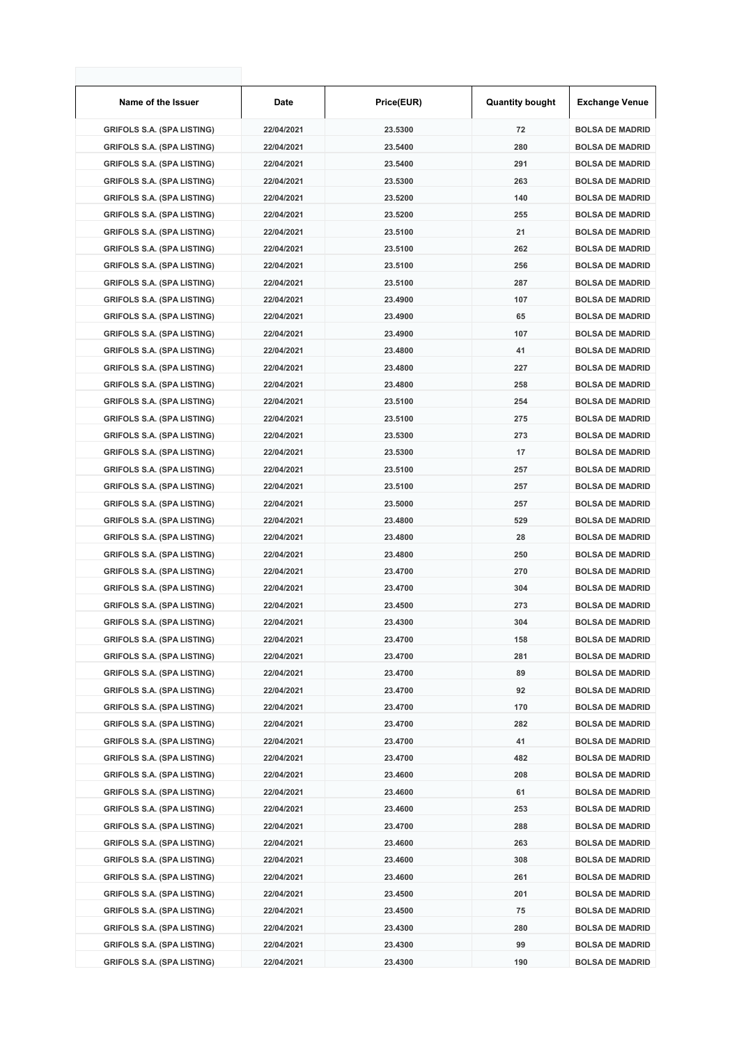| Name of the Issuer                | Date       | Price(EUR) | <b>Quantity bought</b> | <b>Exchange Venue</b>  |
|-----------------------------------|------------|------------|------------------------|------------------------|
| <b>GRIFOLS S.A. (SPA LISTING)</b> | 22/04/2021 | 23.5300    | 72                     | <b>BOLSA DE MADRID</b> |
| <b>GRIFOLS S.A. (SPA LISTING)</b> | 22/04/2021 | 23.5400    | 280                    | <b>BOLSA DE MADRID</b> |
| <b>GRIFOLS S.A. (SPA LISTING)</b> | 22/04/2021 | 23.5400    | 291                    | <b>BOLSA DE MADRID</b> |
| <b>GRIFOLS S.A. (SPA LISTING)</b> | 22/04/2021 | 23.5300    | 263                    | <b>BOLSA DE MADRID</b> |
| <b>GRIFOLS S.A. (SPA LISTING)</b> | 22/04/2021 | 23.5200    | 140                    | <b>BOLSA DE MADRID</b> |
| <b>GRIFOLS S.A. (SPA LISTING)</b> | 22/04/2021 | 23.5200    | 255                    | <b>BOLSA DE MADRID</b> |
| <b>GRIFOLS S.A. (SPA LISTING)</b> | 22/04/2021 | 23.5100    | 21                     | <b>BOLSA DE MADRID</b> |
| <b>GRIFOLS S.A. (SPA LISTING)</b> | 22/04/2021 | 23.5100    | 262                    | <b>BOLSA DE MADRID</b> |
| <b>GRIFOLS S.A. (SPA LISTING)</b> | 22/04/2021 | 23.5100    | 256                    | <b>BOLSA DE MADRID</b> |
| <b>GRIFOLS S.A. (SPA LISTING)</b> | 22/04/2021 | 23.5100    | 287                    | <b>BOLSA DE MADRID</b> |
| <b>GRIFOLS S.A. (SPA LISTING)</b> | 22/04/2021 | 23.4900    | 107                    | <b>BOLSA DE MADRID</b> |
| <b>GRIFOLS S.A. (SPA LISTING)</b> | 22/04/2021 | 23.4900    | 65                     | <b>BOLSA DE MADRID</b> |
| <b>GRIFOLS S.A. (SPA LISTING)</b> | 22/04/2021 | 23.4900    | 107                    | <b>BOLSA DE MADRID</b> |
| <b>GRIFOLS S.A. (SPA LISTING)</b> | 22/04/2021 | 23.4800    | 41                     | <b>BOLSA DE MADRID</b> |
| <b>GRIFOLS S.A. (SPA LISTING)</b> | 22/04/2021 | 23.4800    | 227                    | <b>BOLSA DE MADRID</b> |
| <b>GRIFOLS S.A. (SPA LISTING)</b> | 22/04/2021 | 23.4800    | 258                    | <b>BOLSA DE MADRID</b> |
| <b>GRIFOLS S.A. (SPA LISTING)</b> | 22/04/2021 | 23.5100    | 254                    | <b>BOLSA DE MADRID</b> |
| <b>GRIFOLS S.A. (SPA LISTING)</b> | 22/04/2021 | 23.5100    | 275                    | <b>BOLSA DE MADRID</b> |
| <b>GRIFOLS S.A. (SPA LISTING)</b> | 22/04/2021 | 23.5300    | 273                    | <b>BOLSA DE MADRID</b> |
| <b>GRIFOLS S.A. (SPA LISTING)</b> | 22/04/2021 | 23.5300    | 17                     | <b>BOLSA DE MADRID</b> |
| <b>GRIFOLS S.A. (SPA LISTING)</b> | 22/04/2021 | 23.5100    | 257                    | <b>BOLSA DE MADRID</b> |
| <b>GRIFOLS S.A. (SPA LISTING)</b> | 22/04/2021 | 23.5100    | 257                    | <b>BOLSA DE MADRID</b> |
| <b>GRIFOLS S.A. (SPA LISTING)</b> | 22/04/2021 | 23.5000    | 257                    | <b>BOLSA DE MADRID</b> |
| <b>GRIFOLS S.A. (SPA LISTING)</b> | 22/04/2021 | 23.4800    | 529                    | <b>BOLSA DE MADRID</b> |
| <b>GRIFOLS S.A. (SPA LISTING)</b> | 22/04/2021 | 23.4800    | 28                     | <b>BOLSA DE MADRID</b> |
| <b>GRIFOLS S.A. (SPA LISTING)</b> | 22/04/2021 | 23.4800    | 250                    | <b>BOLSA DE MADRID</b> |
| <b>GRIFOLS S.A. (SPA LISTING)</b> | 22/04/2021 | 23.4700    | 270                    | <b>BOLSA DE MADRID</b> |
| <b>GRIFOLS S.A. (SPA LISTING)</b> | 22/04/2021 | 23.4700    | 304                    | <b>BOLSA DE MADRID</b> |
| <b>GRIFOLS S.A. (SPA LISTING)</b> | 22/04/2021 | 23.4500    | 273                    | <b>BOLSA DE MADRID</b> |
| <b>GRIFOLS S.A. (SPA LISTING)</b> | 22/04/2021 | 23.4300    | 304                    | <b>BOLSA DE MADRID</b> |
| <b>GRIFOLS S.A. (SPA LISTING)</b> | 22/04/2021 | 23.4700    | 158                    | <b>BOLSA DE MADRID</b> |
| <b>GRIFOLS S.A. (SPA LISTING)</b> | 22/04/2021 | 23.4700    | 281                    | <b>BOLSA DE MADRID</b> |
| <b>GRIFOLS S.A. (SPA LISTING)</b> | 22/04/2021 | 23.4700    | 89                     | <b>BOLSA DE MADRID</b> |
| <b>GRIFOLS S.A. (SPA LISTING)</b> | 22/04/2021 | 23.4700    | 92                     | <b>BOLSA DE MADRID</b> |
| <b>GRIFOLS S.A. (SPA LISTING)</b> | 22/04/2021 | 23.4700    | 170                    | <b>BOLSA DE MADRID</b> |
| <b>GRIFOLS S.A. (SPA LISTING)</b> | 22/04/2021 | 23.4700    | 282                    | <b>BOLSA DE MADRID</b> |
| <b>GRIFOLS S.A. (SPA LISTING)</b> | 22/04/2021 | 23.4700    | 41                     | <b>BOLSA DE MADRID</b> |
| <b>GRIFOLS S.A. (SPA LISTING)</b> | 22/04/2021 | 23.4700    | 482                    | <b>BOLSA DE MADRID</b> |
| <b>GRIFOLS S.A. (SPA LISTING)</b> | 22/04/2021 | 23.4600    | 208                    | <b>BOLSA DE MADRID</b> |
| <b>GRIFOLS S.A. (SPA LISTING)</b> | 22/04/2021 | 23.4600    | 61                     | <b>BOLSA DE MADRID</b> |
| <b>GRIFOLS S.A. (SPA LISTING)</b> | 22/04/2021 | 23.4600    | 253                    | <b>BOLSA DE MADRID</b> |
| <b>GRIFOLS S.A. (SPA LISTING)</b> | 22/04/2021 | 23.4700    | 288                    | <b>BOLSA DE MADRID</b> |
| <b>GRIFOLS S.A. (SPA LISTING)</b> | 22/04/2021 | 23.4600    | 263                    | <b>BOLSA DE MADRID</b> |
| <b>GRIFOLS S.A. (SPA LISTING)</b> | 22/04/2021 | 23.4600    | 308                    | <b>BOLSA DE MADRID</b> |
| <b>GRIFOLS S.A. (SPA LISTING)</b> | 22/04/2021 | 23.4600    | 261                    | <b>BOLSA DE MADRID</b> |
| <b>GRIFOLS S.A. (SPA LISTING)</b> | 22/04/2021 | 23.4500    | 201                    | <b>BOLSA DE MADRID</b> |
| <b>GRIFOLS S.A. (SPA LISTING)</b> | 22/04/2021 | 23.4500    | 75                     | <b>BOLSA DE MADRID</b> |
| <b>GRIFOLS S.A. (SPA LISTING)</b> | 22/04/2021 | 23.4300    | 280                    | <b>BOLSA DE MADRID</b> |
| <b>GRIFOLS S.A. (SPA LISTING)</b> | 22/04/2021 | 23.4300    | 99                     | <b>BOLSA DE MADRID</b> |
| <b>GRIFOLS S.A. (SPA LISTING)</b> | 22/04/2021 | 23.4300    | 190                    | <b>BOLSA DE MADRID</b> |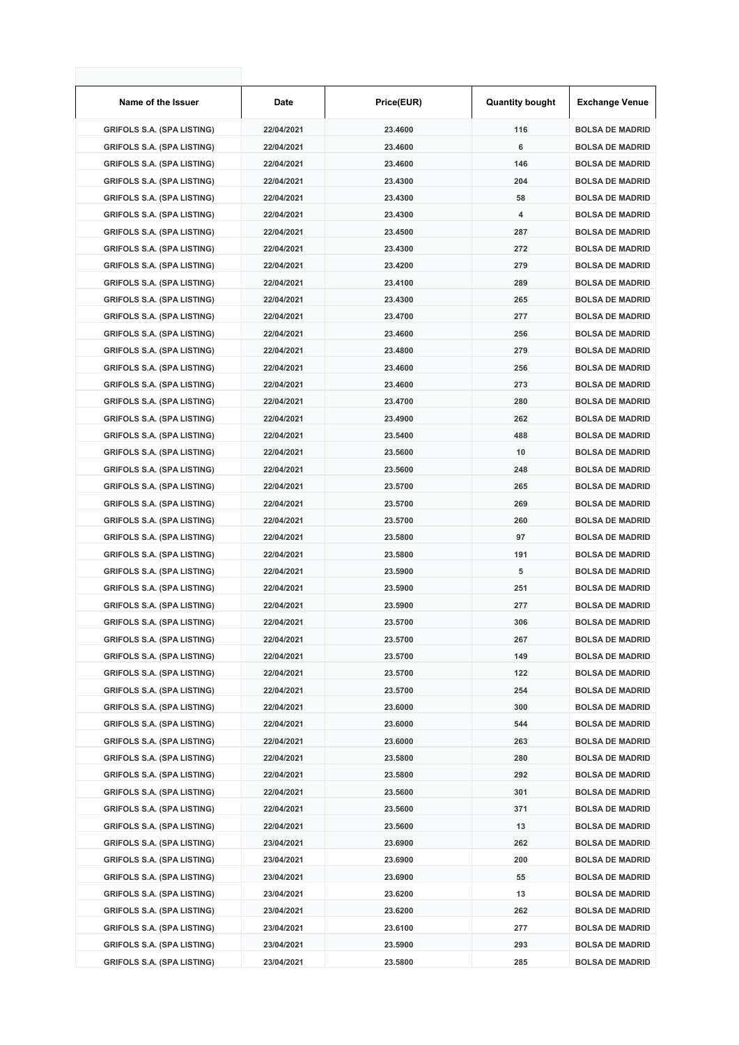| Name of the Issuer                | Date       | Price(EUR) | <b>Quantity bought</b> | <b>Exchange Venue</b>  |
|-----------------------------------|------------|------------|------------------------|------------------------|
| <b>GRIFOLS S.A. (SPA LISTING)</b> | 22/04/2021 | 23.4600    | 116                    | <b>BOLSA DE MADRID</b> |
| <b>GRIFOLS S.A. (SPA LISTING)</b> | 22/04/2021 | 23.4600    | 6                      | <b>BOLSA DE MADRID</b> |
| <b>GRIFOLS S.A. (SPA LISTING)</b> | 22/04/2021 | 23.4600    | 146                    | <b>BOLSA DE MADRID</b> |
| <b>GRIFOLS S.A. (SPA LISTING)</b> | 22/04/2021 | 23.4300    | 204                    | <b>BOLSA DE MADRID</b> |
| <b>GRIFOLS S.A. (SPA LISTING)</b> | 22/04/2021 | 23.4300    | 58                     | <b>BOLSA DE MADRID</b> |
| <b>GRIFOLS S.A. (SPA LISTING)</b> | 22/04/2021 | 23.4300    | 4                      | <b>BOLSA DE MADRID</b> |
| <b>GRIFOLS S.A. (SPA LISTING)</b> | 22/04/2021 | 23.4500    | 287                    | <b>BOLSA DE MADRID</b> |
| <b>GRIFOLS S.A. (SPA LISTING)</b> | 22/04/2021 | 23.4300    | 272                    | <b>BOLSA DE MADRID</b> |
| <b>GRIFOLS S.A. (SPA LISTING)</b> | 22/04/2021 | 23.4200    | 279                    | <b>BOLSA DE MADRID</b> |
| <b>GRIFOLS S.A. (SPA LISTING)</b> | 22/04/2021 | 23.4100    | 289                    | <b>BOLSA DE MADRID</b> |
| <b>GRIFOLS S.A. (SPA LISTING)</b> | 22/04/2021 | 23.4300    | 265                    | <b>BOLSA DE MADRID</b> |
| <b>GRIFOLS S.A. (SPA LISTING)</b> | 22/04/2021 | 23.4700    | 277                    | <b>BOLSA DE MADRID</b> |
| <b>GRIFOLS S.A. (SPA LISTING)</b> | 22/04/2021 | 23.4600    | 256                    | <b>BOLSA DE MADRID</b> |
| <b>GRIFOLS S.A. (SPA LISTING)</b> | 22/04/2021 | 23.4800    | 279                    | <b>BOLSA DE MADRID</b> |
| <b>GRIFOLS S.A. (SPA LISTING)</b> | 22/04/2021 | 23.4600    | 256                    | <b>BOLSA DE MADRID</b> |
| <b>GRIFOLS S.A. (SPA LISTING)</b> | 22/04/2021 | 23.4600    | 273                    | <b>BOLSA DE MADRID</b> |
| <b>GRIFOLS S.A. (SPA LISTING)</b> | 22/04/2021 | 23.4700    | 280                    | <b>BOLSA DE MADRID</b> |
| <b>GRIFOLS S.A. (SPA LISTING)</b> | 22/04/2021 | 23.4900    | 262                    | <b>BOLSA DE MADRID</b> |
| <b>GRIFOLS S.A. (SPA LISTING)</b> | 22/04/2021 | 23.5400    | 488                    | <b>BOLSA DE MADRID</b> |
| <b>GRIFOLS S.A. (SPA LISTING)</b> | 22/04/2021 | 23.5600    | 10                     | <b>BOLSA DE MADRID</b> |
| <b>GRIFOLS S.A. (SPA LISTING)</b> | 22/04/2021 | 23.5600    | 248                    | <b>BOLSA DE MADRID</b> |
| <b>GRIFOLS S.A. (SPA LISTING)</b> | 22/04/2021 | 23.5700    | 265                    | <b>BOLSA DE MADRID</b> |
| <b>GRIFOLS S.A. (SPA LISTING)</b> | 22/04/2021 | 23.5700    | 269                    | <b>BOLSA DE MADRID</b> |
| <b>GRIFOLS S.A. (SPA LISTING)</b> | 22/04/2021 | 23.5700    | 260                    | <b>BOLSA DE MADRID</b> |
| <b>GRIFOLS S.A. (SPA LISTING)</b> | 22/04/2021 | 23.5800    | 97                     | <b>BOLSA DE MADRID</b> |
| <b>GRIFOLS S.A. (SPA LISTING)</b> | 22/04/2021 | 23.5800    | 191                    | <b>BOLSA DE MADRID</b> |
| <b>GRIFOLS S.A. (SPA LISTING)</b> | 22/04/2021 | 23.5900    | 5                      | <b>BOLSA DE MADRID</b> |
| <b>GRIFOLS S.A. (SPA LISTING)</b> | 22/04/2021 | 23.5900    | 251                    | <b>BOLSA DE MADRID</b> |
| <b>GRIFOLS S.A. (SPA LISTING)</b> | 22/04/2021 | 23.5900    | 277                    | <b>BOLSA DE MADRID</b> |
| <b>GRIFOLS S.A. (SPA LISTING)</b> | 22/04/2021 | 23.5700    | 306                    | <b>BOLSA DE MADRID</b> |
| <b>GRIFOLS S.A. (SPA LISTING)</b> | 22/04/2021 | 23.5700    | 267                    | <b>BOLSA DE MADRID</b> |
| <b>GRIFOLS S.A. (SPA LISTING)</b> | 22/04/2021 | 23.5700    | 149                    | <b>BOLSA DE MADRID</b> |
| <b>GRIFOLS S.A. (SPA LISTING)</b> | 22/04/2021 | 23.5700    | 122                    | <b>BOLSA DE MADRID</b> |
| <b>GRIFOLS S.A. (SPA LISTING)</b> | 22/04/2021 | 23.5700    | 254                    | <b>BOLSA DE MADRID</b> |
| <b>GRIFOLS S.A. (SPA LISTING)</b> | 22/04/2021 | 23.6000    | 300                    | <b>BOLSA DE MADRID</b> |
| <b>GRIFOLS S.A. (SPA LISTING)</b> | 22/04/2021 | 23.6000    | 544                    | <b>BOLSA DE MADRID</b> |
| <b>GRIFOLS S.A. (SPA LISTING)</b> | 22/04/2021 | 23.6000    | 263                    | <b>BOLSA DE MADRID</b> |
| <b>GRIFOLS S.A. (SPA LISTING)</b> | 22/04/2021 | 23.5800    | 280                    | <b>BOLSA DE MADRID</b> |
| <b>GRIFOLS S.A. (SPA LISTING)</b> | 22/04/2021 | 23.5800    | 292                    | <b>BOLSA DE MADRID</b> |
| <b>GRIFOLS S.A. (SPA LISTING)</b> | 22/04/2021 | 23.5600    | 301                    | <b>BOLSA DE MADRID</b> |
| <b>GRIFOLS S.A. (SPA LISTING)</b> | 22/04/2021 | 23.5600    | 371                    | <b>BOLSA DE MADRID</b> |
| <b>GRIFOLS S.A. (SPA LISTING)</b> | 22/04/2021 | 23.5600    | 13                     | <b>BOLSA DE MADRID</b> |
| <b>GRIFOLS S.A. (SPA LISTING)</b> | 23/04/2021 | 23.6900    | 262                    | <b>BOLSA DE MADRID</b> |
| <b>GRIFOLS S.A. (SPA LISTING)</b> | 23/04/2021 | 23.6900    | 200                    | <b>BOLSA DE MADRID</b> |
| <b>GRIFOLS S.A. (SPA LISTING)</b> | 23/04/2021 | 23.6900    | 55                     | <b>BOLSA DE MADRID</b> |
| <b>GRIFOLS S.A. (SPA LISTING)</b> | 23/04/2021 | 23.6200    | 13                     | <b>BOLSA DE MADRID</b> |
| <b>GRIFOLS S.A. (SPA LISTING)</b> | 23/04/2021 | 23.6200    | 262                    | <b>BOLSA DE MADRID</b> |
| <b>GRIFOLS S.A. (SPA LISTING)</b> | 23/04/2021 | 23.6100    | 277                    | <b>BOLSA DE MADRID</b> |
| <b>GRIFOLS S.A. (SPA LISTING)</b> | 23/04/2021 | 23.5900    | 293                    | <b>BOLSA DE MADRID</b> |
| <b>GRIFOLS S.A. (SPA LISTING)</b> | 23/04/2021 | 23.5800    | 285                    | <b>BOLSA DE MADRID</b> |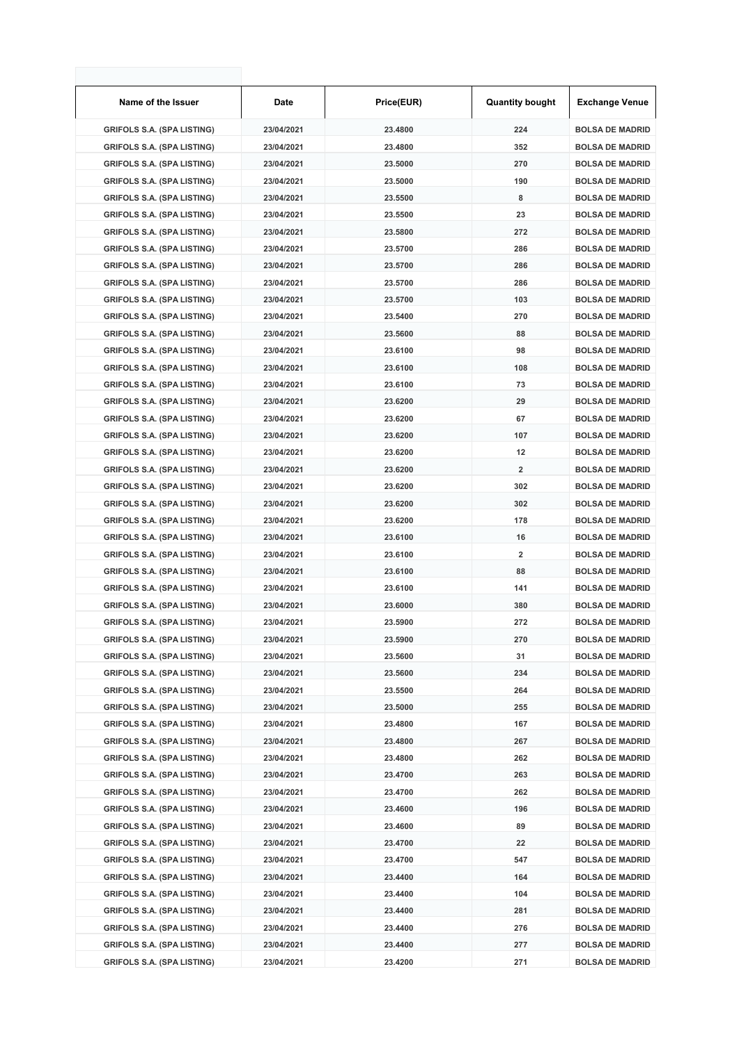| Name of the Issuer                                                     | Date                     | Price(EUR)         | <b>Quantity bought</b>  | <b>Exchange Venue</b>                            |
|------------------------------------------------------------------------|--------------------------|--------------------|-------------------------|--------------------------------------------------|
| <b>GRIFOLS S.A. (SPA LISTING)</b>                                      | 23/04/2021               | 23.4800            | 224                     | <b>BOLSA DE MADRID</b>                           |
| <b>GRIFOLS S.A. (SPA LISTING)</b>                                      | 23/04/2021               | 23.4800            | 352                     | <b>BOLSA DE MADRID</b>                           |
| <b>GRIFOLS S.A. (SPA LISTING)</b>                                      | 23/04/2021               | 23.5000            | 270                     | <b>BOLSA DE MADRID</b>                           |
| <b>GRIFOLS S.A. (SPA LISTING)</b>                                      | 23/04/2021               | 23.5000            | 190                     | <b>BOLSA DE MADRID</b>                           |
| <b>GRIFOLS S.A. (SPA LISTING)</b>                                      | 23/04/2021               | 23.5500            | 8                       | <b>BOLSA DE MADRID</b>                           |
| <b>GRIFOLS S.A. (SPA LISTING)</b>                                      | 23/04/2021               | 23.5500            | 23                      | <b>BOLSA DE MADRID</b>                           |
| <b>GRIFOLS S.A. (SPA LISTING)</b>                                      | 23/04/2021               | 23.5800            | 272                     | <b>BOLSA DE MADRID</b>                           |
| <b>GRIFOLS S.A. (SPA LISTING)</b>                                      | 23/04/2021               | 23.5700            | 286                     | <b>BOLSA DE MADRID</b>                           |
| <b>GRIFOLS S.A. (SPA LISTING)</b>                                      | 23/04/2021               | 23.5700            | 286                     | <b>BOLSA DE MADRID</b>                           |
| <b>GRIFOLS S.A. (SPA LISTING)</b>                                      | 23/04/2021               | 23.5700            | 286                     | <b>BOLSA DE MADRID</b>                           |
| <b>GRIFOLS S.A. (SPA LISTING)</b>                                      | 23/04/2021               | 23.5700            | 103                     | <b>BOLSA DE MADRID</b>                           |
| <b>GRIFOLS S.A. (SPA LISTING)</b>                                      | 23/04/2021               | 23.5400            | 270                     | <b>BOLSA DE MADRID</b>                           |
| <b>GRIFOLS S.A. (SPA LISTING)</b>                                      | 23/04/2021               | 23.5600            | 88                      | <b>BOLSA DE MADRID</b>                           |
| <b>GRIFOLS S.A. (SPA LISTING)</b>                                      | 23/04/2021               | 23.6100            | 98                      | <b>BOLSA DE MADRID</b>                           |
| <b>GRIFOLS S.A. (SPA LISTING)</b>                                      | 23/04/2021               | 23.6100            | 108                     | <b>BOLSA DE MADRID</b>                           |
| <b>GRIFOLS S.A. (SPA LISTING)</b>                                      | 23/04/2021               | 23.6100            | 73                      | <b>BOLSA DE MADRID</b>                           |
| <b>GRIFOLS S.A. (SPA LISTING)</b>                                      | 23/04/2021               | 23.6200            | 29                      | <b>BOLSA DE MADRID</b>                           |
| <b>GRIFOLS S.A. (SPA LISTING)</b>                                      | 23/04/2021               | 23.6200            | 67                      | <b>BOLSA DE MADRID</b>                           |
| <b>GRIFOLS S.A. (SPA LISTING)</b>                                      | 23/04/2021               | 23.6200            | 107                     | <b>BOLSA DE MADRID</b>                           |
| <b>GRIFOLS S.A. (SPA LISTING)</b>                                      | 23/04/2021               | 23.6200            | 12                      | <b>BOLSA DE MADRID</b>                           |
| <b>GRIFOLS S.A. (SPA LISTING)</b>                                      | 23/04/2021               | 23.6200            | $\overline{\mathbf{2}}$ | <b>BOLSA DE MADRID</b>                           |
| <b>GRIFOLS S.A. (SPA LISTING)</b>                                      | 23/04/2021               | 23.6200            | 302                     | <b>BOLSA DE MADRID</b>                           |
| <b>GRIFOLS S.A. (SPA LISTING)</b>                                      | 23/04/2021               | 23.6200            | 302                     | <b>BOLSA DE MADRID</b>                           |
| <b>GRIFOLS S.A. (SPA LISTING)</b>                                      | 23/04/2021               | 23.6200            | 178                     | <b>BOLSA DE MADRID</b>                           |
| <b>GRIFOLS S.A. (SPA LISTING)</b>                                      | 23/04/2021               | 23.6100            | 16                      | <b>BOLSA DE MADRID</b>                           |
| <b>GRIFOLS S.A. (SPA LISTING)</b>                                      | 23/04/2021               | 23.6100            | 2                       | <b>BOLSA DE MADRID</b>                           |
| <b>GRIFOLS S.A. (SPA LISTING)</b>                                      | 23/04/2021               | 23.6100            | 88                      | <b>BOLSA DE MADRID</b>                           |
| <b>GRIFOLS S.A. (SPA LISTING)</b>                                      | 23/04/2021               | 23.6100            | 141                     | <b>BOLSA DE MADRID</b>                           |
| <b>GRIFOLS S.A. (SPA LISTING)</b>                                      | 23/04/2021               | 23.6000            | 380                     | <b>BOLSA DE MADRID</b>                           |
| <b>GRIFOLS S.A. (SPA LISTING)</b>                                      | 23/04/2021               | 23.5900            | 272                     | <b>BOLSA DE MADRID</b>                           |
| <b>GRIFOLS S.A. (SPA LISTING)</b>                                      | 23/04/2021               | 23.5900            | 270                     | <b>BOLSA DE MADRID</b>                           |
| <b>GRIFOLS S.A. (SPA LISTING)</b>                                      | 23/04/2021               | 23.5600            | 31                      | <b>BOLSA DE MADRID</b>                           |
| <b>GRIFOLS S.A. (SPA LISTING)</b>                                      | 23/04/2021               | 23.5600            | 234                     | <b>BOLSA DE MADRID</b>                           |
| <b>GRIFOLS S.A. (SPA LISTING)</b>                                      | 23/04/2021               | 23.5500            | 264                     | <b>BOLSA DE MADRID</b>                           |
| <b>GRIFOLS S.A. (SPA LISTING)</b>                                      | 23/04/2021               | 23.5000            | 255                     | <b>BOLSA DE MADRID</b>                           |
| <b>GRIFOLS S.A. (SPA LISTING)</b>                                      | 23/04/2021               | 23.4800            | 167                     | <b>BOLSA DE MADRID</b>                           |
| <b>GRIFOLS S.A. (SPA LISTING)</b>                                      | 23/04/2021               | 23.4800            | 267                     | <b>BOLSA DE MADRID</b>                           |
| <b>GRIFOLS S.A. (SPA LISTING)</b>                                      | 23/04/2021               | 23.4800            | 262                     | <b>BOLSA DE MADRID</b>                           |
| <b>GRIFOLS S.A. (SPA LISTING)</b>                                      | 23/04/2021               | 23.4700            | 263                     |                                                  |
|                                                                        | 23/04/2021               |                    |                         | <b>BOLSA DE MADRID</b>                           |
| <b>GRIFOLS S.A. (SPA LISTING)</b>                                      |                          | 23.4700            | 262<br>196              | <b>BOLSA DE MADRID</b><br><b>BOLSA DE MADRID</b> |
| <b>GRIFOLS S.A. (SPA LISTING)</b>                                      | 23/04/2021               | 23.4600            |                         |                                                  |
| <b>GRIFOLS S.A. (SPA LISTING)</b>                                      | 23/04/2021               | 23.4600            | 89                      | <b>BOLSA DE MADRID</b>                           |
| <b>GRIFOLS S.A. (SPA LISTING)</b>                                      | 23/04/2021               | 23.4700            | 22                      | <b>BOLSA DE MADRID</b>                           |
| <b>GRIFOLS S.A. (SPA LISTING)</b>                                      | 23/04/2021               | 23.4700            | 547                     | <b>BOLSA DE MADRID</b>                           |
| <b>GRIFOLS S.A. (SPA LISTING)</b>                                      | 23/04/2021               | 23.4400            | 164                     | <b>BOLSA DE MADRID</b>                           |
| <b>GRIFOLS S.A. (SPA LISTING)</b>                                      | 23/04/2021               | 23.4400            | 104                     | <b>BOLSA DE MADRID</b>                           |
| <b>GRIFOLS S.A. (SPA LISTING)</b><br><b>GRIFOLS S.A. (SPA LISTING)</b> | 23/04/2021<br>23/04/2021 | 23.4400<br>23.4400 | 281<br>276              | <b>BOLSA DE MADRID</b><br><b>BOLSA DE MADRID</b> |
| <b>GRIFOLS S.A. (SPA LISTING)</b>                                      | 23/04/2021               | 23.4400            | 277                     | <b>BOLSA DE MADRID</b>                           |
| <b>GRIFOLS S.A. (SPA LISTING)</b>                                      | 23/04/2021               | 23.4200            | 271                     | <b>BOLSA DE MADRID</b>                           |
|                                                                        |                          |                    |                         |                                                  |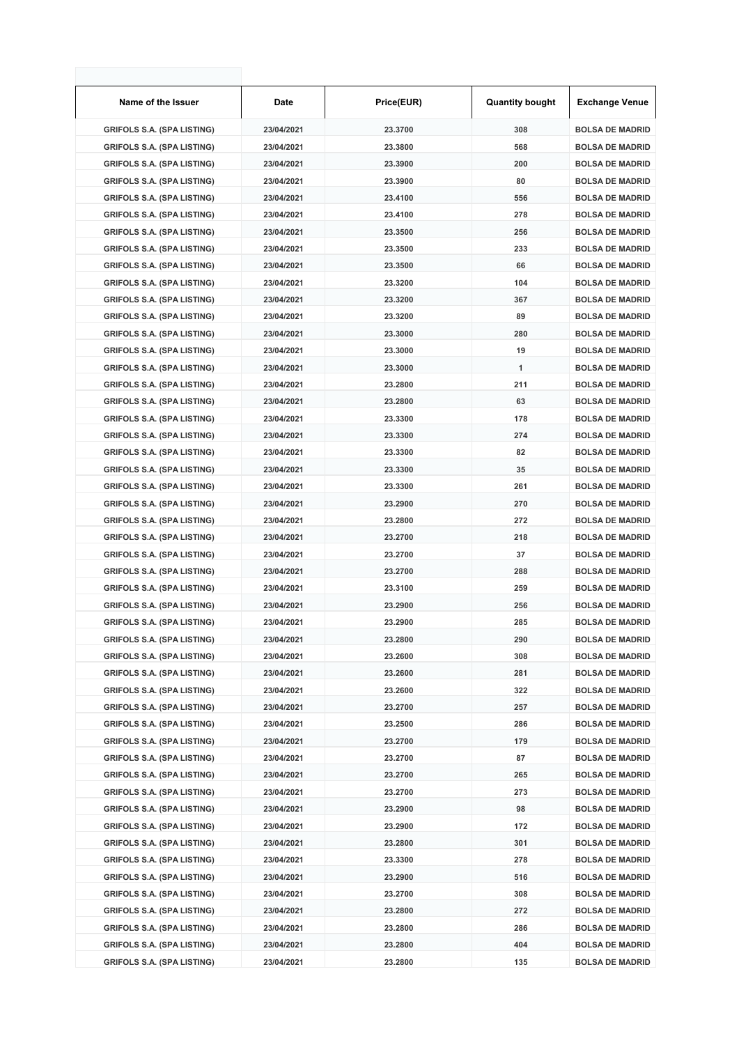| Name of the Issuer                | <b>Date</b> | Price(EUR) | <b>Quantity bought</b> | Exchange Venue         |
|-----------------------------------|-------------|------------|------------------------|------------------------|
| <b>GRIFOLS S.A. (SPA LISTING)</b> | 23/04/2021  | 23.3700    | 308                    | <b>BOLSA DE MADRID</b> |
| <b>GRIFOLS S.A. (SPA LISTING)</b> | 23/04/2021  | 23.3800    | 568                    | <b>BOLSA DE MADRID</b> |
| <b>GRIFOLS S.A. (SPA LISTING)</b> | 23/04/2021  | 23.3900    | 200                    | <b>BOLSA DE MADRID</b> |
| <b>GRIFOLS S.A. (SPA LISTING)</b> | 23/04/2021  | 23.3900    | 80                     | <b>BOLSA DE MADRID</b> |
| <b>GRIFOLS S.A. (SPA LISTING)</b> | 23/04/2021  | 23.4100    | 556                    | <b>BOLSA DE MADRID</b> |
| <b>GRIFOLS S.A. (SPA LISTING)</b> | 23/04/2021  | 23.4100    | 278                    | <b>BOLSA DE MADRID</b> |
| <b>GRIFOLS S.A. (SPA LISTING)</b> | 23/04/2021  | 23.3500    | 256                    | <b>BOLSA DE MADRID</b> |
| <b>GRIFOLS S.A. (SPA LISTING)</b> | 23/04/2021  | 23.3500    | 233                    | <b>BOLSA DE MADRID</b> |
| <b>GRIFOLS S.A. (SPA LISTING)</b> | 23/04/2021  | 23.3500    | 66                     | <b>BOLSA DE MADRID</b> |
| <b>GRIFOLS S.A. (SPA LISTING)</b> | 23/04/2021  | 23.3200    | 104                    | <b>BOLSA DE MADRID</b> |
| <b>GRIFOLS S.A. (SPA LISTING)</b> | 23/04/2021  | 23.3200    | 367                    | <b>BOLSA DE MADRID</b> |
| <b>GRIFOLS S.A. (SPA LISTING)</b> | 23/04/2021  | 23.3200    | 89                     | <b>BOLSA DE MADRID</b> |
| <b>GRIFOLS S.A. (SPA LISTING)</b> | 23/04/2021  | 23.3000    | 280                    | <b>BOLSA DE MADRID</b> |
| <b>GRIFOLS S.A. (SPA LISTING)</b> | 23/04/2021  | 23.3000    | 19                     | <b>BOLSA DE MADRID</b> |
| <b>GRIFOLS S.A. (SPA LISTING)</b> | 23/04/2021  | 23.3000    | 1                      | <b>BOLSA DE MADRID</b> |
| <b>GRIFOLS S.A. (SPA LISTING)</b> | 23/04/2021  | 23.2800    | 211                    | <b>BOLSA DE MADRID</b> |
| <b>GRIFOLS S.A. (SPA LISTING)</b> | 23/04/2021  | 23.2800    | 63                     | <b>BOLSA DE MADRID</b> |
| <b>GRIFOLS S.A. (SPA LISTING)</b> | 23/04/2021  | 23.3300    | 178                    | <b>BOLSA DE MADRID</b> |
| <b>GRIFOLS S.A. (SPA LISTING)</b> | 23/04/2021  | 23.3300    | 274                    | <b>BOLSA DE MADRID</b> |
| <b>GRIFOLS S.A. (SPA LISTING)</b> | 23/04/2021  | 23.3300    | 82                     | <b>BOLSA DE MADRID</b> |
| <b>GRIFOLS S.A. (SPA LISTING)</b> | 23/04/2021  | 23.3300    | 35                     | <b>BOLSA DE MADRID</b> |
| <b>GRIFOLS S.A. (SPA LISTING)</b> | 23/04/2021  | 23.3300    | 261                    | <b>BOLSA DE MADRID</b> |
| <b>GRIFOLS S.A. (SPA LISTING)</b> | 23/04/2021  | 23.2900    | 270                    | <b>BOLSA DE MADRID</b> |
| <b>GRIFOLS S.A. (SPA LISTING)</b> | 23/04/2021  | 23.2800    | 272                    | <b>BOLSA DE MADRID</b> |
| <b>GRIFOLS S.A. (SPA LISTING)</b> | 23/04/2021  | 23.2700    | 218                    | <b>BOLSA DE MADRID</b> |
| <b>GRIFOLS S.A. (SPA LISTING)</b> | 23/04/2021  | 23.2700    | 37                     | <b>BOLSA DE MADRID</b> |
| <b>GRIFOLS S.A. (SPA LISTING)</b> | 23/04/2021  | 23.2700    | 288                    | <b>BOLSA DE MADRID</b> |
| <b>GRIFOLS S.A. (SPA LISTING)</b> | 23/04/2021  | 23.3100    | 259                    | <b>BOLSA DE MADRID</b> |
| <b>GRIFOLS S.A. (SPA LISTING)</b> | 23/04/2021  | 23.2900    | 256                    | <b>BOLSA DE MADRID</b> |
| <b>GRIFOLS S.A. (SPA LISTING)</b> | 23/04/2021  | 23.2900    | 285                    | <b>BOLSA DE MADRID</b> |
| <b>GRIFOLS S.A. (SPA LISTING)</b> | 23/04/2021  | 23.2800    | 290                    | <b>BOLSA DE MADRID</b> |
| <b>GRIFOLS S.A. (SPA LISTING)</b> | 23/04/2021  | 23.2600    | 308                    | <b>BOLSA DE MADRID</b> |
| <b>GRIFOLS S.A. (SPA LISTING)</b> | 23/04/2021  | 23.2600    | 281                    | <b>BOLSA DE MADRID</b> |
| <b>GRIFOLS S.A. (SPA LISTING)</b> | 23/04/2021  | 23.2600    | 322                    | <b>BOLSA DE MADRID</b> |
| <b>GRIFOLS S.A. (SPA LISTING)</b> | 23/04/2021  | 23.2700    | 257                    | <b>BOLSA DE MADRID</b> |
| <b>GRIFOLS S.A. (SPA LISTING)</b> | 23/04/2021  | 23.2500    | 286                    | <b>BOLSA DE MADRID</b> |
| <b>GRIFOLS S.A. (SPA LISTING)</b> | 23/04/2021  | 23.2700    | 179                    | <b>BOLSA DE MADRID</b> |
| <b>GRIFOLS S.A. (SPA LISTING)</b> | 23/04/2021  | 23.2700    | 87                     | <b>BOLSA DE MADRID</b> |
| <b>GRIFOLS S.A. (SPA LISTING)</b> | 23/04/2021  | 23.2700    | 265                    | <b>BOLSA DE MADRID</b> |
| <b>GRIFOLS S.A. (SPA LISTING)</b> | 23/04/2021  | 23.2700    | 273                    | <b>BOLSA DE MADRID</b> |
| <b>GRIFOLS S.A. (SPA LISTING)</b> | 23/04/2021  | 23.2900    | 98                     | <b>BOLSA DE MADRID</b> |
| <b>GRIFOLS S.A. (SPA LISTING)</b> | 23/04/2021  | 23.2900    | 172                    | <b>BOLSA DE MADRID</b> |
| <b>GRIFOLS S.A. (SPA LISTING)</b> | 23/04/2021  | 23.2800    | 301                    | <b>BOLSA DE MADRID</b> |
| <b>GRIFOLS S.A. (SPA LISTING)</b> | 23/04/2021  | 23.3300    | 278                    | <b>BOLSA DE MADRID</b> |
| <b>GRIFOLS S.A. (SPA LISTING)</b> | 23/04/2021  | 23.2900    | 516                    | <b>BOLSA DE MADRID</b> |
| <b>GRIFOLS S.A. (SPA LISTING)</b> | 23/04/2021  | 23.2700    | 308                    | <b>BOLSA DE MADRID</b> |
| <b>GRIFOLS S.A. (SPA LISTING)</b> | 23/04/2021  | 23.2800    | 272                    | <b>BOLSA DE MADRID</b> |
| <b>GRIFOLS S.A. (SPA LISTING)</b> | 23/04/2021  | 23.2800    | 286                    | <b>BOLSA DE MADRID</b> |
| <b>GRIFOLS S.A. (SPA LISTING)</b> | 23/04/2021  | 23.2800    | 404                    | <b>BOLSA DE MADRID</b> |
| <b>GRIFOLS S.A. (SPA LISTING)</b> | 23/04/2021  | 23.2800    | 135                    | <b>BOLSA DE MADRID</b> |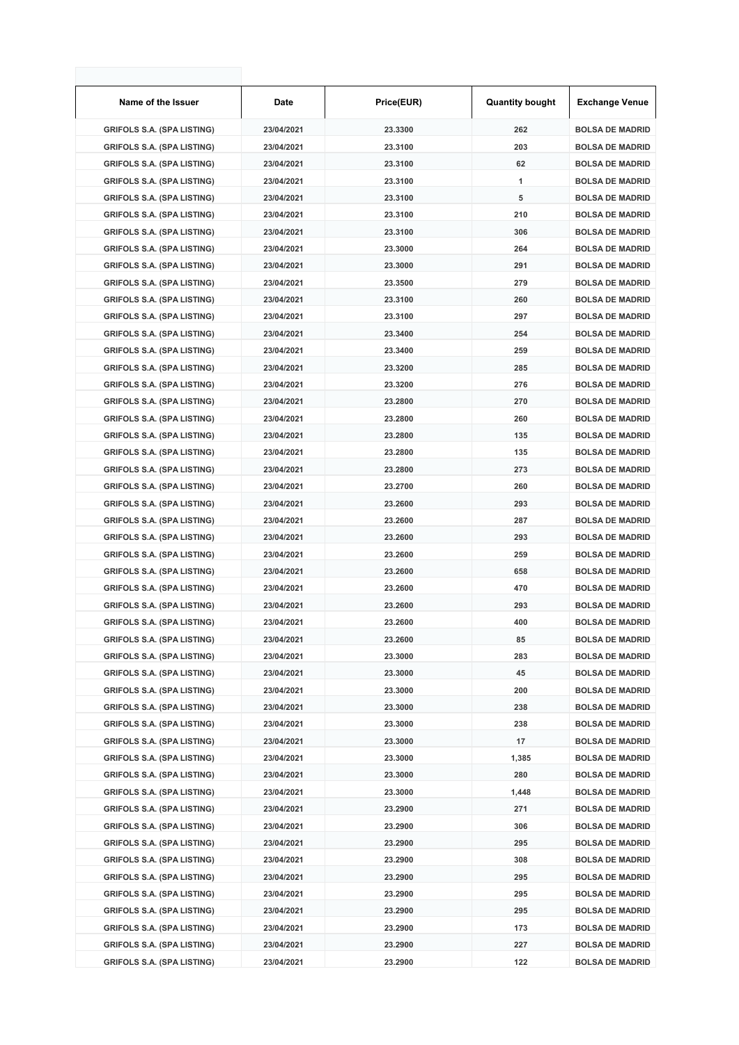| Name of the Issuer                | Date       | Price(EUR) | <b>Quantity bought</b> | <b>Exchange Venue</b>  |
|-----------------------------------|------------|------------|------------------------|------------------------|
| <b>GRIFOLS S.A. (SPA LISTING)</b> | 23/04/2021 | 23.3300    | 262                    | <b>BOLSA DE MADRID</b> |
| <b>GRIFOLS S.A. (SPA LISTING)</b> | 23/04/2021 | 23.3100    | 203                    | <b>BOLSA DE MADRID</b> |
| <b>GRIFOLS S.A. (SPA LISTING)</b> | 23/04/2021 | 23.3100    | 62                     | <b>BOLSA DE MADRID</b> |
| <b>GRIFOLS S.A. (SPA LISTING)</b> | 23/04/2021 | 23.3100    | 1                      | <b>BOLSA DE MADRID</b> |
| <b>GRIFOLS S.A. (SPA LISTING)</b> | 23/04/2021 | 23.3100    | 5                      | <b>BOLSA DE MADRID</b> |
| <b>GRIFOLS S.A. (SPA LISTING)</b> | 23/04/2021 | 23.3100    | 210                    | <b>BOLSA DE MADRID</b> |
| <b>GRIFOLS S.A. (SPA LISTING)</b> | 23/04/2021 | 23.3100    | 306                    | <b>BOLSA DE MADRID</b> |
| <b>GRIFOLS S.A. (SPA LISTING)</b> | 23/04/2021 | 23.3000    | 264                    | <b>BOLSA DE MADRID</b> |
| <b>GRIFOLS S.A. (SPA LISTING)</b> | 23/04/2021 | 23.3000    | 291                    | <b>BOLSA DE MADRID</b> |
| <b>GRIFOLS S.A. (SPA LISTING)</b> | 23/04/2021 | 23.3500    | 279                    | <b>BOLSA DE MADRID</b> |
| <b>GRIFOLS S.A. (SPA LISTING)</b> | 23/04/2021 | 23.3100    | 260                    | <b>BOLSA DE MADRID</b> |
| <b>GRIFOLS S.A. (SPA LISTING)</b> | 23/04/2021 | 23.3100    | 297                    | <b>BOLSA DE MADRID</b> |
| <b>GRIFOLS S.A. (SPA LISTING)</b> | 23/04/2021 | 23.3400    | 254                    | <b>BOLSA DE MADRID</b> |
| <b>GRIFOLS S.A. (SPA LISTING)</b> | 23/04/2021 | 23.3400    | 259                    | <b>BOLSA DE MADRID</b> |
| <b>GRIFOLS S.A. (SPA LISTING)</b> | 23/04/2021 | 23.3200    | 285                    | <b>BOLSA DE MADRID</b> |
| <b>GRIFOLS S.A. (SPA LISTING)</b> | 23/04/2021 | 23.3200    | 276                    | <b>BOLSA DE MADRID</b> |
| <b>GRIFOLS S.A. (SPA LISTING)</b> | 23/04/2021 | 23.2800    | 270                    | <b>BOLSA DE MADRID</b> |
| <b>GRIFOLS S.A. (SPA LISTING)</b> | 23/04/2021 | 23.2800    | 260                    | <b>BOLSA DE MADRID</b> |
| <b>GRIFOLS S.A. (SPA LISTING)</b> | 23/04/2021 | 23.2800    | 135                    | <b>BOLSA DE MADRID</b> |
| <b>GRIFOLS S.A. (SPA LISTING)</b> | 23/04/2021 | 23.2800    | 135                    | <b>BOLSA DE MADRID</b> |
| <b>GRIFOLS S.A. (SPA LISTING)</b> | 23/04/2021 | 23.2800    | 273                    | <b>BOLSA DE MADRID</b> |
| <b>GRIFOLS S.A. (SPA LISTING)</b> | 23/04/2021 | 23.2700    | 260                    | <b>BOLSA DE MADRID</b> |
| <b>GRIFOLS S.A. (SPA LISTING)</b> | 23/04/2021 | 23.2600    | 293                    | <b>BOLSA DE MADRID</b> |
| <b>GRIFOLS S.A. (SPA LISTING)</b> | 23/04/2021 | 23.2600    | 287                    | <b>BOLSA DE MADRID</b> |
| <b>GRIFOLS S.A. (SPA LISTING)</b> | 23/04/2021 | 23.2600    | 293                    | <b>BOLSA DE MADRID</b> |
| <b>GRIFOLS S.A. (SPA LISTING)</b> | 23/04/2021 | 23.2600    | 259                    | <b>BOLSA DE MADRID</b> |
| <b>GRIFOLS S.A. (SPA LISTING)</b> | 23/04/2021 | 23.2600    | 658                    | <b>BOLSA DE MADRID</b> |
| <b>GRIFOLS S.A. (SPA LISTING)</b> | 23/04/2021 | 23.2600    | 470                    | <b>BOLSA DE MADRID</b> |
| <b>GRIFOLS S.A. (SPA LISTING)</b> | 23/04/2021 | 23.2600    | 293                    | <b>BOLSA DE MADRID</b> |
| <b>GRIFOLS S.A. (SPA LISTING)</b> | 23/04/2021 | 23.2600    | 400                    | <b>BOLSA DE MADRID</b> |
| <b>GRIFOLS S.A. (SPA LISTING)</b> | 23/04/2021 | 23.2600    | 85                     | <b>BOLSA DE MADRID</b> |
| <b>GRIFOLS S.A. (SPA LISTING)</b> | 23/04/2021 | 23.3000    | 283                    | <b>BOLSA DE MADRID</b> |
| <b>GRIFOLS S.A. (SPA LISTING)</b> | 23/04/2021 | 23.3000    | 45                     | <b>BOLSA DE MADRID</b> |
| <b>GRIFOLS S.A. (SPA LISTING)</b> | 23/04/2021 | 23.3000    | 200                    | <b>BOLSA DE MADRID</b> |
| <b>GRIFOLS S.A. (SPA LISTING)</b> | 23/04/2021 | 23.3000    | 238                    | <b>BOLSA DE MADRID</b> |
| <b>GRIFOLS S.A. (SPA LISTING)</b> | 23/04/2021 | 23.3000    | 238                    | <b>BOLSA DE MADRID</b> |
| <b>GRIFOLS S.A. (SPA LISTING)</b> | 23/04/2021 | 23.3000    | 17                     | <b>BOLSA DE MADRID</b> |
| <b>GRIFOLS S.A. (SPA LISTING)</b> | 23/04/2021 | 23.3000    | 1,385                  | <b>BOLSA DE MADRID</b> |
| <b>GRIFOLS S.A. (SPA LISTING)</b> | 23/04/2021 | 23.3000    | 280                    | <b>BOLSA DE MADRID</b> |
| <b>GRIFOLS S.A. (SPA LISTING)</b> | 23/04/2021 | 23.3000    | 1,448                  | <b>BOLSA DE MADRID</b> |
| <b>GRIFOLS S.A. (SPA LISTING)</b> | 23/04/2021 | 23.2900    | 271                    | <b>BOLSA DE MADRID</b> |
| <b>GRIFOLS S.A. (SPA LISTING)</b> | 23/04/2021 | 23.2900    | 306                    | <b>BOLSA DE MADRID</b> |
| <b>GRIFOLS S.A. (SPA LISTING)</b> | 23/04/2021 | 23.2900    | 295                    | <b>BOLSA DE MADRID</b> |
| <b>GRIFOLS S.A. (SPA LISTING)</b> | 23/04/2021 | 23.2900    | 308                    | <b>BOLSA DE MADRID</b> |
| <b>GRIFOLS S.A. (SPA LISTING)</b> | 23/04/2021 | 23.2900    | 295                    | <b>BOLSA DE MADRID</b> |
| <b>GRIFOLS S.A. (SPA LISTING)</b> | 23/04/2021 | 23.2900    | 295                    | <b>BOLSA DE MADRID</b> |
| <b>GRIFOLS S.A. (SPA LISTING)</b> | 23/04/2021 | 23.2900    | 295                    | <b>BOLSA DE MADRID</b> |
| <b>GRIFOLS S.A. (SPA LISTING)</b> | 23/04/2021 | 23.2900    | 173                    | <b>BOLSA DE MADRID</b> |
| <b>GRIFOLS S.A. (SPA LISTING)</b> | 23/04/2021 | 23.2900    | 227                    | <b>BOLSA DE MADRID</b> |
| <b>GRIFOLS S.A. (SPA LISTING)</b> | 23/04/2021 | 23.2900    | 122                    | <b>BOLSA DE MADRID</b> |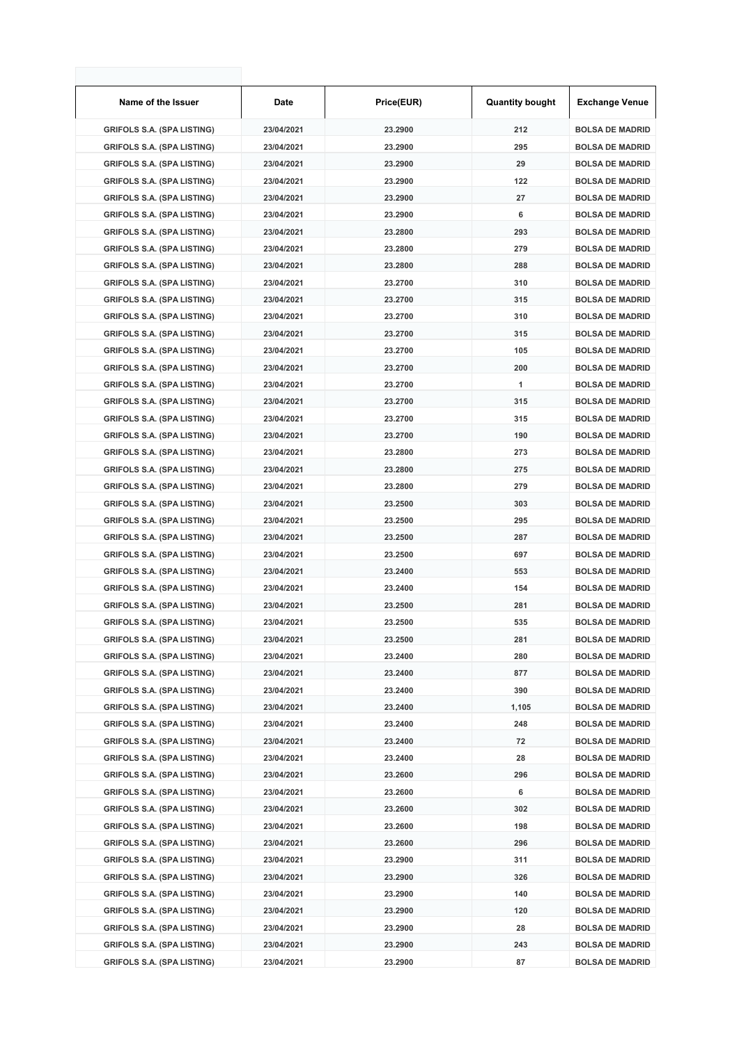| Name of the Issuer                | <b>Date</b> | Price(EUR) | <b>Quantity bought</b> | <b>Exchange Venue</b>  |
|-----------------------------------|-------------|------------|------------------------|------------------------|
| <b>GRIFOLS S.A. (SPA LISTING)</b> | 23/04/2021  | 23.2900    | 212                    | <b>BOLSA DE MADRID</b> |
| <b>GRIFOLS S.A. (SPA LISTING)</b> | 23/04/2021  | 23.2900    | 295                    | <b>BOLSA DE MADRID</b> |
| <b>GRIFOLS S.A. (SPA LISTING)</b> | 23/04/2021  | 23.2900    | 29                     | <b>BOLSA DE MADRID</b> |
| <b>GRIFOLS S.A. (SPA LISTING)</b> | 23/04/2021  | 23.2900    | 122                    | <b>BOLSA DE MADRID</b> |
| <b>GRIFOLS S.A. (SPA LISTING)</b> | 23/04/2021  | 23.2900    | 27                     | <b>BOLSA DE MADRID</b> |
| <b>GRIFOLS S.A. (SPA LISTING)</b> | 23/04/2021  | 23.2900    | 6                      | <b>BOLSA DE MADRID</b> |
| <b>GRIFOLS S.A. (SPA LISTING)</b> | 23/04/2021  | 23.2800    | 293                    | <b>BOLSA DE MADRID</b> |
| <b>GRIFOLS S.A. (SPA LISTING)</b> | 23/04/2021  | 23.2800    | 279                    | <b>BOLSA DE MADRID</b> |
| <b>GRIFOLS S.A. (SPA LISTING)</b> | 23/04/2021  | 23.2800    | 288                    | <b>BOLSA DE MADRID</b> |
| <b>GRIFOLS S.A. (SPA LISTING)</b> | 23/04/2021  | 23.2700    | 310                    | <b>BOLSA DE MADRID</b> |
| <b>GRIFOLS S.A. (SPA LISTING)</b> | 23/04/2021  | 23.2700    | 315                    | <b>BOLSA DE MADRID</b> |
| <b>GRIFOLS S.A. (SPA LISTING)</b> | 23/04/2021  | 23.2700    | 310                    | <b>BOLSA DE MADRID</b> |
| <b>GRIFOLS S.A. (SPA LISTING)</b> | 23/04/2021  | 23.2700    | 315                    | <b>BOLSA DE MADRID</b> |
| <b>GRIFOLS S.A. (SPA LISTING)</b> | 23/04/2021  | 23.2700    | 105                    | <b>BOLSA DE MADRID</b> |
| <b>GRIFOLS S.A. (SPA LISTING)</b> | 23/04/2021  | 23.2700    | 200                    | <b>BOLSA DE MADRID</b> |
| <b>GRIFOLS S.A. (SPA LISTING)</b> | 23/04/2021  | 23.2700    | 1                      | <b>BOLSA DE MADRID</b> |
| <b>GRIFOLS S.A. (SPA LISTING)</b> | 23/04/2021  | 23.2700    | 315                    | <b>BOLSA DE MADRID</b> |
| <b>GRIFOLS S.A. (SPA LISTING)</b> | 23/04/2021  | 23.2700    | 315                    | <b>BOLSA DE MADRID</b> |
| <b>GRIFOLS S.A. (SPA LISTING)</b> | 23/04/2021  | 23.2700    | 190                    | <b>BOLSA DE MADRID</b> |
| <b>GRIFOLS S.A. (SPA LISTING)</b> | 23/04/2021  | 23.2800    | 273                    | <b>BOLSA DE MADRID</b> |
| <b>GRIFOLS S.A. (SPA LISTING)</b> | 23/04/2021  | 23.2800    | 275                    | <b>BOLSA DE MADRID</b> |
| <b>GRIFOLS S.A. (SPA LISTING)</b> | 23/04/2021  | 23.2800    | 279                    | <b>BOLSA DE MADRID</b> |
| <b>GRIFOLS S.A. (SPA LISTING)</b> | 23/04/2021  | 23.2500    | 303                    | <b>BOLSA DE MADRID</b> |
| <b>GRIFOLS S.A. (SPA LISTING)</b> | 23/04/2021  | 23.2500    | 295                    | <b>BOLSA DE MADRID</b> |
| <b>GRIFOLS S.A. (SPA LISTING)</b> | 23/04/2021  | 23.2500    | 287                    | <b>BOLSA DE MADRID</b> |
| <b>GRIFOLS S.A. (SPA LISTING)</b> | 23/04/2021  | 23.2500    | 697                    | <b>BOLSA DE MADRID</b> |
| <b>GRIFOLS S.A. (SPA LISTING)</b> | 23/04/2021  | 23.2400    | 553                    | <b>BOLSA DE MADRID</b> |
| <b>GRIFOLS S.A. (SPA LISTING)</b> | 23/04/2021  | 23.2400    | 154                    | <b>BOLSA DE MADRID</b> |
| <b>GRIFOLS S.A. (SPA LISTING)</b> | 23/04/2021  | 23.2500    | 281                    | <b>BOLSA DE MADRID</b> |
| <b>GRIFOLS S.A. (SPA LISTING)</b> | 23/04/2021  | 23.2500    | 535                    | <b>BOLSA DE MADRID</b> |
| <b>GRIFOLS S.A. (SPA LISTING)</b> | 23/04/2021  | 23.2500    | 281                    | <b>BOLSA DE MADRID</b> |
| <b>GRIFOLS S.A. (SPA LISTING)</b> | 23/04/2021  | 23.2400    | 280                    | <b>BOLSA DE MADRID</b> |
| <b>GRIFOLS S.A. (SPA LISTING)</b> | 23/04/2021  | 23.2400    | 877                    | <b>BOLSA DE MADRID</b> |
| <b>GRIFOLS S.A. (SPA LISTING)</b> | 23/04/2021  | 23.2400    | 390                    | <b>BOLSA DE MADRID</b> |
| <b>GRIFOLS S.A. (SPA LISTING)</b> | 23/04/2021  | 23.2400    | 1,105                  | <b>BOLSA DE MADRID</b> |
| <b>GRIFOLS S.A. (SPA LISTING)</b> | 23/04/2021  | 23.2400    | 248                    | <b>BOLSA DE MADRID</b> |
| <b>GRIFOLS S.A. (SPA LISTING)</b> | 23/04/2021  | 23.2400    | 72                     | <b>BOLSA DE MADRID</b> |
| <b>GRIFOLS S.A. (SPA LISTING)</b> | 23/04/2021  | 23.2400    | 28                     | <b>BOLSA DE MADRID</b> |
| <b>GRIFOLS S.A. (SPA LISTING)</b> | 23/04/2021  | 23.2600    | 296                    | <b>BOLSA DE MADRID</b> |
| <b>GRIFOLS S.A. (SPA LISTING)</b> | 23/04/2021  | 23.2600    | 6                      | <b>BOLSA DE MADRID</b> |
| <b>GRIFOLS S.A. (SPA LISTING)</b> | 23/04/2021  | 23.2600    | 302                    | <b>BOLSA DE MADRID</b> |
| <b>GRIFOLS S.A. (SPA LISTING)</b> | 23/04/2021  | 23.2600    | 198                    | <b>BOLSA DE MADRID</b> |
| <b>GRIFOLS S.A. (SPA LISTING)</b> | 23/04/2021  | 23.2600    | 296                    | <b>BOLSA DE MADRID</b> |
| <b>GRIFOLS S.A. (SPA LISTING)</b> | 23/04/2021  | 23.2900    | 311                    | <b>BOLSA DE MADRID</b> |
| <b>GRIFOLS S.A. (SPA LISTING)</b> | 23/04/2021  | 23.2900    | 326                    | <b>BOLSA DE MADRID</b> |
| <b>GRIFOLS S.A. (SPA LISTING)</b> | 23/04/2021  | 23.2900    | 140                    | <b>BOLSA DE MADRID</b> |
| <b>GRIFOLS S.A. (SPA LISTING)</b> | 23/04/2021  | 23.2900    | 120                    | <b>BOLSA DE MADRID</b> |
| <b>GRIFOLS S.A. (SPA LISTING)</b> | 23/04/2021  | 23.2900    | 28                     | <b>BOLSA DE MADRID</b> |
| <b>GRIFOLS S.A. (SPA LISTING)</b> | 23/04/2021  | 23.2900    | 243                    | <b>BOLSA DE MADRID</b> |
| <b>GRIFOLS S.A. (SPA LISTING)</b> | 23/04/2021  | 23.2900    | 87                     | <b>BOLSA DE MADRID</b> |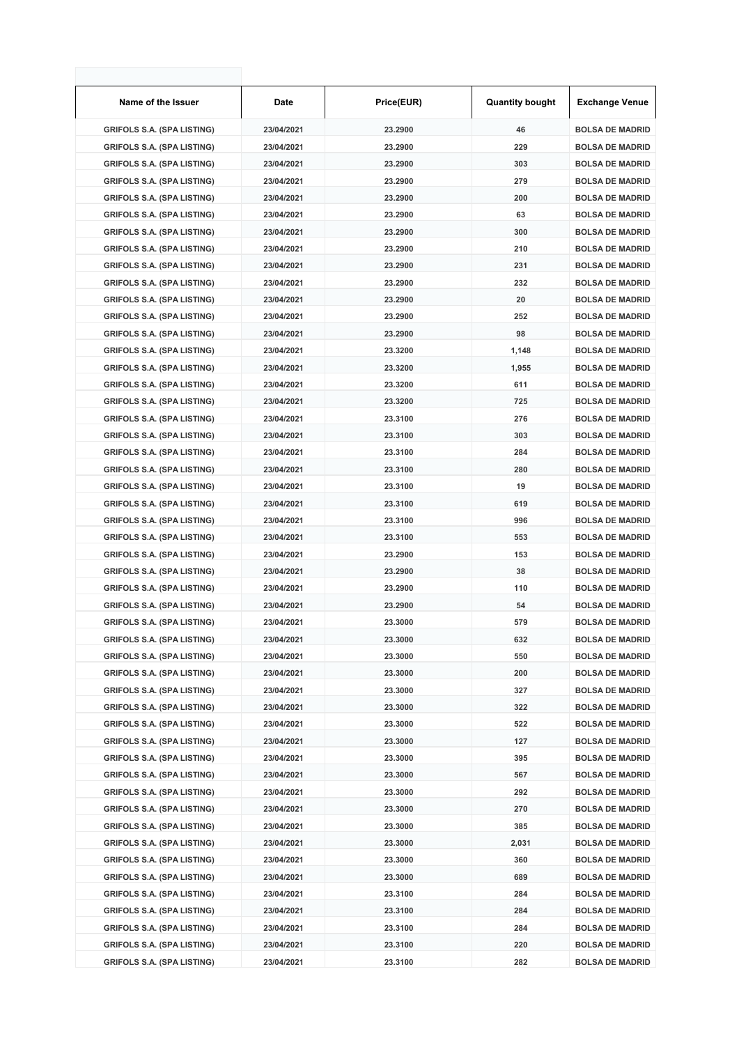| Name of the Issuer                | Date       | Price(EUR) | <b>Quantity bought</b> | <b>Exchange Venue</b>  |
|-----------------------------------|------------|------------|------------------------|------------------------|
| <b>GRIFOLS S.A. (SPA LISTING)</b> | 23/04/2021 | 23.2900    | 46                     | <b>BOLSA DE MADRID</b> |
| <b>GRIFOLS S.A. (SPA LISTING)</b> | 23/04/2021 | 23.2900    | 229                    | <b>BOLSA DE MADRID</b> |
| <b>GRIFOLS S.A. (SPA LISTING)</b> | 23/04/2021 | 23.2900    | 303                    | <b>BOLSA DE MADRID</b> |
| <b>GRIFOLS S.A. (SPA LISTING)</b> | 23/04/2021 | 23.2900    | 279                    | <b>BOLSA DE MADRID</b> |
| <b>GRIFOLS S.A. (SPA LISTING)</b> | 23/04/2021 | 23.2900    | 200                    | <b>BOLSA DE MADRID</b> |
| <b>GRIFOLS S.A. (SPA LISTING)</b> | 23/04/2021 | 23.2900    | 63                     | <b>BOLSA DE MADRID</b> |
| <b>GRIFOLS S.A. (SPA LISTING)</b> | 23/04/2021 | 23.2900    | 300                    | <b>BOLSA DE MADRID</b> |
| <b>GRIFOLS S.A. (SPA LISTING)</b> | 23/04/2021 | 23.2900    | 210                    | <b>BOLSA DE MADRID</b> |
| <b>GRIFOLS S.A. (SPA LISTING)</b> | 23/04/2021 | 23.2900    | 231                    | <b>BOLSA DE MADRID</b> |
| <b>GRIFOLS S.A. (SPA LISTING)</b> | 23/04/2021 | 23.2900    | 232                    | <b>BOLSA DE MADRID</b> |
| <b>GRIFOLS S.A. (SPA LISTING)</b> | 23/04/2021 | 23.2900    | 20                     | <b>BOLSA DE MADRID</b> |
| <b>GRIFOLS S.A. (SPA LISTING)</b> | 23/04/2021 | 23.2900    | 252                    | <b>BOLSA DE MADRID</b> |
| <b>GRIFOLS S.A. (SPA LISTING)</b> | 23/04/2021 | 23.2900    | 98                     | <b>BOLSA DE MADRID</b> |
| <b>GRIFOLS S.A. (SPA LISTING)</b> | 23/04/2021 | 23.3200    | 1,148                  | <b>BOLSA DE MADRID</b> |
| <b>GRIFOLS S.A. (SPA LISTING)</b> | 23/04/2021 | 23.3200    | 1,955                  | <b>BOLSA DE MADRID</b> |
| <b>GRIFOLS S.A. (SPA LISTING)</b> | 23/04/2021 | 23.3200    | 611                    | <b>BOLSA DE MADRID</b> |
| <b>GRIFOLS S.A. (SPA LISTING)</b> | 23/04/2021 | 23.3200    | 725                    | <b>BOLSA DE MADRID</b> |
| <b>GRIFOLS S.A. (SPA LISTING)</b> | 23/04/2021 | 23.3100    | 276                    | <b>BOLSA DE MADRID</b> |
| <b>GRIFOLS S.A. (SPA LISTING)</b> | 23/04/2021 | 23.3100    | 303                    | <b>BOLSA DE MADRID</b> |
| <b>GRIFOLS S.A. (SPA LISTING)</b> | 23/04/2021 | 23.3100    | 284                    | <b>BOLSA DE MADRID</b> |
| <b>GRIFOLS S.A. (SPA LISTING)</b> | 23/04/2021 | 23.3100    | 280                    | <b>BOLSA DE MADRID</b> |
| <b>GRIFOLS S.A. (SPA LISTING)</b> | 23/04/2021 | 23.3100    | 19                     | <b>BOLSA DE MADRID</b> |
| <b>GRIFOLS S.A. (SPA LISTING)</b> | 23/04/2021 | 23.3100    | 619                    | <b>BOLSA DE MADRID</b> |
| <b>GRIFOLS S.A. (SPA LISTING)</b> | 23/04/2021 | 23.3100    | 996                    | <b>BOLSA DE MADRID</b> |
| <b>GRIFOLS S.A. (SPA LISTING)</b> | 23/04/2021 | 23.3100    | 553                    | <b>BOLSA DE MADRID</b> |
| <b>GRIFOLS S.A. (SPA LISTING)</b> | 23/04/2021 | 23.2900    | 153                    | <b>BOLSA DE MADRID</b> |
| <b>GRIFOLS S.A. (SPA LISTING)</b> | 23/04/2021 | 23.2900    | 38                     | <b>BOLSA DE MADRID</b> |
| <b>GRIFOLS S.A. (SPA LISTING)</b> | 23/04/2021 | 23.2900    | 110                    | <b>BOLSA DE MADRID</b> |
| <b>GRIFOLS S.A. (SPA LISTING)</b> | 23/04/2021 | 23.2900    | 54                     | <b>BOLSA DE MADRID</b> |
| <b>GRIFOLS S.A. (SPA LISTING)</b> | 23/04/2021 | 23.3000    | 579                    | <b>BOLSA DE MADRID</b> |
| <b>GRIFOLS S.A. (SPA LISTING)</b> | 23/04/2021 | 23.3000    | 632                    | <b>BOLSA DE MADRID</b> |
| <b>GRIFOLS S.A. (SPA LISTING)</b> | 23/04/2021 | 23.3000    | 550                    | <b>BOLSA DE MADRID</b> |
| <b>GRIFOLS S.A. (SPA LISTING)</b> | 23/04/2021 | 23.3000    | 200                    | <b>BOLSA DE MADRID</b> |
| <b>GRIFOLS S.A. (SPA LISTING)</b> | 23/04/2021 | 23.3000    | 327                    | <b>BOLSA DE MADRID</b> |
| <b>GRIFOLS S.A. (SPA LISTING)</b> | 23/04/2021 | 23.3000    | 322                    | <b>BOLSA DE MADRID</b> |
| <b>GRIFOLS S.A. (SPA LISTING)</b> | 23/04/2021 | 23.3000    | 522                    | <b>BOLSA DE MADRID</b> |
| <b>GRIFOLS S.A. (SPA LISTING)</b> | 23/04/2021 | 23.3000    | 127                    | <b>BOLSA DE MADRID</b> |
| <b>GRIFOLS S.A. (SPA LISTING)</b> | 23/04/2021 | 23.3000    | 395                    | <b>BOLSA DE MADRID</b> |
| <b>GRIFOLS S.A. (SPA LISTING)</b> | 23/04/2021 | 23.3000    | 567                    | <b>BOLSA DE MADRID</b> |
| <b>GRIFOLS S.A. (SPA LISTING)</b> | 23/04/2021 | 23.3000    | 292                    | <b>BOLSA DE MADRID</b> |
| <b>GRIFOLS S.A. (SPA LISTING)</b> | 23/04/2021 | 23.3000    | 270                    | <b>BOLSA DE MADRID</b> |
| <b>GRIFOLS S.A. (SPA LISTING)</b> | 23/04/2021 | 23.3000    | 385                    | <b>BOLSA DE MADRID</b> |
| <b>GRIFOLS S.A. (SPA LISTING)</b> | 23/04/2021 | 23.3000    | 2,031                  | <b>BOLSA DE MADRID</b> |
| <b>GRIFOLS S.A. (SPA LISTING)</b> | 23/04/2021 | 23.3000    | 360                    | <b>BOLSA DE MADRID</b> |
| <b>GRIFOLS S.A. (SPA LISTING)</b> | 23/04/2021 | 23.3000    | 689                    | <b>BOLSA DE MADRID</b> |
| <b>GRIFOLS S.A. (SPA LISTING)</b> | 23/04/2021 | 23.3100    | 284                    | <b>BOLSA DE MADRID</b> |
| <b>GRIFOLS S.A. (SPA LISTING)</b> | 23/04/2021 | 23.3100    | 284                    | <b>BOLSA DE MADRID</b> |
| <b>GRIFOLS S.A. (SPA LISTING)</b> | 23/04/2021 | 23.3100    | 284                    | <b>BOLSA DE MADRID</b> |
| <b>GRIFOLS S.A. (SPA LISTING)</b> | 23/04/2021 | 23.3100    | 220                    | <b>BOLSA DE MADRID</b> |
| <b>GRIFOLS S.A. (SPA LISTING)</b> | 23/04/2021 | 23.3100    | 282                    | <b>BOLSA DE MADRID</b> |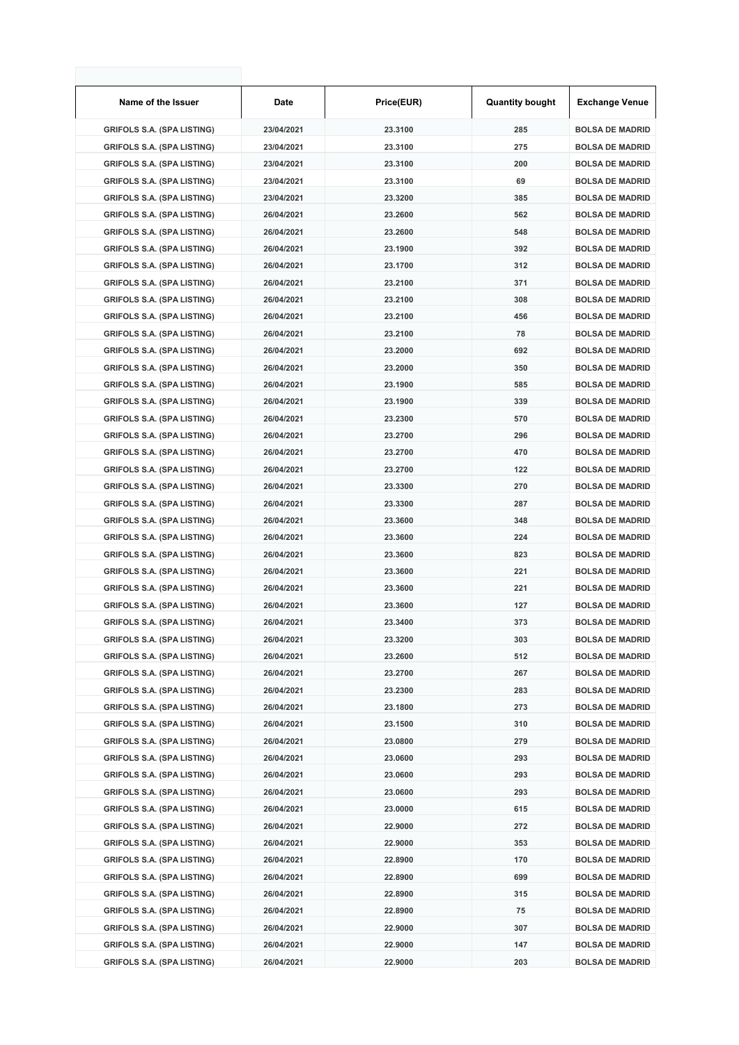| Name of the Issuer                | Date       | Price(EUR) | <b>Quantity bought</b> | <b>Exchange Venue</b>  |
|-----------------------------------|------------|------------|------------------------|------------------------|
| <b>GRIFOLS S.A. (SPA LISTING)</b> | 23/04/2021 | 23.3100    | 285                    | <b>BOLSA DE MADRID</b> |
| <b>GRIFOLS S.A. (SPA LISTING)</b> | 23/04/2021 | 23.3100    | 275                    | <b>BOLSA DE MADRID</b> |
| <b>GRIFOLS S.A. (SPA LISTING)</b> | 23/04/2021 | 23.3100    | 200                    | <b>BOLSA DE MADRID</b> |
| <b>GRIFOLS S.A. (SPA LISTING)</b> | 23/04/2021 | 23.3100    | 69                     | <b>BOLSA DE MADRID</b> |
| <b>GRIFOLS S.A. (SPA LISTING)</b> | 23/04/2021 | 23.3200    | 385                    | <b>BOLSA DE MADRID</b> |
| <b>GRIFOLS S.A. (SPA LISTING)</b> | 26/04/2021 | 23.2600    | 562                    | <b>BOLSA DE MADRID</b> |
| <b>GRIFOLS S.A. (SPA LISTING)</b> | 26/04/2021 | 23.2600    | 548                    | <b>BOLSA DE MADRID</b> |
| <b>GRIFOLS S.A. (SPA LISTING)</b> | 26/04/2021 | 23.1900    | 392                    | <b>BOLSA DE MADRID</b> |
| <b>GRIFOLS S.A. (SPA LISTING)</b> | 26/04/2021 | 23.1700    | 312                    | <b>BOLSA DE MADRID</b> |
| <b>GRIFOLS S.A. (SPA LISTING)</b> | 26/04/2021 | 23.2100    | 371                    | <b>BOLSA DE MADRID</b> |
| <b>GRIFOLS S.A. (SPA LISTING)</b> | 26/04/2021 | 23.2100    | 308                    | <b>BOLSA DE MADRID</b> |
| <b>GRIFOLS S.A. (SPA LISTING)</b> | 26/04/2021 | 23.2100    | 456                    | <b>BOLSA DE MADRID</b> |
| <b>GRIFOLS S.A. (SPA LISTING)</b> | 26/04/2021 | 23.2100    | 78                     | <b>BOLSA DE MADRID</b> |
| <b>GRIFOLS S.A. (SPA LISTING)</b> | 26/04/2021 | 23.2000    | 692                    | <b>BOLSA DE MADRID</b> |
| <b>GRIFOLS S.A. (SPA LISTING)</b> | 26/04/2021 | 23.2000    | 350                    | <b>BOLSA DE MADRID</b> |
| <b>GRIFOLS S.A. (SPA LISTING)</b> | 26/04/2021 | 23.1900    | 585                    | <b>BOLSA DE MADRID</b> |
| <b>GRIFOLS S.A. (SPA LISTING)</b> | 26/04/2021 | 23.1900    | 339                    | <b>BOLSA DE MADRID</b> |
| <b>GRIFOLS S.A. (SPA LISTING)</b> | 26/04/2021 | 23.2300    | 570                    | <b>BOLSA DE MADRID</b> |
| <b>GRIFOLS S.A. (SPA LISTING)</b> | 26/04/2021 | 23.2700    | 296                    | <b>BOLSA DE MADRID</b> |
| <b>GRIFOLS S.A. (SPA LISTING)</b> | 26/04/2021 | 23.2700    | 470                    | <b>BOLSA DE MADRID</b> |
| <b>GRIFOLS S.A. (SPA LISTING)</b> | 26/04/2021 | 23.2700    | 122                    | <b>BOLSA DE MADRID</b> |
| <b>GRIFOLS S.A. (SPA LISTING)</b> | 26/04/2021 | 23.3300    | 270                    | <b>BOLSA DE MADRID</b> |
| <b>GRIFOLS S.A. (SPA LISTING)</b> | 26/04/2021 | 23.3300    | 287                    | <b>BOLSA DE MADRID</b> |
| <b>GRIFOLS S.A. (SPA LISTING)</b> | 26/04/2021 | 23.3600    | 348                    | <b>BOLSA DE MADRID</b> |
| <b>GRIFOLS S.A. (SPA LISTING)</b> | 26/04/2021 | 23.3600    | 224                    | <b>BOLSA DE MADRID</b> |
| <b>GRIFOLS S.A. (SPA LISTING)</b> | 26/04/2021 | 23.3600    | 823                    | <b>BOLSA DE MADRID</b> |
| <b>GRIFOLS S.A. (SPA LISTING)</b> | 26/04/2021 | 23.3600    | 221                    | <b>BOLSA DE MADRID</b> |
| <b>GRIFOLS S.A. (SPA LISTING)</b> | 26/04/2021 | 23.3600    | 221                    | <b>BOLSA DE MADRID</b> |
| <b>GRIFOLS S.A. (SPA LISTING)</b> | 26/04/2021 | 23.3600    | 127                    | <b>BOLSA DE MADRID</b> |
| <b>GRIFOLS S.A. (SPA LISTING)</b> | 26/04/2021 | 23.3400    | 373                    | <b>BOLSA DE MADRID</b> |
| <b>GRIFOLS S.A. (SPA LISTING)</b> | 26/04/2021 | 23.3200    | 303                    | <b>BOLSA DE MADRID</b> |
| <b>GRIFOLS S.A. (SPA LISTING)</b> | 26/04/2021 | 23.2600    | 512                    | <b>BOLSA DE MADRID</b> |
| <b>GRIFOLS S.A. (SPA LISTING)</b> | 26/04/2021 | 23.2700    | 267                    | <b>BOLSA DE MADRID</b> |
| <b>GRIFOLS S.A. (SPA LISTING)</b> | 26/04/2021 | 23.2300    | 283                    | <b>BOLSA DE MADRID</b> |
| <b>GRIFOLS S.A. (SPA LISTING)</b> | 26/04/2021 | 23.1800    | 273                    | <b>BOLSA DE MADRID</b> |
| <b>GRIFOLS S.A. (SPA LISTING)</b> | 26/04/2021 | 23.1500    | 310                    | <b>BOLSA DE MADRID</b> |
| <b>GRIFOLS S.A. (SPA LISTING)</b> | 26/04/2021 | 23.0800    | 279                    | <b>BOLSA DE MADRID</b> |
| <b>GRIFOLS S.A. (SPA LISTING)</b> | 26/04/2021 | 23.0600    | 293                    | <b>BOLSA DE MADRID</b> |
| <b>GRIFOLS S.A. (SPA LISTING)</b> | 26/04/2021 | 23.0600    | 293                    | <b>BOLSA DE MADRID</b> |
| <b>GRIFOLS S.A. (SPA LISTING)</b> | 26/04/2021 | 23.0600    | 293                    | <b>BOLSA DE MADRID</b> |
| <b>GRIFOLS S.A. (SPA LISTING)</b> | 26/04/2021 | 23.0000    | 615                    | <b>BOLSA DE MADRID</b> |
| <b>GRIFOLS S.A. (SPA LISTING)</b> | 26/04/2021 | 22.9000    | 272                    | <b>BOLSA DE MADRID</b> |
| <b>GRIFOLS S.A. (SPA LISTING)</b> | 26/04/2021 | 22.9000    | 353                    | <b>BOLSA DE MADRID</b> |
| <b>GRIFOLS S.A. (SPA LISTING)</b> | 26/04/2021 | 22.8900    | 170                    | <b>BOLSA DE MADRID</b> |
| <b>GRIFOLS S.A. (SPA LISTING)</b> | 26/04/2021 | 22.8900    | 699                    | <b>BOLSA DE MADRID</b> |
| <b>GRIFOLS S.A. (SPA LISTING)</b> | 26/04/2021 | 22.8900    | 315                    | <b>BOLSA DE MADRID</b> |
| <b>GRIFOLS S.A. (SPA LISTING)</b> | 26/04/2021 | 22.8900    | 75                     | <b>BOLSA DE MADRID</b> |
| <b>GRIFOLS S.A. (SPA LISTING)</b> | 26/04/2021 | 22.9000    | 307                    | <b>BOLSA DE MADRID</b> |
| <b>GRIFOLS S.A. (SPA LISTING)</b> | 26/04/2021 | 22.9000    | 147                    | <b>BOLSA DE MADRID</b> |
| <b>GRIFOLS S.A. (SPA LISTING)</b> | 26/04/2021 | 22.9000    | 203                    | <b>BOLSA DE MADRID</b> |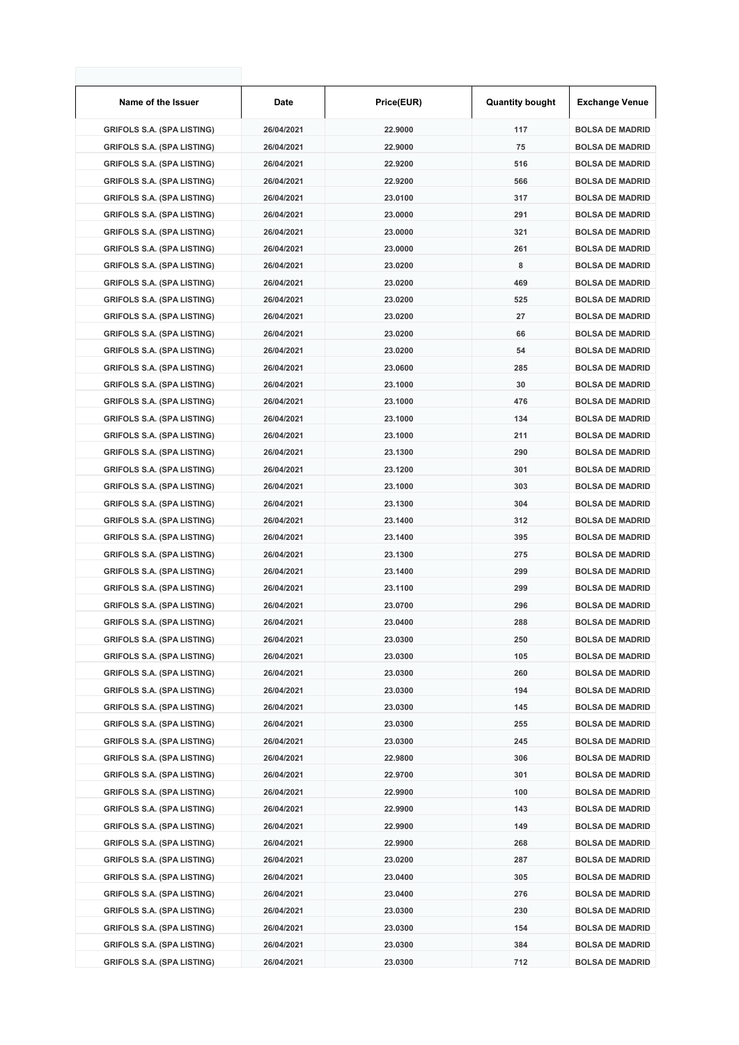| Name of the Issuer                | Date       | Price(EUR) | <b>Quantity bought</b> | <b>Exchange Venue</b>  |
|-----------------------------------|------------|------------|------------------------|------------------------|
| <b>GRIFOLS S.A. (SPA LISTING)</b> | 26/04/2021 | 22.9000    | 117                    | <b>BOLSA DE MADRID</b> |
| <b>GRIFOLS S.A. (SPA LISTING)</b> | 26/04/2021 | 22.9000    | 75                     | <b>BOLSA DE MADRID</b> |
| <b>GRIFOLS S.A. (SPA LISTING)</b> | 26/04/2021 | 22.9200    | 516                    | <b>BOLSA DE MADRID</b> |
| <b>GRIFOLS S.A. (SPA LISTING)</b> | 26/04/2021 | 22.9200    | 566                    | <b>BOLSA DE MADRID</b> |
| <b>GRIFOLS S.A. (SPA LISTING)</b> | 26/04/2021 | 23.0100    | 317                    | <b>BOLSA DE MADRID</b> |
| <b>GRIFOLS S.A. (SPA LISTING)</b> | 26/04/2021 | 23.0000    | 291                    | <b>BOLSA DE MADRID</b> |
| <b>GRIFOLS S.A. (SPA LISTING)</b> | 26/04/2021 | 23.0000    | 321                    | <b>BOLSA DE MADRID</b> |
| <b>GRIFOLS S.A. (SPA LISTING)</b> | 26/04/2021 | 23.0000    | 261                    | <b>BOLSA DE MADRID</b> |
| <b>GRIFOLS S.A. (SPA LISTING)</b> | 26/04/2021 | 23.0200    | 8                      | <b>BOLSA DE MADRID</b> |
| <b>GRIFOLS S.A. (SPA LISTING)</b> | 26/04/2021 | 23.0200    | 469                    | <b>BOLSA DE MADRID</b> |
| <b>GRIFOLS S.A. (SPA LISTING)</b> | 26/04/2021 | 23.0200    | 525                    | <b>BOLSA DE MADRID</b> |
| <b>GRIFOLS S.A. (SPA LISTING)</b> | 26/04/2021 | 23.0200    | 27                     | <b>BOLSA DE MADRID</b> |
| <b>GRIFOLS S.A. (SPA LISTING)</b> | 26/04/2021 | 23.0200    | 66                     | <b>BOLSA DE MADRID</b> |
| <b>GRIFOLS S.A. (SPA LISTING)</b> | 26/04/2021 | 23.0200    | 54                     | <b>BOLSA DE MADRID</b> |
| <b>GRIFOLS S.A. (SPA LISTING)</b> | 26/04/2021 | 23.0600    | 285                    | <b>BOLSA DE MADRID</b> |
| <b>GRIFOLS S.A. (SPA LISTING)</b> | 26/04/2021 | 23.1000    | 30                     | <b>BOLSA DE MADRID</b> |
| <b>GRIFOLS S.A. (SPA LISTING)</b> | 26/04/2021 | 23.1000    | 476                    | <b>BOLSA DE MADRID</b> |
| <b>GRIFOLS S.A. (SPA LISTING)</b> | 26/04/2021 | 23.1000    | 134                    | <b>BOLSA DE MADRID</b> |
| <b>GRIFOLS S.A. (SPA LISTING)</b> | 26/04/2021 | 23.1000    | 211                    | <b>BOLSA DE MADRID</b> |
| <b>GRIFOLS S.A. (SPA LISTING)</b> | 26/04/2021 | 23.1300    | 290                    | <b>BOLSA DE MADRID</b> |
| <b>GRIFOLS S.A. (SPA LISTING)</b> | 26/04/2021 | 23.1200    | 301                    | <b>BOLSA DE MADRID</b> |
| <b>GRIFOLS S.A. (SPA LISTING)</b> | 26/04/2021 | 23.1000    | 303                    | <b>BOLSA DE MADRID</b> |
| <b>GRIFOLS S.A. (SPA LISTING)</b> | 26/04/2021 | 23.1300    | 304                    | <b>BOLSA DE MADRID</b> |
| <b>GRIFOLS S.A. (SPA LISTING)</b> | 26/04/2021 | 23.1400    | 312                    | <b>BOLSA DE MADRID</b> |
| <b>GRIFOLS S.A. (SPA LISTING)</b> | 26/04/2021 | 23.1400    | 395                    | <b>BOLSA DE MADRID</b> |
| <b>GRIFOLS S.A. (SPA LISTING)</b> | 26/04/2021 | 23.1300    | 275                    | <b>BOLSA DE MADRID</b> |
| <b>GRIFOLS S.A. (SPA LISTING)</b> | 26/04/2021 | 23.1400    | 299                    | <b>BOLSA DE MADRID</b> |
| <b>GRIFOLS S.A. (SPA LISTING)</b> | 26/04/2021 | 23.1100    | 299                    | <b>BOLSA DE MADRID</b> |
| <b>GRIFOLS S.A. (SPA LISTING)</b> | 26/04/2021 | 23.0700    | 296                    | <b>BOLSA DE MADRID</b> |
| <b>GRIFOLS S.A. (SPA LISTING)</b> | 26/04/2021 | 23.0400    | 288                    | <b>BOLSA DE MADRID</b> |
| <b>GRIFOLS S.A. (SPA LISTING)</b> | 26/04/2021 | 23.0300    | 250                    | <b>BOLSA DE MADRID</b> |
| <b>GRIFOLS S.A. (SPA LISTING)</b> | 26/04/2021 | 23.0300    | 105                    | <b>BOLSA DE MADRID</b> |
| <b>GRIFOLS S.A. (SPA LISTING)</b> | 26/04/2021 | 23.0300    | 260                    | <b>BOLSA DE MADRID</b> |
| <b>GRIFOLS S.A. (SPA LISTING)</b> | 26/04/2021 | 23.0300    | 194                    | <b>BOLSA DE MADRID</b> |
| <b>GRIFOLS S.A. (SPA LISTING)</b> | 26/04/2021 | 23.0300    | 145                    | <b>BOLSA DE MADRID</b> |
| <b>GRIFOLS S.A. (SPA LISTING)</b> | 26/04/2021 | 23.0300    | 255                    | <b>BOLSA DE MADRID</b> |
| <b>GRIFOLS S.A. (SPA LISTING)</b> | 26/04/2021 | 23.0300    | 245                    | <b>BOLSA DE MADRID</b> |
| <b>GRIFOLS S.A. (SPA LISTING)</b> | 26/04/2021 | 22.9800    | 306                    | <b>BOLSA DE MADRID</b> |
| <b>GRIFOLS S.A. (SPA LISTING)</b> | 26/04/2021 | 22.9700    | 301                    | <b>BOLSA DE MADRID</b> |
| <b>GRIFOLS S.A. (SPA LISTING)</b> | 26/04/2021 | 22.9900    | 100                    | <b>BOLSA DE MADRID</b> |
| <b>GRIFOLS S.A. (SPA LISTING)</b> | 26/04/2021 | 22.9900    | 143                    | <b>BOLSA DE MADRID</b> |
| <b>GRIFOLS S.A. (SPA LISTING)</b> | 26/04/2021 | 22.9900    | 149                    | <b>BOLSA DE MADRID</b> |
| <b>GRIFOLS S.A. (SPA LISTING)</b> | 26/04/2021 | 22.9900    | 268                    | <b>BOLSA DE MADRID</b> |
| <b>GRIFOLS S.A. (SPA LISTING)</b> | 26/04/2021 | 23.0200    | 287                    | <b>BOLSA DE MADRID</b> |
| <b>GRIFOLS S.A. (SPA LISTING)</b> | 26/04/2021 | 23.0400    | 305                    | <b>BOLSA DE MADRID</b> |
| <b>GRIFOLS S.A. (SPA LISTING)</b> | 26/04/2021 | 23.0400    | 276                    | <b>BOLSA DE MADRID</b> |
| <b>GRIFOLS S.A. (SPA LISTING)</b> | 26/04/2021 | 23.0300    | 230                    | <b>BOLSA DE MADRID</b> |
| <b>GRIFOLS S.A. (SPA LISTING)</b> | 26/04/2021 | 23.0300    | 154                    | <b>BOLSA DE MADRID</b> |
| <b>GRIFOLS S.A. (SPA LISTING)</b> | 26/04/2021 | 23.0300    | 384                    | <b>BOLSA DE MADRID</b> |
| <b>GRIFOLS S.A. (SPA LISTING)</b> | 26/04/2021 | 23.0300    | 712                    | <b>BOLSA DE MADRID</b> |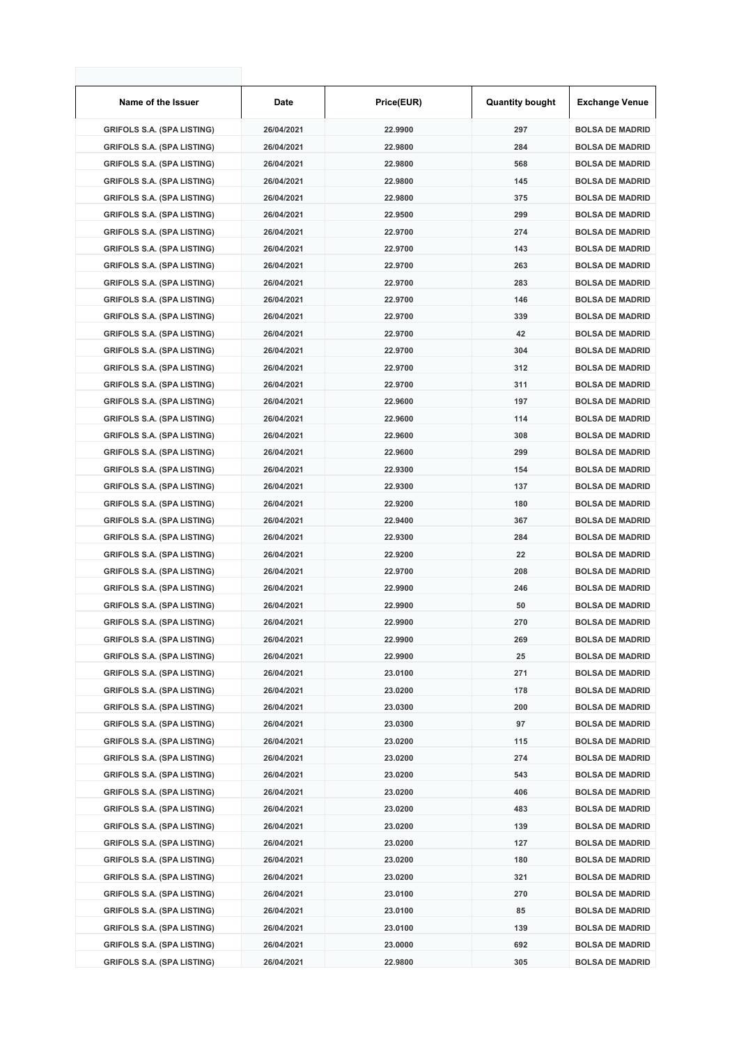| Name of the Issuer                | Date       | Price(EUR) | <b>Quantity bought</b> | <b>Exchange Venue</b>  |
|-----------------------------------|------------|------------|------------------------|------------------------|
| <b>GRIFOLS S.A. (SPA LISTING)</b> | 26/04/2021 | 22.9900    | 297                    | <b>BOLSA DE MADRID</b> |
| <b>GRIFOLS S.A. (SPA LISTING)</b> | 26/04/2021 | 22.9800    | 284                    | <b>BOLSA DE MADRID</b> |
| <b>GRIFOLS S.A. (SPA LISTING)</b> | 26/04/2021 | 22.9800    | 568                    | <b>BOLSA DE MADRID</b> |
| <b>GRIFOLS S.A. (SPA LISTING)</b> | 26/04/2021 | 22.9800    | 145                    | <b>BOLSA DE MADRID</b> |
| <b>GRIFOLS S.A. (SPA LISTING)</b> | 26/04/2021 | 22.9800    | 375                    | <b>BOLSA DE MADRID</b> |
| <b>GRIFOLS S.A. (SPA LISTING)</b> | 26/04/2021 | 22.9500    | 299                    | <b>BOLSA DE MADRID</b> |
| <b>GRIFOLS S.A. (SPA LISTING)</b> | 26/04/2021 | 22.9700    | 274                    | <b>BOLSA DE MADRID</b> |
| <b>GRIFOLS S.A. (SPA LISTING)</b> | 26/04/2021 | 22.9700    | 143                    | <b>BOLSA DE MADRID</b> |
| <b>GRIFOLS S.A. (SPA LISTING)</b> | 26/04/2021 | 22.9700    | 263                    | <b>BOLSA DE MADRID</b> |
| <b>GRIFOLS S.A. (SPA LISTING)</b> | 26/04/2021 | 22.9700    | 283                    | <b>BOLSA DE MADRID</b> |
| <b>GRIFOLS S.A. (SPA LISTING)</b> | 26/04/2021 | 22.9700    | 146                    | <b>BOLSA DE MADRID</b> |
| <b>GRIFOLS S.A. (SPA LISTING)</b> | 26/04/2021 | 22.9700    | 339                    | <b>BOLSA DE MADRID</b> |
| <b>GRIFOLS S.A. (SPA LISTING)</b> | 26/04/2021 | 22.9700    | 42                     | <b>BOLSA DE MADRID</b> |
| <b>GRIFOLS S.A. (SPA LISTING)</b> | 26/04/2021 | 22.9700    | 304                    | <b>BOLSA DE MADRID</b> |
| <b>GRIFOLS S.A. (SPA LISTING)</b> | 26/04/2021 | 22.9700    | 312                    | <b>BOLSA DE MADRID</b> |
| <b>GRIFOLS S.A. (SPA LISTING)</b> | 26/04/2021 | 22.9700    | 311                    | <b>BOLSA DE MADRID</b> |
| <b>GRIFOLS S.A. (SPA LISTING)</b> | 26/04/2021 | 22.9600    | 197                    | <b>BOLSA DE MADRID</b> |
| <b>GRIFOLS S.A. (SPA LISTING)</b> | 26/04/2021 | 22.9600    | 114                    | <b>BOLSA DE MADRID</b> |
| <b>GRIFOLS S.A. (SPA LISTING)</b> | 26/04/2021 | 22.9600    | 308                    | <b>BOLSA DE MADRID</b> |
| <b>GRIFOLS S.A. (SPA LISTING)</b> | 26/04/2021 | 22.9600    | 299                    | <b>BOLSA DE MADRID</b> |
| <b>GRIFOLS S.A. (SPA LISTING)</b> | 26/04/2021 | 22.9300    | 154                    | <b>BOLSA DE MADRID</b> |
| <b>GRIFOLS S.A. (SPA LISTING)</b> | 26/04/2021 | 22.9300    | 137                    | <b>BOLSA DE MADRID</b> |
| <b>GRIFOLS S.A. (SPA LISTING)</b> | 26/04/2021 | 22.9200    | 180                    | <b>BOLSA DE MADRID</b> |
| <b>GRIFOLS S.A. (SPA LISTING)</b> | 26/04/2021 | 22.9400    | 367                    | <b>BOLSA DE MADRID</b> |
| <b>GRIFOLS S.A. (SPA LISTING)</b> | 26/04/2021 | 22.9300    | 284                    | <b>BOLSA DE MADRID</b> |
| <b>GRIFOLS S.A. (SPA LISTING)</b> | 26/04/2021 | 22.9200    | 22                     | <b>BOLSA DE MADRID</b> |
| <b>GRIFOLS S.A. (SPA LISTING)</b> | 26/04/2021 | 22.9700    | 208                    | <b>BOLSA DE MADRID</b> |
| <b>GRIFOLS S.A. (SPA LISTING)</b> | 26/04/2021 | 22.9900    | 246                    | <b>BOLSA DE MADRID</b> |
| <b>GRIFOLS S.A. (SPA LISTING)</b> | 26/04/2021 | 22.9900    | 50                     | <b>BOLSA DE MADRID</b> |
| <b>GRIFOLS S.A. (SPA LISTING)</b> | 26/04/2021 | 22.9900    | 270                    | <b>BOLSA DE MADRID</b> |
| <b>GRIFOLS S.A. (SPA LISTING)</b> | 26/04/2021 | 22.9900    | 269                    | <b>BOLSA DE MADRID</b> |
| <b>GRIFOLS S.A. (SPA LISTING)</b> | 26/04/2021 | 22.9900    | 25                     | <b>BOLSA DE MADRID</b> |
| <b>GRIFOLS S.A. (SPA LISTING)</b> | 26/04/2021 | 23.0100    | 271                    | <b>BOLSA DE MADRID</b> |
| <b>GRIFOLS S.A. (SPA LISTING)</b> | 26/04/2021 | 23.0200    | 178                    | <b>BOLSA DE MADRID</b> |
| <b>GRIFOLS S.A. (SPA LISTING)</b> | 26/04/2021 | 23.0300    | 200                    | <b>BOLSA DE MADRID</b> |
| <b>GRIFOLS S.A. (SPA LISTING)</b> | 26/04/2021 | 23.0300    | 97                     | <b>BOLSA DE MADRID</b> |
| <b>GRIFOLS S.A. (SPA LISTING)</b> | 26/04/2021 | 23.0200    | 115                    | <b>BOLSA DE MADRID</b> |
| <b>GRIFOLS S.A. (SPA LISTING)</b> | 26/04/2021 | 23.0200    | 274                    | <b>BOLSA DE MADRID</b> |
| <b>GRIFOLS S.A. (SPA LISTING)</b> | 26/04/2021 | 23.0200    | 543                    | <b>BOLSA DE MADRID</b> |
| <b>GRIFOLS S.A. (SPA LISTING)</b> | 26/04/2021 | 23.0200    | 406                    | <b>BOLSA DE MADRID</b> |
| <b>GRIFOLS S.A. (SPA LISTING)</b> | 26/04/2021 | 23.0200    | 483                    | <b>BOLSA DE MADRID</b> |
| <b>GRIFOLS S.A. (SPA LISTING)</b> | 26/04/2021 | 23.0200    | 139                    | <b>BOLSA DE MADRID</b> |
| <b>GRIFOLS S.A. (SPA LISTING)</b> | 26/04/2021 | 23.0200    | 127                    | <b>BOLSA DE MADRID</b> |
| <b>GRIFOLS S.A. (SPA LISTING)</b> | 26/04/2021 | 23.0200    | 180                    | <b>BOLSA DE MADRID</b> |
| <b>GRIFOLS S.A. (SPA LISTING)</b> | 26/04/2021 | 23.0200    | 321                    | <b>BOLSA DE MADRID</b> |
| <b>GRIFOLS S.A. (SPA LISTING)</b> | 26/04/2021 | 23.0100    | 270                    | <b>BOLSA DE MADRID</b> |
| <b>GRIFOLS S.A. (SPA LISTING)</b> | 26/04/2021 | 23.0100    | 85                     | <b>BOLSA DE MADRID</b> |
| <b>GRIFOLS S.A. (SPA LISTING)</b> | 26/04/2021 | 23.0100    | 139                    | <b>BOLSA DE MADRID</b> |
| <b>GRIFOLS S.A. (SPA LISTING)</b> | 26/04/2021 | 23.0000    | 692                    | <b>BOLSA DE MADRID</b> |
| <b>GRIFOLS S.A. (SPA LISTING)</b> | 26/04/2021 | 22.9800    | 305                    | <b>BOLSA DE MADRID</b> |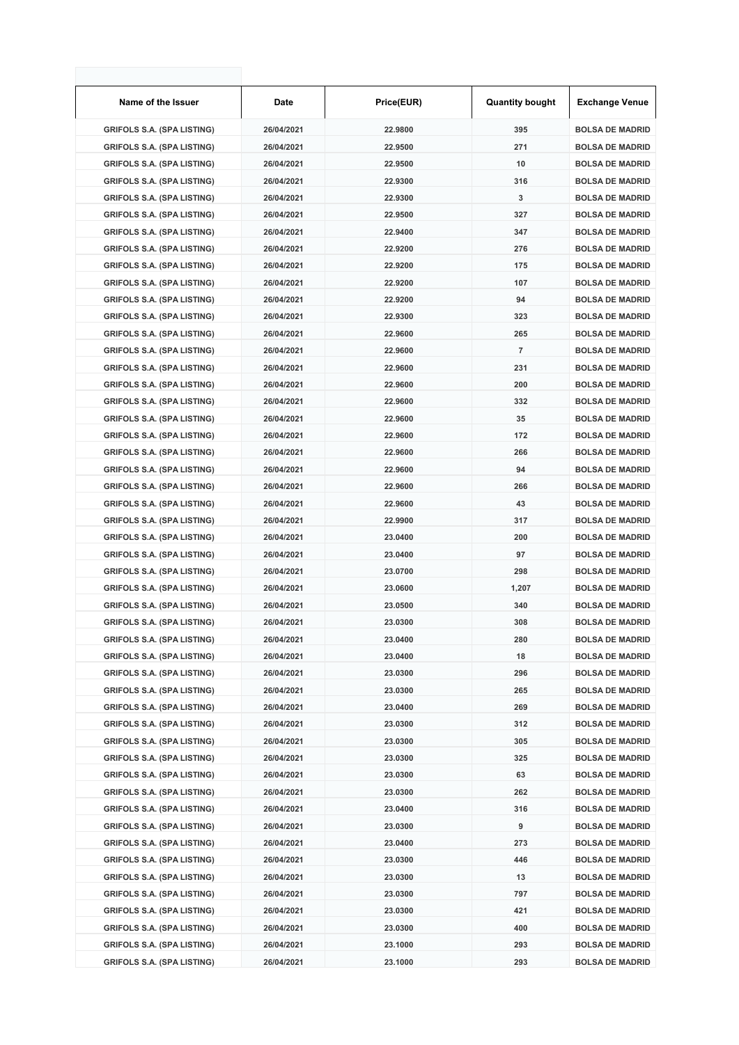| Name of the Issuer                | Date       | Price(EUR) | <b>Quantity bought</b> | <b>Exchange Venue</b>  |
|-----------------------------------|------------|------------|------------------------|------------------------|
| <b>GRIFOLS S.A. (SPA LISTING)</b> | 26/04/2021 | 22.9800    | 395                    | <b>BOLSA DE MADRID</b> |
| <b>GRIFOLS S.A. (SPA LISTING)</b> | 26/04/2021 | 22.9500    | 271                    | <b>BOLSA DE MADRID</b> |
| <b>GRIFOLS S.A. (SPA LISTING)</b> | 26/04/2021 | 22.9500    | 10                     | <b>BOLSA DE MADRID</b> |
| <b>GRIFOLS S.A. (SPA LISTING)</b> | 26/04/2021 | 22.9300    | 316                    | <b>BOLSA DE MADRID</b> |
| <b>GRIFOLS S.A. (SPA LISTING)</b> | 26/04/2021 | 22.9300    | 3                      | <b>BOLSA DE MADRID</b> |
| <b>GRIFOLS S.A. (SPA LISTING)</b> | 26/04/2021 | 22.9500    | 327                    | <b>BOLSA DE MADRID</b> |
| <b>GRIFOLS S.A. (SPA LISTING)</b> | 26/04/2021 | 22.9400    | 347                    | <b>BOLSA DE MADRID</b> |
| <b>GRIFOLS S.A. (SPA LISTING)</b> | 26/04/2021 | 22.9200    | 276                    | <b>BOLSA DE MADRID</b> |
| <b>GRIFOLS S.A. (SPA LISTING)</b> | 26/04/2021 | 22.9200    | 175                    | <b>BOLSA DE MADRID</b> |
| <b>GRIFOLS S.A. (SPA LISTING)</b> | 26/04/2021 | 22.9200    | 107                    | <b>BOLSA DE MADRID</b> |
| <b>GRIFOLS S.A. (SPA LISTING)</b> | 26/04/2021 | 22.9200    | 94                     | <b>BOLSA DE MADRID</b> |
| <b>GRIFOLS S.A. (SPA LISTING)</b> | 26/04/2021 | 22.9300    | 323                    | <b>BOLSA DE MADRID</b> |
| <b>GRIFOLS S.A. (SPA LISTING)</b> | 26/04/2021 | 22.9600    | 265                    | <b>BOLSA DE MADRID</b> |
| <b>GRIFOLS S.A. (SPA LISTING)</b> | 26/04/2021 | 22.9600    | 7                      | <b>BOLSA DE MADRID</b> |
| <b>GRIFOLS S.A. (SPA LISTING)</b> | 26/04/2021 | 22.9600    | 231                    | <b>BOLSA DE MADRID</b> |
| <b>GRIFOLS S.A. (SPA LISTING)</b> | 26/04/2021 | 22.9600    | 200                    | <b>BOLSA DE MADRID</b> |
| <b>GRIFOLS S.A. (SPA LISTING)</b> | 26/04/2021 | 22.9600    | 332                    | <b>BOLSA DE MADRID</b> |
| <b>GRIFOLS S.A. (SPA LISTING)</b> | 26/04/2021 | 22.9600    | 35                     | <b>BOLSA DE MADRID</b> |
| <b>GRIFOLS S.A. (SPA LISTING)</b> | 26/04/2021 | 22.9600    | 172                    | <b>BOLSA DE MADRID</b> |
| <b>GRIFOLS S.A. (SPA LISTING)</b> | 26/04/2021 | 22.9600    | 266                    | <b>BOLSA DE MADRID</b> |
| <b>GRIFOLS S.A. (SPA LISTING)</b> | 26/04/2021 | 22.9600    | 94                     | <b>BOLSA DE MADRID</b> |
| <b>GRIFOLS S.A. (SPA LISTING)</b> | 26/04/2021 | 22.9600    | 266                    | <b>BOLSA DE MADRID</b> |
| <b>GRIFOLS S.A. (SPA LISTING)</b> | 26/04/2021 | 22.9600    | 43                     | <b>BOLSA DE MADRID</b> |
| <b>GRIFOLS S.A. (SPA LISTING)</b> | 26/04/2021 | 22.9900    | 317                    | <b>BOLSA DE MADRID</b> |
| <b>GRIFOLS S.A. (SPA LISTING)</b> | 26/04/2021 | 23.0400    | 200                    | <b>BOLSA DE MADRID</b> |
| <b>GRIFOLS S.A. (SPA LISTING)</b> | 26/04/2021 | 23.0400    | 97                     | <b>BOLSA DE MADRID</b> |
| <b>GRIFOLS S.A. (SPA LISTING)</b> | 26/04/2021 | 23.0700    | 298                    | <b>BOLSA DE MADRID</b> |
| <b>GRIFOLS S.A. (SPA LISTING)</b> | 26/04/2021 | 23.0600    | 1,207                  | <b>BOLSA DE MADRID</b> |
| <b>GRIFOLS S.A. (SPA LISTING)</b> | 26/04/2021 | 23.0500    | 340                    | <b>BOLSA DE MADRID</b> |
| <b>GRIFOLS S.A. (SPA LISTING)</b> | 26/04/2021 | 23.0300    | 308                    | <b>BOLSA DE MADRID</b> |
| <b>GRIFOLS S.A. (SPA LISTING)</b> | 26/04/2021 | 23.0400    | 280                    | <b>BOLSA DE MADRID</b> |
| <b>GRIFOLS S.A. (SPA LISTING)</b> | 26/04/2021 | 23.0400    | 18                     | <b>BOLSA DE MADRID</b> |
| <b>GRIFOLS S.A. (SPA LISTING)</b> | 26/04/2021 | 23.0300    | 296                    | <b>BOLSA DE MADRID</b> |
| <b>GRIFOLS S.A. (SPA LISTING)</b> | 26/04/2021 | 23.0300    | 265                    | <b>BOLSA DE MADRID</b> |
| <b>GRIFOLS S.A. (SPA LISTING)</b> | 26/04/2021 | 23.0400    | 269                    | <b>BOLSA DE MADRID</b> |
| <b>GRIFOLS S.A. (SPA LISTING)</b> | 26/04/2021 | 23.0300    | 312                    | <b>BOLSA DE MADRID</b> |
| <b>GRIFOLS S.A. (SPA LISTING)</b> | 26/04/2021 | 23.0300    | 305                    | <b>BOLSA DE MADRID</b> |
| <b>GRIFOLS S.A. (SPA LISTING)</b> | 26/04/2021 | 23.0300    | 325                    | <b>BOLSA DE MADRID</b> |
| <b>GRIFOLS S.A. (SPA LISTING)</b> | 26/04/2021 | 23.0300    | 63                     | <b>BOLSA DE MADRID</b> |
| <b>GRIFOLS S.A. (SPA LISTING)</b> | 26/04/2021 | 23.0300    | 262                    | <b>BOLSA DE MADRID</b> |
| <b>GRIFOLS S.A. (SPA LISTING)</b> | 26/04/2021 | 23.0400    | 316                    | <b>BOLSA DE MADRID</b> |
| <b>GRIFOLS S.A. (SPA LISTING)</b> | 26/04/2021 | 23.0300    | 9                      | <b>BOLSA DE MADRID</b> |
| <b>GRIFOLS S.A. (SPA LISTING)</b> | 26/04/2021 | 23.0400    | 273                    | <b>BOLSA DE MADRID</b> |
| <b>GRIFOLS S.A. (SPA LISTING)</b> | 26/04/2021 | 23.0300    | 446                    | <b>BOLSA DE MADRID</b> |
| <b>GRIFOLS S.A. (SPA LISTING)</b> | 26/04/2021 | 23.0300    | 13                     | <b>BOLSA DE MADRID</b> |
| <b>GRIFOLS S.A. (SPA LISTING)</b> | 26/04/2021 | 23.0300    | 797                    | <b>BOLSA DE MADRID</b> |
| <b>GRIFOLS S.A. (SPA LISTING)</b> | 26/04/2021 | 23.0300    | 421                    | <b>BOLSA DE MADRID</b> |
| <b>GRIFOLS S.A. (SPA LISTING)</b> | 26/04/2021 | 23.0300    | 400                    | <b>BOLSA DE MADRID</b> |
| <b>GRIFOLS S.A. (SPA LISTING)</b> | 26/04/2021 | 23.1000    | 293                    | <b>BOLSA DE MADRID</b> |
| <b>GRIFOLS S.A. (SPA LISTING)</b> | 26/04/2021 | 23.1000    | 293                    | <b>BOLSA DE MADRID</b> |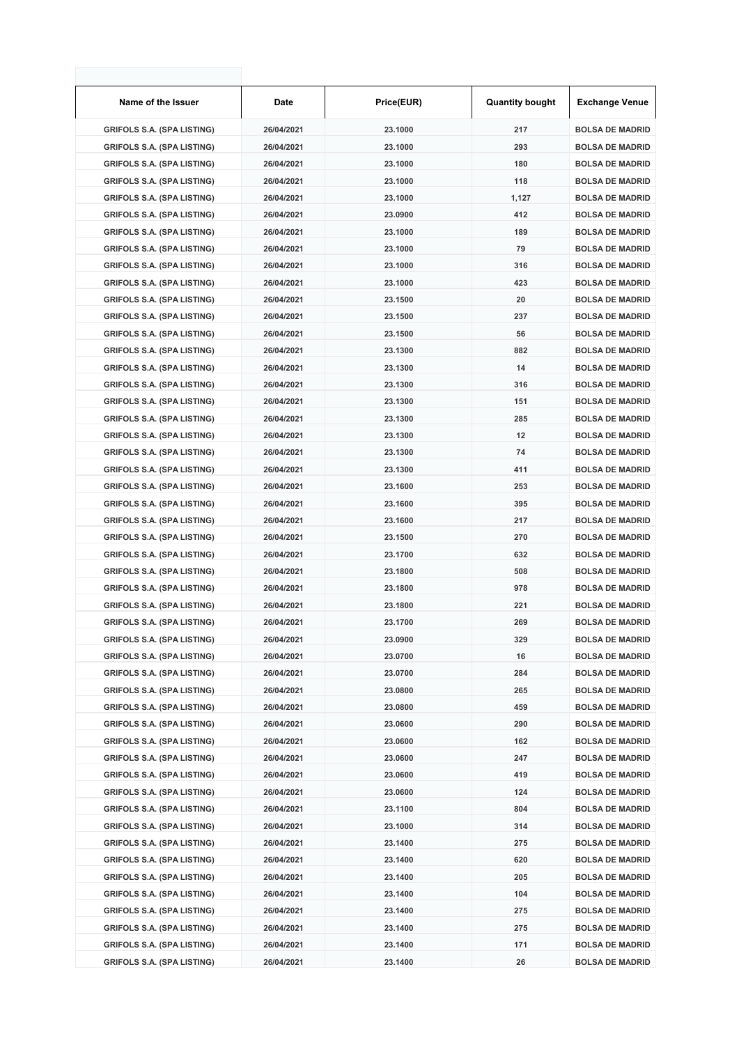| Name of the Issuer                | Date       | Price(EUR) | <b>Quantity bought</b> | <b>Exchange Venue</b>  |
|-----------------------------------|------------|------------|------------------------|------------------------|
| <b>GRIFOLS S.A. (SPA LISTING)</b> | 26/04/2021 | 23.1000    | 217                    | <b>BOLSA DE MADRID</b> |
| <b>GRIFOLS S.A. (SPA LISTING)</b> | 26/04/2021 | 23.1000    | 293                    | <b>BOLSA DE MADRID</b> |
| <b>GRIFOLS S.A. (SPA LISTING)</b> | 26/04/2021 | 23.1000    | 180                    | <b>BOLSA DE MADRID</b> |
| <b>GRIFOLS S.A. (SPA LISTING)</b> | 26/04/2021 | 23.1000    | 118                    | <b>BOLSA DE MADRID</b> |
| <b>GRIFOLS S.A. (SPA LISTING)</b> | 26/04/2021 | 23.1000    | 1,127                  | <b>BOLSA DE MADRID</b> |
| <b>GRIFOLS S.A. (SPA LISTING)</b> | 26/04/2021 | 23.0900    | 412                    | <b>BOLSA DE MADRID</b> |
| <b>GRIFOLS S.A. (SPA LISTING)</b> | 26/04/2021 | 23.1000    | 189                    | <b>BOLSA DE MADRID</b> |
| <b>GRIFOLS S.A. (SPA LISTING)</b> | 26/04/2021 | 23.1000    | 79                     | <b>BOLSA DE MADRID</b> |
| <b>GRIFOLS S.A. (SPA LISTING)</b> | 26/04/2021 | 23.1000    | 316                    | <b>BOLSA DE MADRID</b> |
| <b>GRIFOLS S.A. (SPA LISTING)</b> | 26/04/2021 | 23.1000    | 423                    | <b>BOLSA DE MADRID</b> |
| <b>GRIFOLS S.A. (SPA LISTING)</b> | 26/04/2021 | 23.1500    | 20                     | <b>BOLSA DE MADRID</b> |
| <b>GRIFOLS S.A. (SPA LISTING)</b> | 26/04/2021 | 23.1500    | 237                    | <b>BOLSA DE MADRID</b> |
| <b>GRIFOLS S.A. (SPA LISTING)</b> | 26/04/2021 | 23.1500    | 56                     | <b>BOLSA DE MADRID</b> |
| <b>GRIFOLS S.A. (SPA LISTING)</b> | 26/04/2021 | 23.1300    | 882                    | <b>BOLSA DE MADRID</b> |
| <b>GRIFOLS S.A. (SPA LISTING)</b> | 26/04/2021 | 23.1300    | 14                     | <b>BOLSA DE MADRID</b> |
| <b>GRIFOLS S.A. (SPA LISTING)</b> | 26/04/2021 | 23.1300    | 316                    | <b>BOLSA DE MADRID</b> |
| <b>GRIFOLS S.A. (SPA LISTING)</b> | 26/04/2021 | 23.1300    | 151                    | <b>BOLSA DE MADRID</b> |
| <b>GRIFOLS S.A. (SPA LISTING)</b> | 26/04/2021 | 23.1300    | 285                    | <b>BOLSA DE MADRID</b> |
| <b>GRIFOLS S.A. (SPA LISTING)</b> | 26/04/2021 | 23.1300    | 12                     | <b>BOLSA DE MADRID</b> |
| <b>GRIFOLS S.A. (SPA LISTING)</b> | 26/04/2021 | 23.1300    | 74                     | <b>BOLSA DE MADRID</b> |
| <b>GRIFOLS S.A. (SPA LISTING)</b> | 26/04/2021 | 23.1300    | 411                    | <b>BOLSA DE MADRID</b> |
| <b>GRIFOLS S.A. (SPA LISTING)</b> | 26/04/2021 | 23.1600    | 253                    | <b>BOLSA DE MADRID</b> |
| <b>GRIFOLS S.A. (SPA LISTING)</b> | 26/04/2021 | 23.1600    | 395                    | <b>BOLSA DE MADRID</b> |
| <b>GRIFOLS S.A. (SPA LISTING)</b> | 26/04/2021 | 23.1600    | 217                    | <b>BOLSA DE MADRID</b> |
| <b>GRIFOLS S.A. (SPA LISTING)</b> | 26/04/2021 | 23.1500    | 270                    | <b>BOLSA DE MADRID</b> |
| <b>GRIFOLS S.A. (SPA LISTING)</b> | 26/04/2021 | 23.1700    | 632                    | <b>BOLSA DE MADRID</b> |
| <b>GRIFOLS S.A. (SPA LISTING)</b> | 26/04/2021 | 23.1800    | 508                    | <b>BOLSA DE MADRID</b> |
| <b>GRIFOLS S.A. (SPA LISTING)</b> | 26/04/2021 | 23.1800    | 978                    | <b>BOLSA DE MADRID</b> |
| <b>GRIFOLS S.A. (SPA LISTING)</b> | 26/04/2021 | 23.1800    | 221                    | <b>BOLSA DE MADRID</b> |
| <b>GRIFOLS S.A. (SPA LISTING)</b> | 26/04/2021 | 23.1700    | 269                    | <b>BOLSA DE MADRID</b> |
| <b>GRIFOLS S.A. (SPA LISTING)</b> | 26/04/2021 | 23.0900    | 329                    | <b>BOLSA DE MADRID</b> |
| <b>GRIFOLS S.A. (SPA LISTING)</b> | 26/04/2021 | 23.0700    | 16                     | <b>BOLSA DE MADRID</b> |
| <b>GRIFOLS S.A. (SPA LISTING)</b> | 26/04/2021 | 23.0700    | 284                    | <b>BOLSA DE MADRID</b> |
| <b>GRIFOLS S.A. (SPA LISTING)</b> | 26/04/2021 | 23.0800    | 265                    | <b>BOLSA DE MADRID</b> |
| <b>GRIFOLS S.A. (SPA LISTING)</b> | 26/04/2021 | 23.0800    | 459                    | <b>BOLSA DE MADRID</b> |
| <b>GRIFOLS S.A. (SPA LISTING)</b> | 26/04/2021 | 23.0600    | 290                    | <b>BOLSA DE MADRID</b> |
| <b>GRIFOLS S.A. (SPA LISTING)</b> | 26/04/2021 | 23.0600    | 162                    | <b>BOLSA DE MADRID</b> |
| <b>GRIFOLS S.A. (SPA LISTING)</b> | 26/04/2021 | 23.0600    | 247                    | <b>BOLSA DE MADRID</b> |
| <b>GRIFOLS S.A. (SPA LISTING)</b> | 26/04/2021 | 23.0600    | 419                    | <b>BOLSA DE MADRID</b> |
| <b>GRIFOLS S.A. (SPA LISTING)</b> | 26/04/2021 | 23.0600    | 124                    | <b>BOLSA DE MADRID</b> |
| <b>GRIFOLS S.A. (SPA LISTING)</b> | 26/04/2021 | 23.1100    | 804                    | <b>BOLSA DE MADRID</b> |
| <b>GRIFOLS S.A. (SPA LISTING)</b> | 26/04/2021 | 23.1000    | 314                    | <b>BOLSA DE MADRID</b> |
| <b>GRIFOLS S.A. (SPA LISTING)</b> | 26/04/2021 | 23.1400    | 275                    | <b>BOLSA DE MADRID</b> |
| <b>GRIFOLS S.A. (SPA LISTING)</b> | 26/04/2021 | 23.1400    | 620                    | <b>BOLSA DE MADRID</b> |
| <b>GRIFOLS S.A. (SPA LISTING)</b> | 26/04/2021 | 23.1400    | 205                    | <b>BOLSA DE MADRID</b> |
| <b>GRIFOLS S.A. (SPA LISTING)</b> | 26/04/2021 | 23.1400    | 104                    | <b>BOLSA DE MADRID</b> |
| <b>GRIFOLS S.A. (SPA LISTING)</b> | 26/04/2021 | 23.1400    | 275                    | <b>BOLSA DE MADRID</b> |
| <b>GRIFOLS S.A. (SPA LISTING)</b> | 26/04/2021 | 23.1400    | 275                    | <b>BOLSA DE MADRID</b> |
| <b>GRIFOLS S.A. (SPA LISTING)</b> | 26/04/2021 | 23.1400    | 171                    | <b>BOLSA DE MADRID</b> |
| <b>GRIFOLS S.A. (SPA LISTING)</b> | 26/04/2021 | 23.1400    | 26                     | <b>BOLSA DE MADRID</b> |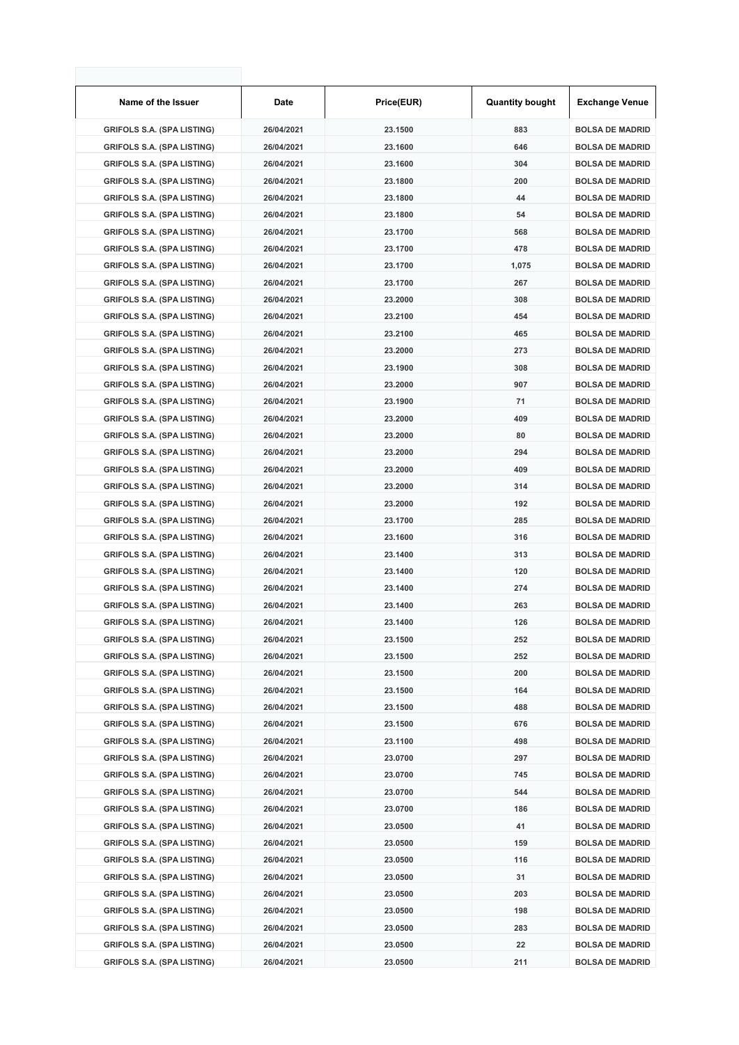| Name of the Issuer                | Date       | Price(EUR) | <b>Quantity bought</b> | <b>Exchange Venue</b>  |
|-----------------------------------|------------|------------|------------------------|------------------------|
| <b>GRIFOLS S.A. (SPA LISTING)</b> | 26/04/2021 | 23.1500    | 883                    | <b>BOLSA DE MADRID</b> |
| <b>GRIFOLS S.A. (SPA LISTING)</b> | 26/04/2021 | 23.1600    | 646                    | <b>BOLSA DE MADRID</b> |
| <b>GRIFOLS S.A. (SPA LISTING)</b> | 26/04/2021 | 23.1600    | 304                    | <b>BOLSA DE MADRID</b> |
| <b>GRIFOLS S.A. (SPA LISTING)</b> | 26/04/2021 | 23.1800    | 200                    | <b>BOLSA DE MADRID</b> |
| <b>GRIFOLS S.A. (SPA LISTING)</b> | 26/04/2021 | 23.1800    | 44                     | <b>BOLSA DE MADRID</b> |
| <b>GRIFOLS S.A. (SPA LISTING)</b> | 26/04/2021 | 23.1800    | 54                     | <b>BOLSA DE MADRID</b> |
| <b>GRIFOLS S.A. (SPA LISTING)</b> | 26/04/2021 | 23.1700    | 568                    | <b>BOLSA DE MADRID</b> |
| <b>GRIFOLS S.A. (SPA LISTING)</b> | 26/04/2021 | 23.1700    | 478                    | <b>BOLSA DE MADRID</b> |
| <b>GRIFOLS S.A. (SPA LISTING)</b> | 26/04/2021 | 23.1700    | 1,075                  | <b>BOLSA DE MADRID</b> |
| <b>GRIFOLS S.A. (SPA LISTING)</b> | 26/04/2021 | 23.1700    | 267                    | <b>BOLSA DE MADRID</b> |
| <b>GRIFOLS S.A. (SPA LISTING)</b> | 26/04/2021 | 23.2000    | 308                    | <b>BOLSA DE MADRID</b> |
| <b>GRIFOLS S.A. (SPA LISTING)</b> | 26/04/2021 | 23.2100    | 454                    | <b>BOLSA DE MADRID</b> |
| <b>GRIFOLS S.A. (SPA LISTING)</b> | 26/04/2021 | 23.2100    | 465                    | <b>BOLSA DE MADRID</b> |
| <b>GRIFOLS S.A. (SPA LISTING)</b> | 26/04/2021 | 23.2000    | 273                    | <b>BOLSA DE MADRID</b> |
| <b>GRIFOLS S.A. (SPA LISTING)</b> | 26/04/2021 | 23.1900    | 308                    | <b>BOLSA DE MADRID</b> |
| <b>GRIFOLS S.A. (SPA LISTING)</b> | 26/04/2021 | 23.2000    | 907                    | <b>BOLSA DE MADRID</b> |
| <b>GRIFOLS S.A. (SPA LISTING)</b> | 26/04/2021 | 23.1900    | 71                     | <b>BOLSA DE MADRID</b> |
| <b>GRIFOLS S.A. (SPA LISTING)</b> | 26/04/2021 | 23.2000    | 409                    | <b>BOLSA DE MADRID</b> |
| <b>GRIFOLS S.A. (SPA LISTING)</b> | 26/04/2021 | 23.2000    | 80                     | <b>BOLSA DE MADRID</b> |
| <b>GRIFOLS S.A. (SPA LISTING)</b> | 26/04/2021 | 23.2000    | 294                    | <b>BOLSA DE MADRID</b> |
| <b>GRIFOLS S.A. (SPA LISTING)</b> | 26/04/2021 | 23.2000    | 409                    | <b>BOLSA DE MADRID</b> |
| <b>GRIFOLS S.A. (SPA LISTING)</b> | 26/04/2021 | 23.2000    | 314                    | <b>BOLSA DE MADRID</b> |
| <b>GRIFOLS S.A. (SPA LISTING)</b> | 26/04/2021 | 23.2000    | 192                    | <b>BOLSA DE MADRID</b> |
| <b>GRIFOLS S.A. (SPA LISTING)</b> | 26/04/2021 | 23.1700    | 285                    | <b>BOLSA DE MADRID</b> |
| <b>GRIFOLS S.A. (SPA LISTING)</b> | 26/04/2021 | 23.1600    | 316                    | <b>BOLSA DE MADRID</b> |
| <b>GRIFOLS S.A. (SPA LISTING)</b> | 26/04/2021 | 23.1400    | 313                    | <b>BOLSA DE MADRID</b> |
| <b>GRIFOLS S.A. (SPA LISTING)</b> | 26/04/2021 | 23.1400    | 120                    | <b>BOLSA DE MADRID</b> |
| <b>GRIFOLS S.A. (SPA LISTING)</b> | 26/04/2021 | 23.1400    | 274                    | <b>BOLSA DE MADRID</b> |
| <b>GRIFOLS S.A. (SPA LISTING)</b> | 26/04/2021 | 23.1400    | 263                    | <b>BOLSA DE MADRID</b> |
| <b>GRIFOLS S.A. (SPA LISTING)</b> | 26/04/2021 | 23.1400    | 126                    | <b>BOLSA DE MADRID</b> |
| <b>GRIFOLS S.A. (SPA LISTING)</b> | 26/04/2021 | 23.1500    | 252                    | <b>BOLSA DE MADRID</b> |
| <b>GRIFOLS S.A. (SPA LISTING)</b> | 26/04/2021 | 23.1500    | 252                    | <b>BOLSA DE MADRID</b> |
| <b>GRIFOLS S.A. (SPA LISTING)</b> | 26/04/2021 | 23.1500    | 200                    | <b>BOLSA DE MADRID</b> |
| <b>GRIFOLS S.A. (SPA LISTING)</b> | 26/04/2021 | 23.1500    | 164                    | <b>BOLSA DE MADRID</b> |
| <b>GRIFOLS S.A. (SPA LISTING)</b> | 26/04/2021 | 23.1500    | 488                    | <b>BOLSA DE MADRID</b> |
| <b>GRIFOLS S.A. (SPA LISTING)</b> | 26/04/2021 | 23.1500    | 676                    | <b>BOLSA DE MADRID</b> |
| <b>GRIFOLS S.A. (SPA LISTING)</b> | 26/04/2021 | 23.1100    | 498                    | <b>BOLSA DE MADRID</b> |
| <b>GRIFOLS S.A. (SPA LISTING)</b> | 26/04/2021 | 23.0700    | 297                    | <b>BOLSA DE MADRID</b> |
| <b>GRIFOLS S.A. (SPA LISTING)</b> | 26/04/2021 | 23.0700    | 745                    | <b>BOLSA DE MADRID</b> |
| <b>GRIFOLS S.A. (SPA LISTING)</b> | 26/04/2021 | 23.0700    | 544                    | <b>BOLSA DE MADRID</b> |
| <b>GRIFOLS S.A. (SPA LISTING)</b> | 26/04/2021 | 23.0700    | 186                    | <b>BOLSA DE MADRID</b> |
| <b>GRIFOLS S.A. (SPA LISTING)</b> | 26/04/2021 | 23.0500    | 41                     | <b>BOLSA DE MADRID</b> |
| <b>GRIFOLS S.A. (SPA LISTING)</b> | 26/04/2021 | 23.0500    | 159                    | <b>BOLSA DE MADRID</b> |
| <b>GRIFOLS S.A. (SPA LISTING)</b> | 26/04/2021 | 23.0500    | 116                    | <b>BOLSA DE MADRID</b> |
| <b>GRIFOLS S.A. (SPA LISTING)</b> | 26/04/2021 | 23.0500    | 31                     | <b>BOLSA DE MADRID</b> |
| <b>GRIFOLS S.A. (SPA LISTING)</b> | 26/04/2021 | 23.0500    | 203                    | <b>BOLSA DE MADRID</b> |
| <b>GRIFOLS S.A. (SPA LISTING)</b> | 26/04/2021 | 23.0500    | 198                    | <b>BOLSA DE MADRID</b> |
| <b>GRIFOLS S.A. (SPA LISTING)</b> | 26/04/2021 | 23.0500    | 283                    | <b>BOLSA DE MADRID</b> |
| <b>GRIFOLS S.A. (SPA LISTING)</b> | 26/04/2021 | 23.0500    | 22                     | <b>BOLSA DE MADRID</b> |
| <b>GRIFOLS S.A. (SPA LISTING)</b> | 26/04/2021 | 23.0500    | 211                    | <b>BOLSA DE MADRID</b> |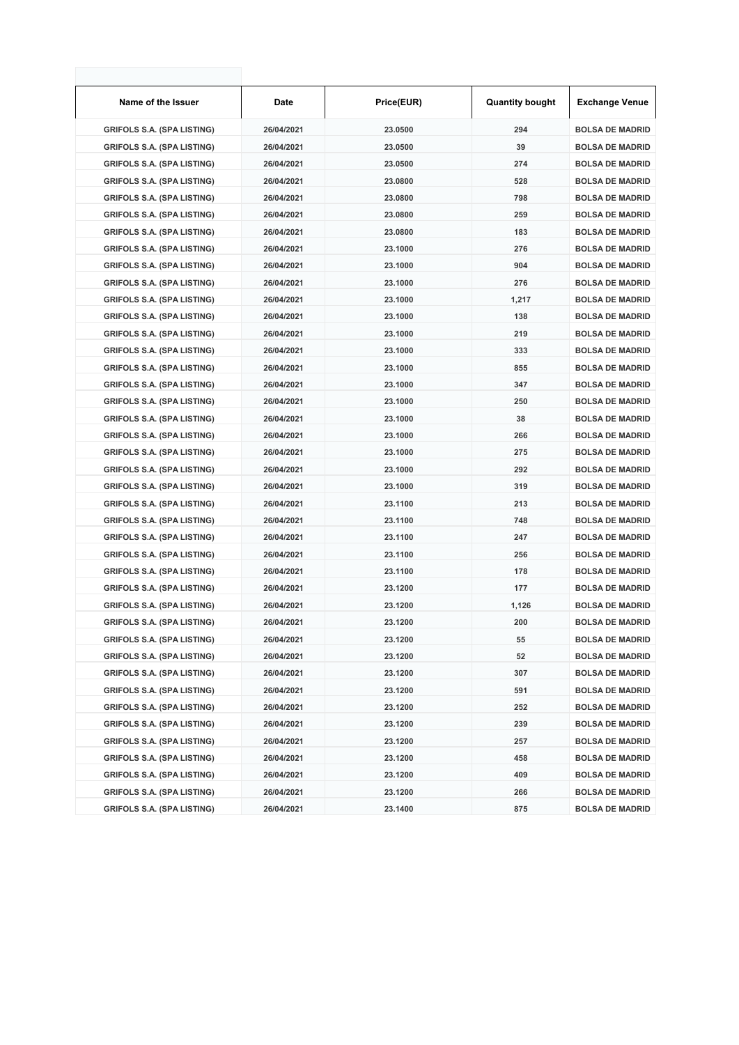| Name of the Issuer                | Date       | Price(EUR) | <b>Quantity bought</b> | <b>Exchange Venue</b>  |
|-----------------------------------|------------|------------|------------------------|------------------------|
| <b>GRIFOLS S.A. (SPA LISTING)</b> | 26/04/2021 | 23.0500    | 294                    | <b>BOLSA DE MADRID</b> |
| <b>GRIFOLS S.A. (SPA LISTING)</b> | 26/04/2021 | 23.0500    | 39                     | <b>BOLSA DE MADRID</b> |
| <b>GRIFOLS S.A. (SPA LISTING)</b> | 26/04/2021 | 23.0500    | 274                    | <b>BOLSA DE MADRID</b> |
| <b>GRIFOLS S.A. (SPA LISTING)</b> | 26/04/2021 | 23.0800    | 528                    | <b>BOLSA DE MADRID</b> |
| <b>GRIFOLS S.A. (SPA LISTING)</b> | 26/04/2021 | 23.0800    | 798                    | <b>BOLSA DE MADRID</b> |
| <b>GRIFOLS S.A. (SPA LISTING)</b> | 26/04/2021 | 23.0800    | 259                    | <b>BOLSA DE MADRID</b> |
| <b>GRIFOLS S.A. (SPA LISTING)</b> | 26/04/2021 | 23.0800    | 183                    | <b>BOLSA DE MADRID</b> |
| <b>GRIFOLS S.A. (SPA LISTING)</b> | 26/04/2021 | 23.1000    | 276                    | <b>BOLSA DE MADRID</b> |
| <b>GRIFOLS S.A. (SPA LISTING)</b> | 26/04/2021 | 23.1000    | 904                    | <b>BOLSA DE MADRID</b> |
| <b>GRIFOLS S.A. (SPA LISTING)</b> | 26/04/2021 | 23.1000    | 276                    | <b>BOLSA DE MADRID</b> |
| <b>GRIFOLS S.A. (SPA LISTING)</b> | 26/04/2021 | 23.1000    | 1,217                  | <b>BOLSA DE MADRID</b> |
| <b>GRIFOLS S.A. (SPA LISTING)</b> | 26/04/2021 | 23.1000    | 138                    | <b>BOLSA DE MADRID</b> |
| <b>GRIFOLS S.A. (SPA LISTING)</b> | 26/04/2021 | 23.1000    | 219                    | <b>BOLSA DE MADRID</b> |
| <b>GRIFOLS S.A. (SPA LISTING)</b> | 26/04/2021 | 23.1000    | 333                    | <b>BOLSA DE MADRID</b> |
| <b>GRIFOLS S.A. (SPA LISTING)</b> | 26/04/2021 | 23.1000    | 855                    | <b>BOLSA DE MADRID</b> |
| <b>GRIFOLS S.A. (SPA LISTING)</b> | 26/04/2021 | 23.1000    | 347                    | <b>BOLSA DE MADRID</b> |
| <b>GRIFOLS S.A. (SPA LISTING)</b> | 26/04/2021 | 23.1000    | 250                    | <b>BOLSA DE MADRID</b> |
| <b>GRIFOLS S.A. (SPA LISTING)</b> | 26/04/2021 | 23.1000    | 38                     | <b>BOLSA DE MADRID</b> |
| <b>GRIFOLS S.A. (SPA LISTING)</b> | 26/04/2021 | 23.1000    | 266                    | <b>BOLSA DE MADRID</b> |
| <b>GRIFOLS S.A. (SPA LISTING)</b> | 26/04/2021 | 23.1000    | 275                    | <b>BOLSA DE MADRID</b> |
| <b>GRIFOLS S.A. (SPA LISTING)</b> | 26/04/2021 | 23.1000    | 292                    | <b>BOLSA DE MADRID</b> |
| <b>GRIFOLS S.A. (SPA LISTING)</b> | 26/04/2021 | 23.1000    | 319                    | <b>BOLSA DE MADRID</b> |
| <b>GRIFOLS S.A. (SPA LISTING)</b> | 26/04/2021 | 23.1100    | 213                    | <b>BOLSA DE MADRID</b> |
| <b>GRIFOLS S.A. (SPA LISTING)</b> | 26/04/2021 | 23.1100    | 748                    | <b>BOLSA DE MADRID</b> |
| <b>GRIFOLS S.A. (SPA LISTING)</b> | 26/04/2021 | 23.1100    | 247                    | <b>BOLSA DE MADRID</b> |
| <b>GRIFOLS S.A. (SPA LISTING)</b> | 26/04/2021 | 23.1100    | 256                    | <b>BOLSA DE MADRID</b> |
| <b>GRIFOLS S.A. (SPA LISTING)</b> | 26/04/2021 | 23.1100    | 178                    | <b>BOLSA DE MADRID</b> |
| <b>GRIFOLS S.A. (SPA LISTING)</b> | 26/04/2021 | 23.1200    | 177                    | <b>BOLSA DE MADRID</b> |
| <b>GRIFOLS S.A. (SPA LISTING)</b> | 26/04/2021 | 23.1200    | 1,126                  | <b>BOLSA DE MADRID</b> |
| <b>GRIFOLS S.A. (SPA LISTING)</b> | 26/04/2021 | 23.1200    | 200                    | <b>BOLSA DE MADRID</b> |
| <b>GRIFOLS S.A. (SPA LISTING)</b> | 26/04/2021 | 23.1200    | 55                     | <b>BOLSA DE MADRID</b> |
| <b>GRIFOLS S.A. (SPA LISTING)</b> | 26/04/2021 | 23.1200    | 52                     | <b>BOLSA DE MADRID</b> |
| <b>GRIFOLS S.A. (SPA LISTING)</b> | 26/04/2021 | 23.1200    | 307                    | <b>BOLSA DE MADRID</b> |
| <b>GRIFOLS S.A. (SPA LISTING)</b> | 26/04/2021 | 23.1200    | 591                    | <b>BOLSA DE MADRID</b> |
| <b>GRIFOLS S.A. (SPA LISTING)</b> | 26/04/2021 | 23.1200    | 252                    | <b>BOLSA DE MADRID</b> |
| <b>GRIFOLS S.A. (SPA LISTING)</b> | 26/04/2021 | 23.1200    | 239                    | <b>BOLSA DE MADRID</b> |
| <b>GRIFOLS S.A. (SPA LISTING)</b> | 26/04/2021 | 23.1200    | 257                    | <b>BOLSA DE MADRID</b> |
| <b>GRIFOLS S.A. (SPA LISTING)</b> | 26/04/2021 | 23.1200    | 458                    | <b>BOLSA DE MADRID</b> |
| <b>GRIFOLS S.A. (SPA LISTING)</b> | 26/04/2021 | 23.1200    | 409                    | <b>BOLSA DE MADRID</b> |
| <b>GRIFOLS S.A. (SPA LISTING)</b> | 26/04/2021 | 23.1200    | 266                    | <b>BOLSA DE MADRID</b> |
| <b>GRIFOLS S.A. (SPA LISTING)</b> | 26/04/2021 | 23.1400    | 875                    | <b>BOLSA DE MADRID</b> |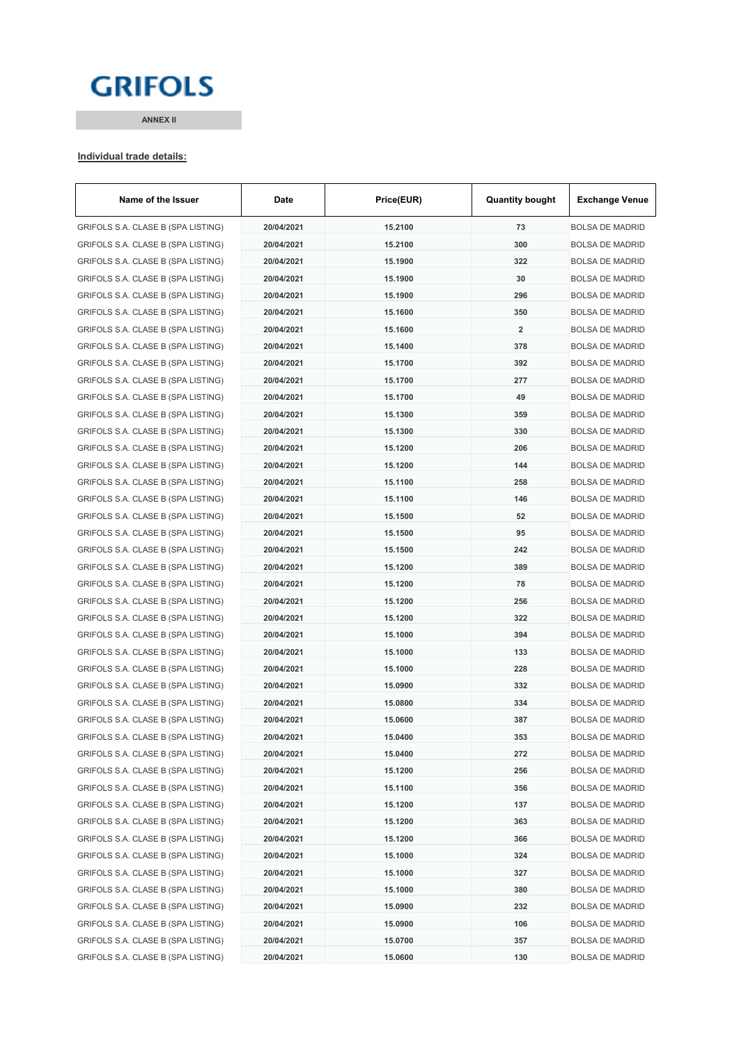# **GRIFOLS**

**ANNEX II**

#### **Individual trade details:**

| Name of the Issuer                 | Date       | Price(EUR) | <b>Quantity bought</b> | <b>Exchange Venue</b>  |
|------------------------------------|------------|------------|------------------------|------------------------|
| GRIFOLS S.A. CLASE B (SPA LISTING) | 20/04/2021 | 15.2100    | 73                     | <b>BOLSA DE MADRID</b> |
| GRIFOLS S.A. CLASE B (SPA LISTING) | 20/04/2021 | 15.2100    | 300                    | <b>BOLSA DE MADRID</b> |
| GRIFOLS S.A. CLASE B (SPA LISTING) | 20/04/2021 | 15.1900    | 322                    | <b>BOLSA DE MADRID</b> |
| GRIFOLS S.A. CLASE B (SPA LISTING) | 20/04/2021 | 15.1900    | 30                     | <b>BOLSA DE MADRID</b> |
| GRIFOLS S.A. CLASE B (SPA LISTING) | 20/04/2021 | 15.1900    | 296                    | <b>BOLSA DE MADRID</b> |
| GRIFOLS S.A. CLASE B (SPA LISTING) | 20/04/2021 | 15.1600    | 350                    | <b>BOLSA DE MADRID</b> |
| GRIFOLS S.A. CLASE B (SPA LISTING) | 20/04/2021 | 15.1600    | $\overline{2}$         | <b>BOLSA DE MADRID</b> |
| GRIFOLS S.A. CLASE B (SPA LISTING) | 20/04/2021 | 15.1400    | 378                    | <b>BOLSA DE MADRID</b> |
| GRIFOLS S.A. CLASE B (SPA LISTING) | 20/04/2021 | 15.1700    | 392                    | <b>BOLSA DE MADRID</b> |
| GRIFOLS S.A. CLASE B (SPA LISTING) | 20/04/2021 | 15.1700    | 277                    | <b>BOLSA DE MADRID</b> |
| GRIFOLS S.A. CLASE B (SPA LISTING) | 20/04/2021 | 15.1700    | 49                     | <b>BOLSA DE MADRID</b> |
| GRIFOLS S.A. CLASE B (SPA LISTING) | 20/04/2021 | 15.1300    | 359                    | <b>BOLSA DE MADRID</b> |
| GRIFOLS S.A. CLASE B (SPA LISTING) | 20/04/2021 | 15.1300    | 330                    | <b>BOLSA DE MADRID</b> |
| GRIFOLS S.A. CLASE B (SPA LISTING) | 20/04/2021 | 15.1200    | 206                    | <b>BOLSA DE MADRID</b> |
| GRIFOLS S.A. CLASE B (SPA LISTING) | 20/04/2021 | 15.1200    | 144                    | <b>BOLSA DE MADRID</b> |
| GRIFOLS S.A. CLASE B (SPA LISTING) | 20/04/2021 | 15.1100    | 258                    | <b>BOLSA DE MADRID</b> |
| GRIFOLS S.A. CLASE B (SPA LISTING) | 20/04/2021 | 15.1100    | 146                    | <b>BOLSA DE MADRID</b> |
| GRIFOLS S.A. CLASE B (SPA LISTING) | 20/04/2021 | 15.1500    | 52                     | <b>BOLSA DE MADRID</b> |
| GRIFOLS S.A. CLASE B (SPA LISTING) | 20/04/2021 | 15.1500    | 95                     | <b>BOLSA DE MADRID</b> |
| GRIFOLS S.A. CLASE B (SPA LISTING) | 20/04/2021 | 15.1500    | 242                    | <b>BOLSA DE MADRID</b> |
| GRIFOLS S.A. CLASE B (SPA LISTING) | 20/04/2021 | 15.1200    | 389                    | <b>BOLSA DE MADRID</b> |
| GRIFOLS S.A. CLASE B (SPA LISTING) | 20/04/2021 | 15.1200    | 78                     | <b>BOLSA DE MADRID</b> |
| GRIFOLS S.A. CLASE B (SPA LISTING) | 20/04/2021 | 15.1200    | 256                    | BOLSA DE MADRID        |
| GRIFOLS S.A. CLASE B (SPA LISTING) | 20/04/2021 | 15.1200    | 322                    | <b>BOLSA DE MADRID</b> |
| GRIFOLS S.A. CLASE B (SPA LISTING) | 20/04/2021 | 15.1000    | 394                    | <b>BOLSA DE MADRID</b> |
| GRIFOLS S.A. CLASE B (SPA LISTING) | 20/04/2021 | 15.1000    | 133                    | <b>BOLSA DE MADRID</b> |
| GRIFOLS S.A. CLASE B (SPA LISTING) | 20/04/2021 | 15.1000    | 228                    | <b>BOLSA DE MADRID</b> |
| GRIFOLS S.A. CLASE B (SPA LISTING) | 20/04/2021 | 15.0900    | 332                    | <b>BOLSA DE MADRID</b> |
| GRIFOLS S.A. CLASE B (SPA LISTING) | 20/04/2021 | 15.0800    | 334                    | <b>BOLSA DE MADRID</b> |
| GRIFOLS S.A. CLASE B (SPA LISTING) | 20/04/2021 | 15.0600    | 387                    | BOLSA DE MADRID        |
| GRIFOLS S.A. CLASE B (SPA LISTING) | 20/04/2021 | 15.0400    | 353                    | BOLSA DE MADRID        |
| GRIFOLS S.A. CLASE B (SPA LISTING) | 20/04/2021 | 15.0400    | 272                    | <b>BOLSA DE MADRID</b> |
| GRIFOLS S.A. CLASE B (SPA LISTING) | 20/04/2021 | 15.1200    | 256                    | <b>BOLSA DE MADRID</b> |
| GRIFOLS S.A. CLASE B (SPA LISTING) | 20/04/2021 | 15.1100    | 356                    | <b>BOLSA DE MADRID</b> |
| GRIFOLS S.A. CLASE B (SPA LISTING) | 20/04/2021 | 15.1200    | 137                    | <b>BOLSA DE MADRID</b> |
| GRIFOLS S.A. CLASE B (SPA LISTING) | 20/04/2021 | 15.1200    | 363                    | <b>BOLSA DE MADRID</b> |
| GRIFOLS S.A. CLASE B (SPA LISTING) | 20/04/2021 | 15.1200    | 366                    | <b>BOLSA DE MADRID</b> |
| GRIFOLS S.A. CLASE B (SPA LISTING) | 20/04/2021 | 15.1000    | 324                    | BOLSA DE MADRID        |
| GRIFOLS S.A. CLASE B (SPA LISTING) | 20/04/2021 | 15.1000    | 327                    | <b>BOLSA DE MADRID</b> |
| GRIFOLS S.A. CLASE B (SPA LISTING) | 20/04/2021 | 15.1000    | 380                    | <b>BOLSA DE MADRID</b> |
| GRIFOLS S.A. CLASE B (SPA LISTING) | 20/04/2021 | 15.0900    | 232                    | <b>BOLSA DE MADRID</b> |
| GRIFOLS S.A. CLASE B (SPA LISTING) | 20/04/2021 | 15.0900    | 106                    | <b>BOLSA DE MADRID</b> |
| GRIFOLS S.A. CLASE B (SPA LISTING) | 20/04/2021 | 15.0700    | 357                    | <b>BOLSA DE MADRID</b> |
| GRIFOLS S.A. CLASE B (SPA LISTING) | 20/04/2021 | 15.0600    | 130                    | <b>BOLSA DE MADRID</b> |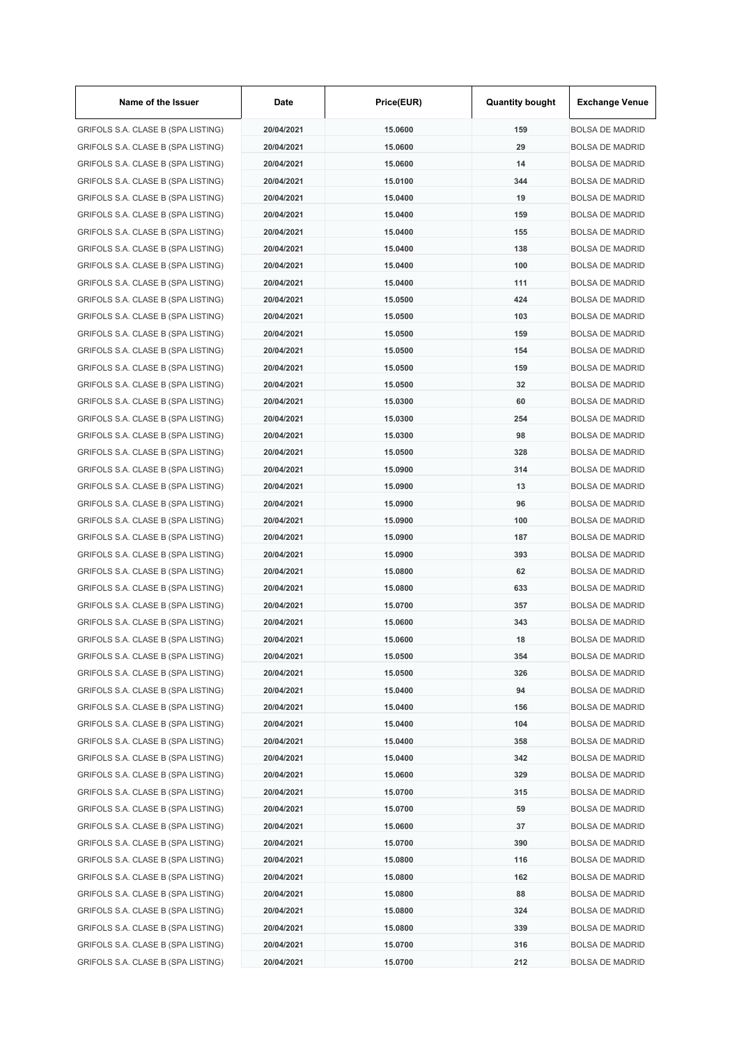| Name of the Issuer                 | Date       | Price(EUR) | <b>Quantity bought</b> | <b>Exchange Venue</b>  |
|------------------------------------|------------|------------|------------------------|------------------------|
| GRIFOLS S.A. CLASE B (SPA LISTING) | 20/04/2021 | 15.0600    | 159                    | <b>BOLSA DE MADRID</b> |
| GRIFOLS S.A. CLASE B (SPA LISTING) | 20/04/2021 | 15.0600    | 29                     | <b>BOLSA DE MADRID</b> |
| GRIFOLS S.A. CLASE B (SPA LISTING) | 20/04/2021 | 15.0600    | 14                     | <b>BOLSA DE MADRID</b> |
| GRIFOLS S.A. CLASE B (SPA LISTING) | 20/04/2021 | 15.0100    | 344                    | <b>BOLSA DE MADRID</b> |
| GRIFOLS S.A. CLASE B (SPA LISTING) | 20/04/2021 | 15.0400    | 19                     | <b>BOLSA DE MADRID</b> |
| GRIFOLS S.A. CLASE B (SPA LISTING) | 20/04/2021 | 15.0400    | 159                    | <b>BOLSA DE MADRID</b> |
| GRIFOLS S.A. CLASE B (SPA LISTING) | 20/04/2021 | 15.0400    | 155                    | <b>BOLSA DE MADRID</b> |
| GRIFOLS S.A. CLASE B (SPA LISTING) | 20/04/2021 | 15.0400    | 138                    | <b>BOLSA DE MADRID</b> |
| GRIFOLS S.A. CLASE B (SPA LISTING) | 20/04/2021 | 15.0400    | 100                    | <b>BOLSA DE MADRID</b> |
| GRIFOLS S.A. CLASE B (SPA LISTING) | 20/04/2021 | 15.0400    | 111                    | <b>BOLSA DE MADRID</b> |
| GRIFOLS S.A. CLASE B (SPA LISTING) | 20/04/2021 | 15.0500    | 424                    | <b>BOLSA DE MADRID</b> |
| GRIFOLS S.A. CLASE B (SPA LISTING) | 20/04/2021 | 15.0500    | 103                    | <b>BOLSA DE MADRID</b> |
| GRIFOLS S.A. CLASE B (SPA LISTING) | 20/04/2021 | 15.0500    | 159                    | <b>BOLSA DE MADRID</b> |
| GRIFOLS S.A. CLASE B (SPA LISTING) | 20/04/2021 | 15.0500    | 154                    | <b>BOLSA DE MADRID</b> |
| GRIFOLS S.A. CLASE B (SPA LISTING) | 20/04/2021 | 15.0500    | 159                    | <b>BOLSA DE MADRID</b> |
| GRIFOLS S.A. CLASE B (SPA LISTING) | 20/04/2021 | 15.0500    | 32                     | <b>BOLSA DE MADRID</b> |
| GRIFOLS S.A. CLASE B (SPA LISTING) | 20/04/2021 | 15.0300    | 60                     | <b>BOLSA DE MADRID</b> |
| GRIFOLS S.A. CLASE B (SPA LISTING) | 20/04/2021 | 15.0300    | 254                    | <b>BOLSA DE MADRID</b> |
|                                    | 20/04/2021 |            | 98                     | <b>BOLSA DE MADRID</b> |
| GRIFOLS S.A. CLASE B (SPA LISTING) |            | 15.0300    |                        |                        |
| GRIFOLS S.A. CLASE B (SPA LISTING) | 20/04/2021 | 15.0500    | 328                    | <b>BOLSA DE MADRID</b> |
| GRIFOLS S.A. CLASE B (SPA LISTING) | 20/04/2021 | 15.0900    | 314                    | <b>BOLSA DE MADRID</b> |
| GRIFOLS S.A. CLASE B (SPA LISTING) | 20/04/2021 | 15.0900    | 13                     | <b>BOLSA DE MADRID</b> |
| GRIFOLS S.A. CLASE B (SPA LISTING) | 20/04/2021 | 15.0900    | 96                     | <b>BOLSA DE MADRID</b> |
| GRIFOLS S.A. CLASE B (SPA LISTING) | 20/04/2021 | 15.0900    | 100                    | <b>BOLSA DE MADRID</b> |
| GRIFOLS S.A. CLASE B (SPA LISTING) | 20/04/2021 | 15.0900    | 187                    | <b>BOLSA DE MADRID</b> |
| GRIFOLS S.A. CLASE B (SPA LISTING) | 20/04/2021 | 15.0900    | 393                    | <b>BOLSA DE MADRID</b> |
| GRIFOLS S.A. CLASE B (SPA LISTING) | 20/04/2021 | 15.0800    | 62                     | <b>BOLSA DE MADRID</b> |
| GRIFOLS S.A. CLASE B (SPA LISTING) | 20/04/2021 | 15.0800    | 633                    | <b>BOLSA DE MADRID</b> |
| GRIFOLS S.A. CLASE B (SPA LISTING) | 20/04/2021 | 15.0700    | 357                    | <b>BOLSA DE MADRID</b> |
| GRIFOLS S.A. CLASE B (SPA LISTING) | 20/04/2021 | 15.0600    | 343                    | <b>BOLSA DE MADRID</b> |
| GRIFOLS S.A. CLASE B (SPA LISTING) | 20/04/2021 | 15.0600    | 18                     | <b>BOLSA DE MADRID</b> |
| GRIFOLS S.A. CLASE B (SPA LISTING) | 20/04/2021 | 15.0500    | 354                    | <b>BOLSA DE MADRID</b> |
| GRIFOLS S.A. CLASE B (SPA LISTING) | 20/04/2021 | 15.0500    | 326                    | <b>BOLSA DE MADRID</b> |
| GRIFOLS S.A. CLASE B (SPA LISTING) | 20/04/2021 | 15.0400    | 94                     | <b>BOLSA DE MADRID</b> |
| GRIFOLS S.A. CLASE B (SPA LISTING) | 20/04/2021 | 15.0400    | 156                    | <b>BOLSA DE MADRID</b> |
| GRIFOLS S.A. CLASE B (SPA LISTING) | 20/04/2021 | 15.0400    | 104                    | <b>BOLSA DE MADRID</b> |
| GRIFOLS S.A. CLASE B (SPA LISTING) | 20/04/2021 | 15.0400    | 358                    | <b>BOLSA DE MADRID</b> |
| GRIFOLS S.A. CLASE B (SPA LISTING) | 20/04/2021 | 15.0400    | 342                    | <b>BOLSA DE MADRID</b> |
| GRIFOLS S.A. CLASE B (SPA LISTING) | 20/04/2021 | 15.0600    | 329                    | <b>BOLSA DE MADRID</b> |
| GRIFOLS S.A. CLASE B (SPA LISTING) | 20/04/2021 | 15.0700    | 315                    | <b>BOLSA DE MADRID</b> |
| GRIFOLS S.A. CLASE B (SPA LISTING) | 20/04/2021 | 15.0700    | 59                     | <b>BOLSA DE MADRID</b> |
| GRIFOLS S.A. CLASE B (SPA LISTING) | 20/04/2021 | 15.0600    | 37                     | <b>BOLSA DE MADRID</b> |
| GRIFOLS S.A. CLASE B (SPA LISTING) | 20/04/2021 | 15.0700    | 390                    | <b>BOLSA DE MADRID</b> |
| GRIFOLS S.A. CLASE B (SPA LISTING) | 20/04/2021 | 15.0800    | 116                    | <b>BOLSA DE MADRID</b> |
| GRIFOLS S.A. CLASE B (SPA LISTING) | 20/04/2021 | 15.0800    | 162                    | <b>BOLSA DE MADRID</b> |
| GRIFOLS S.A. CLASE B (SPA LISTING) | 20/04/2021 | 15.0800    | 88                     | <b>BOLSA DE MADRID</b> |
| GRIFOLS S.A. CLASE B (SPA LISTING) | 20/04/2021 | 15.0800    | 324                    | <b>BOLSA DE MADRID</b> |
| GRIFOLS S.A. CLASE B (SPA LISTING) | 20/04/2021 | 15.0800    | 339                    | <b>BOLSA DE MADRID</b> |
| GRIFOLS S.A. CLASE B (SPA LISTING) | 20/04/2021 | 15.0700    | 316                    | <b>BOLSA DE MADRID</b> |
| GRIFOLS S.A. CLASE B (SPA LISTING) | 20/04/2021 | 15.0700    | 212                    | <b>BOLSA DE MADRID</b> |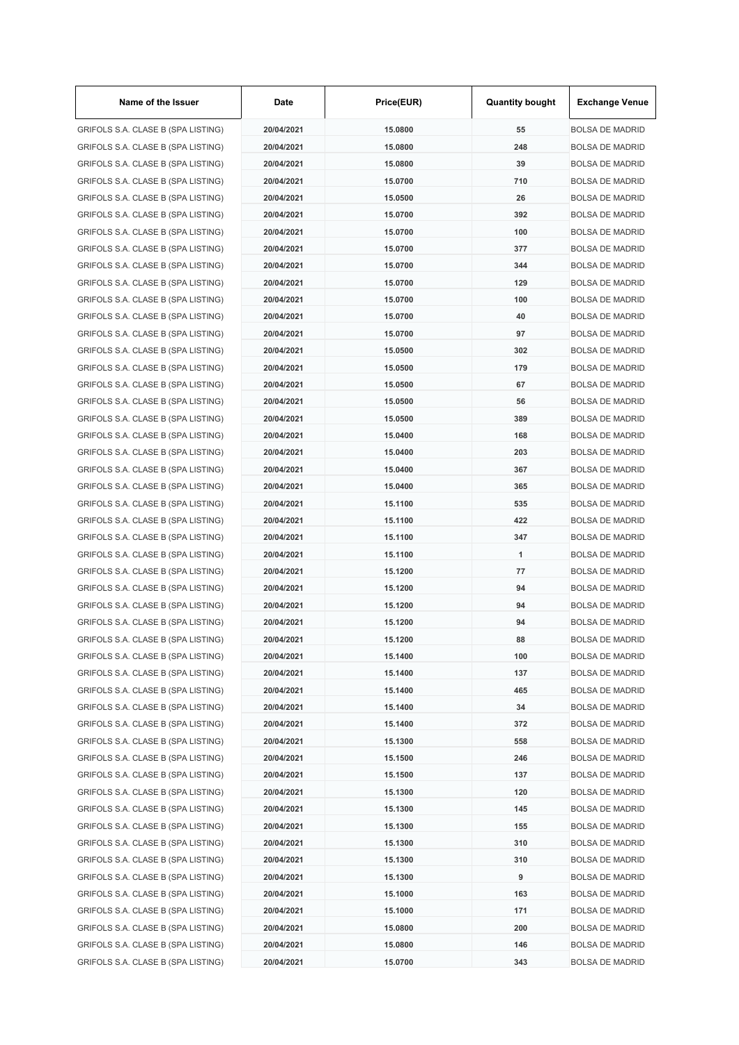| Name of the Issuer                 | Date       | Price(EUR) | <b>Quantity bought</b> | <b>Exchange Venue</b>  |
|------------------------------------|------------|------------|------------------------|------------------------|
| GRIFOLS S.A. CLASE B (SPA LISTING) | 20/04/2021 | 15.0800    | 55                     | <b>BOLSA DE MADRID</b> |
| GRIFOLS S.A. CLASE B (SPA LISTING) | 20/04/2021 | 15.0800    | 248                    | <b>BOLSA DE MADRID</b> |
| GRIFOLS S.A. CLASE B (SPA LISTING) | 20/04/2021 | 15.0800    | 39                     | <b>BOLSA DE MADRID</b> |
| GRIFOLS S.A. CLASE B (SPA LISTING) | 20/04/2021 | 15.0700    | 710                    | <b>BOLSA DE MADRID</b> |
| GRIFOLS S.A. CLASE B (SPA LISTING) | 20/04/2021 | 15.0500    | 26                     | <b>BOLSA DE MADRID</b> |
| GRIFOLS S.A. CLASE B (SPA LISTING) | 20/04/2021 | 15.0700    | 392                    | <b>BOLSA DE MADRID</b> |
| GRIFOLS S.A. CLASE B (SPA LISTING) | 20/04/2021 | 15.0700    | 100                    | <b>BOLSA DE MADRID</b> |
| GRIFOLS S.A. CLASE B (SPA LISTING) | 20/04/2021 | 15.0700    | 377                    | <b>BOLSA DE MADRID</b> |
| GRIFOLS S.A. CLASE B (SPA LISTING) | 20/04/2021 | 15.0700    | 344                    | <b>BOLSA DE MADRID</b> |
| GRIFOLS S.A. CLASE B (SPA LISTING) | 20/04/2021 | 15.0700    | 129                    | <b>BOLSA DE MADRID</b> |
| GRIFOLS S.A. CLASE B (SPA LISTING) | 20/04/2021 | 15.0700    | 100                    | <b>BOLSA DE MADRID</b> |
| GRIFOLS S.A. CLASE B (SPA LISTING) | 20/04/2021 | 15.0700    | 40                     | <b>BOLSA DE MADRID</b> |
| GRIFOLS S.A. CLASE B (SPA LISTING) | 20/04/2021 | 15.0700    | 97                     | <b>BOLSA DE MADRID</b> |
| GRIFOLS S.A. CLASE B (SPA LISTING) | 20/04/2021 | 15.0500    | 302                    | <b>BOLSA DE MADRID</b> |
| GRIFOLS S.A. CLASE B (SPA LISTING) | 20/04/2021 | 15.0500    | 179                    | <b>BOLSA DE MADRID</b> |
| GRIFOLS S.A. CLASE B (SPA LISTING) | 20/04/2021 | 15.0500    | 67                     | <b>BOLSA DE MADRID</b> |
| GRIFOLS S.A. CLASE B (SPA LISTING) | 20/04/2021 | 15.0500    | 56                     | <b>BOLSA DE MADRID</b> |
| GRIFOLS S.A. CLASE B (SPA LISTING) | 20/04/2021 | 15.0500    | 389                    | <b>BOLSA DE MADRID</b> |
| GRIFOLS S.A. CLASE B (SPA LISTING) | 20/04/2021 | 15.0400    | 168                    | <b>BOLSA DE MADRID</b> |
| GRIFOLS S.A. CLASE B (SPA LISTING) | 20/04/2021 | 15.0400    | 203                    | <b>BOLSA DE MADRID</b> |
| GRIFOLS S.A. CLASE B (SPA LISTING) | 20/04/2021 | 15.0400    | 367                    | <b>BOLSA DE MADRID</b> |
| GRIFOLS S.A. CLASE B (SPA LISTING) | 20/04/2021 | 15.0400    | 365                    | <b>BOLSA DE MADRID</b> |
| GRIFOLS S.A. CLASE B (SPA LISTING) | 20/04/2021 | 15.1100    | 535                    | <b>BOLSA DE MADRID</b> |
| GRIFOLS S.A. CLASE B (SPA LISTING) | 20/04/2021 | 15.1100    | 422                    | <b>BOLSA DE MADRID</b> |
| GRIFOLS S.A. CLASE B (SPA LISTING) | 20/04/2021 | 15.1100    | 347                    | <b>BOLSA DE MADRID</b> |
|                                    | 20/04/2021 | 15.1100    | 1                      |                        |
| GRIFOLS S.A. CLASE B (SPA LISTING) | 20/04/2021 |            |                        | <b>BOLSA DE MADRID</b> |
| GRIFOLS S.A. CLASE B (SPA LISTING) |            | 15.1200    | 77                     | <b>BOLSA DE MADRID</b> |
| GRIFOLS S.A. CLASE B (SPA LISTING) | 20/04/2021 | 15.1200    | 94                     | <b>BOLSA DE MADRID</b> |
| GRIFOLS S.A. CLASE B (SPA LISTING) | 20/04/2021 | 15.1200    | 94                     | <b>BOLSA DE MADRID</b> |
| GRIFOLS S.A. CLASE B (SPA LISTING) | 20/04/2021 | 15.1200    | 94                     | <b>BOLSA DE MADRID</b> |
| GRIFOLS S.A. CLASE B (SPA LISTING) | 20/04/2021 | 15.1200    | 88                     | <b>BOLSA DE MADRID</b> |
| GRIFOLS S.A. CLASE B (SPA LISTING) | 20/04/2021 | 15.1400    | 100                    | <b>BOLSA DE MADRID</b> |
| GRIFOLS S.A. CLASE B (SPA LISTING) | 20/04/2021 | 15.1400    | 137                    | <b>BOLSA DE MADRID</b> |
| GRIFOLS S.A. CLASE B (SPA LISTING) | 20/04/2021 | 15.1400    | 465                    | <b>BOLSA DE MADRID</b> |
| GRIFOLS S.A. CLASE B (SPA LISTING) | 20/04/2021 | 15.1400    | 34                     | <b>BOLSA DE MADRID</b> |
| GRIFOLS S.A. CLASE B (SPA LISTING) | 20/04/2021 | 15.1400    | 372                    | <b>BOLSA DE MADRID</b> |
| GRIFOLS S.A. CLASE B (SPA LISTING) | 20/04/2021 | 15.1300    | 558                    | <b>BOLSA DE MADRID</b> |
| GRIFOLS S.A. CLASE B (SPA LISTING) | 20/04/2021 | 15.1500    | 246                    | <b>BOLSA DE MADRID</b> |
| GRIFOLS S.A. CLASE B (SPA LISTING) | 20/04/2021 | 15.1500    | 137                    | <b>BOLSA DE MADRID</b> |
| GRIFOLS S.A. CLASE B (SPA LISTING) | 20/04/2021 | 15.1300    | 120                    | <b>BOLSA DE MADRID</b> |
| GRIFOLS S.A. CLASE B (SPA LISTING) | 20/04/2021 | 15.1300    | 145                    | <b>BOLSA DE MADRID</b> |
| GRIFOLS S.A. CLASE B (SPA LISTING) | 20/04/2021 | 15.1300    | 155                    | <b>BOLSA DE MADRID</b> |
| GRIFOLS S.A. CLASE B (SPA LISTING) | 20/04/2021 | 15.1300    | 310                    | <b>BOLSA DE MADRID</b> |
| GRIFOLS S.A. CLASE B (SPA LISTING) | 20/04/2021 | 15.1300    | 310                    | <b>BOLSA DE MADRID</b> |
| GRIFOLS S.A. CLASE B (SPA LISTING) | 20/04/2021 | 15.1300    | 9                      | <b>BOLSA DE MADRID</b> |
| GRIFOLS S.A. CLASE B (SPA LISTING) | 20/04/2021 | 15.1000    | 163                    | <b>BOLSA DE MADRID</b> |
| GRIFOLS S.A. CLASE B (SPA LISTING) | 20/04/2021 | 15.1000    | 171                    | <b>BOLSA DE MADRID</b> |
| GRIFOLS S.A. CLASE B (SPA LISTING) | 20/04/2021 | 15.0800    | 200                    | <b>BOLSA DE MADRID</b> |
| GRIFOLS S.A. CLASE B (SPA LISTING) | 20/04/2021 | 15.0800    | 146                    | <b>BOLSA DE MADRID</b> |
| GRIFOLS S.A. CLASE B (SPA LISTING) | 20/04/2021 | 15.0700    | 343                    | <b>BOLSA DE MADRID</b> |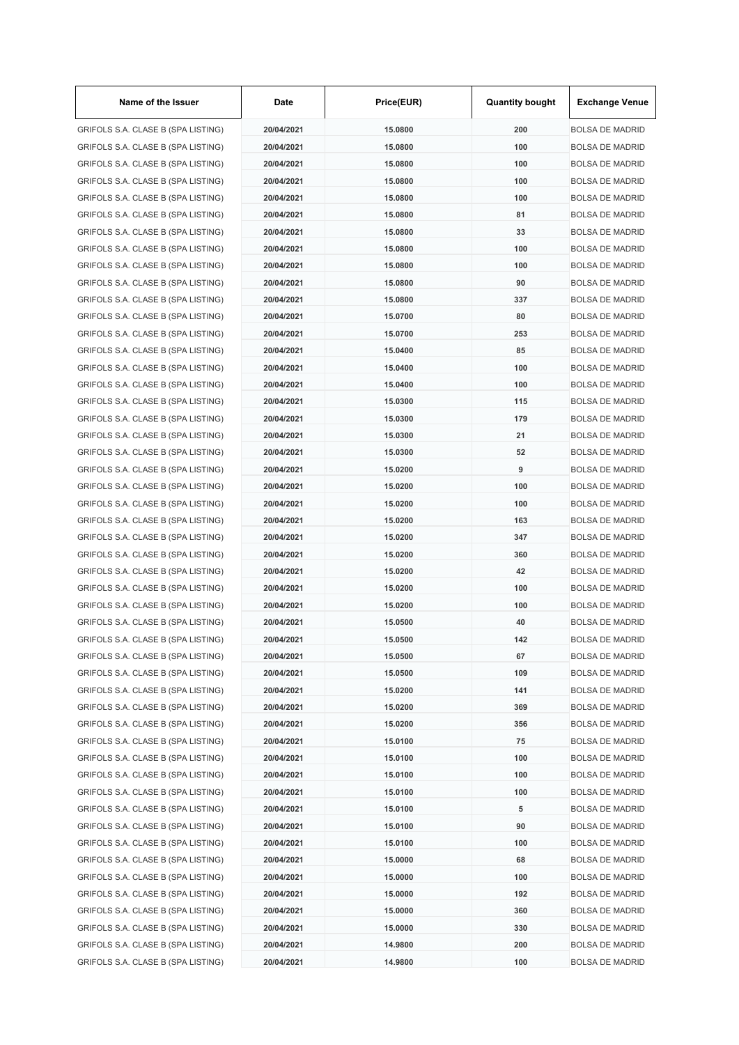| Name of the Issuer                 | Date       | Price(EUR) | <b>Quantity bought</b> | <b>Exchange Venue</b>  |
|------------------------------------|------------|------------|------------------------|------------------------|
| GRIFOLS S.A. CLASE B (SPA LISTING) | 20/04/2021 | 15.0800    | 200                    | <b>BOLSA DE MADRID</b> |
| GRIFOLS S.A. CLASE B (SPA LISTING) | 20/04/2021 | 15.0800    | 100                    | <b>BOLSA DE MADRID</b> |
| GRIFOLS S.A. CLASE B (SPA LISTING) | 20/04/2021 | 15.0800    | 100                    | <b>BOLSA DE MADRID</b> |
| GRIFOLS S.A. CLASE B (SPA LISTING) | 20/04/2021 | 15.0800    | 100                    | <b>BOLSA DE MADRID</b> |
| GRIFOLS S.A. CLASE B (SPA LISTING) | 20/04/2021 | 15.0800    | 100                    | <b>BOLSA DE MADRID</b> |
| GRIFOLS S.A. CLASE B (SPA LISTING) | 20/04/2021 | 15.0800    | 81                     | <b>BOLSA DE MADRID</b> |
| GRIFOLS S.A. CLASE B (SPA LISTING) | 20/04/2021 | 15.0800    | 33                     | <b>BOLSA DE MADRID</b> |
| GRIFOLS S.A. CLASE B (SPA LISTING) | 20/04/2021 | 15.0800    | 100                    | <b>BOLSA DE MADRID</b> |
| GRIFOLS S.A. CLASE B (SPA LISTING) | 20/04/2021 | 15,0800    | 100                    | <b>BOLSA DE MADRID</b> |
| GRIFOLS S.A. CLASE B (SPA LISTING) | 20/04/2021 | 15.0800    | 90                     | <b>BOLSA DE MADRID</b> |
| GRIFOLS S.A. CLASE B (SPA LISTING) | 20/04/2021 | 15.0800    | 337                    | <b>BOLSA DE MADRID</b> |
| GRIFOLS S.A. CLASE B (SPA LISTING) | 20/04/2021 | 15.0700    | 80                     | <b>BOLSA DE MADRID</b> |
| GRIFOLS S.A. CLASE B (SPA LISTING) | 20/04/2021 | 15.0700    | 253                    | <b>BOLSA DE MADRID</b> |
| GRIFOLS S.A. CLASE B (SPA LISTING) | 20/04/2021 | 15.0400    | 85                     | <b>BOLSA DE MADRID</b> |
| GRIFOLS S.A. CLASE B (SPA LISTING) | 20/04/2021 | 15.0400    | 100                    | <b>BOLSA DE MADRID</b> |
| GRIFOLS S.A. CLASE B (SPA LISTING) | 20/04/2021 | 15.0400    | 100                    | <b>BOLSA DE MADRID</b> |
| GRIFOLS S.A. CLASE B (SPA LISTING) | 20/04/2021 | 15.0300    | 115                    | <b>BOLSA DE MADRID</b> |
| GRIFOLS S.A. CLASE B (SPA LISTING) | 20/04/2021 | 15.0300    | 179                    | <b>BOLSA DE MADRID</b> |
| GRIFOLS S.A. CLASE B (SPA LISTING) | 20/04/2021 | 15.0300    | 21                     | <b>BOLSA DE MADRID</b> |
| GRIFOLS S.A. CLASE B (SPA LISTING) | 20/04/2021 | 15.0300    | 52                     | <b>BOLSA DE MADRID</b> |
| GRIFOLS S.A. CLASE B (SPA LISTING) | 20/04/2021 | 15.0200    | 9                      | <b>BOLSA DE MADRID</b> |
| GRIFOLS S.A. CLASE B (SPA LISTING) | 20/04/2021 |            | 100                    | <b>BOLSA DE MADRID</b> |
|                                    |            | 15.0200    |                        |                        |
| GRIFOLS S.A. CLASE B (SPA LISTING) | 20/04/2021 | 15.0200    | 100                    | <b>BOLSA DE MADRID</b> |
| GRIFOLS S.A. CLASE B (SPA LISTING) | 20/04/2021 | 15.0200    | 163                    | <b>BOLSA DE MADRID</b> |
| GRIFOLS S.A. CLASE B (SPA LISTING) | 20/04/2021 | 15.0200    | 347                    | <b>BOLSA DE MADRID</b> |
| GRIFOLS S.A. CLASE B (SPA LISTING) | 20/04/2021 | 15.0200    | 360                    | <b>BOLSA DE MADRID</b> |
| GRIFOLS S.A. CLASE B (SPA LISTING) | 20/04/2021 | 15.0200    | 42                     | <b>BOLSA DE MADRID</b> |
| GRIFOLS S.A. CLASE B (SPA LISTING) | 20/04/2021 | 15.0200    | 100                    | <b>BOLSA DE MADRID</b> |
| GRIFOLS S.A. CLASE B (SPA LISTING) | 20/04/2021 | 15.0200    | 100                    | <b>BOLSA DE MADRID</b> |
| GRIFOLS S.A. CLASE B (SPA LISTING) | 20/04/2021 | 15,0500    | 40                     | <b>BOLSA DE MADRID</b> |
| GRIFOLS S.A. CLASE B (SPA LISTING) | 20/04/2021 | 15.0500    | 142                    | <b>BOLSA DE MADRID</b> |
| GRIFOLS S.A. CLASE B (SPA LISTING) | 20/04/2021 | 15.0500    | 67                     | <b>BOLSA DE MADRID</b> |
| GRIFOLS S.A. CLASE B (SPA LISTING) | 20/04/2021 | 15.0500    | 109                    | <b>BOLSA DE MADRID</b> |
| GRIFOLS S.A. CLASE B (SPA LISTING) | 20/04/2021 | 15.0200    | 141                    | <b>BOLSA DE MADRID</b> |
| GRIFOLS S.A. CLASE B (SPA LISTING) | 20/04/2021 | 15.0200    | 369                    | <b>BOLSA DE MADRID</b> |
| GRIFOLS S.A. CLASE B (SPA LISTING) | 20/04/2021 | 15.0200    | 356                    | <b>BOLSA DE MADRID</b> |
| GRIFOLS S.A. CLASE B (SPA LISTING) | 20/04/2021 | 15.0100    | 75                     | <b>BOLSA DE MADRID</b> |
| GRIFOLS S.A. CLASE B (SPA LISTING) | 20/04/2021 | 15.0100    | 100                    | <b>BOLSA DE MADRID</b> |
| GRIFOLS S.A. CLASE B (SPA LISTING) | 20/04/2021 | 15.0100    | 100                    | <b>BOLSA DE MADRID</b> |
| GRIFOLS S.A. CLASE B (SPA LISTING) | 20/04/2021 | 15.0100    | 100                    | <b>BOLSA DE MADRID</b> |
| GRIFOLS S.A. CLASE B (SPA LISTING) | 20/04/2021 | 15.0100    | 5                      | <b>BOLSA DE MADRID</b> |
| GRIFOLS S.A. CLASE B (SPA LISTING) | 20/04/2021 | 15.0100    | 90                     | <b>BOLSA DE MADRID</b> |
| GRIFOLS S.A. CLASE B (SPA LISTING) | 20/04/2021 | 15.0100    | 100                    | <b>BOLSA DE MADRID</b> |
| GRIFOLS S.A. CLASE B (SPA LISTING) | 20/04/2021 | 15.0000    | 68                     | <b>BOLSA DE MADRID</b> |
| GRIFOLS S.A. CLASE B (SPA LISTING) | 20/04/2021 | 15.0000    | 100                    | <b>BOLSA DE MADRID</b> |
| GRIFOLS S.A. CLASE B (SPA LISTING) | 20/04/2021 | 15.0000    | 192                    | <b>BOLSA DE MADRID</b> |
| GRIFOLS S.A. CLASE B (SPA LISTING) | 20/04/2021 | 15.0000    | 360                    | <b>BOLSA DE MADRID</b> |
| GRIFOLS S.A. CLASE B (SPA LISTING) | 20/04/2021 | 15.0000    | 330                    | <b>BOLSA DE MADRID</b> |
| GRIFOLS S.A. CLASE B (SPA LISTING) | 20/04/2021 | 14.9800    | 200                    | <b>BOLSA DE MADRID</b> |
| GRIFOLS S.A. CLASE B (SPA LISTING) | 20/04/2021 | 14.9800    | 100                    | <b>BOLSA DE MADRID</b> |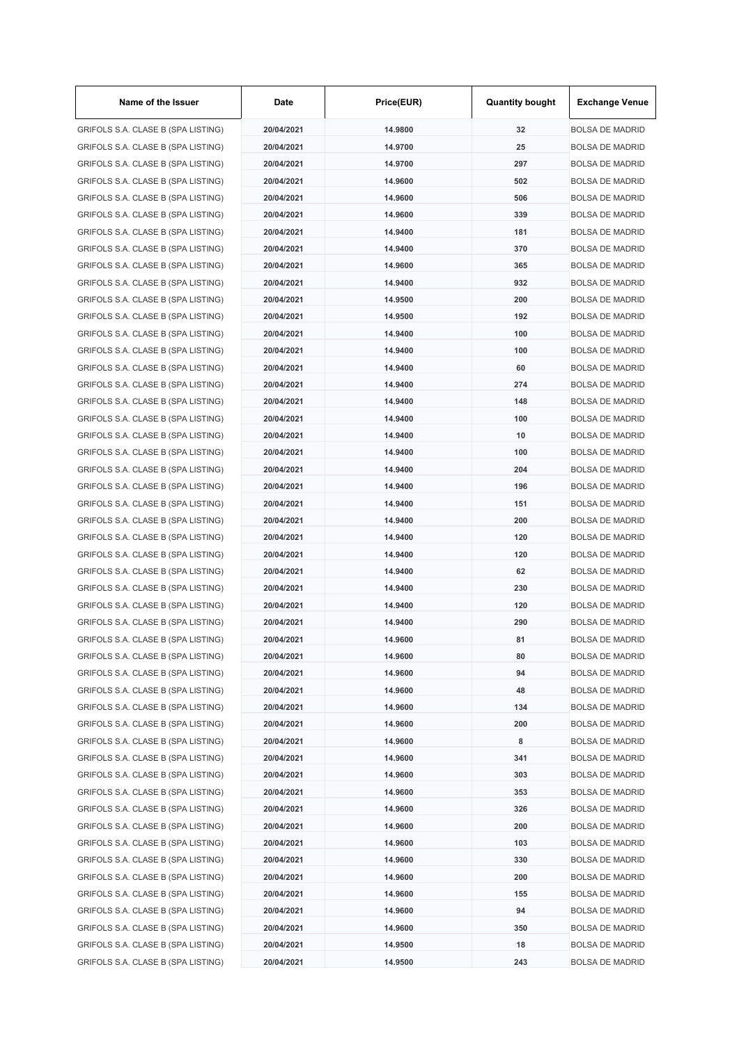| Name of the Issuer                 | Date       | Price(EUR) | <b>Quantity bought</b> | <b>Exchange Venue</b>  |
|------------------------------------|------------|------------|------------------------|------------------------|
| GRIFOLS S.A. CLASE B (SPA LISTING) | 20/04/2021 | 14.9800    | 32                     | <b>BOLSA DE MADRID</b> |
| GRIFOLS S.A. CLASE B (SPA LISTING) | 20/04/2021 | 14.9700    | 25                     | <b>BOLSA DE MADRID</b> |
| GRIFOLS S.A. CLASE B (SPA LISTING) | 20/04/2021 | 14.9700    | 297                    | <b>BOLSA DE MADRID</b> |
| GRIFOLS S.A. CLASE B (SPA LISTING) | 20/04/2021 | 14.9600    | 502                    | <b>BOLSA DE MADRID</b> |
| GRIFOLS S.A. CLASE B (SPA LISTING) | 20/04/2021 | 14.9600    | 506                    | <b>BOLSA DE MADRID</b> |
| GRIFOLS S.A. CLASE B (SPA LISTING) | 20/04/2021 | 14.9600    | 339                    | <b>BOLSA DE MADRID</b> |
| GRIFOLS S.A. CLASE B (SPA LISTING) | 20/04/2021 | 14.9400    | 181                    | <b>BOLSA DE MADRID</b> |
| GRIFOLS S.A. CLASE B (SPA LISTING) | 20/04/2021 | 14.9400    | 370                    | <b>BOLSA DE MADRID</b> |
| GRIFOLS S.A. CLASE B (SPA LISTING) | 20/04/2021 | 14.9600    | 365                    | <b>BOLSA DE MADRID</b> |
| GRIFOLS S.A. CLASE B (SPA LISTING) | 20/04/2021 | 14.9400    | 932                    | <b>BOLSA DE MADRID</b> |
| GRIFOLS S.A. CLASE B (SPA LISTING) | 20/04/2021 | 14.9500    | 200                    | <b>BOLSA DE MADRID</b> |
| GRIFOLS S.A. CLASE B (SPA LISTING) | 20/04/2021 | 14.9500    | 192                    | <b>BOLSA DE MADRID</b> |
| GRIFOLS S.A. CLASE B (SPA LISTING) | 20/04/2021 | 14.9400    | 100                    | <b>BOLSA DE MADRID</b> |
| GRIFOLS S.A. CLASE B (SPA LISTING) | 20/04/2021 | 14.9400    | 100                    | <b>BOLSA DE MADRID</b> |
| GRIFOLS S.A. CLASE B (SPA LISTING) | 20/04/2021 | 14.9400    | 60                     | <b>BOLSA DE MADRID</b> |
| GRIFOLS S.A. CLASE B (SPA LISTING) | 20/04/2021 | 14.9400    | 274                    | <b>BOLSA DE MADRID</b> |
| GRIFOLS S.A. CLASE B (SPA LISTING) | 20/04/2021 | 14.9400    | 148                    | <b>BOLSA DE MADRID</b> |
| GRIFOLS S.A. CLASE B (SPA LISTING) | 20/04/2021 | 14.9400    | 100                    | <b>BOLSA DE MADRID</b> |
| GRIFOLS S.A. CLASE B (SPA LISTING) | 20/04/2021 | 14.9400    | 10                     | <b>BOLSA DE MADRID</b> |
| GRIFOLS S.A. CLASE B (SPA LISTING) | 20/04/2021 | 14.9400    | 100                    | <b>BOLSA DE MADRID</b> |
| GRIFOLS S.A. CLASE B (SPA LISTING) | 20/04/2021 | 14.9400    | 204                    | <b>BOLSA DE MADRID</b> |
| GRIFOLS S.A. CLASE B (SPA LISTING) | 20/04/2021 | 14.9400    | 196                    | <b>BOLSA DE MADRID</b> |
| GRIFOLS S.A. CLASE B (SPA LISTING) | 20/04/2021 | 14.9400    | 151                    | <b>BOLSA DE MADRID</b> |
| GRIFOLS S.A. CLASE B (SPA LISTING) | 20/04/2021 | 14.9400    | 200                    | <b>BOLSA DE MADRID</b> |
| GRIFOLS S.A. CLASE B (SPA LISTING) | 20/04/2021 | 14.9400    | 120                    | <b>BOLSA DE MADRID</b> |
| GRIFOLS S.A. CLASE B (SPA LISTING) | 20/04/2021 | 14.9400    | 120                    | <b>BOLSA DE MADRID</b> |
| GRIFOLS S.A. CLASE B (SPA LISTING) | 20/04/2021 | 14.9400    | 62                     | <b>BOLSA DE MADRID</b> |
| GRIFOLS S.A. CLASE B (SPA LISTING) | 20/04/2021 | 14.9400    | 230                    | <b>BOLSA DE MADRID</b> |
| GRIFOLS S.A. CLASE B (SPA LISTING) | 20/04/2021 | 14.9400    | 120                    | <b>BOLSA DE MADRID</b> |
| GRIFOLS S.A. CLASE B (SPA LISTING) | 20/04/2021 | 14.9400    | 290                    | <b>BOLSA DE MADRID</b> |
|                                    |            | 14.9600    | 81                     |                        |
| GRIFOLS S.A. CLASE B (SPA LISTING) | 20/04/2021 |            |                        | <b>BOLSA DE MADRID</b> |
| GRIFOLS S.A. CLASE B (SPA LISTING) | 20/04/2021 | 14.9600    | 80                     | <b>BOLSA DE MADRID</b> |
| GRIFOLS S.A. CLASE B (SPA LISTING) | 20/04/2021 | 14.9600    | 94                     | <b>BOLSA DE MADRID</b> |
| GRIFOLS S.A. CLASE B (SPA LISTING) | 20/04/2021 | 14.9600    | 48                     | <b>BOLSA DE MADRID</b> |
| GRIFOLS S.A. CLASE B (SPA LISTING) | 20/04/2021 | 14.9600    | 134                    | <b>BOLSA DE MADRID</b> |
| GRIFOLS S.A. CLASE B (SPA LISTING) | 20/04/2021 | 14.9600    | 200                    | <b>BOLSA DE MADRID</b> |
| GRIFOLS S.A. CLASE B (SPA LISTING) | 20/04/2021 | 14.9600    | 8                      | <b>BOLSA DE MADRID</b> |
| GRIFOLS S.A. CLASE B (SPA LISTING) | 20/04/2021 | 14.9600    | 341                    | <b>BOLSA DE MADRID</b> |
| GRIFOLS S.A. CLASE B (SPA LISTING) | 20/04/2021 | 14.9600    | 303                    | <b>BOLSA DE MADRID</b> |
| GRIFOLS S.A. CLASE B (SPA LISTING) | 20/04/2021 | 14.9600    | 353                    | <b>BOLSA DE MADRID</b> |
| GRIFOLS S.A. CLASE B (SPA LISTING) | 20/04/2021 | 14.9600    | 326                    | <b>BOLSA DE MADRID</b> |
| GRIFOLS S.A. CLASE B (SPA LISTING) | 20/04/2021 | 14.9600    | 200                    | <b>BOLSA DE MADRID</b> |
| GRIFOLS S.A. CLASE B (SPA LISTING) | 20/04/2021 | 14.9600    | 103                    | <b>BOLSA DE MADRID</b> |
| GRIFOLS S.A. CLASE B (SPA LISTING) | 20/04/2021 | 14.9600    | 330                    | <b>BOLSA DE MADRID</b> |
| GRIFOLS S.A. CLASE B (SPA LISTING) | 20/04/2021 | 14.9600    | 200                    | <b>BOLSA DE MADRID</b> |
| GRIFOLS S.A. CLASE B (SPA LISTING) | 20/04/2021 | 14.9600    | 155                    | <b>BOLSA DE MADRID</b> |
| GRIFOLS S.A. CLASE B (SPA LISTING) | 20/04/2021 | 14.9600    | 94                     | <b>BOLSA DE MADRID</b> |
| GRIFOLS S.A. CLASE B (SPA LISTING) | 20/04/2021 | 14.9600    | 350                    | <b>BOLSA DE MADRID</b> |
| GRIFOLS S.A. CLASE B (SPA LISTING) | 20/04/2021 | 14.9500    | 18                     | <b>BOLSA DE MADRID</b> |
| GRIFOLS S.A. CLASE B (SPA LISTING) | 20/04/2021 | 14.9500    | 243                    | <b>BOLSA DE MADRID</b> |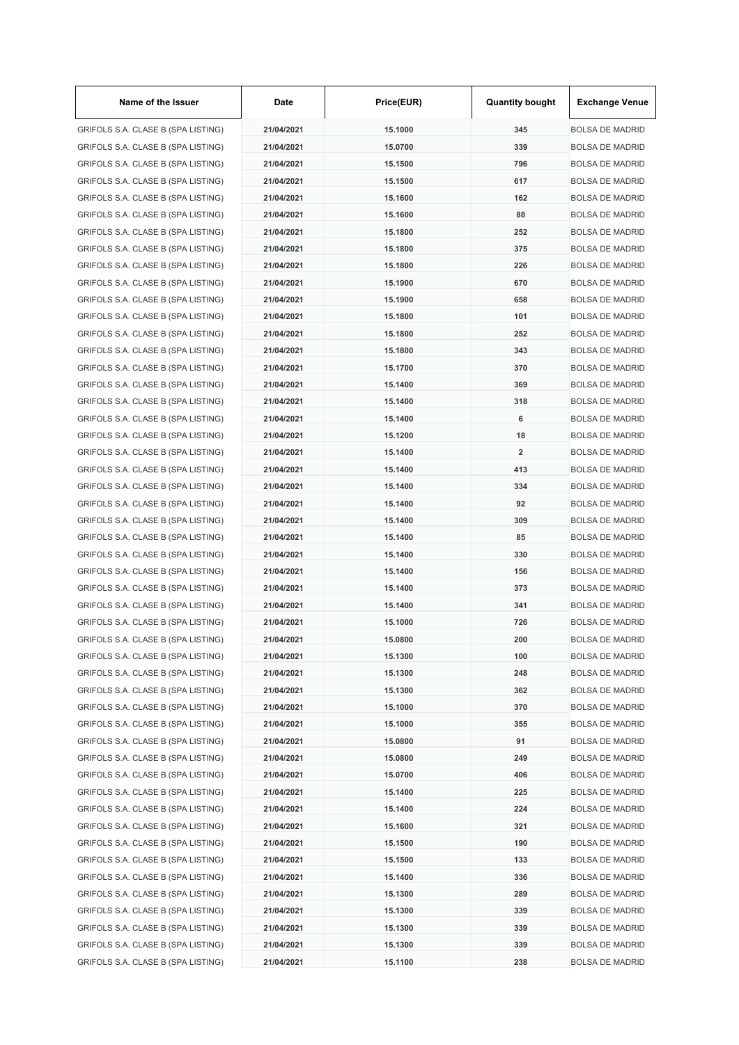| Name of the Issuer                 | Date       | Price(EUR) | <b>Quantity bought</b>  | <b>Exchange Venue</b>  |
|------------------------------------|------------|------------|-------------------------|------------------------|
| GRIFOLS S.A. CLASE B (SPA LISTING) | 21/04/2021 | 15.1000    | 345                     | <b>BOLSA DE MADRID</b> |
| GRIFOLS S.A. CLASE B (SPA LISTING) | 21/04/2021 | 15.0700    | 339                     | <b>BOLSA DE MADRID</b> |
| GRIFOLS S.A. CLASE B (SPA LISTING) | 21/04/2021 | 15.1500    | 796                     | <b>BOLSA DE MADRID</b> |
| GRIFOLS S.A. CLASE B (SPA LISTING) | 21/04/2021 | 15.1500    | 617                     | <b>BOLSA DE MADRID</b> |
| GRIFOLS S.A. CLASE B (SPA LISTING) | 21/04/2021 | 15.1600    | 162                     | <b>BOLSA DE MADRID</b> |
| GRIFOLS S.A. CLASE B (SPA LISTING) | 21/04/2021 | 15.1600    | 88                      | <b>BOLSA DE MADRID</b> |
| GRIFOLS S.A. CLASE B (SPA LISTING) | 21/04/2021 | 15.1800    | 252                     | <b>BOLSA DE MADRID</b> |
| GRIFOLS S.A. CLASE B (SPA LISTING) | 21/04/2021 | 15.1800    | 375                     | <b>BOLSA DE MADRID</b> |
| GRIFOLS S.A. CLASE B (SPA LISTING) | 21/04/2021 | 15.1800    | 226                     | <b>BOLSA DE MADRID</b> |
| GRIFOLS S.A. CLASE B (SPA LISTING) | 21/04/2021 | 15.1900    | 670                     | <b>BOLSA DE MADRID</b> |
| GRIFOLS S.A. CLASE B (SPA LISTING) | 21/04/2021 | 15.1900    | 658                     | <b>BOLSA DE MADRID</b> |
| GRIFOLS S.A. CLASE B (SPA LISTING) | 21/04/2021 | 15.1800    | 101                     | <b>BOLSA DE MADRID</b> |
| GRIFOLS S.A. CLASE B (SPA LISTING) | 21/04/2021 | 15.1800    | 252                     | <b>BOLSA DE MADRID</b> |
| GRIFOLS S.A. CLASE B (SPA LISTING) | 21/04/2021 | 15.1800    | 343                     | <b>BOLSA DE MADRID</b> |
| GRIFOLS S.A. CLASE B (SPA LISTING) | 21/04/2021 | 15.1700    | 370                     | <b>BOLSA DE MADRID</b> |
| GRIFOLS S.A. CLASE B (SPA LISTING) | 21/04/2021 | 15.1400    | 369                     | <b>BOLSA DE MADRID</b> |
| GRIFOLS S.A. CLASE B (SPA LISTING) | 21/04/2021 | 15.1400    | 318                     | <b>BOLSA DE MADRID</b> |
| GRIFOLS S.A. CLASE B (SPA LISTING) | 21/04/2021 | 15.1400    | 6                       | <b>BOLSA DE MADRID</b> |
| GRIFOLS S.A. CLASE B (SPA LISTING) | 21/04/2021 | 15.1200    | 18                      | <b>BOLSA DE MADRID</b> |
| GRIFOLS S.A. CLASE B (SPA LISTING) | 21/04/2021 | 15.1400    | $\overline{\mathbf{2}}$ | <b>BOLSA DE MADRID</b> |
| GRIFOLS S.A. CLASE B (SPA LISTING) | 21/04/2021 | 15.1400    | 413                     | <b>BOLSA DE MADRID</b> |
| GRIFOLS S.A. CLASE B (SPA LISTING) | 21/04/2021 | 15.1400    | 334                     | <b>BOLSA DE MADRID</b> |
| GRIFOLS S.A. CLASE B (SPA LISTING) | 21/04/2021 | 15.1400    | 92                      | <b>BOLSA DE MADRID</b> |
| GRIFOLS S.A. CLASE B (SPA LISTING) | 21/04/2021 | 15.1400    | 309                     | <b>BOLSA DE MADRID</b> |
| GRIFOLS S.A. CLASE B (SPA LISTING) | 21/04/2021 | 15.1400    | 85                      | <b>BOLSA DE MADRID</b> |
| GRIFOLS S.A. CLASE B (SPA LISTING) | 21/04/2021 | 15.1400    | 330                     | <b>BOLSA DE MADRID</b> |
| GRIFOLS S.A. CLASE B (SPA LISTING) | 21/04/2021 | 15.1400    | 156                     | <b>BOLSA DE MADRID</b> |
| GRIFOLS S.A. CLASE B (SPA LISTING) | 21/04/2021 | 15.1400    | 373                     | <b>BOLSA DE MADRID</b> |
| GRIFOLS S.A. CLASE B (SPA LISTING) | 21/04/2021 | 15.1400    | 341                     | <b>BOLSA DE MADRID</b> |
| GRIFOLS S.A. CLASE B (SPA LISTING) | 21/04/2021 | 15.1000    | 726                     | <b>BOLSA DE MADRID</b> |
|                                    |            |            |                         |                        |
| GRIFOLS S.A. CLASE B (SPA LISTING) | 21/04/2021 | 15.0800    | 200                     | <b>BOLSA DE MADRID</b> |
| GRIFOLS S.A. CLASE B (SPA LISTING) | 21/04/2021 | 15.1300    | 100                     | <b>BOLSA DE MADRID</b> |
| GRIFOLS S.A. CLASE B (SPA LISTING) | 21/04/2021 | 15.1300    | 248                     | <b>BOLSA DE MADRID</b> |
| GRIFOLS S.A. CLASE B (SPA LISTING) | 21/04/2021 | 15.1300    | 362                     | <b>BOLSA DE MADRID</b> |
| GRIFOLS S.A. CLASE B (SPA LISTING) | 21/04/2021 | 15.1000    | 370                     | <b>BOLSA DE MADRID</b> |
| GRIFOLS S.A. CLASE B (SPA LISTING) | 21/04/2021 | 15.1000    | 355                     | <b>BOLSA DE MADRID</b> |
| GRIFOLS S.A. CLASE B (SPA LISTING) | 21/04/2021 | 15.0800    | 91                      | <b>BOLSA DE MADRID</b> |
| GRIFOLS S.A. CLASE B (SPA LISTING) | 21/04/2021 | 15.0800    | 249                     | <b>BOLSA DE MADRID</b> |
| GRIFOLS S.A. CLASE B (SPA LISTING) | 21/04/2021 | 15.0700    | 406                     | <b>BOLSA DE MADRID</b> |
| GRIFOLS S.A. CLASE B (SPA LISTING) | 21/04/2021 | 15.1400    | 225                     | <b>BOLSA DE MADRID</b> |
| GRIFOLS S.A. CLASE B (SPA LISTING) | 21/04/2021 | 15.1400    | 224                     | <b>BOLSA DE MADRID</b> |
| GRIFOLS S.A. CLASE B (SPA LISTING) | 21/04/2021 | 15.1600    | 321                     | <b>BOLSA DE MADRID</b> |
| GRIFOLS S.A. CLASE B (SPA LISTING) | 21/04/2021 | 15.1500    | 190                     | <b>BOLSA DE MADRID</b> |
| GRIFOLS S.A. CLASE B (SPA LISTING) | 21/04/2021 | 15.1500    | 133                     | <b>BOLSA DE MADRID</b> |
| GRIFOLS S.A. CLASE B (SPA LISTING) | 21/04/2021 | 15.1400    | 336                     | <b>BOLSA DE MADRID</b> |
| GRIFOLS S.A. CLASE B (SPA LISTING) | 21/04/2021 | 15.1300    | 289                     | <b>BOLSA DE MADRID</b> |
| GRIFOLS S.A. CLASE B (SPA LISTING) | 21/04/2021 | 15.1300    | 339                     | <b>BOLSA DE MADRID</b> |
| GRIFOLS S.A. CLASE B (SPA LISTING) | 21/04/2021 | 15.1300    | 339                     | <b>BOLSA DE MADRID</b> |
| GRIFOLS S.A. CLASE B (SPA LISTING) | 21/04/2021 | 15.1300    | 339                     | <b>BOLSA DE MADRID</b> |
| GRIFOLS S.A. CLASE B (SPA LISTING) | 21/04/2021 | 15.1100    | 238                     | <b>BOLSA DE MADRID</b> |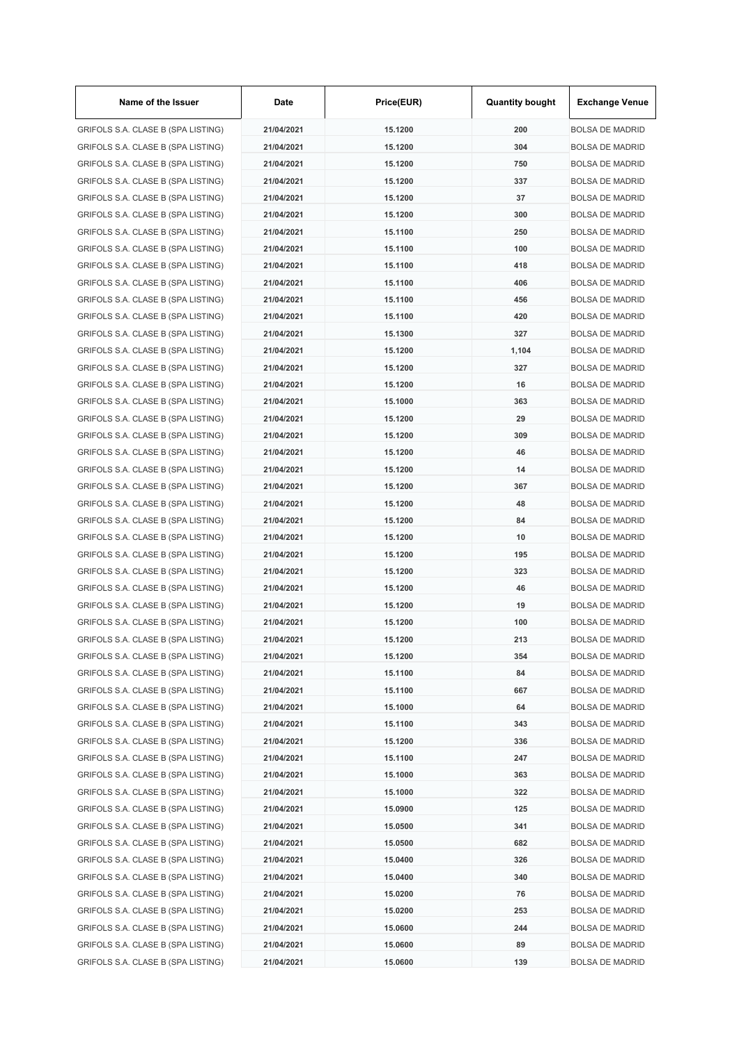| Name of the Issuer                 | Date       | Price(EUR) | <b>Quantity bought</b> | <b>Exchange Venue</b>  |
|------------------------------------|------------|------------|------------------------|------------------------|
| GRIFOLS S.A. CLASE B (SPA LISTING) | 21/04/2021 | 15.1200    | 200                    | <b>BOLSA DE MADRID</b> |
| GRIFOLS S.A. CLASE B (SPA LISTING) | 21/04/2021 | 15.1200    | 304                    | <b>BOLSA DE MADRID</b> |
| GRIFOLS S.A. CLASE B (SPA LISTING) | 21/04/2021 | 15.1200    | 750                    | <b>BOLSA DE MADRID</b> |
| GRIFOLS S.A. CLASE B (SPA LISTING) | 21/04/2021 | 15.1200    | 337                    | <b>BOLSA DE MADRID</b> |
| GRIFOLS S.A. CLASE B (SPA LISTING) | 21/04/2021 | 15.1200    | 37                     | <b>BOLSA DE MADRID</b> |
| GRIFOLS S.A. CLASE B (SPA LISTING) | 21/04/2021 | 15.1200    | 300                    | <b>BOLSA DE MADRID</b> |
| GRIFOLS S.A. CLASE B (SPA LISTING) | 21/04/2021 | 15.1100    | 250                    | <b>BOLSA DE MADRID</b> |
| GRIFOLS S.A. CLASE B (SPA LISTING) | 21/04/2021 | 15.1100    | 100                    | <b>BOLSA DE MADRID</b> |
| GRIFOLS S.A. CLASE B (SPA LISTING) | 21/04/2021 | 15.1100    | 418                    | <b>BOLSA DE MADRID</b> |
| GRIFOLS S.A. CLASE B (SPA LISTING) | 21/04/2021 | 15.1100    | 406                    | <b>BOLSA DE MADRID</b> |
| GRIFOLS S.A. CLASE B (SPA LISTING) | 21/04/2021 | 15.1100    | 456                    | <b>BOLSA DE MADRID</b> |
| GRIFOLS S.A. CLASE B (SPA LISTING) | 21/04/2021 | 15.1100    | 420                    | <b>BOLSA DE MADRID</b> |
| GRIFOLS S.A. CLASE B (SPA LISTING) | 21/04/2021 | 15.1300    | 327                    | <b>BOLSA DE MADRID</b> |
| GRIFOLS S.A. CLASE B (SPA LISTING) | 21/04/2021 | 15.1200    | 1,104                  | <b>BOLSA DE MADRID</b> |
| GRIFOLS S.A. CLASE B (SPA LISTING) | 21/04/2021 | 15.1200    | 327                    | <b>BOLSA DE MADRID</b> |
| GRIFOLS S.A. CLASE B (SPA LISTING) | 21/04/2021 | 15.1200    | 16                     | <b>BOLSA DE MADRID</b> |
| GRIFOLS S.A. CLASE B (SPA LISTING) | 21/04/2021 | 15.1000    | 363                    | <b>BOLSA DE MADRID</b> |
| GRIFOLS S.A. CLASE B (SPA LISTING) | 21/04/2021 | 15.1200    | 29                     | <b>BOLSA DE MADRID</b> |
| GRIFOLS S.A. CLASE B (SPA LISTING) | 21/04/2021 | 15.1200    | 309                    | <b>BOLSA DE MADRID</b> |
| GRIFOLS S.A. CLASE B (SPA LISTING) | 21/04/2021 | 15.1200    | 46                     | <b>BOLSA DE MADRID</b> |
| GRIFOLS S.A. CLASE B (SPA LISTING) | 21/04/2021 | 15.1200    | 14                     | <b>BOLSA DE MADRID</b> |
| GRIFOLS S.A. CLASE B (SPA LISTING) | 21/04/2021 | 15.1200    | 367                    | <b>BOLSA DE MADRID</b> |
| GRIFOLS S.A. CLASE B (SPA LISTING) | 21/04/2021 | 15.1200    | 48                     | <b>BOLSA DE MADRID</b> |
| GRIFOLS S.A. CLASE B (SPA LISTING) | 21/04/2021 | 15.1200    | 84                     | <b>BOLSA DE MADRID</b> |
| GRIFOLS S.A. CLASE B (SPA LISTING) | 21/04/2021 | 15.1200    | 10                     | <b>BOLSA DE MADRID</b> |
|                                    | 21/04/2021 | 15.1200    | 195                    |                        |
| GRIFOLS S.A. CLASE B (SPA LISTING) |            |            |                        | <b>BOLSA DE MADRID</b> |
| GRIFOLS S.A. CLASE B (SPA LISTING) | 21/04/2021 | 15.1200    | 323                    | <b>BOLSA DE MADRID</b> |
| GRIFOLS S.A. CLASE B (SPA LISTING) | 21/04/2021 | 15.1200    | 46                     | <b>BOLSA DE MADRID</b> |
| GRIFOLS S.A. CLASE B (SPA LISTING) | 21/04/2021 | 15.1200    | 19                     | <b>BOLSA DE MADRID</b> |
| GRIFOLS S.A. CLASE B (SPA LISTING) | 21/04/2021 | 15.1200    | 100                    | <b>BOLSA DE MADRID</b> |
| GRIFOLS S.A. CLASE B (SPA LISTING) | 21/04/2021 | 15.1200    | 213                    | <b>BOLSA DE MADRID</b> |
| GRIFOLS S.A. CLASE B (SPA LISTING) | 21/04/2021 | 15.1200    | 354                    | <b>BOLSA DE MADRID</b> |
| GRIFOLS S.A. CLASE B (SPA LISTING) | 21/04/2021 | 15.1100    | 84                     | <b>BOLSA DE MADRID</b> |
| GRIFOLS S.A. CLASE B (SPA LISTING) | 21/04/2021 | 15.1100    | 667                    | <b>BOLSA DE MADRID</b> |
| GRIFOLS S.A. CLASE B (SPA LISTING) | 21/04/2021 | 15.1000    | 64                     | <b>BOLSA DE MADRID</b> |
| GRIFOLS S.A. CLASE B (SPA LISTING) | 21/04/2021 | 15.1100    | 343                    | <b>BOLSA DE MADRID</b> |
| GRIFOLS S.A. CLASE B (SPA LISTING) | 21/04/2021 | 15.1200    | 336                    | <b>BOLSA DE MADRID</b> |
| GRIFOLS S.A. CLASE B (SPA LISTING) | 21/04/2021 | 15.1100    | 247                    | <b>BOLSA DE MADRID</b> |
| GRIFOLS S.A. CLASE B (SPA LISTING) | 21/04/2021 | 15.1000    | 363                    | <b>BOLSA DE MADRID</b> |
| GRIFOLS S.A. CLASE B (SPA LISTING) | 21/04/2021 | 15.1000    | 322                    | <b>BOLSA DE MADRID</b> |
| GRIFOLS S.A. CLASE B (SPA LISTING) | 21/04/2021 | 15.0900    | 125                    | <b>BOLSA DE MADRID</b> |
| GRIFOLS S.A. CLASE B (SPA LISTING) | 21/04/2021 | 15.0500    | 341                    | <b>BOLSA DE MADRID</b> |
| GRIFOLS S.A. CLASE B (SPA LISTING) | 21/04/2021 | 15.0500    | 682                    | <b>BOLSA DE MADRID</b> |
| GRIFOLS S.A. CLASE B (SPA LISTING) | 21/04/2021 | 15.0400    | 326                    | <b>BOLSA DE MADRID</b> |
| GRIFOLS S.A. CLASE B (SPA LISTING) | 21/04/2021 | 15.0400    | 340                    | <b>BOLSA DE MADRID</b> |
| GRIFOLS S.A. CLASE B (SPA LISTING) | 21/04/2021 | 15.0200    | 76                     | <b>BOLSA DE MADRID</b> |
| GRIFOLS S.A. CLASE B (SPA LISTING) | 21/04/2021 | 15.0200    | 253                    | <b>BOLSA DE MADRID</b> |
| GRIFOLS S.A. CLASE B (SPA LISTING) | 21/04/2021 | 15.0600    | 244                    | <b>BOLSA DE MADRID</b> |
| GRIFOLS S.A. CLASE B (SPA LISTING) | 21/04/2021 | 15.0600    | 89                     | <b>BOLSA DE MADRID</b> |
| GRIFOLS S.A. CLASE B (SPA LISTING) | 21/04/2021 | 15.0600    | 139                    | <b>BOLSA DE MADRID</b> |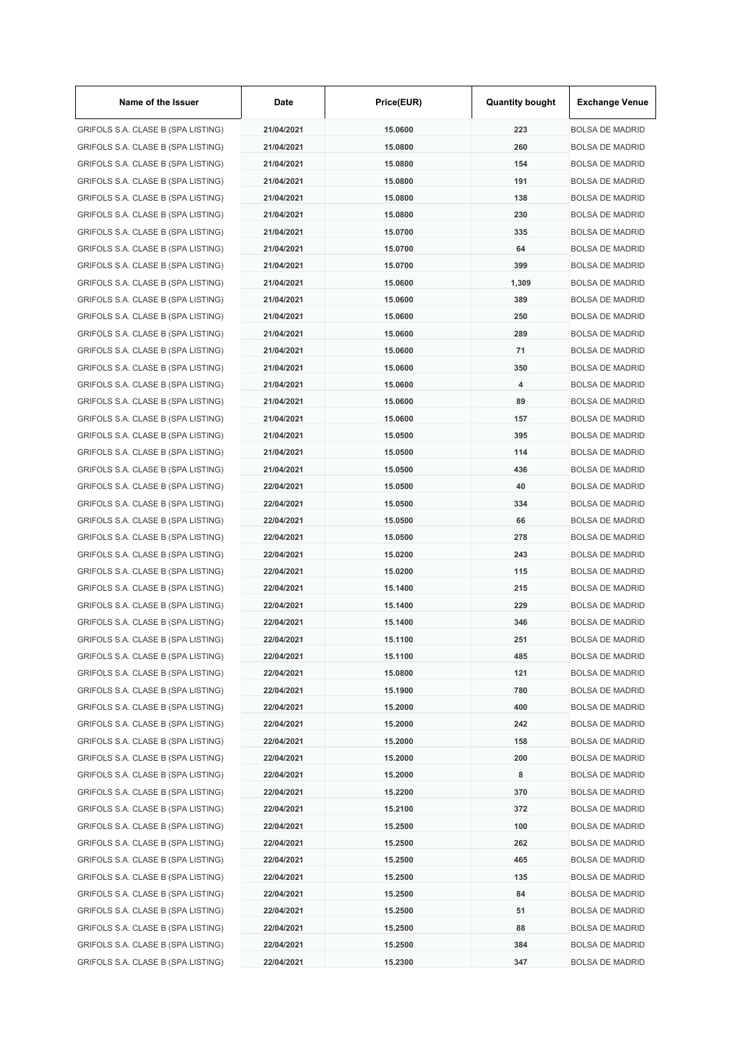| Name of the Issuer                 | Date       | Price(EUR) | <b>Quantity bought</b> | <b>Exchange Venue</b>  |
|------------------------------------|------------|------------|------------------------|------------------------|
| GRIFOLS S.A. CLASE B (SPA LISTING) | 21/04/2021 | 15.0600    | 223                    | <b>BOLSA DE MADRID</b> |
| GRIFOLS S.A. CLASE B (SPA LISTING) | 21/04/2021 | 15.0800    | 260                    | <b>BOLSA DE MADRID</b> |
| GRIFOLS S.A. CLASE B (SPA LISTING) | 21/04/2021 | 15.0800    | 154                    | <b>BOLSA DE MADRID</b> |
| GRIFOLS S.A. CLASE B (SPA LISTING) | 21/04/2021 | 15.0800    | 191                    | <b>BOLSA DE MADRID</b> |
| GRIFOLS S.A. CLASE B (SPA LISTING) | 21/04/2021 | 15.0800    | 138                    | <b>BOLSA DE MADRID</b> |
| GRIFOLS S.A. CLASE B (SPA LISTING) | 21/04/2021 | 15.0800    | 230                    | <b>BOLSA DE MADRID</b> |
| GRIFOLS S.A. CLASE B (SPA LISTING) | 21/04/2021 | 15.0700    | 335                    | <b>BOLSA DE MADRID</b> |
| GRIFOLS S.A. CLASE B (SPA LISTING) | 21/04/2021 | 15.0700    | 64                     | <b>BOLSA DE MADRID</b> |
| GRIFOLS S.A. CLASE B (SPA LISTING) | 21/04/2021 | 15.0700    | 399                    | <b>BOLSA DE MADRID</b> |
| GRIFOLS S.A. CLASE B (SPA LISTING) | 21/04/2021 | 15.0600    | 1,309                  | <b>BOLSA DE MADRID</b> |
| GRIFOLS S.A. CLASE B (SPA LISTING) | 21/04/2021 | 15.0600    | 389                    | <b>BOLSA DE MADRID</b> |
| GRIFOLS S.A. CLASE B (SPA LISTING) | 21/04/2021 | 15.0600    | 250                    | <b>BOLSA DE MADRID</b> |
| GRIFOLS S.A. CLASE B (SPA LISTING) | 21/04/2021 | 15.0600    | 289                    | <b>BOLSA DE MADRID</b> |
| GRIFOLS S.A. CLASE B (SPA LISTING) | 21/04/2021 | 15.0600    | 71                     | <b>BOLSA DE MADRID</b> |
| GRIFOLS S.A. CLASE B (SPA LISTING) | 21/04/2021 | 15.0600    | 350                    | <b>BOLSA DE MADRID</b> |
| GRIFOLS S.A. CLASE B (SPA LISTING) | 21/04/2021 | 15.0600    | 4                      | <b>BOLSA DE MADRID</b> |
| GRIFOLS S.A. CLASE B (SPA LISTING) | 21/04/2021 | 15.0600    | 89                     | <b>BOLSA DE MADRID</b> |
| GRIFOLS S.A. CLASE B (SPA LISTING) | 21/04/2021 | 15.0600    | 157                    | <b>BOLSA DE MADRID</b> |
| GRIFOLS S.A. CLASE B (SPA LISTING) | 21/04/2021 | 15,0500    | 395                    | <b>BOLSA DE MADRID</b> |
| GRIFOLS S.A. CLASE B (SPA LISTING) | 21/04/2021 | 15.0500    | 114                    | <b>BOLSA DE MADRID</b> |
| GRIFOLS S.A. CLASE B (SPA LISTING) | 21/04/2021 | 15.0500    | 436                    | <b>BOLSA DE MADRID</b> |
| GRIFOLS S.A. CLASE B (SPA LISTING) | 22/04/2021 | 15.0500    | 40                     | <b>BOLSA DE MADRID</b> |
| GRIFOLS S.A. CLASE B (SPA LISTING) | 22/04/2021 | 15.0500    | 334                    | <b>BOLSA DE MADRID</b> |
| GRIFOLS S.A. CLASE B (SPA LISTING) | 22/04/2021 | 15.0500    | 66                     | <b>BOLSA DE MADRID</b> |
|                                    | 22/04/2021 |            | 278                    | <b>BOLSA DE MADRID</b> |
| GRIFOLS S.A. CLASE B (SPA LISTING) |            | 15.0500    |                        |                        |
| GRIFOLS S.A. CLASE B (SPA LISTING) | 22/04/2021 | 15.0200    | 243                    | <b>BOLSA DE MADRID</b> |
| GRIFOLS S.A. CLASE B (SPA LISTING) | 22/04/2021 | 15.0200    | 115                    | <b>BOLSA DE MADRID</b> |
| GRIFOLS S.A. CLASE B (SPA LISTING) | 22/04/2021 | 15.1400    | 215                    | <b>BOLSA DE MADRID</b> |
| GRIFOLS S.A. CLASE B (SPA LISTING) | 22/04/2021 | 15.1400    | 229                    | <b>BOLSA DE MADRID</b> |
| GRIFOLS S.A. CLASE B (SPA LISTING) | 22/04/2021 | 15.1400    | 346                    | <b>BOLSA DE MADRID</b> |
| GRIFOLS S.A. CLASE B (SPA LISTING) | 22/04/2021 | 15.1100    | 251                    | <b>BOLSA DE MADRID</b> |
| GRIFOLS S.A. CLASE B (SPA LISTING) | 22/04/2021 | 15.1100    | 485                    | <b>BOLSA DE MADRID</b> |
| GRIFOLS S.A. CLASE B (SPA LISTING) | 22/04/2021 | 15.0800    | 121                    | <b>BOLSA DE MADRID</b> |
| GRIFOLS S.A. CLASE B (SPA LISTING) | 22/04/2021 | 15.1900    | 780                    | <b>BOLSA DE MADRID</b> |
| GRIFOLS S.A. CLASE B (SPA LISTING) | 22/04/2021 | 15.2000    | 400                    | <b>BOLSA DE MADRID</b> |
| GRIFOLS S.A. CLASE B (SPA LISTING) | 22/04/2021 | 15.2000    | 242                    | <b>BOLSA DE MADRID</b> |
| GRIFOLS S.A. CLASE B (SPA LISTING) | 22/04/2021 | 15.2000    | 158                    | <b>BOLSA DE MADRID</b> |
| GRIFOLS S.A. CLASE B (SPA LISTING) | 22/04/2021 | 15.2000    | 200                    | <b>BOLSA DE MADRID</b> |
| GRIFOLS S.A. CLASE B (SPA LISTING) | 22/04/2021 | 15.2000    | 8                      | <b>BOLSA DE MADRID</b> |
| GRIFOLS S.A. CLASE B (SPA LISTING) | 22/04/2021 | 15.2200    | 370                    | <b>BOLSA DE MADRID</b> |
| GRIFOLS S.A. CLASE B (SPA LISTING) | 22/04/2021 | 15.2100    | 372                    | <b>BOLSA DE MADRID</b> |
| GRIFOLS S.A. CLASE B (SPA LISTING) | 22/04/2021 | 15.2500    | 100                    | <b>BOLSA DE MADRID</b> |
| GRIFOLS S.A. CLASE B (SPA LISTING) | 22/04/2021 | 15.2500    | 262                    | <b>BOLSA DE MADRID</b> |
| GRIFOLS S.A. CLASE B (SPA LISTING) | 22/04/2021 | 15.2500    | 465                    | <b>BOLSA DE MADRID</b> |
| GRIFOLS S.A. CLASE B (SPA LISTING) | 22/04/2021 | 15.2500    | 135                    | <b>BOLSA DE MADRID</b> |
| GRIFOLS S.A. CLASE B (SPA LISTING) | 22/04/2021 | 15.2500    | 84                     | <b>BOLSA DE MADRID</b> |
| GRIFOLS S.A. CLASE B (SPA LISTING) | 22/04/2021 | 15.2500    | 51                     | <b>BOLSA DE MADRID</b> |
| GRIFOLS S.A. CLASE B (SPA LISTING) | 22/04/2021 | 15.2500    | 88                     | <b>BOLSA DE MADRID</b> |
| GRIFOLS S.A. CLASE B (SPA LISTING) | 22/04/2021 | 15.2500    | 384                    | <b>BOLSA DE MADRID</b> |
| GRIFOLS S.A. CLASE B (SPA LISTING) | 22/04/2021 | 15.2300    | 347                    | <b>BOLSA DE MADRID</b> |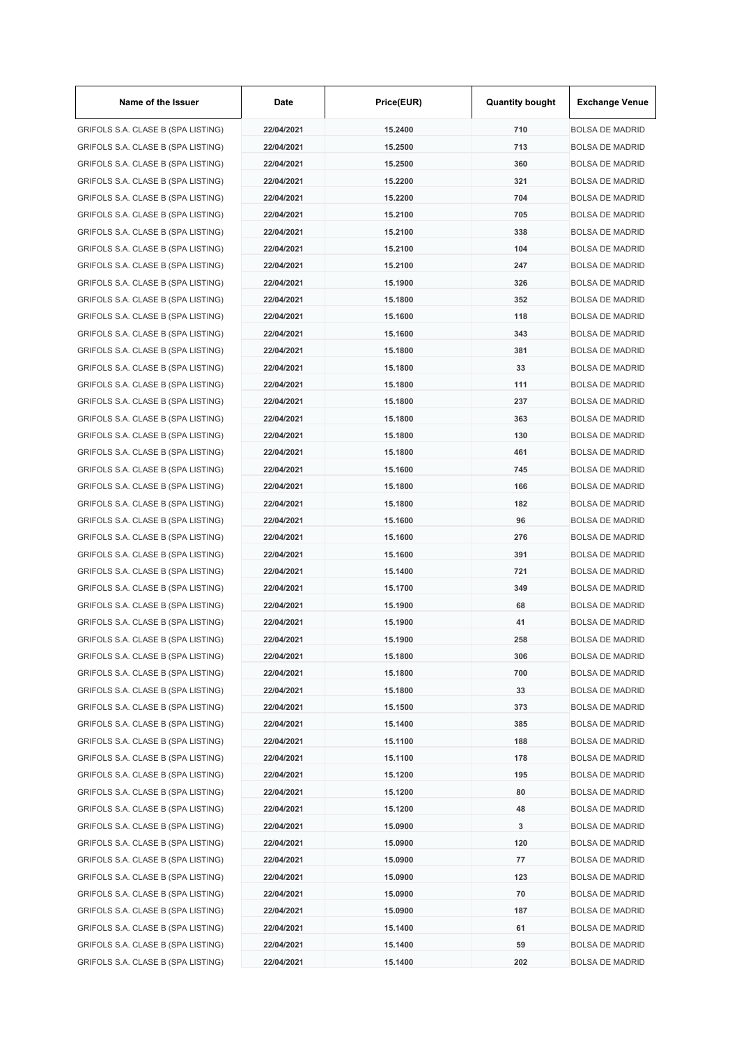| Name of the Issuer                 | Date       | Price(EUR) | <b>Quantity bought</b> | <b>Exchange Venue</b>  |
|------------------------------------|------------|------------|------------------------|------------------------|
| GRIFOLS S.A. CLASE B (SPA LISTING) | 22/04/2021 | 15.2400    | 710                    | <b>BOLSA DE MADRID</b> |
| GRIFOLS S.A. CLASE B (SPA LISTING) | 22/04/2021 | 15.2500    | 713                    | <b>BOLSA DE MADRID</b> |
| GRIFOLS S.A. CLASE B (SPA LISTING) | 22/04/2021 | 15.2500    | 360                    | <b>BOLSA DE MADRID</b> |
| GRIFOLS S.A. CLASE B (SPA LISTING) | 22/04/2021 | 15.2200    | 321                    | <b>BOLSA DE MADRID</b> |
| GRIFOLS S.A. CLASE B (SPA LISTING) | 22/04/2021 | 15.2200    | 704                    | <b>BOLSA DE MADRID</b> |
| GRIFOLS S.A. CLASE B (SPA LISTING) | 22/04/2021 | 15.2100    | 705                    | <b>BOLSA DE MADRID</b> |
| GRIFOLS S.A. CLASE B (SPA LISTING) | 22/04/2021 | 15.2100    | 338                    | <b>BOLSA DE MADRID</b> |
| GRIFOLS S.A. CLASE B (SPA LISTING) | 22/04/2021 | 15.2100    | 104                    | <b>BOLSA DE MADRID</b> |
| GRIFOLS S.A. CLASE B (SPA LISTING) | 22/04/2021 | 15.2100    | 247                    | <b>BOLSA DE MADRID</b> |
| GRIFOLS S.A. CLASE B (SPA LISTING) | 22/04/2021 | 15.1900    | 326                    | <b>BOLSA DE MADRID</b> |
| GRIFOLS S.A. CLASE B (SPA LISTING) | 22/04/2021 | 15.1800    | 352                    | <b>BOLSA DE MADRID</b> |
| GRIFOLS S.A. CLASE B (SPA LISTING) | 22/04/2021 | 15.1600    | 118                    | <b>BOLSA DE MADRID</b> |
| GRIFOLS S.A. CLASE B (SPA LISTING) | 22/04/2021 | 15.1600    | 343                    | <b>BOLSA DE MADRID</b> |
| GRIFOLS S.A. CLASE B (SPA LISTING) | 22/04/2021 | 15.1800    | 381                    | <b>BOLSA DE MADRID</b> |
| GRIFOLS S.A. CLASE B (SPA LISTING) | 22/04/2021 | 15.1800    | 33                     | <b>BOLSA DE MADRID</b> |
| GRIFOLS S.A. CLASE B (SPA LISTING) | 22/04/2021 | 15.1800    | 111                    | <b>BOLSA DE MADRID</b> |
| GRIFOLS S.A. CLASE B (SPA LISTING) | 22/04/2021 | 15.1800    | 237                    | <b>BOLSA DE MADRID</b> |
| GRIFOLS S.A. CLASE B (SPA LISTING) | 22/04/2021 | 15.1800    | 363                    | <b>BOLSA DE MADRID</b> |
| GRIFOLS S.A. CLASE B (SPA LISTING) | 22/04/2021 | 15.1800    | 130                    | <b>BOLSA DE MADRID</b> |
| GRIFOLS S.A. CLASE B (SPA LISTING) | 22/04/2021 | 15.1800    | 461                    | <b>BOLSA DE MADRID</b> |
|                                    |            |            |                        |                        |
| GRIFOLS S.A. CLASE B (SPA LISTING) | 22/04/2021 | 15.1600    | 745                    | <b>BOLSA DE MADRID</b> |
| GRIFOLS S.A. CLASE B (SPA LISTING) | 22/04/2021 | 15.1800    | 166                    | <b>BOLSA DE MADRID</b> |
| GRIFOLS S.A. CLASE B (SPA LISTING) | 22/04/2021 | 15.1800    | 182                    | <b>BOLSA DE MADRID</b> |
| GRIFOLS S.A. CLASE B (SPA LISTING) | 22/04/2021 | 15.1600    | 96                     | <b>BOLSA DE MADRID</b> |
| GRIFOLS S.A. CLASE B (SPA LISTING) | 22/04/2021 | 15.1600    | 276                    | <b>BOLSA DE MADRID</b> |
| GRIFOLS S.A. CLASE B (SPA LISTING) | 22/04/2021 | 15.1600    | 391                    | <b>BOLSA DE MADRID</b> |
| GRIFOLS S.A. CLASE B (SPA LISTING) | 22/04/2021 | 15.1400    | 721                    | <b>BOLSA DE MADRID</b> |
| GRIFOLS S.A. CLASE B (SPA LISTING) | 22/04/2021 | 15.1700    | 349                    | <b>BOLSA DE MADRID</b> |
| GRIFOLS S.A. CLASE B (SPA LISTING) | 22/04/2021 | 15.1900    | 68                     | <b>BOLSA DE MADRID</b> |
| GRIFOLS S.A. CLASE B (SPA LISTING) | 22/04/2021 | 15.1900    | 41                     | <b>BOLSA DE MADRID</b> |
| GRIFOLS S.A. CLASE B (SPA LISTING) | 22/04/2021 | 15.1900    | 258                    | <b>BOLSA DE MADRID</b> |
| GRIFOLS S.A. CLASE B (SPA LISTING) | 22/04/2021 | 15.1800    | 306                    | <b>BOLSA DE MADRID</b> |
| GRIFOLS S.A. CLASE B (SPA LISTING) | 22/04/2021 | 15.1800    | 700                    | <b>BOLSA DE MADRID</b> |
| GRIFOLS S.A. CLASE B (SPA LISTING) | 22/04/2021 | 15.1800    | 33                     | <b>BOLSA DE MADRID</b> |
| GRIFOLS S.A. CLASE B (SPA LISTING) | 22/04/2021 | 15.1500    | 373                    | <b>BOLSA DE MADRID</b> |
| GRIFOLS S.A. CLASE B (SPA LISTING) | 22/04/2021 | 15.1400    | 385                    | <b>BOLSA DE MADRID</b> |
| GRIFOLS S.A. CLASE B (SPA LISTING) | 22/04/2021 | 15.1100    | 188                    | <b>BOLSA DE MADRID</b> |
| GRIFOLS S.A. CLASE B (SPA LISTING) | 22/04/2021 | 15.1100    | 178                    | <b>BOLSA DE MADRID</b> |
| GRIFOLS S.A. CLASE B (SPA LISTING) | 22/04/2021 | 15.1200    | 195                    | <b>BOLSA DE MADRID</b> |
| GRIFOLS S.A. CLASE B (SPA LISTING) | 22/04/2021 | 15.1200    | 80                     | <b>BOLSA DE MADRID</b> |
| GRIFOLS S.A. CLASE B (SPA LISTING) | 22/04/2021 | 15.1200    | 48                     | <b>BOLSA DE MADRID</b> |
| GRIFOLS S.A. CLASE B (SPA LISTING) | 22/04/2021 | 15.0900    | 3                      | <b>BOLSA DE MADRID</b> |
| GRIFOLS S.A. CLASE B (SPA LISTING) | 22/04/2021 | 15.0900    | 120                    | <b>BOLSA DE MADRID</b> |
| GRIFOLS S.A. CLASE B (SPA LISTING) | 22/04/2021 | 15.0900    | 77                     | <b>BOLSA DE MADRID</b> |
| GRIFOLS S.A. CLASE B (SPA LISTING) | 22/04/2021 | 15.0900    | 123                    | <b>BOLSA DE MADRID</b> |
| GRIFOLS S.A. CLASE B (SPA LISTING) | 22/04/2021 | 15.0900    | 70                     | <b>BOLSA DE MADRID</b> |
| GRIFOLS S.A. CLASE B (SPA LISTING) | 22/04/2021 | 15.0900    | 187                    | <b>BOLSA DE MADRID</b> |
| GRIFOLS S.A. CLASE B (SPA LISTING) | 22/04/2021 | 15.1400    | 61                     | <b>BOLSA DE MADRID</b> |
| GRIFOLS S.A. CLASE B (SPA LISTING) | 22/04/2021 | 15.1400    | 59                     | <b>BOLSA DE MADRID</b> |
| GRIFOLS S.A. CLASE B (SPA LISTING) | 22/04/2021 | 15.1400    | 202                    | <b>BOLSA DE MADRID</b> |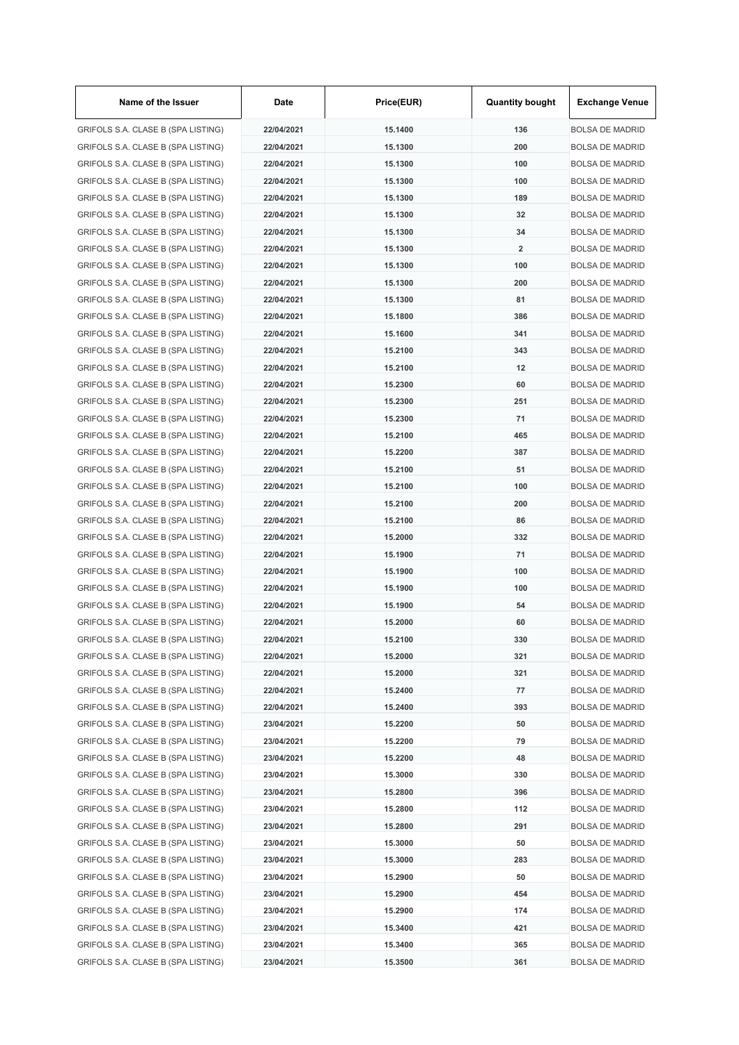| Name of the Issuer                 | Date       | Price(EUR) | <b>Quantity bought</b>  | <b>Exchange Venue</b>                            |
|------------------------------------|------------|------------|-------------------------|--------------------------------------------------|
| GRIFOLS S.A. CLASE B (SPA LISTING) | 22/04/2021 | 15.1400    | 136                     | <b>BOLSA DE MADRID</b>                           |
| GRIFOLS S.A. CLASE B (SPA LISTING) | 22/04/2021 | 15.1300    | 200                     | <b>BOLSA DE MADRID</b>                           |
| GRIFOLS S.A. CLASE B (SPA LISTING) | 22/04/2021 | 15.1300    | 100                     | <b>BOLSA DE MADRID</b>                           |
| GRIFOLS S.A. CLASE B (SPA LISTING) | 22/04/2021 | 15.1300    | 100                     | <b>BOLSA DE MADRID</b>                           |
| GRIFOLS S.A. CLASE B (SPA LISTING) | 22/04/2021 | 15.1300    | 189                     | <b>BOLSA DE MADRID</b>                           |
| GRIFOLS S.A. CLASE B (SPA LISTING) | 22/04/2021 | 15.1300    | 32                      | <b>BOLSA DE MADRID</b>                           |
| GRIFOLS S.A. CLASE B (SPA LISTING) | 22/04/2021 | 15.1300    | 34                      | <b>BOLSA DE MADRID</b>                           |
| GRIFOLS S.A. CLASE B (SPA LISTING) | 22/04/2021 | 15.1300    | $\overline{\mathbf{2}}$ | <b>BOLSA DE MADRID</b>                           |
| GRIFOLS S.A. CLASE B (SPA LISTING) | 22/04/2021 | 15.1300    | 100                     | <b>BOLSA DE MADRID</b>                           |
| GRIFOLS S.A. CLASE B (SPA LISTING) | 22/04/2021 | 15.1300    | 200                     | <b>BOLSA DE MADRID</b>                           |
| GRIFOLS S.A. CLASE B (SPA LISTING) | 22/04/2021 | 15.1300    | 81                      | <b>BOLSA DE MADRID</b>                           |
| GRIFOLS S.A. CLASE B (SPA LISTING) | 22/04/2021 | 15.1800    | 386                     | <b>BOLSA DE MADRID</b>                           |
| GRIFOLS S.A. CLASE B (SPA LISTING) | 22/04/2021 | 15.1600    | 341                     | <b>BOLSA DE MADRID</b>                           |
| GRIFOLS S.A. CLASE B (SPA LISTING) | 22/04/2021 | 15.2100    | 343                     | <b>BOLSA DE MADRID</b>                           |
| GRIFOLS S.A. CLASE B (SPA LISTING) | 22/04/2021 | 15.2100    | 12                      | <b>BOLSA DE MADRID</b>                           |
| GRIFOLS S.A. CLASE B (SPA LISTING) | 22/04/2021 | 15.2300    | 60                      | <b>BOLSA DE MADRID</b>                           |
| GRIFOLS S.A. CLASE B (SPA LISTING) | 22/04/2021 | 15.2300    | 251                     | <b>BOLSA DE MADRID</b>                           |
| GRIFOLS S.A. CLASE B (SPA LISTING) | 22/04/2021 | 15.2300    | 71                      | <b>BOLSA DE MADRID</b>                           |
| GRIFOLS S.A. CLASE B (SPA LISTING) | 22/04/2021 | 15.2100    | 465                     | <b>BOLSA DE MADRID</b>                           |
| GRIFOLS S.A. CLASE B (SPA LISTING) | 22/04/2021 | 15.2200    | 387                     | <b>BOLSA DE MADRID</b>                           |
| GRIFOLS S.A. CLASE B (SPA LISTING) | 22/04/2021 | 15.2100    | 51                      | <b>BOLSA DE MADRID</b>                           |
| GRIFOLS S.A. CLASE B (SPA LISTING) | 22/04/2021 | 15.2100    | 100                     | <b>BOLSA DE MADRID</b>                           |
| GRIFOLS S.A. CLASE B (SPA LISTING) | 22/04/2021 | 15.2100    | 200                     | <b>BOLSA DE MADRID</b>                           |
| GRIFOLS S.A. CLASE B (SPA LISTING) | 22/04/2021 | 15.2100    | 86                      | <b>BOLSA DE MADRID</b>                           |
| GRIFOLS S.A. CLASE B (SPA LISTING) | 22/04/2021 | 15.2000    | 332                     | <b>BOLSA DE MADRID</b>                           |
|                                    | 22/04/2021 | 15.1900    | 71                      |                                                  |
| GRIFOLS S.A. CLASE B (SPA LISTING) |            |            |                         | <b>BOLSA DE MADRID</b><br><b>BOLSA DE MADRID</b> |
| GRIFOLS S.A. CLASE B (SPA LISTING) | 22/04/2021 | 15.1900    | 100                     |                                                  |
| GRIFOLS S.A. CLASE B (SPA LISTING) | 22/04/2021 | 15.1900    | 100                     | <b>BOLSA DE MADRID</b>                           |
| GRIFOLS S.A. CLASE B (SPA LISTING) | 22/04/2021 | 15.1900    | 54                      | <b>BOLSA DE MADRID</b>                           |
| GRIFOLS S.A. CLASE B (SPA LISTING) | 22/04/2021 | 15.2000    | 60                      | <b>BOLSA DE MADRID</b>                           |
| GRIFOLS S.A. CLASE B (SPA LISTING) | 22/04/2021 | 15.2100    | 330                     | <b>BOLSA DE MADRID</b>                           |
| GRIFOLS S.A. CLASE B (SPA LISTING) | 22/04/2021 | 15.2000    | 321                     | <b>BOLSA DE MADRID</b>                           |
| GRIFOLS S.A. CLASE B (SPA LISTING) | 22/04/2021 | 15.2000    | 321                     | <b>BOLSA DE MADRID</b>                           |
| GRIFOLS S.A. CLASE B (SPA LISTING) | 22/04/2021 | 15.2400    | 77                      | <b>BOLSA DE MADRID</b>                           |
| GRIFOLS S.A. CLASE B (SPA LISTING) | 22/04/2021 | 15.2400    | 393                     | <b>BOLSA DE MADRID</b>                           |
| GRIFOLS S.A. CLASE B (SPA LISTING) | 23/04/2021 | 15.2200    | 50                      | <b>BOLSA DE MADRID</b>                           |
| GRIFOLS S.A. CLASE B (SPA LISTING) | 23/04/2021 | 15.2200    | 79                      | <b>BOLSA DE MADRID</b>                           |
| GRIFOLS S.A. CLASE B (SPA LISTING) | 23/04/2021 | 15.2200    | 48                      | <b>BOLSA DE MADRID</b>                           |
| GRIFOLS S.A. CLASE B (SPA LISTING) | 23/04/2021 | 15.3000    | 330                     | <b>BOLSA DE MADRID</b>                           |
| GRIFOLS S.A. CLASE B (SPA LISTING) | 23/04/2021 | 15.2800    | 396                     | <b>BOLSA DE MADRID</b>                           |
| GRIFOLS S.A. CLASE B (SPA LISTING) | 23/04/2021 | 15.2800    | 112                     | <b>BOLSA DE MADRID</b>                           |
| GRIFOLS S.A. CLASE B (SPA LISTING) | 23/04/2021 | 15.2800    | 291                     | <b>BOLSA DE MADRID</b>                           |
| GRIFOLS S.A. CLASE B (SPA LISTING) | 23/04/2021 | 15.3000    | 50                      | <b>BOLSA DE MADRID</b>                           |
| GRIFOLS S.A. CLASE B (SPA LISTING) | 23/04/2021 | 15.3000    | 283                     | <b>BOLSA DE MADRID</b>                           |
| GRIFOLS S.A. CLASE B (SPA LISTING) | 23/04/2021 | 15.2900    | 50                      | <b>BOLSA DE MADRID</b>                           |
| GRIFOLS S.A. CLASE B (SPA LISTING) | 23/04/2021 | 15.2900    | 454                     | <b>BOLSA DE MADRID</b>                           |
| GRIFOLS S.A. CLASE B (SPA LISTING) | 23/04/2021 | 15.2900    | 174                     | <b>BOLSA DE MADRID</b>                           |
| GRIFOLS S.A. CLASE B (SPA LISTING) | 23/04/2021 | 15.3400    | 421                     | <b>BOLSA DE MADRID</b>                           |
| GRIFOLS S.A. CLASE B (SPA LISTING) | 23/04/2021 | 15.3400    | 365                     | <b>BOLSA DE MADRID</b>                           |
| GRIFOLS S.A. CLASE B (SPA LISTING) | 23/04/2021 | 15.3500    | 361                     | <b>BOLSA DE MADRID</b>                           |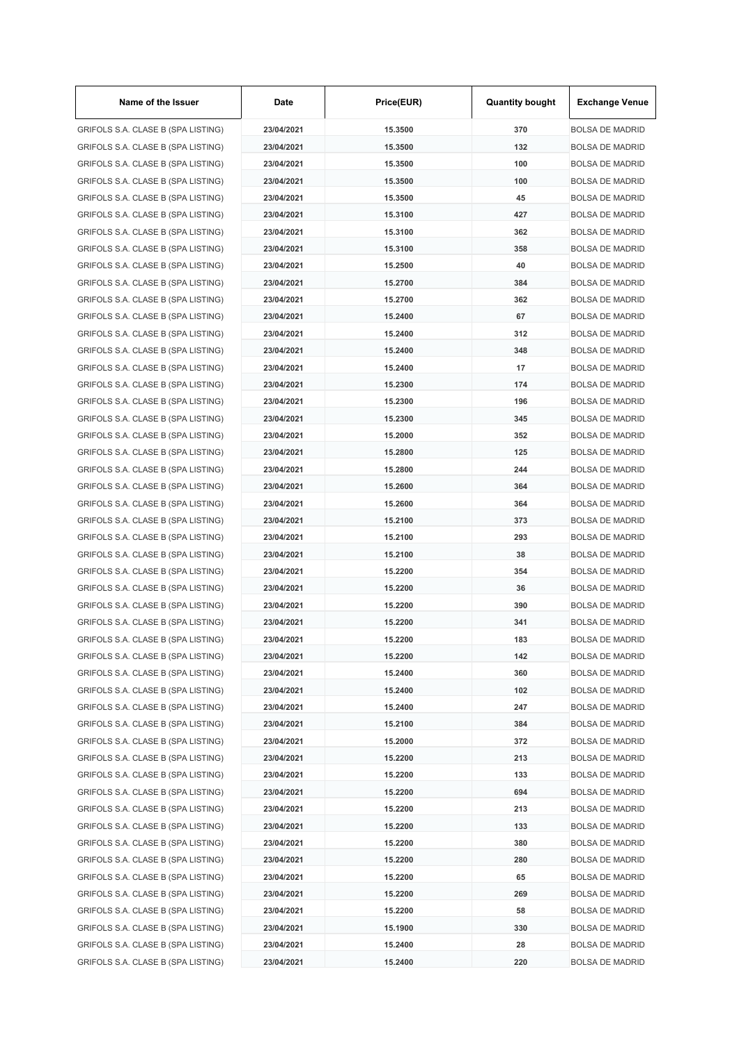| Name of the Issuer                 | Date       | Price(EUR) | <b>Quantity bought</b> | <b>Exchange Venue</b>  |
|------------------------------------|------------|------------|------------------------|------------------------|
| GRIFOLS S.A. CLASE B (SPA LISTING) | 23/04/2021 | 15.3500    | 370                    | <b>BOLSA DE MADRID</b> |
| GRIFOLS S.A. CLASE B (SPA LISTING) | 23/04/2021 | 15.3500    | 132                    | <b>BOLSA DE MADRID</b> |
| GRIFOLS S.A. CLASE B (SPA LISTING) | 23/04/2021 | 15,3500    | 100                    | <b>BOLSA DE MADRID</b> |
| GRIFOLS S.A. CLASE B (SPA LISTING) | 23/04/2021 | 15.3500    | 100                    | <b>BOLSA DE MADRID</b> |
| GRIFOLS S.A. CLASE B (SPA LISTING) | 23/04/2021 | 15.3500    | 45                     | <b>BOLSA DE MADRID</b> |
| GRIFOLS S.A. CLASE B (SPA LISTING) | 23/04/2021 | 15.3100    | 427                    | <b>BOLSA DE MADRID</b> |
| GRIFOLS S.A. CLASE B (SPA LISTING) | 23/04/2021 | 15.3100    | 362                    | <b>BOLSA DE MADRID</b> |
| GRIFOLS S.A. CLASE B (SPA LISTING) | 23/04/2021 | 15.3100    | 358                    | <b>BOLSA DE MADRID</b> |
| GRIFOLS S.A. CLASE B (SPA LISTING) | 23/04/2021 | 15.2500    | 40                     | <b>BOLSA DE MADRID</b> |
| GRIFOLS S.A. CLASE B (SPA LISTING) | 23/04/2021 | 15.2700    | 384                    | <b>BOLSA DE MADRID</b> |
| GRIFOLS S.A. CLASE B (SPA LISTING) | 23/04/2021 | 15.2700    | 362                    | <b>BOLSA DE MADRID</b> |
| GRIFOLS S.A. CLASE B (SPA LISTING) | 23/04/2021 | 15.2400    | 67                     | <b>BOLSA DE MADRID</b> |
| GRIFOLS S.A. CLASE B (SPA LISTING) | 23/04/2021 | 15.2400    | 312                    | <b>BOLSA DE MADRID</b> |
| GRIFOLS S.A. CLASE B (SPA LISTING) | 23/04/2021 | 15.2400    | 348                    | <b>BOLSA DE MADRID</b> |
| GRIFOLS S.A. CLASE B (SPA LISTING) | 23/04/2021 | 15.2400    | 17                     | <b>BOLSA DE MADRID</b> |
| GRIFOLS S.A. CLASE B (SPA LISTING) | 23/04/2021 | 15.2300    | 174                    | <b>BOLSA DE MADRID</b> |
| GRIFOLS S.A. CLASE B (SPA LISTING) | 23/04/2021 | 15.2300    | 196                    | <b>BOLSA DE MADRID</b> |
| GRIFOLS S.A. CLASE B (SPA LISTING) | 23/04/2021 | 15.2300    | 345                    | <b>BOLSA DE MADRID</b> |
| GRIFOLS S.A. CLASE B (SPA LISTING) | 23/04/2021 | 15.2000    | 352                    | <b>BOLSA DE MADRID</b> |
| GRIFOLS S.A. CLASE B (SPA LISTING) | 23/04/2021 | 15.2800    | 125                    | <b>BOLSA DE MADRID</b> |
| GRIFOLS S.A. CLASE B (SPA LISTING) | 23/04/2021 | 15.2800    | 244                    | <b>BOLSA DE MADRID</b> |
| GRIFOLS S.A. CLASE B (SPA LISTING) | 23/04/2021 | 15.2600    | 364                    | <b>BOLSA DE MADRID</b> |
| GRIFOLS S.A. CLASE B (SPA LISTING) | 23/04/2021 | 15.2600    | 364                    | <b>BOLSA DE MADRID</b> |
| GRIFOLS S.A. CLASE B (SPA LISTING) | 23/04/2021 | 15.2100    | 373                    | <b>BOLSA DE MADRID</b> |
| GRIFOLS S.A. CLASE B (SPA LISTING) | 23/04/2021 | 15.2100    | 293                    | <b>BOLSA DE MADRID</b> |
|                                    | 23/04/2021 | 15.2100    | 38                     | <b>BOLSA DE MADRID</b> |
| GRIFOLS S.A. CLASE B (SPA LISTING) |            | 15.2200    |                        |                        |
| GRIFOLS S.A. CLASE B (SPA LISTING) | 23/04/2021 |            | 354                    | <b>BOLSA DE MADRID</b> |
| GRIFOLS S.A. CLASE B (SPA LISTING) | 23/04/2021 | 15.2200    | 36                     | <b>BOLSA DE MADRID</b> |
| GRIFOLS S.A. CLASE B (SPA LISTING) | 23/04/2021 | 15.2200    | 390                    | <b>BOLSA DE MADRID</b> |
| GRIFOLS S.A. CLASE B (SPA LISTING) | 23/04/2021 | 15.2200    | 341                    | <b>BOLSA DE MADRID</b> |
| GRIFOLS S.A. CLASE B (SPA LISTING) | 23/04/2021 | 15.2200    | 183                    | <b>BOLSA DE MADRID</b> |
| GRIFOLS S.A. CLASE B (SPA LISTING) | 23/04/2021 | 15.2200    | 142                    | <b>BOLSA DE MADRID</b> |
| GRIFOLS S.A. CLASE B (SPA LISTING) | 23/04/2021 | 15.2400    | 360                    | <b>BOLSA DE MADRID</b> |
| GRIFOLS S.A. CLASE B (SPA LISTING) | 23/04/2021 | 15.2400    | 102                    | <b>BOLSA DE MADRID</b> |
| GRIFOLS S.A. CLASE B (SPA LISTING) | 23/04/2021 | 15.2400    | 247                    | <b>BOLSA DE MADRID</b> |
| GRIFOLS S.A. CLASE B (SPA LISTING) | 23/04/2021 | 15.2100    | 384                    | <b>BOLSA DE MADRID</b> |
| GRIFOLS S.A. CLASE B (SPA LISTING) | 23/04/2021 | 15.2000    | 372                    | <b>BOLSA DE MADRID</b> |
| GRIFOLS S.A. CLASE B (SPA LISTING) | 23/04/2021 | 15.2200    | 213                    | <b>BOLSA DE MADRID</b> |
| GRIFOLS S.A. CLASE B (SPA LISTING) | 23/04/2021 | 15.2200    | 133                    | <b>BOLSA DE MADRID</b> |
| GRIFOLS S.A. CLASE B (SPA LISTING) | 23/04/2021 | 15.2200    | 694                    | <b>BOLSA DE MADRID</b> |
| GRIFOLS S.A. CLASE B (SPA LISTING) | 23/04/2021 | 15.2200    | 213                    | <b>BOLSA DE MADRID</b> |
| GRIFOLS S.A. CLASE B (SPA LISTING) | 23/04/2021 | 15.2200    | 133                    | <b>BOLSA DE MADRID</b> |
| GRIFOLS S.A. CLASE B (SPA LISTING) | 23/04/2021 | 15.2200    | 380                    | <b>BOLSA DE MADRID</b> |
| GRIFOLS S.A. CLASE B (SPA LISTING) | 23/04/2021 | 15.2200    | 280                    | <b>BOLSA DE MADRID</b> |
| GRIFOLS S.A. CLASE B (SPA LISTING) | 23/04/2021 | 15.2200    | 65                     | <b>BOLSA DE MADRID</b> |
| GRIFOLS S.A. CLASE B (SPA LISTING) | 23/04/2021 | 15.2200    | 269                    | <b>BOLSA DE MADRID</b> |
| GRIFOLS S.A. CLASE B (SPA LISTING) | 23/04/2021 | 15.2200    | 58                     | <b>BOLSA DE MADRID</b> |
| GRIFOLS S.A. CLASE B (SPA LISTING) | 23/04/2021 | 15.1900    | 330                    | <b>BOLSA DE MADRID</b> |
| GRIFOLS S.A. CLASE B (SPA LISTING) | 23/04/2021 | 15.2400    | 28                     | <b>BOLSA DE MADRID</b> |
| GRIFOLS S.A. CLASE B (SPA LISTING) | 23/04/2021 | 15.2400    | 220                    | <b>BOLSA DE MADRID</b> |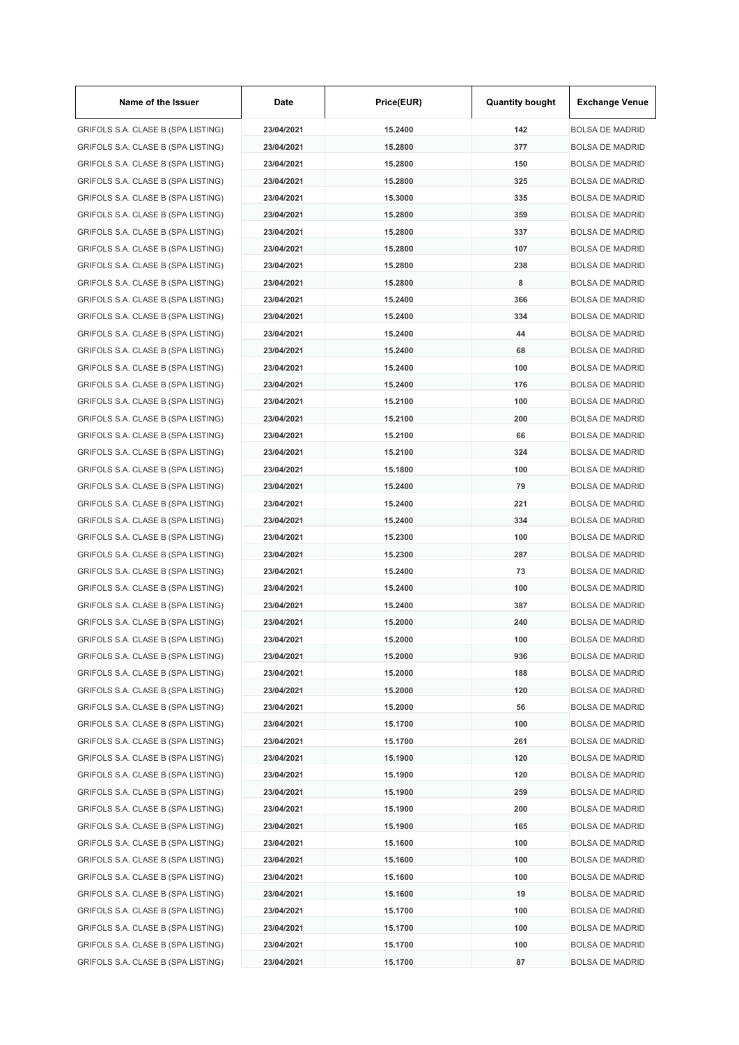| Name of the Issuer                 | Date       | Price(EUR) | <b>Quantity bought</b> | <b>Exchange Venue</b>  |
|------------------------------------|------------|------------|------------------------|------------------------|
| GRIFOLS S.A. CLASE B (SPA LISTING) | 23/04/2021 | 15.2400    | 142                    | <b>BOLSA DE MADRID</b> |
| GRIFOLS S.A. CLASE B (SPA LISTING) | 23/04/2021 | 15.2800    | 377                    | <b>BOLSA DE MADRID</b> |
| GRIFOLS S.A. CLASE B (SPA LISTING) | 23/04/2021 | 15.2800    | 150                    | <b>BOLSA DE MADRID</b> |
| GRIFOLS S.A. CLASE B (SPA LISTING) | 23/04/2021 | 15.2800    | 325                    | <b>BOLSA DE MADRID</b> |
| GRIFOLS S.A. CLASE B (SPA LISTING) | 23/04/2021 | 15.3000    | 335                    | <b>BOLSA DE MADRID</b> |
| GRIFOLS S.A. CLASE B (SPA LISTING) | 23/04/2021 | 15.2800    | 359                    | <b>BOLSA DE MADRID</b> |
| GRIFOLS S.A. CLASE B (SPA LISTING) | 23/04/2021 | 15.2800    | 337                    | <b>BOLSA DE MADRID</b> |
| GRIFOLS S.A. CLASE B (SPA LISTING) | 23/04/2021 | 15.2800    | 107                    | <b>BOLSA DE MADRID</b> |
| GRIFOLS S.A. CLASE B (SPA LISTING) | 23/04/2021 | 15.2800    | 238                    | <b>BOLSA DE MADRID</b> |
| GRIFOLS S.A. CLASE B (SPA LISTING) | 23/04/2021 | 15.2800    | 8                      | <b>BOLSA DE MADRID</b> |
| GRIFOLS S.A. CLASE B (SPA LISTING) | 23/04/2021 | 15.2400    | 366                    | <b>BOLSA DE MADRID</b> |
| GRIFOLS S.A. CLASE B (SPA LISTING) | 23/04/2021 | 15.2400    | 334                    | <b>BOLSA DE MADRID</b> |
| GRIFOLS S.A. CLASE B (SPA LISTING) | 23/04/2021 | 15.2400    | 44                     | <b>BOLSA DE MADRID</b> |
| GRIFOLS S.A. CLASE B (SPA LISTING) | 23/04/2021 | 15.2400    | 68                     | <b>BOLSA DE MADRID</b> |
| GRIFOLS S.A. CLASE B (SPA LISTING) | 23/04/2021 | 15.2400    | 100                    | <b>BOLSA DE MADRID</b> |
| GRIFOLS S.A. CLASE B (SPA LISTING) | 23/04/2021 | 15.2400    | 176                    | <b>BOLSA DE MADRID</b> |
| GRIFOLS S.A. CLASE B (SPA LISTING) | 23/04/2021 | 15.2100    | 100                    | <b>BOLSA DE MADRID</b> |
| GRIFOLS S.A. CLASE B (SPA LISTING) | 23/04/2021 | 15.2100    | 200                    | <b>BOLSA DE MADRID</b> |
|                                    | 23/04/2021 | 15.2100    | 66                     |                        |
| GRIFOLS S.A. CLASE B (SPA LISTING) |            |            |                        | <b>BOLSA DE MADRID</b> |
| GRIFOLS S.A. CLASE B (SPA LISTING) | 23/04/2021 | 15.2100    | 324                    | <b>BOLSA DE MADRID</b> |
| GRIFOLS S.A. CLASE B (SPA LISTING) | 23/04/2021 | 15.1800    | 100                    | <b>BOLSA DE MADRID</b> |
| GRIFOLS S.A. CLASE B (SPA LISTING) | 23/04/2021 | 15.2400    | 79                     | <b>BOLSA DE MADRID</b> |
| GRIFOLS S.A. CLASE B (SPA LISTING) | 23/04/2021 | 15.2400    | 221                    | <b>BOLSA DE MADRID</b> |
| GRIFOLS S.A. CLASE B (SPA LISTING) | 23/04/2021 | 15.2400    | 334                    | <b>BOLSA DE MADRID</b> |
| GRIFOLS S.A. CLASE B (SPA LISTING) | 23/04/2021 | 15.2300    | 100                    | <b>BOLSA DE MADRID</b> |
| GRIFOLS S.A. CLASE B (SPA LISTING) | 23/04/2021 | 15.2300    | 287                    | <b>BOLSA DE MADRID</b> |
| GRIFOLS S.A. CLASE B (SPA LISTING) | 23/04/2021 | 15.2400    | 73                     | <b>BOLSA DE MADRID</b> |
| GRIFOLS S.A. CLASE B (SPA LISTING) | 23/04/2021 | 15.2400    | 100                    | <b>BOLSA DE MADRID</b> |
| GRIFOLS S.A. CLASE B (SPA LISTING) | 23/04/2021 | 15.2400    | 387                    | <b>BOLSA DE MADRID</b> |
| GRIFOLS S.A. CLASE B (SPA LISTING) | 23/04/2021 | 15.2000    | 240                    | <b>BOLSA DE MADRID</b> |
| GRIFOLS S.A. CLASE B (SPA LISTING) | 23/04/2021 | 15.2000    | 100                    | <b>BOLSA DE MADRID</b> |
| GRIFOLS S.A. CLASE B (SPA LISTING) | 23/04/2021 | 15.2000    | 936                    | <b>BOLSA DE MADRID</b> |
| GRIFOLS S.A. CLASE B (SPA LISTING) | 23/04/2021 | 15.2000    | 188                    | <b>BOLSA DE MADRID</b> |
| GRIFOLS S.A. CLASE B (SPA LISTING) | 23/04/2021 | 15.2000    | 120                    | <b>BOLSA DE MADRID</b> |
| GRIFOLS S.A. CLASE B (SPA LISTING) | 23/04/2021 | 15.2000    | 56                     | <b>BOLSA DE MADRID</b> |
| GRIFOLS S.A. CLASE B (SPA LISTING) | 23/04/2021 | 15.1700    | 100                    | <b>BOLSA DE MADRID</b> |
| GRIFOLS S.A. CLASE B (SPA LISTING) | 23/04/2021 | 15.1700    | 261                    | <b>BOLSA DE MADRID</b> |
| GRIFOLS S.A. CLASE B (SPA LISTING) | 23/04/2021 | 15.1900    | 120                    | <b>BOLSA DE MADRID</b> |
| GRIFOLS S.A. CLASE B (SPA LISTING) | 23/04/2021 | 15.1900    | 120                    | <b>BOLSA DE MADRID</b> |
| GRIFOLS S.A. CLASE B (SPA LISTING) | 23/04/2021 | 15.1900    | 259                    | <b>BOLSA DE MADRID</b> |
| GRIFOLS S.A. CLASE B (SPA LISTING) | 23/04/2021 | 15.1900    | 200                    | <b>BOLSA DE MADRID</b> |
| GRIFOLS S.A. CLASE B (SPA LISTING) | 23/04/2021 | 15.1900    | 165                    | <b>BOLSA DE MADRID</b> |
| GRIFOLS S.A. CLASE B (SPA LISTING) | 23/04/2021 | 15.1600    | 100                    | <b>BOLSA DE MADRID</b> |
| GRIFOLS S.A. CLASE B (SPA LISTING) | 23/04/2021 | 15.1600    | 100                    | <b>BOLSA DE MADRID</b> |
| GRIFOLS S.A. CLASE B (SPA LISTING) | 23/04/2021 | 15.1600    | 100                    | <b>BOLSA DE MADRID</b> |
| GRIFOLS S.A. CLASE B (SPA LISTING) | 23/04/2021 | 15.1600    | 19                     | <b>BOLSA DE MADRID</b> |
| GRIFOLS S.A. CLASE B (SPA LISTING) | 23/04/2021 | 15.1700    | 100                    | <b>BOLSA DE MADRID</b> |
| GRIFOLS S.A. CLASE B (SPA LISTING) | 23/04/2021 | 15.1700    | 100                    | <b>BOLSA DE MADRID</b> |
| GRIFOLS S.A. CLASE B (SPA LISTING) | 23/04/2021 | 15.1700    | 100                    | <b>BOLSA DE MADRID</b> |
| GRIFOLS S.A. CLASE B (SPA LISTING) | 23/04/2021 | 15.1700    | 87                     | <b>BOLSA DE MADRID</b> |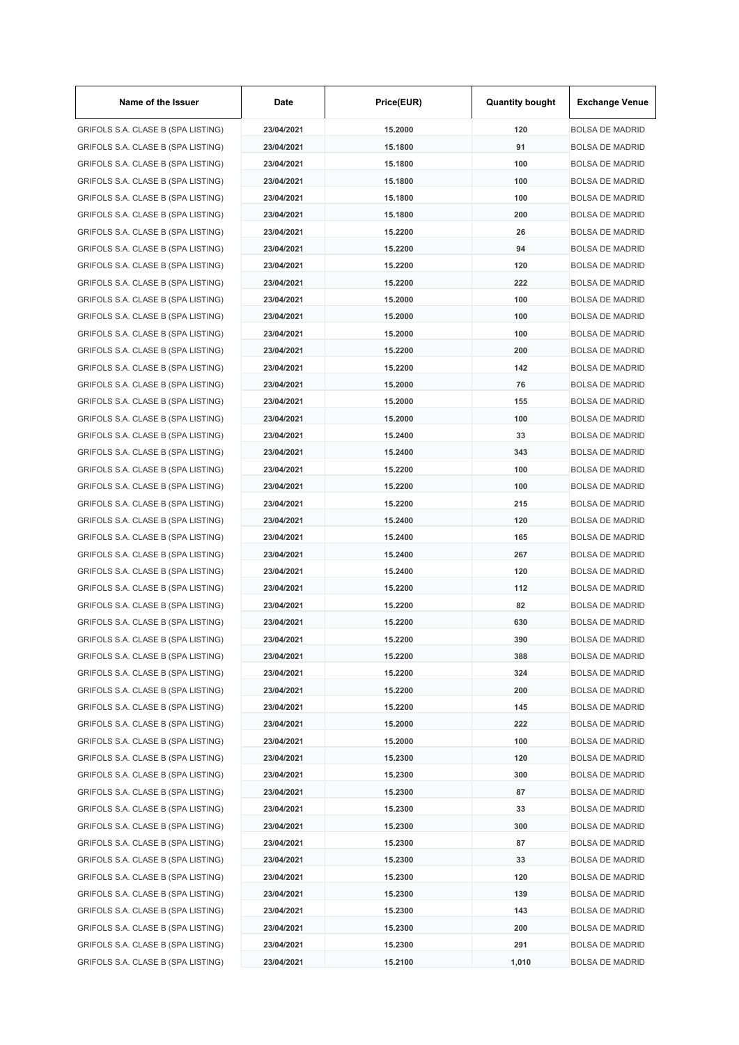| Name of the Issuer                 | Date                     | Price(EUR) | <b>Quantity bought</b> | <b>Exchange Venue</b>                            |
|------------------------------------|--------------------------|------------|------------------------|--------------------------------------------------|
| GRIFOLS S.A. CLASE B (SPA LISTING) | 23/04/2021               | 15.2000    | 120                    | <b>BOLSA DE MADRID</b>                           |
| GRIFOLS S.A. CLASE B (SPA LISTING) | 23/04/2021               | 15.1800    | 91                     | <b>BOLSA DE MADRID</b>                           |
| GRIFOLS S.A. CLASE B (SPA LISTING) | 23/04/2021               | 15.1800    | 100                    | <b>BOLSA DE MADRID</b>                           |
| GRIFOLS S.A. CLASE B (SPA LISTING) | 23/04/2021               | 15.1800    | 100                    | <b>BOLSA DE MADRID</b>                           |
| GRIFOLS S.A. CLASE B (SPA LISTING) | 23/04/2021               | 15.1800    | 100                    | <b>BOLSA DE MADRID</b>                           |
| GRIFOLS S.A. CLASE B (SPA LISTING) | 23/04/2021               | 15.1800    | 200                    | <b>BOLSA DE MADRID</b>                           |
| GRIFOLS S.A. CLASE B (SPA LISTING) | 23/04/2021               | 15.2200    | 26                     | <b>BOLSA DE MADRID</b>                           |
| GRIFOLS S.A. CLASE B (SPA LISTING) | 23/04/2021               | 15.2200    | 94                     | <b>BOLSA DE MADRID</b>                           |
| GRIFOLS S.A. CLASE B (SPA LISTING) | 23/04/2021               | 15.2200    | 120                    | <b>BOLSA DE MADRID</b>                           |
| GRIFOLS S.A. CLASE B (SPA LISTING) | 23/04/2021               | 15.2200    | 222                    | <b>BOLSA DE MADRID</b>                           |
| GRIFOLS S.A. CLASE B (SPA LISTING) | 23/04/2021               | 15.2000    | 100                    | <b>BOLSA DE MADRID</b>                           |
| GRIFOLS S.A. CLASE B (SPA LISTING) | 23/04/2021               | 15.2000    | 100                    | <b>BOLSA DE MADRID</b>                           |
| GRIFOLS S.A. CLASE B (SPA LISTING) | 23/04/2021               | 15.2000    | 100                    | <b>BOLSA DE MADRID</b>                           |
| GRIFOLS S.A. CLASE B (SPA LISTING) | 23/04/2021               | 15.2200    | 200                    | <b>BOLSA DE MADRID</b>                           |
| GRIFOLS S.A. CLASE B (SPA LISTING) | 23/04/2021               | 15.2200    | 142                    | <b>BOLSA DE MADRID</b>                           |
| GRIFOLS S.A. CLASE B (SPA LISTING) | 23/04/2021               | 15.2000    | 76                     | <b>BOLSA DE MADRID</b>                           |
| GRIFOLS S.A. CLASE B (SPA LISTING) | 23/04/2021               | 15.2000    | 155                    | <b>BOLSA DE MADRID</b>                           |
| GRIFOLS S.A. CLASE B (SPA LISTING) | 23/04/2021               | 15.2000    | 100                    | <b>BOLSA DE MADRID</b>                           |
| GRIFOLS S.A. CLASE B (SPA LISTING) | 23/04/2021               | 15.2400    | 33                     | <b>BOLSA DE MADRID</b>                           |
| GRIFOLS S.A. CLASE B (SPA LISTING) | 23/04/2021               | 15.2400    | 343                    | <b>BOLSA DE MADRID</b>                           |
| GRIFOLS S.A. CLASE B (SPA LISTING) | 23/04/2021               | 15.2200    | 100                    | <b>BOLSA DE MADRID</b>                           |
| GRIFOLS S.A. CLASE B (SPA LISTING) | 23/04/2021               | 15.2200    | 100                    | <b>BOLSA DE MADRID</b>                           |
| GRIFOLS S.A. CLASE B (SPA LISTING) | 23/04/2021               | 15.2200    | 215                    | <b>BOLSA DE MADRID</b>                           |
| GRIFOLS S.A. CLASE B (SPA LISTING) | 23/04/2021               | 15.2400    | 120                    | <b>BOLSA DE MADRID</b>                           |
| GRIFOLS S.A. CLASE B (SPA LISTING) | 23/04/2021               | 15.2400    | 165                    | <b>BOLSA DE MADRID</b>                           |
| GRIFOLS S.A. CLASE B (SPA LISTING) | 23/04/2021               | 15.2400    | 267                    | <b>BOLSA DE MADRID</b>                           |
| GRIFOLS S.A. CLASE B (SPA LISTING) | 23/04/2021               | 15.2400    | 120                    | <b>BOLSA DE MADRID</b>                           |
|                                    | 23/04/2021               |            | 112                    | <b>BOLSA DE MADRID</b>                           |
| GRIFOLS S.A. CLASE B (SPA LISTING) |                          | 15.2200    |                        |                                                  |
| GRIFOLS S.A. CLASE B (SPA LISTING) | 23/04/2021<br>23/04/2021 | 15.2200    | 82                     | <b>BOLSA DE MADRID</b><br><b>BOLSA DE MADRID</b> |
| GRIFOLS S.A. CLASE B (SPA LISTING) |                          | 15.2200    | 630                    |                                                  |
| GRIFOLS S.A. CLASE B (SPA LISTING) | 23/04/2021               | 15.2200    | 390                    | <b>BOLSA DE MADRID</b>                           |
| GRIFOLS S.A. CLASE B (SPA LISTING) | 23/04/2021               | 15.2200    | 388                    | <b>BOLSA DE MADRID</b>                           |
| GRIFOLS S.A. CLASE B (SPA LISTING) | 23/04/2021               | 15.2200    | 324                    | <b>BOLSA DE MADRID</b>                           |
| GRIFOLS S.A. CLASE B (SPA LISTING) | 23/04/2021               | 15.2200    | 200                    | <b>BOLSA DE MADRID</b>                           |
| GRIFOLS S.A. CLASE B (SPA LISTING) | 23/04/2021               | 15.2200    | 145                    | <b>BOLSA DE MADRID</b>                           |
| GRIFOLS S.A. CLASE B (SPA LISTING) | 23/04/2021               | 15.2000    | 222                    | <b>BOLSA DE MADRID</b>                           |
| GRIFOLS S.A. CLASE B (SPA LISTING) | 23/04/2021               | 15.2000    | 100                    | <b>BOLSA DE MADRID</b>                           |
| GRIFOLS S.A. CLASE B (SPA LISTING) | 23/04/2021               | 15.2300    | 120                    | <b>BOLSA DE MADRID</b>                           |
| GRIFOLS S.A. CLASE B (SPA LISTING) | 23/04/2021               | 15.2300    | 300                    | <b>BOLSA DE MADRID</b>                           |
| GRIFOLS S.A. CLASE B (SPA LISTING) | 23/04/2021               | 15.2300    | 87                     | <b>BOLSA DE MADRID</b>                           |
| GRIFOLS S.A. CLASE B (SPA LISTING) | 23/04/2021               | 15.2300    | 33                     | <b>BOLSA DE MADRID</b>                           |
| GRIFOLS S.A. CLASE B (SPA LISTING) | 23/04/2021               | 15.2300    | 300                    | <b>BOLSA DE MADRID</b>                           |
| GRIFOLS S.A. CLASE B (SPA LISTING) | 23/04/2021               | 15.2300    | 87                     | <b>BOLSA DE MADRID</b>                           |
| GRIFOLS S.A. CLASE B (SPA LISTING) | 23/04/2021               | 15.2300    | 33                     | <b>BOLSA DE MADRID</b>                           |
| GRIFOLS S.A. CLASE B (SPA LISTING) | 23/04/2021               | 15.2300    | 120                    | <b>BOLSA DE MADRID</b>                           |
| GRIFOLS S.A. CLASE B (SPA LISTING) | 23/04/2021               | 15.2300    | 139                    | <b>BOLSA DE MADRID</b>                           |
| GRIFOLS S.A. CLASE B (SPA LISTING) | 23/04/2021               | 15.2300    | 143                    | <b>BOLSA DE MADRID</b>                           |
| GRIFOLS S.A. CLASE B (SPA LISTING) | 23/04/2021               | 15.2300    | 200                    | <b>BOLSA DE MADRID</b>                           |
| GRIFOLS S.A. CLASE B (SPA LISTING) | 23/04/2021               | 15.2300    | 291                    | <b>BOLSA DE MADRID</b>                           |
| GRIFOLS S.A. CLASE B (SPA LISTING) | 23/04/2021               | 15.2100    | 1,010                  | <b>BOLSA DE MADRID</b>                           |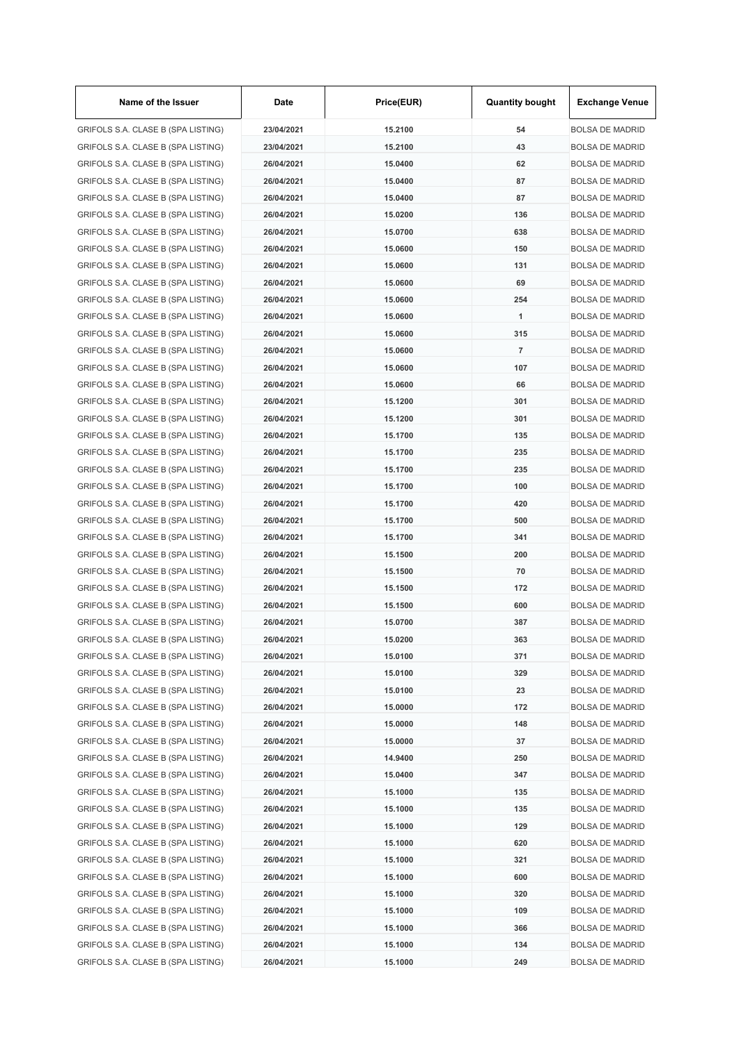| Name of the Issuer                                                       | Date                     | Price(EUR) | <b>Quantity bought</b> | <b>Exchange Venue</b>                            |
|--------------------------------------------------------------------------|--------------------------|------------|------------------------|--------------------------------------------------|
| GRIFOLS S.A. CLASE B (SPA LISTING)                                       | 23/04/2021               | 15.2100    | 54                     | <b>BOLSA DE MADRID</b>                           |
| GRIFOLS S.A. CLASE B (SPA LISTING)                                       | 23/04/2021               | 15.2100    | 43                     | <b>BOLSA DE MADRID</b>                           |
| GRIFOLS S.A. CLASE B (SPA LISTING)                                       | 26/04/2021               | 15.0400    | 62                     | <b>BOLSA DE MADRID</b>                           |
| GRIFOLS S.A. CLASE B (SPA LISTING)                                       | 26/04/2021               | 15.0400    | 87                     | <b>BOLSA DE MADRID</b>                           |
| GRIFOLS S.A. CLASE B (SPA LISTING)                                       | 26/04/2021               | 15.0400    | 87                     | <b>BOLSA DE MADRID</b>                           |
| GRIFOLS S.A. CLASE B (SPA LISTING)                                       | 26/04/2021               | 15.0200    | 136                    | <b>BOLSA DE MADRID</b>                           |
| GRIFOLS S.A. CLASE B (SPA LISTING)                                       | 26/04/2021               | 15.0700    | 638                    | <b>BOLSA DE MADRID</b>                           |
| GRIFOLS S.A. CLASE B (SPA LISTING)                                       | 26/04/2021               | 15.0600    | 150                    | <b>BOLSA DE MADRID</b>                           |
| GRIFOLS S.A. CLASE B (SPA LISTING)                                       | 26/04/2021               | 15.0600    | 131                    | <b>BOLSA DE MADRID</b>                           |
| GRIFOLS S.A. CLASE B (SPA LISTING)                                       | 26/04/2021               | 15.0600    | 69                     | <b>BOLSA DE MADRID</b>                           |
| GRIFOLS S.A. CLASE B (SPA LISTING)                                       | 26/04/2021               | 15.0600    | 254                    | <b>BOLSA DE MADRID</b>                           |
| GRIFOLS S.A. CLASE B (SPA LISTING)                                       | 26/04/2021               | 15.0600    | 1                      | <b>BOLSA DE MADRID</b>                           |
| GRIFOLS S.A. CLASE B (SPA LISTING)                                       | 26/04/2021               | 15.0600    | 315                    | <b>BOLSA DE MADRID</b>                           |
| GRIFOLS S.A. CLASE B (SPA LISTING)                                       | 26/04/2021               | 15.0600    | $\overline{7}$         | <b>BOLSA DE MADRID</b>                           |
| GRIFOLS S.A. CLASE B (SPA LISTING)                                       | 26/04/2021               | 15.0600    | 107                    | <b>BOLSA DE MADRID</b>                           |
| GRIFOLS S.A. CLASE B (SPA LISTING)                                       | 26/04/2021               | 15.0600    | 66                     | <b>BOLSA DE MADRID</b>                           |
| GRIFOLS S.A. CLASE B (SPA LISTING)                                       | 26/04/2021               | 15.1200    | 301                    | <b>BOLSA DE MADRID</b>                           |
| GRIFOLS S.A. CLASE B (SPA LISTING)                                       | 26/04/2021               | 15.1200    | 301                    | <b>BOLSA DE MADRID</b>                           |
| GRIFOLS S.A. CLASE B (SPA LISTING)                                       | 26/04/2021               | 15.1700    | 135                    | <b>BOLSA DE MADRID</b>                           |
| GRIFOLS S.A. CLASE B (SPA LISTING)                                       | 26/04/2021               | 15.1700    | 235                    | <b>BOLSA DE MADRID</b>                           |
| GRIFOLS S.A. CLASE B (SPA LISTING)                                       | 26/04/2021               | 15.1700    | 235                    | <b>BOLSA DE MADRID</b>                           |
| GRIFOLS S.A. CLASE B (SPA LISTING)                                       | 26/04/2021               | 15.1700    | 100                    | <b>BOLSA DE MADRID</b>                           |
| GRIFOLS S.A. CLASE B (SPA LISTING)                                       | 26/04/2021               | 15.1700    | 420                    | <b>BOLSA DE MADRID</b>                           |
| GRIFOLS S.A. CLASE B (SPA LISTING)                                       | 26/04/2021               | 15.1700    | 500                    | <b>BOLSA DE MADRID</b>                           |
| GRIFOLS S.A. CLASE B (SPA LISTING)                                       | 26/04/2021               | 15.1700    | 341                    | <b>BOLSA DE MADRID</b>                           |
| GRIFOLS S.A. CLASE B (SPA LISTING)                                       | 26/04/2021               | 15.1500    | 200                    | <b>BOLSA DE MADRID</b>                           |
| GRIFOLS S.A. CLASE B (SPA LISTING)                                       | 26/04/2021               | 15.1500    | 70                     | <b>BOLSA DE MADRID</b>                           |
| GRIFOLS S.A. CLASE B (SPA LISTING)                                       | 26/04/2021               | 15.1500    | 172                    | <b>BOLSA DE MADRID</b>                           |
| GRIFOLS S.A. CLASE B (SPA LISTING)                                       | 26/04/2021               | 15.1500    | 600                    | <b>BOLSA DE MADRID</b>                           |
| GRIFOLS S.A. CLASE B (SPA LISTING)                                       | 26/04/2021               | 15.0700    | 387                    | <b>BOLSA DE MADRID</b>                           |
| GRIFOLS S.A. CLASE B (SPA LISTING)                                       | 26/04/2021               | 15.0200    | 363                    | <b>BOLSA DE MADRID</b>                           |
| GRIFOLS S.A. CLASE B (SPA LISTING)                                       | 26/04/2021               | 15.0100    | 371                    | <b>BOLSA DE MADRID</b>                           |
| GRIFOLS S.A. CLASE B (SPA LISTING)                                       |                          | 15.0100    |                        |                                                  |
| GRIFOLS S.A. CLASE B (SPA LISTING)                                       | 26/04/2021               | 15.0100    | 329<br>23              | <b>BOLSA DE MADRID</b>                           |
|                                                                          | 26/04/2021<br>26/04/2021 |            |                        | <b>BOLSA DE MADRID</b>                           |
| GRIFOLS S.A. CLASE B (SPA LISTING)                                       |                          | 15.0000    | 172<br>148             | <b>BOLSA DE MADRID</b>                           |
| GRIFOLS S.A. CLASE B (SPA LISTING)                                       | 26/04/2021               | 15.0000    |                        | <b>BOLSA DE MADRID</b><br><b>BOLSA DE MADRID</b> |
| GRIFOLS S.A. CLASE B (SPA LISTING)                                       | 26/04/2021               | 15.0000    | 37                     |                                                  |
| GRIFOLS S.A. CLASE B (SPA LISTING)<br>GRIFOLS S.A. CLASE B (SPA LISTING) | 26/04/2021               | 14.9400    | 250                    | <b>BOLSA DE MADRID</b>                           |
|                                                                          | 26/04/2021               | 15.0400    | 347                    | <b>BOLSA DE MADRID</b>                           |
| GRIFOLS S.A. CLASE B (SPA LISTING)                                       | 26/04/2021               | 15.1000    | 135                    | <b>BOLSA DE MADRID</b>                           |
| GRIFOLS S.A. CLASE B (SPA LISTING)                                       | 26/04/2021               | 15.1000    | 135                    | <b>BOLSA DE MADRID</b>                           |
| GRIFOLS S.A. CLASE B (SPA LISTING)                                       | 26/04/2021               | 15.1000    | 129                    | <b>BOLSA DE MADRID</b>                           |
| GRIFOLS S.A. CLASE B (SPA LISTING)                                       | 26/04/2021               | 15.1000    | 620                    | <b>BOLSA DE MADRID</b>                           |
| GRIFOLS S.A. CLASE B (SPA LISTING)                                       | 26/04/2021               | 15.1000    | 321                    | <b>BOLSA DE MADRID</b>                           |
| GRIFOLS S.A. CLASE B (SPA LISTING)                                       | 26/04/2021               | 15.1000    | 600                    | <b>BOLSA DE MADRID</b>                           |
| GRIFOLS S.A. CLASE B (SPA LISTING)                                       | 26/04/2021               | 15.1000    | 320                    | <b>BOLSA DE MADRID</b>                           |
| GRIFOLS S.A. CLASE B (SPA LISTING)                                       | 26/04/2021               | 15.1000    | 109                    | <b>BOLSA DE MADRID</b>                           |
| GRIFOLS S.A. CLASE B (SPA LISTING)                                       | 26/04/2021               | 15.1000    | 366                    | <b>BOLSA DE MADRID</b>                           |
| GRIFOLS S.A. CLASE B (SPA LISTING)                                       | 26/04/2021               | 15.1000    | 134                    | <b>BOLSA DE MADRID</b>                           |
| GRIFOLS S.A. CLASE B (SPA LISTING)                                       | 26/04/2021               | 15.1000    | 249                    | <b>BOLSA DE MADRID</b>                           |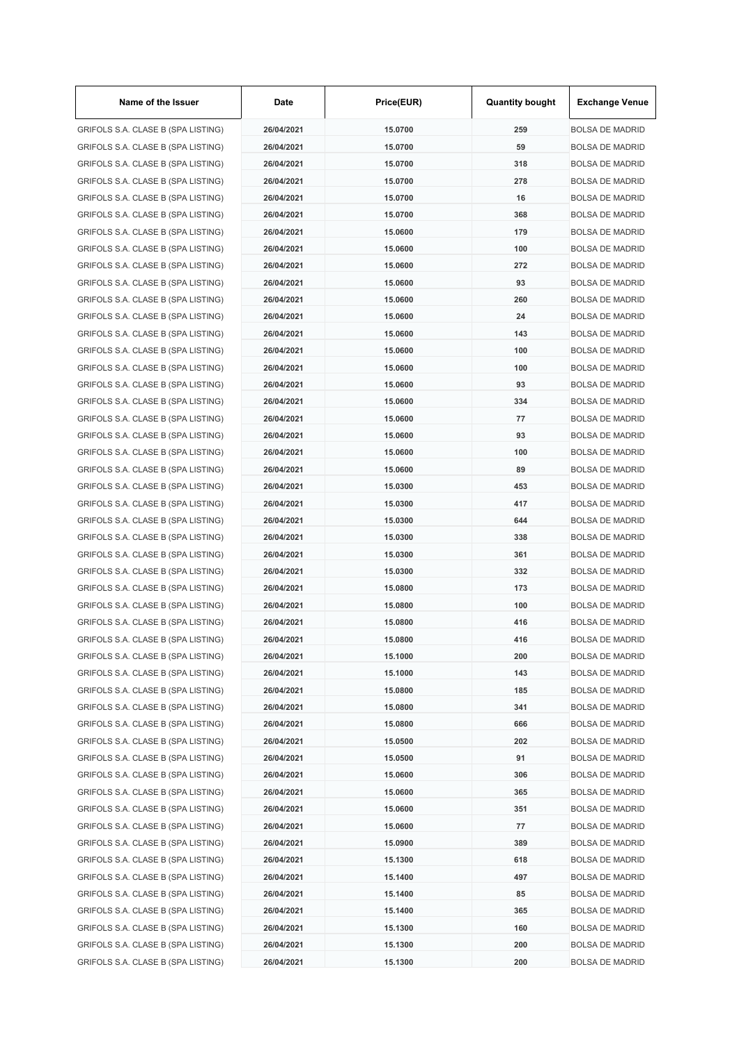| Name of the Issuer                 | Date       | Price(EUR) | <b>Quantity bought</b> | <b>Exchange Venue</b>  |
|------------------------------------|------------|------------|------------------------|------------------------|
| GRIFOLS S.A. CLASE B (SPA LISTING) | 26/04/2021 | 15.0700    | 259                    | <b>BOLSA DE MADRID</b> |
| GRIFOLS S.A. CLASE B (SPA LISTING) | 26/04/2021 | 15.0700    | 59                     | <b>BOLSA DE MADRID</b> |
| GRIFOLS S.A. CLASE B (SPA LISTING) | 26/04/2021 | 15.0700    | 318                    | <b>BOLSA DE MADRID</b> |
| GRIFOLS S.A. CLASE B (SPA LISTING) | 26/04/2021 | 15.0700    | 278                    | <b>BOLSA DE MADRID</b> |
| GRIFOLS S.A. CLASE B (SPA LISTING) | 26/04/2021 | 15.0700    | 16                     | <b>BOLSA DE MADRID</b> |
| GRIFOLS S.A. CLASE B (SPA LISTING) | 26/04/2021 | 15.0700    | 368                    | <b>BOLSA DE MADRID</b> |
| GRIFOLS S.A. CLASE B (SPA LISTING) | 26/04/2021 | 15.0600    | 179                    | <b>BOLSA DE MADRID</b> |
| GRIFOLS S.A. CLASE B (SPA LISTING) | 26/04/2021 | 15.0600    | 100                    | <b>BOLSA DE MADRID</b> |
| GRIFOLS S.A. CLASE B (SPA LISTING) | 26/04/2021 | 15.0600    | 272                    | <b>BOLSA DE MADRID</b> |
| GRIFOLS S.A. CLASE B (SPA LISTING) | 26/04/2021 | 15.0600    | 93                     | <b>BOLSA DE MADRID</b> |
| GRIFOLS S.A. CLASE B (SPA LISTING) | 26/04/2021 | 15.0600    | 260                    | <b>BOLSA DE MADRID</b> |
| GRIFOLS S.A. CLASE B (SPA LISTING) | 26/04/2021 | 15.0600    | 24                     | <b>BOLSA DE MADRID</b> |
| GRIFOLS S.A. CLASE B (SPA LISTING) | 26/04/2021 | 15.0600    | 143                    | <b>BOLSA DE MADRID</b> |
| GRIFOLS S.A. CLASE B (SPA LISTING) | 26/04/2021 | 15.0600    | 100                    | <b>BOLSA DE MADRID</b> |
| GRIFOLS S.A. CLASE B (SPA LISTING) | 26/04/2021 | 15.0600    | 100                    | <b>BOLSA DE MADRID</b> |
| GRIFOLS S.A. CLASE B (SPA LISTING) | 26/04/2021 | 15.0600    | 93                     | <b>BOLSA DE MADRID</b> |
| GRIFOLS S.A. CLASE B (SPA LISTING) | 26/04/2021 | 15.0600    | 334                    | <b>BOLSA DE MADRID</b> |
| GRIFOLS S.A. CLASE B (SPA LISTING) | 26/04/2021 | 15.0600    | 77                     | <b>BOLSA DE MADRID</b> |
| GRIFOLS S.A. CLASE B (SPA LISTING) | 26/04/2021 | 15.0600    | 93                     | <b>BOLSA DE MADRID</b> |
| GRIFOLS S.A. CLASE B (SPA LISTING) | 26/04/2021 | 15.0600    | 100                    | <b>BOLSA DE MADRID</b> |
| GRIFOLS S.A. CLASE B (SPA LISTING) | 26/04/2021 | 15.0600    | 89                     | <b>BOLSA DE MADRID</b> |
| GRIFOLS S.A. CLASE B (SPA LISTING) | 26/04/2021 | 15.0300    | 453                    | <b>BOLSA DE MADRID</b> |
| GRIFOLS S.A. CLASE B (SPA LISTING) | 26/04/2021 | 15.0300    | 417                    | <b>BOLSA DE MADRID</b> |
| GRIFOLS S.A. CLASE B (SPA LISTING) | 26/04/2021 | 15.0300    | 644                    | <b>BOLSA DE MADRID</b> |
| GRIFOLS S.A. CLASE B (SPA LISTING) | 26/04/2021 | 15.0300    | 338                    | <b>BOLSA DE MADRID</b> |
| GRIFOLS S.A. CLASE B (SPA LISTING) | 26/04/2021 | 15.0300    | 361                    | <b>BOLSA DE MADRID</b> |
| GRIFOLS S.A. CLASE B (SPA LISTING) | 26/04/2021 | 15.0300    | 332                    | <b>BOLSA DE MADRID</b> |
| GRIFOLS S.A. CLASE B (SPA LISTING) | 26/04/2021 | 15.0800    | 173                    | <b>BOLSA DE MADRID</b> |
|                                    |            |            | 100                    |                        |
| GRIFOLS S.A. CLASE B (SPA LISTING) | 26/04/2021 | 15.0800    | 416                    | <b>BOLSA DE MADRID</b> |
| GRIFOLS S.A. CLASE B (SPA LISTING) | 26/04/2021 | 15.0800    |                        | <b>BOLSA DE MADRID</b> |
| GRIFOLS S.A. CLASE B (SPA LISTING) | 26/04/2021 | 15.0800    | 416                    | <b>BOLSA DE MADRID</b> |
| GRIFOLS S.A. CLASE B (SPA LISTING) | 26/04/2021 | 15.1000    | 200                    | <b>BOLSA DE MADRID</b> |
| GRIFOLS S.A. CLASE B (SPA LISTING) | 26/04/2021 | 15.1000    | 143                    | <b>BOLSA DE MADRID</b> |
| GRIFOLS S.A. CLASE B (SPA LISTING) | 26/04/2021 | 15.0800    | 185                    | <b>BOLSA DE MADRID</b> |
| GRIFOLS S.A. CLASE B (SPA LISTING) | 26/04/2021 | 15.0800    | 341                    | <b>BOLSA DE MADRID</b> |
| GRIFOLS S.A. CLASE B (SPA LISTING) | 26/04/2021 | 15.0800    | 666                    | <b>BOLSA DE MADRID</b> |
| GRIFOLS S.A. CLASE B (SPA LISTING) | 26/04/2021 | 15.0500    | 202                    | <b>BOLSA DE MADRID</b> |
| GRIFOLS S.A. CLASE B (SPA LISTING) | 26/04/2021 | 15.0500    | 91                     | <b>BOLSA DE MADRID</b> |
| GRIFOLS S.A. CLASE B (SPA LISTING) | 26/04/2021 | 15.0600    | 306                    | <b>BOLSA DE MADRID</b> |
| GRIFOLS S.A. CLASE B (SPA LISTING) | 26/04/2021 | 15.0600    | 365                    | <b>BOLSA DE MADRID</b> |
| GRIFOLS S.A. CLASE B (SPA LISTING) | 26/04/2021 | 15.0600    | 351                    | <b>BOLSA DE MADRID</b> |
| GRIFOLS S.A. CLASE B (SPA LISTING) | 26/04/2021 | 15.0600    | 77                     | <b>BOLSA DE MADRID</b> |
| GRIFOLS S.A. CLASE B (SPA LISTING) | 26/04/2021 | 15.0900    | 389                    | <b>BOLSA DE MADRID</b> |
| GRIFOLS S.A. CLASE B (SPA LISTING) | 26/04/2021 | 15.1300    | 618                    | <b>BOLSA DE MADRID</b> |
| GRIFOLS S.A. CLASE B (SPA LISTING) | 26/04/2021 | 15.1400    | 497                    | <b>BOLSA DE MADRID</b> |
| GRIFOLS S.A. CLASE B (SPA LISTING) | 26/04/2021 | 15.1400    | 85                     | <b>BOLSA DE MADRID</b> |
| GRIFOLS S.A. CLASE B (SPA LISTING) | 26/04/2021 | 15.1400    | 365                    | <b>BOLSA DE MADRID</b> |
| GRIFOLS S.A. CLASE B (SPA LISTING) | 26/04/2021 | 15.1300    | 160                    | <b>BOLSA DE MADRID</b> |
| GRIFOLS S.A. CLASE B (SPA LISTING) | 26/04/2021 | 15.1300    | 200                    | <b>BOLSA DE MADRID</b> |
| GRIFOLS S.A. CLASE B (SPA LISTING) | 26/04/2021 | 15.1300    | 200                    | <b>BOLSA DE MADRID</b> |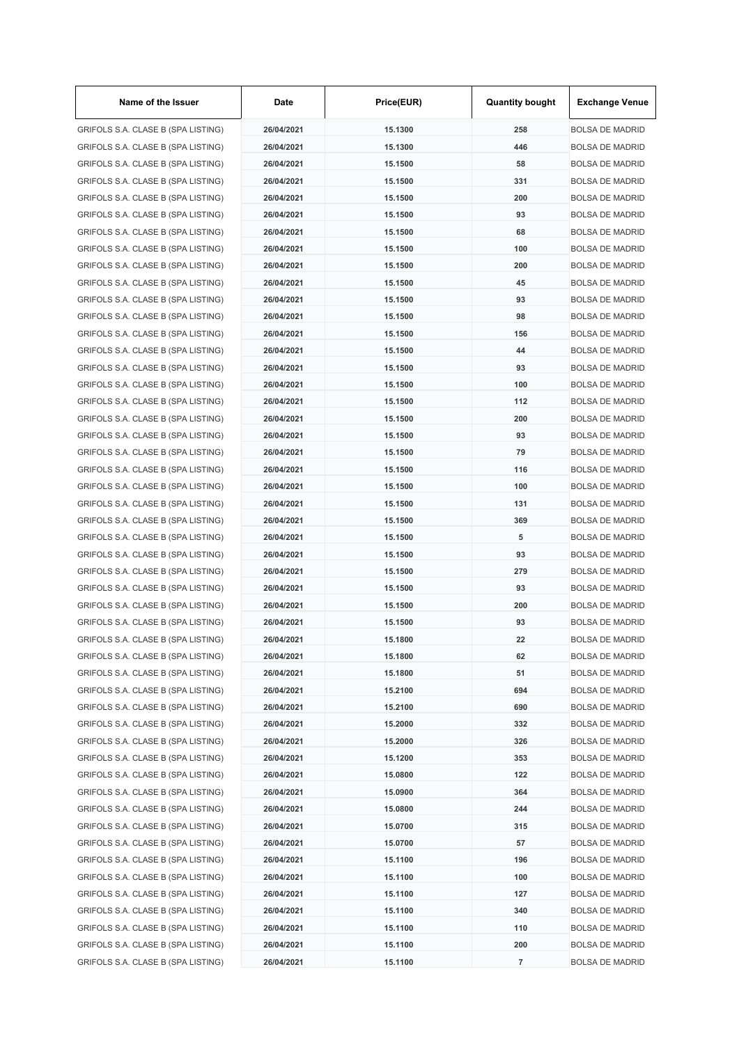| Name of the Issuer                 | Date       | Price(EUR)         | <b>Quantity bought</b> | <b>Exchange Venue</b>  |
|------------------------------------|------------|--------------------|------------------------|------------------------|
| GRIFOLS S.A. CLASE B (SPA LISTING) | 26/04/2021 | 15.1300            | 258                    | <b>BOLSA DE MADRID</b> |
| GRIFOLS S.A. CLASE B (SPA LISTING) | 26/04/2021 | 15.1300            | 446                    | <b>BOLSA DE MADRID</b> |
| GRIFOLS S.A. CLASE B (SPA LISTING) | 26/04/2021 | 15.1500            | 58                     | <b>BOLSA DE MADRID</b> |
| GRIFOLS S.A. CLASE B (SPA LISTING) | 26/04/2021 | 15.1500            | 331                    | <b>BOLSA DE MADRID</b> |
| GRIFOLS S.A. CLASE B (SPA LISTING) | 26/04/2021 | 15.1500            | 200                    | <b>BOLSA DE MADRID</b> |
| GRIFOLS S.A. CLASE B (SPA LISTING) | 26/04/2021 | 15.1500            | 93                     | <b>BOLSA DE MADRID</b> |
| GRIFOLS S.A. CLASE B (SPA LISTING) | 26/04/2021 | 15.1500            | 68                     | <b>BOLSA DE MADRID</b> |
| GRIFOLS S.A. CLASE B (SPA LISTING) | 26/04/2021 | 15.1500            | 100                    | <b>BOLSA DE MADRID</b> |
| GRIFOLS S.A. CLASE B (SPA LISTING) | 26/04/2021 | 15.1500            | 200                    | <b>BOLSA DE MADRID</b> |
| GRIFOLS S.A. CLASE B (SPA LISTING) | 26/04/2021 | 15.1500            | 45                     | <b>BOLSA DE MADRID</b> |
| GRIFOLS S.A. CLASE B (SPA LISTING) | 26/04/2021 | 15.1500            | 93                     | <b>BOLSA DE MADRID</b> |
| GRIFOLS S.A. CLASE B (SPA LISTING) | 26/04/2021 | 15.1500            | 98                     | <b>BOLSA DE MADRID</b> |
| GRIFOLS S.A. CLASE B (SPA LISTING) | 26/04/2021 | 15.1500            | 156                    | <b>BOLSA DE MADRID</b> |
| GRIFOLS S.A. CLASE B (SPA LISTING) | 26/04/2021 | 15.1500            | 44                     | <b>BOLSA DE MADRID</b> |
| GRIFOLS S.A. CLASE B (SPA LISTING) | 26/04/2021 | 15.1500            | 93                     | <b>BOLSA DE MADRID</b> |
| GRIFOLS S.A. CLASE B (SPA LISTING) | 26/04/2021 | 15.1500            | 100                    | <b>BOLSA DE MADRID</b> |
| GRIFOLS S.A. CLASE B (SPA LISTING) | 26/04/2021 | 15.1500            | 112                    | <b>BOLSA DE MADRID</b> |
| GRIFOLS S.A. CLASE B (SPA LISTING) | 26/04/2021 | 15.1500            | 200                    | <b>BOLSA DE MADRID</b> |
| GRIFOLS S.A. CLASE B (SPA LISTING) | 26/04/2021 | 15.1500            | 93                     | <b>BOLSA DE MADRID</b> |
| GRIFOLS S.A. CLASE B (SPA LISTING) | 26/04/2021 | 15.1500            | 79                     | <b>BOLSA DE MADRID</b> |
| GRIFOLS S.A. CLASE B (SPA LISTING) | 26/04/2021 | 15.1500            | 116                    | <b>BOLSA DE MADRID</b> |
| GRIFOLS S.A. CLASE B (SPA LISTING) | 26/04/2021 | 15.1500            | 100                    | <b>BOLSA DE MADRID</b> |
| GRIFOLS S.A. CLASE B (SPA LISTING) | 26/04/2021 | 15.1500            | 131                    | <b>BOLSA DE MADRID</b> |
| GRIFOLS S.A. CLASE B (SPA LISTING) | 26/04/2021 | 15.1500            | 369                    | <b>BOLSA DE MADRID</b> |
| GRIFOLS S.A. CLASE B (SPA LISTING) | 26/04/2021 | 15.1500            | 5                      | <b>BOLSA DE MADRID</b> |
| GRIFOLS S.A. CLASE B (SPA LISTING) | 26/04/2021 | 15.1500            | 93                     | <b>BOLSA DE MADRID</b> |
| GRIFOLS S.A. CLASE B (SPA LISTING) | 26/04/2021 | 15.1500            | 279                    | <b>BOLSA DE MADRID</b> |
|                                    | 26/04/2021 | 15.1500            | 93                     | <b>BOLSA DE MADRID</b> |
| GRIFOLS S.A. CLASE B (SPA LISTING) | 26/04/2021 |                    |                        | <b>BOLSA DE MADRID</b> |
| GRIFOLS S.A. CLASE B (SPA LISTING) |            | 15.1500<br>15.1500 | 200<br>93              |                        |
| GRIFOLS S.A. CLASE B (SPA LISTING) | 26/04/2021 |                    |                        | <b>BOLSA DE MADRID</b> |
| GRIFOLS S.A. CLASE B (SPA LISTING) | 26/04/2021 | 15.1800            | 22                     | <b>BOLSA DE MADRID</b> |
| GRIFOLS S.A. CLASE B (SPA LISTING) | 26/04/2021 | 15.1800            | 62                     | <b>BOLSA DE MADRID</b> |
| GRIFOLS S.A. CLASE B (SPA LISTING) | 26/04/2021 | 15.1800            | 51                     | <b>BOLSA DE MADRID</b> |
| GRIFOLS S.A. CLASE B (SPA LISTING) | 26/04/2021 | 15.2100            | 694                    | <b>BOLSA DE MADRID</b> |
| GRIFOLS S.A. CLASE B (SPA LISTING) | 26/04/2021 | 15.2100            | 690                    | <b>BOLSA DE MADRID</b> |
| GRIFOLS S.A. CLASE B (SPA LISTING) | 26/04/2021 | 15.2000            | 332                    | <b>BOLSA DE MADRID</b> |
| GRIFOLS S.A. CLASE B (SPA LISTING) | 26/04/2021 | 15.2000            | 326                    | <b>BOLSA DE MADRID</b> |
| GRIFOLS S.A. CLASE B (SPA LISTING) | 26/04/2021 | 15.1200            | 353                    | <b>BOLSA DE MADRID</b> |
| GRIFOLS S.A. CLASE B (SPA LISTING) | 26/04/2021 | 15.0800            | 122                    | <b>BOLSA DE MADRID</b> |
| GRIFOLS S.A. CLASE B (SPA LISTING) | 26/04/2021 | 15.0900            | 364                    | <b>BOLSA DE MADRID</b> |
| GRIFOLS S.A. CLASE B (SPA LISTING) | 26/04/2021 | 15.0800            | 244                    | <b>BOLSA DE MADRID</b> |
| GRIFOLS S.A. CLASE B (SPA LISTING) | 26/04/2021 | 15.0700            | 315                    | <b>BOLSA DE MADRID</b> |
| GRIFOLS S.A. CLASE B (SPA LISTING) | 26/04/2021 | 15.0700            | 57                     | <b>BOLSA DE MADRID</b> |
| GRIFOLS S.A. CLASE B (SPA LISTING) | 26/04/2021 | 15.1100            | 196                    | <b>BOLSA DE MADRID</b> |
| GRIFOLS S.A. CLASE B (SPA LISTING) | 26/04/2021 | 15.1100            | 100                    | <b>BOLSA DE MADRID</b> |
| GRIFOLS S.A. CLASE B (SPA LISTING) | 26/04/2021 | 15.1100            | 127                    | <b>BOLSA DE MADRID</b> |
| GRIFOLS S.A. CLASE B (SPA LISTING) | 26/04/2021 | 15.1100            | 340                    | <b>BOLSA DE MADRID</b> |
| GRIFOLS S.A. CLASE B (SPA LISTING) | 26/04/2021 | 15.1100            | 110                    | <b>BOLSA DE MADRID</b> |
| GRIFOLS S.A. CLASE B (SPA LISTING) | 26/04/2021 | 15.1100            | 200                    | <b>BOLSA DE MADRID</b> |
| GRIFOLS S.A. CLASE B (SPA LISTING) | 26/04/2021 | 15.1100            | 7                      | <b>BOLSA DE MADRID</b> |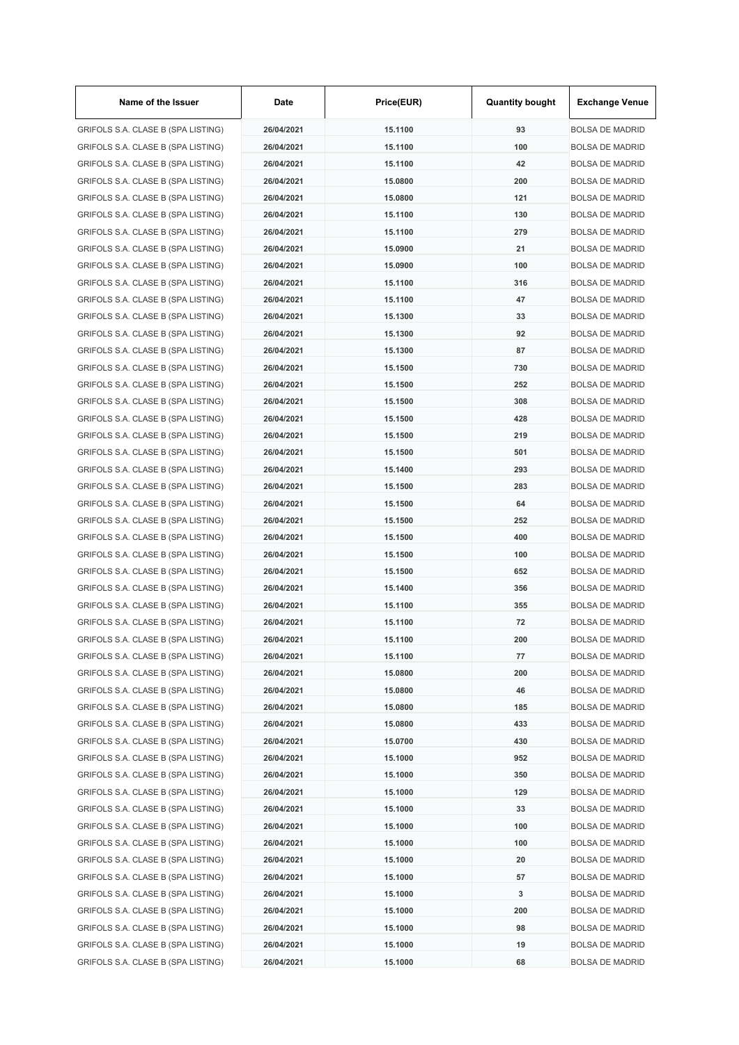| Name of the Issuer                 | Date       | Price(EUR) | <b>Quantity bought</b> | <b>Exchange Venue</b>  |
|------------------------------------|------------|------------|------------------------|------------------------|
| GRIFOLS S.A. CLASE B (SPA LISTING) | 26/04/2021 | 15.1100    | 93                     | <b>BOLSA DE MADRID</b> |
| GRIFOLS S.A. CLASE B (SPA LISTING) | 26/04/2021 | 15.1100    | 100                    | <b>BOLSA DE MADRID</b> |
| GRIFOLS S.A. CLASE B (SPA LISTING) | 26/04/2021 | 15.1100    | 42                     | <b>BOLSA DE MADRID</b> |
| GRIFOLS S.A. CLASE B (SPA LISTING) | 26/04/2021 | 15.0800    | 200                    | <b>BOLSA DE MADRID</b> |
| GRIFOLS S.A. CLASE B (SPA LISTING) | 26/04/2021 | 15.0800    | 121                    | <b>BOLSA DE MADRID</b> |
| GRIFOLS S.A. CLASE B (SPA LISTING) | 26/04/2021 | 15.1100    | 130                    | <b>BOLSA DE MADRID</b> |
| GRIFOLS S.A. CLASE B (SPA LISTING) | 26/04/2021 | 15.1100    | 279                    | <b>BOLSA DE MADRID</b> |
| GRIFOLS S.A. CLASE B (SPA LISTING) | 26/04/2021 | 15.0900    | 21                     | <b>BOLSA DE MADRID</b> |
| GRIFOLS S.A. CLASE B (SPA LISTING) | 26/04/2021 | 15.0900    | 100                    | <b>BOLSA DE MADRID</b> |
| GRIFOLS S.A. CLASE B (SPA LISTING) | 26/04/2021 | 15.1100    | 316                    | <b>BOLSA DE MADRID</b> |
| GRIFOLS S.A. CLASE B (SPA LISTING) | 26/04/2021 | 15.1100    | 47                     | <b>BOLSA DE MADRID</b> |
| GRIFOLS S.A. CLASE B (SPA LISTING) | 26/04/2021 | 15.1300    | 33                     | <b>BOLSA DE MADRID</b> |
| GRIFOLS S.A. CLASE B (SPA LISTING) | 26/04/2021 | 15.1300    | 92                     | <b>BOLSA DE MADRID</b> |
| GRIFOLS S.A. CLASE B (SPA LISTING) | 26/04/2021 | 15.1300    | 87                     | <b>BOLSA DE MADRID</b> |
| GRIFOLS S.A. CLASE B (SPA LISTING) | 26/04/2021 | 15.1500    | 730                    | <b>BOLSA DE MADRID</b> |
| GRIFOLS S.A. CLASE B (SPA LISTING) | 26/04/2021 | 15.1500    | 252                    | <b>BOLSA DE MADRID</b> |
| GRIFOLS S.A. CLASE B (SPA LISTING) | 26/04/2021 | 15.1500    | 308                    | <b>BOLSA DE MADRID</b> |
| GRIFOLS S.A. CLASE B (SPA LISTING) | 26/04/2021 | 15.1500    | 428                    | <b>BOLSA DE MADRID</b> |
| GRIFOLS S.A. CLASE B (SPA LISTING) | 26/04/2021 | 15.1500    | 219                    | <b>BOLSA DE MADRID</b> |
| GRIFOLS S.A. CLASE B (SPA LISTING) | 26/04/2021 | 15.1500    | 501                    | <b>BOLSA DE MADRID</b> |
| GRIFOLS S.A. CLASE B (SPA LISTING) | 26/04/2021 | 15.1400    | 293                    | <b>BOLSA DE MADRID</b> |
| GRIFOLS S.A. CLASE B (SPA LISTING) | 26/04/2021 | 15.1500    | 283                    | <b>BOLSA DE MADRID</b> |
| GRIFOLS S.A. CLASE B (SPA LISTING) | 26/04/2021 | 15.1500    | 64                     | <b>BOLSA DE MADRID</b> |
| GRIFOLS S.A. CLASE B (SPA LISTING) | 26/04/2021 | 15.1500    | 252                    | <b>BOLSA DE MADRID</b> |
| GRIFOLS S.A. CLASE B (SPA LISTING) | 26/04/2021 | 15.1500    | 400                    | <b>BOLSA DE MADRID</b> |
|                                    | 26/04/2021 | 15.1500    | 100                    |                        |
| GRIFOLS S.A. CLASE B (SPA LISTING) |            |            |                        | <b>BOLSA DE MADRID</b> |
| GRIFOLS S.A. CLASE B (SPA LISTING) | 26/04/2021 | 15.1500    | 652                    | <b>BOLSA DE MADRID</b> |
| GRIFOLS S.A. CLASE B (SPA LISTING) | 26/04/2021 | 15.1400    | 356                    | <b>BOLSA DE MADRID</b> |
| GRIFOLS S.A. CLASE B (SPA LISTING) | 26/04/2021 | 15.1100    | 355                    | <b>BOLSA DE MADRID</b> |
| GRIFOLS S.A. CLASE B (SPA LISTING) | 26/04/2021 | 15.1100    | 72                     | <b>BOLSA DE MADRID</b> |
| GRIFOLS S.A. CLASE B (SPA LISTING) | 26/04/2021 | 15.1100    | 200                    | <b>BOLSA DE MADRID</b> |
| GRIFOLS S.A. CLASE B (SPA LISTING) | 26/04/2021 | 15.1100    | 77                     | <b>BOLSA DE MADRID</b> |
| GRIFOLS S.A. CLASE B (SPA LISTING) | 26/04/2021 | 15.0800    | 200                    | <b>BOLSA DE MADRID</b> |
| GRIFOLS S.A. CLASE B (SPA LISTING) | 26/04/2021 | 15.0800    | 46                     | <b>BOLSA DE MADRID</b> |
| GRIFOLS S.A. CLASE B (SPA LISTING) | 26/04/2021 | 15.0800    | 185                    | <b>BOLSA DE MADRID</b> |
| GRIFOLS S.A. CLASE B (SPA LISTING) | 26/04/2021 | 15.0800    | 433                    | <b>BOLSA DE MADRID</b> |
| GRIFOLS S.A. CLASE B (SPA LISTING) | 26/04/2021 | 15.0700    | 430                    | <b>BOLSA DE MADRID</b> |
| GRIFOLS S.A. CLASE B (SPA LISTING) | 26/04/2021 | 15.1000    | 952                    | <b>BOLSA DE MADRID</b> |
| GRIFOLS S.A. CLASE B (SPA LISTING) | 26/04/2021 | 15.1000    | 350                    | <b>BOLSA DE MADRID</b> |
| GRIFOLS S.A. CLASE B (SPA LISTING) | 26/04/2021 | 15.1000    | 129                    | <b>BOLSA DE MADRID</b> |
| GRIFOLS S.A. CLASE B (SPA LISTING) | 26/04/2021 | 15.1000    | 33                     | <b>BOLSA DE MADRID</b> |
| GRIFOLS S.A. CLASE B (SPA LISTING) | 26/04/2021 | 15.1000    | 100                    | <b>BOLSA DE MADRID</b> |
| GRIFOLS S.A. CLASE B (SPA LISTING) | 26/04/2021 | 15.1000    | 100                    | <b>BOLSA DE MADRID</b> |
| GRIFOLS S.A. CLASE B (SPA LISTING) | 26/04/2021 | 15.1000    | 20                     | <b>BOLSA DE MADRID</b> |
| GRIFOLS S.A. CLASE B (SPA LISTING) | 26/04/2021 | 15.1000    | 57                     | <b>BOLSA DE MADRID</b> |
| GRIFOLS S.A. CLASE B (SPA LISTING) | 26/04/2021 | 15.1000    | 3                      | <b>BOLSA DE MADRID</b> |
| GRIFOLS S.A. CLASE B (SPA LISTING) | 26/04/2021 | 15.1000    | 200                    | <b>BOLSA DE MADRID</b> |
| GRIFOLS S.A. CLASE B (SPA LISTING) | 26/04/2021 | 15.1000    | 98                     | <b>BOLSA DE MADRID</b> |
| GRIFOLS S.A. CLASE B (SPA LISTING) | 26/04/2021 | 15.1000    | 19                     | <b>BOLSA DE MADRID</b> |
| GRIFOLS S.A. CLASE B (SPA LISTING) | 26/04/2021 | 15.1000    | 68                     | <b>BOLSA DE MADRID</b> |